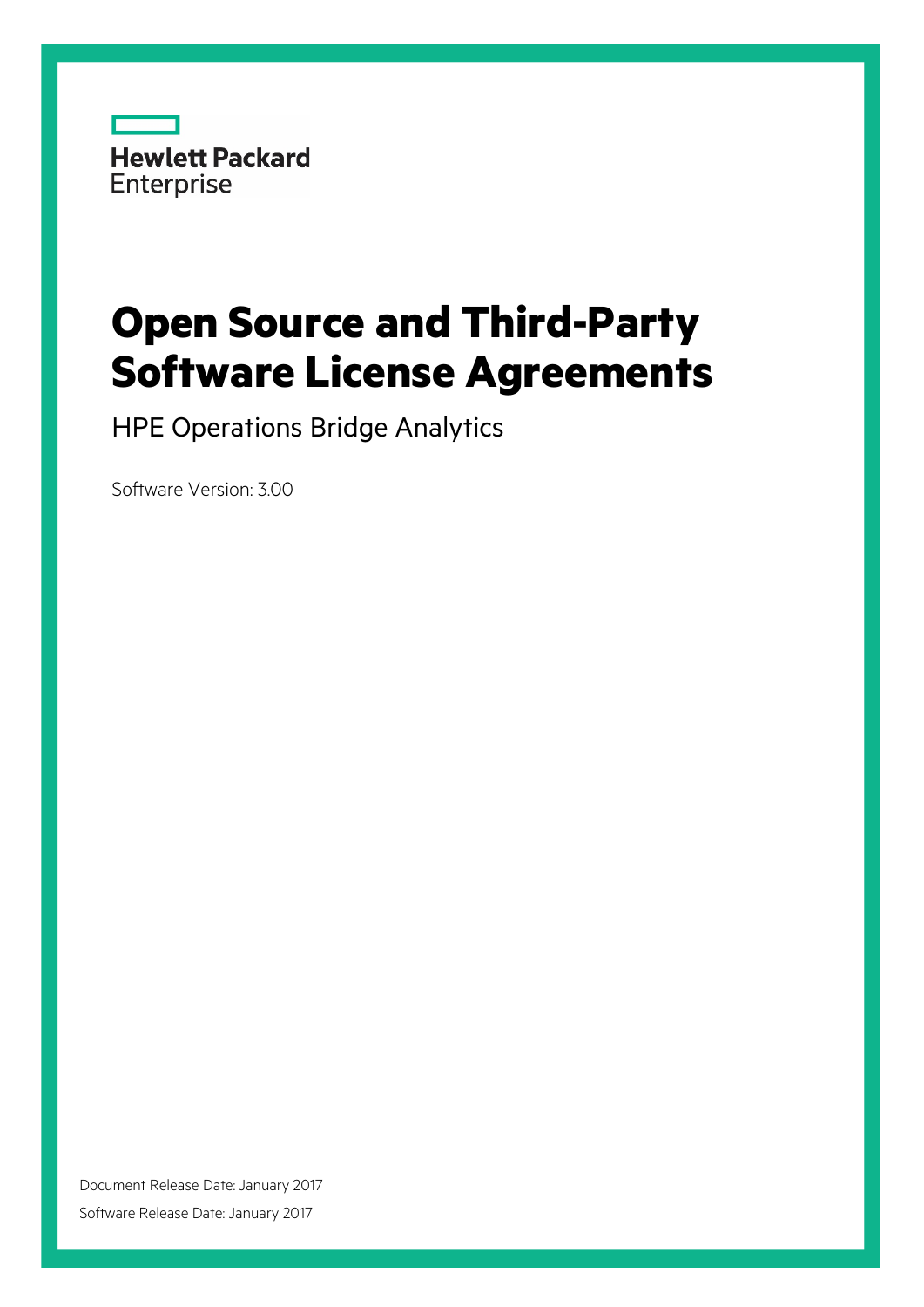

# **Open Source and Third-Party Software License Agreements**

HPE Operations Bridge Analytics

Software Version: 3.00

Document Release Date: January 2017 Software Release Date: January 2017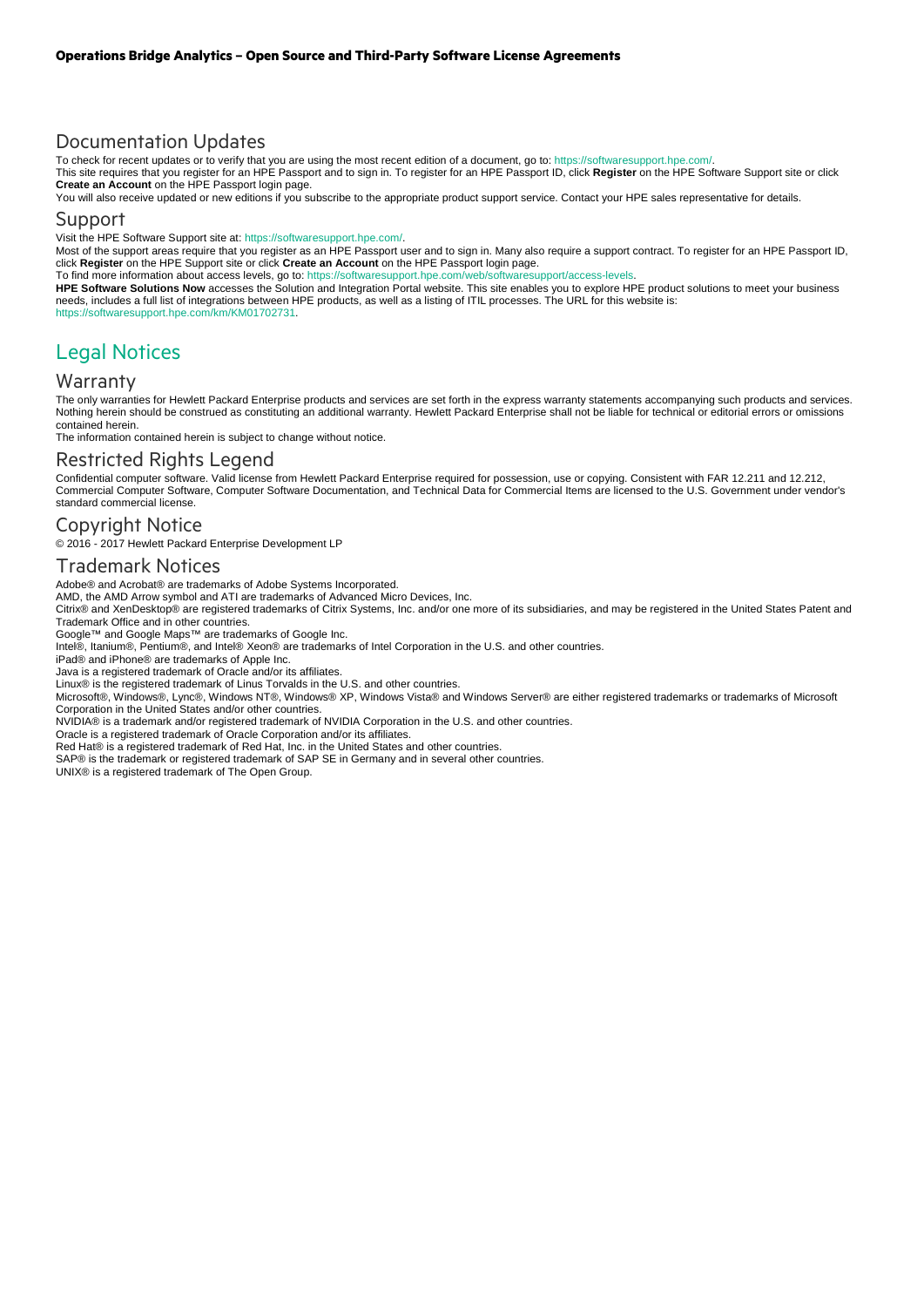# Documentation Updates

To check for recent updates or to verify that you are using the most recent edition of a document, go to: https://softwaresupport.hpe.com/.<br>This site requires that you register for an HPE Passport and to sign in. To regist **Create an Account** on the HPE Passport login page.

You will also receive updated or new editions if you subscribe to the appropriate product support service. Contact your HPE sales representative for details.

# Support

Visit the HPE Software Support site at: https://softwaresupport.hpe.com/.

Most of the support areas require that you register as an HPE Passport user and to sign in. Many also require a support contract. To register for an HPE Passport ID, click **Register** on the HPE Support site or click **Create an Account** on the HPE Passport login page.

To find more information about access levels, go to: https://softwaresupport.hpe.com/web/softwaresupport/access-levels.

**HPE Software Solutions Now** accesses the Solution and Integration Portal website. This site enables you to explore HPE product solutions to meet your business needs, includes a full list of integrations between HPE products, as well as a listing of ITIL processes. The URL for this website is: https://softwaresupport.hpe.com/km/KM01702731.

# Legal Notices

# Warranty

The only warranties for Hewlett Packard Enterprise products and services are set forth in the express warranty statements accompanying such products and services. Nothing herein should be construed as constituting an additional warranty. Hewlett Packard Enterprise shall not be liable for technical or editorial errors or omissions contained herein.

The information contained herein is subject to change without notice.

# Restricted Rights Legend

Confidential computer software. Valid license from Hewlett Packard Enterprise required for possession, use or copying. Consistent with FAR 12.211 and 12.212, Commercial Computer Software, Computer Software Documentation, and Technical Data for Commercial Items are licensed to the U.S. Government under vendor's standard commercial license.

# Copyright Notice

© 2016 - 2017 Hewlett Packard Enterprise Development LP

## Trademark Notices

Adobe® and Acrobat® are trademarks of Adobe Systems Incorporated.

AMD, the AMD Arrow symbol and ATI are trademarks of Advanced Micro Devices, Inc.

Citrix® and XenDesktop® are registered trademarks of Citrix Systems, Inc. and/or one more of its subsidiaries, and may be registered in the United States Patent and Trademark Office and in other countries.

Google™ and Google Maps™ are trademarks of Google Inc.

Intel®, Itanium®, Pentium®, and Intel® Xeon® are trademarks of Intel Corporation in the U.S. and other countries.

iPad® and iPhone® are trademarks of Apple Inc.

Java is a registered trademark of Oracle and/or its affiliates. Linux® is the registered trademark of Linus Torvalds in the U.S. and other countries.

Microsoft®, Windows®, Lync®, Windows NT®, Windows® XP, Windows Vista® and Windows Server® are either registered trademarks or trademarks of Microsoft

Corporation in the United States and/or other countries.

NVIDIA® is a trademark and/or registered trademark of NVIDIA Corporation in the U.S. and other countries.

Oracle is a registered trademark of Oracle Corporation and/or its affiliates.

Red Hat® is a registered trademark of Red Hat, Inc. in the United States and other countries.

SAP® is the trademark or registered trademark of SAP SE in Germany and in several other countries.

UNIX® is a registered trademark of The Open Group.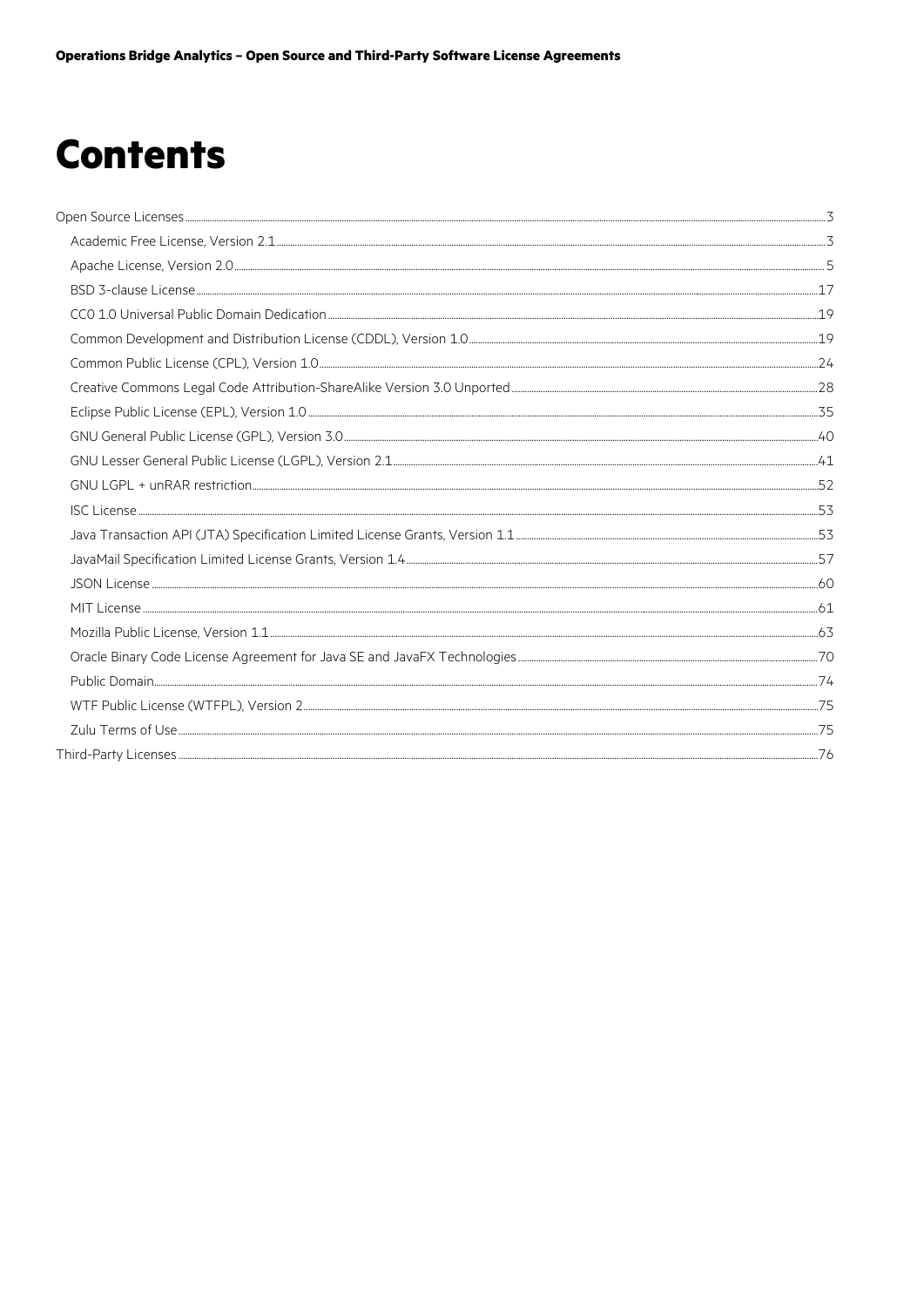# **Contents**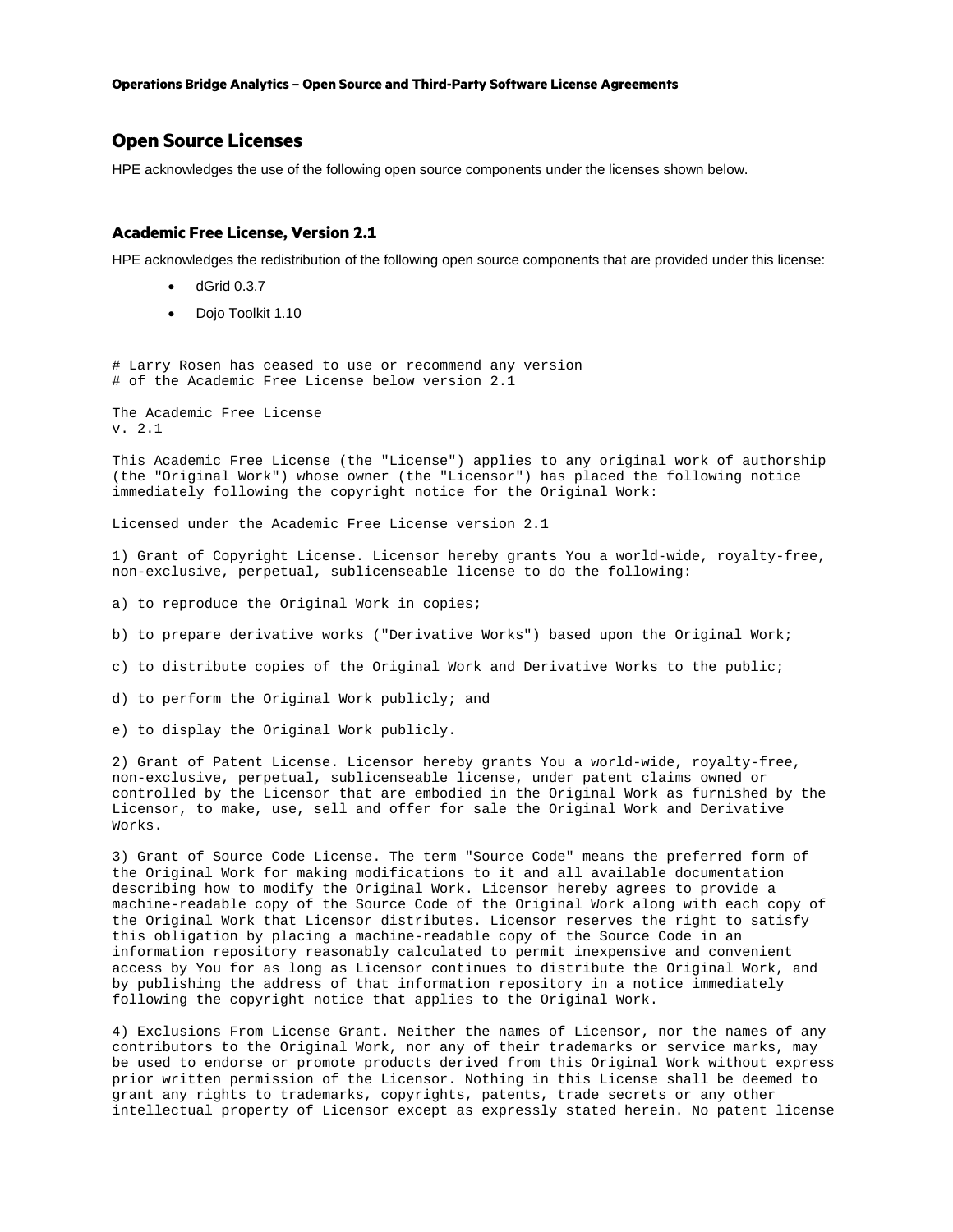# **Open Source Licenses**

HPE acknowledges the use of the following open source components under the licenses shown below.

# <span id="page-3-0"></span>**Academic Free License, Version 2.1**

<span id="page-3-1"></span>HPE acknowledges the redistribution of the following open source components that are provided under this license:

- $\bullet$  dGrid 0.3.7
- Dojo Toolkit 1.10

# Larry Rosen has ceased to use or recommend any version # of the Academic Free License below version 2.1

The Academic Free License v. 2.1

This Academic Free License (the "License") applies to any original work of authorship (the "Original Work") whose owner (the "Licensor") has placed the following notice immediately following the copyright notice for the Original Work:

Licensed under the Academic Free License version 2.1

1) Grant of Copyright License. Licensor hereby grants You a world-wide, royalty-free, non-exclusive, perpetual, sublicenseable license to do the following:

- a) to reproduce the Original Work in copies;
- b) to prepare derivative works ("Derivative Works") based upon the Original Work;
- c) to distribute copies of the Original Work and Derivative Works to the public;
- d) to perform the Original Work publicly; and
- e) to display the Original Work publicly.

2) Grant of Patent License. Licensor hereby grants You a world-wide, royalty-free, non-exclusive, perpetual, sublicenseable license, under patent claims owned or controlled by the Licensor that are embodied in the Original Work as furnished by the Licensor, to make, use, sell and offer for sale the Original Work and Derivative Works.

3) Grant of Source Code License. The term "Source Code" means the preferred form of the Original Work for making modifications to it and all available documentation describing how to modify the Original Work. Licensor hereby agrees to provide a machine-readable copy of the Source Code of the Original Work along with each copy of the Original Work that Licensor distributes. Licensor reserves the right to satisfy this obligation by placing a machine-readable copy of the Source Code in an information repository reasonably calculated to permit inexpensive and convenient access by You for as long as Licensor continues to distribute the Original Work, and by publishing the address of that information repository in a notice immediately following the copyright notice that applies to the Original Work.

4) Exclusions From License Grant. Neither the names of Licensor, nor the names of any contributors to the Original Work, nor any of their trademarks or service marks, may be used to endorse or promote products derived from this Original Work without express prior written permission of the Licensor. Nothing in this License shall be deemed to grant any rights to trademarks, copyrights, patents, trade secrets or any other intellectual property of Licensor except as expressly stated herein. No patent license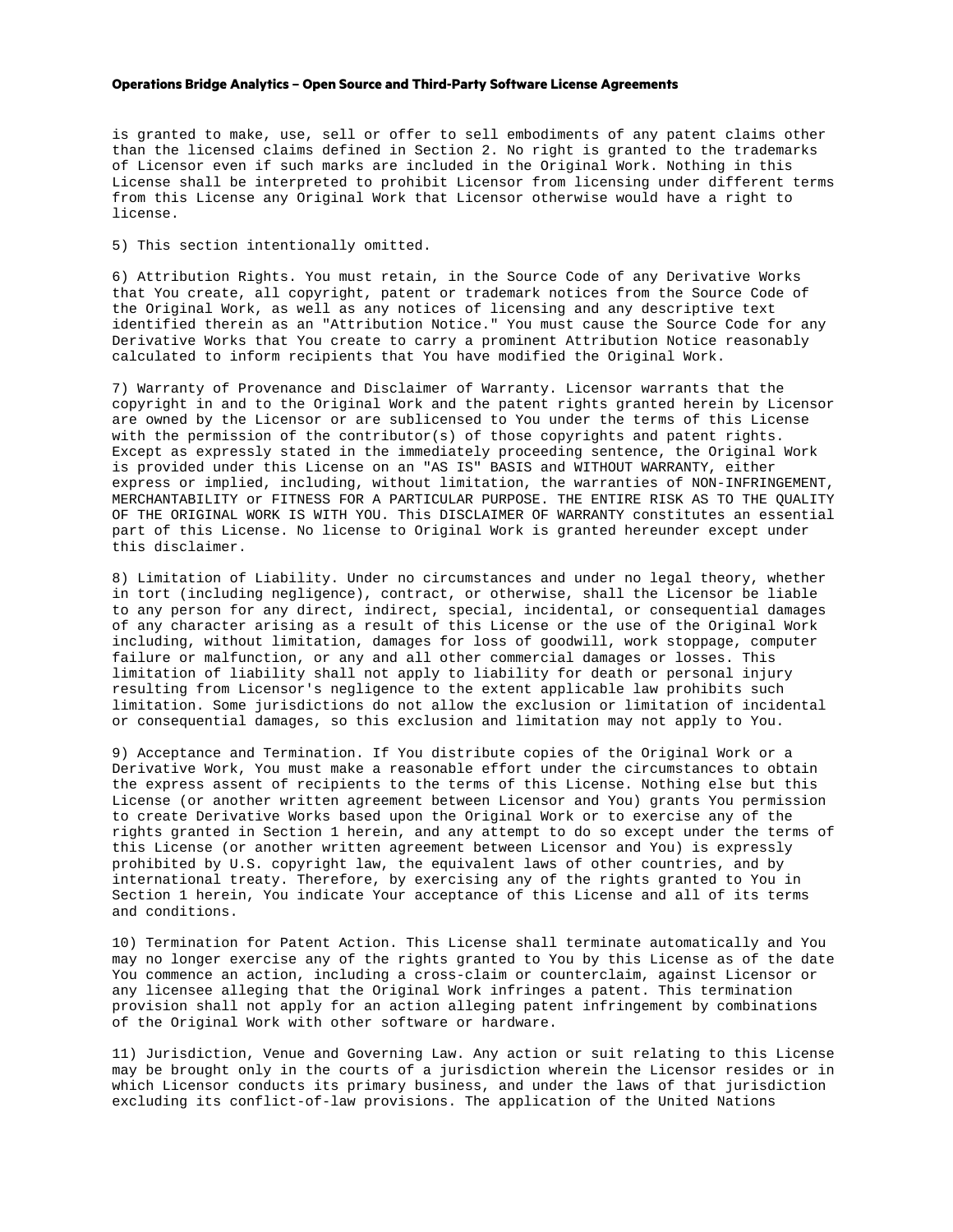is granted to make, use, sell or offer to sell embodiments of any patent claims other than the licensed claims defined in Section 2. No right is granted to the trademarks of Licensor even if such marks are included in the Original Work. Nothing in this License shall be interpreted to prohibit Licensor from licensing under different terms from this License any Original Work that Licensor otherwise would have a right to license.

5) This section intentionally omitted.

6) Attribution Rights. You must retain, in the Source Code of any Derivative Works that You create, all copyright, patent or trademark notices from the Source Code of the Original Work, as well as any notices of licensing and any descriptive text identified therein as an "Attribution Notice." You must cause the Source Code for any Derivative Works that You create to carry a prominent Attribution Notice reasonably calculated to inform recipients that You have modified the Original Work.

7) Warranty of Provenance and Disclaimer of Warranty. Licensor warrants that the copyright in and to the Original Work and the patent rights granted herein by Licensor are owned by the Licensor or are sublicensed to You under the terms of this License with the permission of the contributor(s) of those copyrights and patent rights. Except as expressly stated in the immediately proceeding sentence, the Original Work is provided under this License on an "AS IS" BASIS and WITHOUT WARRANTY, either express or implied, including, without limitation, the warranties of NON-INFRINGEMENT, MERCHANTABILITY or FITNESS FOR A PARTICULAR PURPOSE. THE ENTIRE RISK AS TO THE QUALITY OF THE ORIGINAL WORK IS WITH YOU. This DISCLAIMER OF WARRANTY constitutes an essential part of this License. No license to Original Work is granted hereunder except under this disclaimer.

8) Limitation of Liability. Under no circumstances and under no legal theory, whether in tort (including negligence), contract, or otherwise, shall the Licensor be liable to any person for any direct, indirect, special, incidental, or consequential damages of any character arising as a result of this License or the use of the Original Work including, without limitation, damages for loss of goodwill, work stoppage, computer failure or malfunction, or any and all other commercial damages or losses. This limitation of liability shall not apply to liability for death or personal injury resulting from Licensor's negligence to the extent applicable law prohibits such limitation. Some jurisdictions do not allow the exclusion or limitation of incidental or consequential damages, so this exclusion and limitation may not apply to You.

9) Acceptance and Termination. If You distribute copies of the Original Work or a Derivative Work, You must make a reasonable effort under the circumstances to obtain the express assent of recipients to the terms of this License. Nothing else but this License (or another written agreement between Licensor and You) grants You permission to create Derivative Works based upon the Original Work or to exercise any of the rights granted in Section 1 herein, and any attempt to do so except under the terms of this License (or another written agreement between Licensor and You) is expressly prohibited by U.S. copyright law, the equivalent laws of other countries, and by international treaty. Therefore, by exercising any of the rights granted to You in Section 1 herein, You indicate Your acceptance of this License and all of its terms and conditions.

10) Termination for Patent Action. This License shall terminate automatically and You may no longer exercise any of the rights granted to You by this License as of the date You commence an action, including a cross-claim or counterclaim, against Licensor or any licensee alleging that the Original Work infringes a patent. This termination provision shall not apply for an action alleging patent infringement by combinations of the Original Work with other software or hardware.

11) Jurisdiction, Venue and Governing Law. Any action or suit relating to this License may be brought only in the courts of a jurisdiction wherein the Licensor resides or in which Licensor conducts its primary business, and under the laws of that jurisdiction excluding its conflict-of-law provisions. The application of the United Nations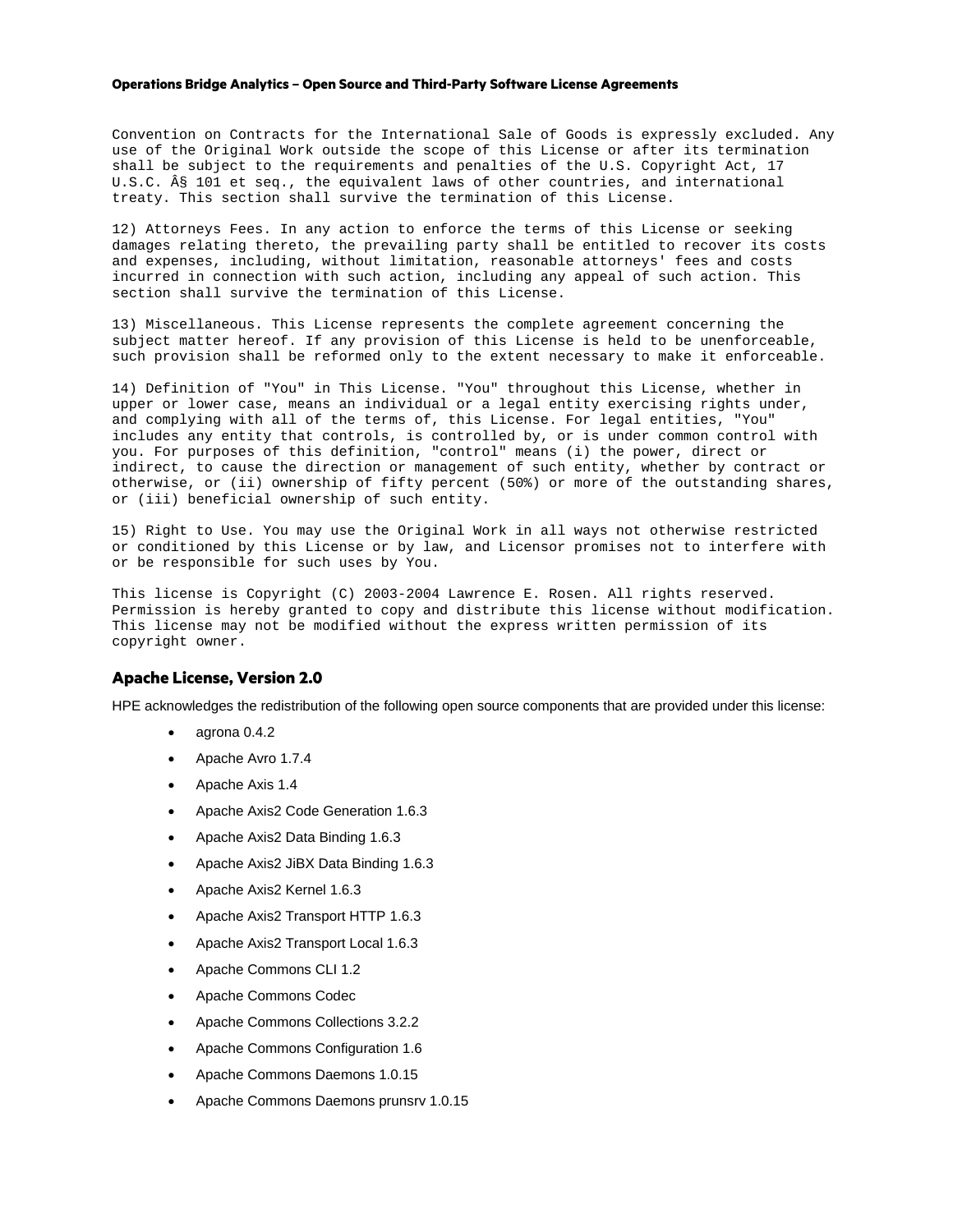Convention on Contracts for the International Sale of Goods is expressly excluded. Any use of the Original Work outside the scope of this License or after its termination shall be subject to the requirements and penalties of the U.S. Copyright Act, 17 U.S.C. § 101 et seq., the equivalent laws of other countries, and international treaty. This section shall survive the termination of this License.

12) Attorneys Fees. In any action to enforce the terms of this License or seeking damages relating thereto, the prevailing party shall be entitled to recover its costs and expenses, including, without limitation, reasonable attorneys' fees and costs incurred in connection with such action, including any appeal of such action. This section shall survive the termination of this License.

13) Miscellaneous. This License represents the complete agreement concerning the subject matter hereof. If any provision of this License is held to be unenforceable, such provision shall be reformed only to the extent necessary to make it enforceable.

14) Definition of "You" in This License. "You" throughout this License, whether in upper or lower case, means an individual or a legal entity exercising rights under, and complying with all of the terms of, this License. For legal entities, "You" includes any entity that controls, is controlled by, or is under common control with you. For purposes of this definition, "control" means (i) the power, direct or indirect, to cause the direction or management of such entity, whether by contract or otherwise, or (ii) ownership of fifty percent (50%) or more of the outstanding shares, or (iii) beneficial ownership of such entity.

15) Right to Use. You may use the Original Work in all ways not otherwise restricted or conditioned by this License or by law, and Licensor promises not to interfere with or be responsible for such uses by You.

This license is Copyright (C) 2003-2004 Lawrence E. Rosen. All rights reserved. Permission is hereby granted to copy and distribute this license without modification. This license may not be modified without the express written permission of its copyright owner.

# **Apache License, Version 2.0**

<span id="page-5-0"></span>HPE acknowledges the redistribution of the following open source components that are provided under this license:

- agrona 0.4.2
- Apache Avro 1.7.4
- Apache Axis 1.4
- Apache Axis2 Code Generation 1.6.3
- Apache Axis2 Data Binding 1.6.3
- Apache Axis2 JiBX Data Binding 1.6.3
- Apache Axis2 Kernel 1.6.3
- Apache Axis2 Transport HTTP 1.6.3
- Apache Axis2 Transport Local 1.6.3
- Apache Commons CLI 1.2
- Apache Commons Codec
- Apache Commons Collections 3.2.2
- Apache Commons Configuration 1.6
- Apache Commons Daemons 1.0.15
- Apache Commons Daemons prunsrv 1.0.15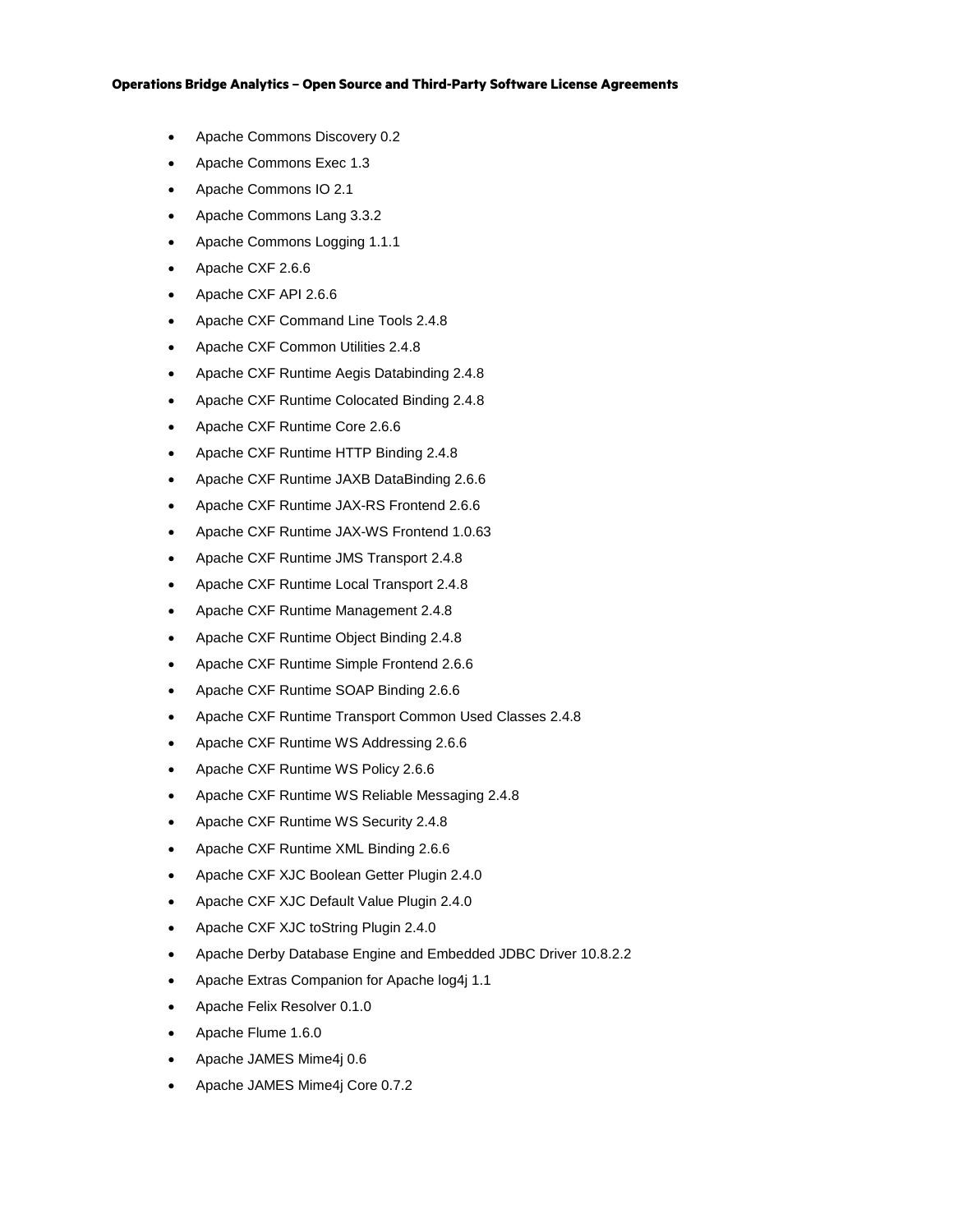- Apache Commons Discovery 0.2
- Apache Commons Exec 1.3
- Apache Commons IO 2.1
- Apache Commons Lang 3.3.2
- Apache Commons Logging 1.1.1
- Apache CXF 2.6.6
- Apache CXF API 2.6.6
- Apache CXF Command Line Tools 2.4.8
- Apache CXF Common Utilities 2.4.8
- Apache CXF Runtime Aegis Databinding 2.4.8
- Apache CXF Runtime Colocated Binding 2.4.8
- Apache CXF Runtime Core 2.6.6
- Apache CXF Runtime HTTP Binding 2.4.8
- Apache CXF Runtime JAXB DataBinding 2.6.6
- Apache CXF Runtime JAX-RS Frontend 2.6.6
- Apache CXF Runtime JAX-WS Frontend 1.0.63
- Apache CXF Runtime JMS Transport 2.4.8
- Apache CXF Runtime Local Transport 2.4.8
- Apache CXF Runtime Management 2.4.8
- Apache CXF Runtime Object Binding 2.4.8
- Apache CXF Runtime Simple Frontend 2.6.6
- Apache CXF Runtime SOAP Binding 2.6.6
- Apache CXF Runtime Transport Common Used Classes 2.4.8
- Apache CXF Runtime WS Addressing 2.6.6
- Apache CXF Runtime WS Policy 2.6.6
- Apache CXF Runtime WS Reliable Messaging 2.4.8
- Apache CXF Runtime WS Security 2.4.8
- Apache CXF Runtime XML Binding 2.6.6
- Apache CXF XJC Boolean Getter Plugin 2.4.0
- Apache CXF XJC Default Value Plugin 2.4.0
- Apache CXF XJC toString Plugin 2.4.0
- Apache Derby Database Engine and Embedded JDBC Driver 10.8.2.2
- Apache Extras Companion for Apache log4j 1.1
- Apache Felix Resolver 0.1.0
- Apache Flume 1.6.0
- Apache JAMES Mime4j 0.6
- Apache JAMES Mime4j Core 0.7.2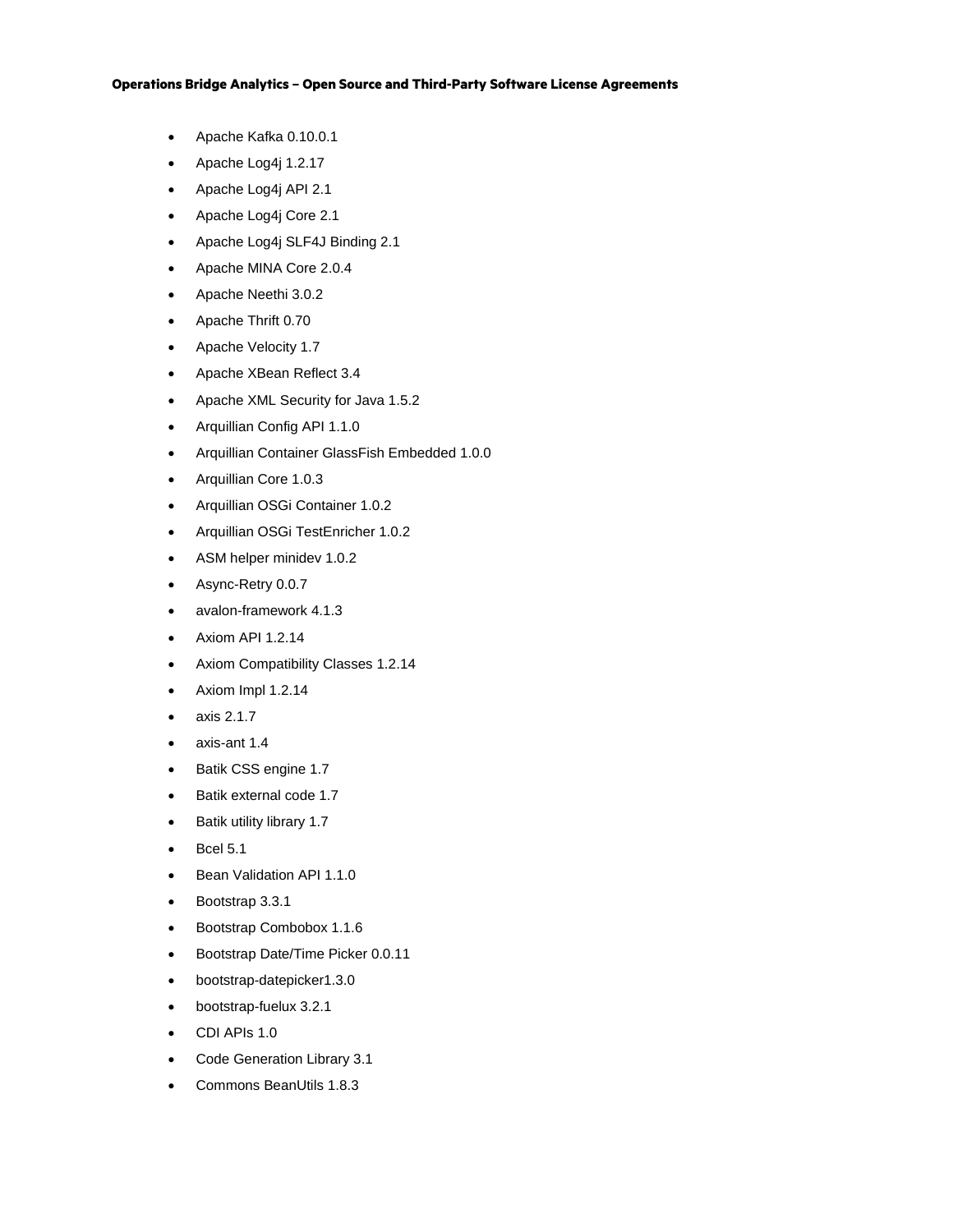- Apache Kafka 0.10.0.1
- Apache Log4j 1.2.17
- Apache Log4j API 2.1
- Apache Log4j Core 2.1
- Apache Log4j SLF4J Binding 2.1
- Apache MINA Core 2.0.4
- Apache Neethi 3.0.2
- Apache Thrift 0.70
- Apache Velocity 1.7
- Apache XBean Reflect 3.4
- Apache XML Security for Java 1.5.2
- Arquillian Config API 1.1.0
- Arquillian Container GlassFish Embedded 1.0.0
- Arquillian Core 1.0.3
- Arquillian OSGi Container 1.0.2
- Arquillian OSGi TestEnricher 1.0.2
- ASM helper minidev 1.0.2
- Async-Retry 0.0.7
- avalon-framework 4.1.3
- Axiom API 1.2.14
- Axiom Compatibility Classes 1.2.14
- Axiom Impl 1.2.14
- $\bullet$  axis 2.1.7
- axis-ant 1.4
- Batik CSS engine 1.7
- Batik external code 1.7
- Batik utility library 1.7
- Bcel 5.1
- Bean Validation API 1.1.0
- Bootstrap 3.3.1
- Bootstrap Combobox 1.1.6
- Bootstrap Date/Time Picker 0.0.11
- bootstrap-datepicker1.3.0
- bootstrap-fuelux 3.2.1
- CDI APIs 1.0
- Code Generation Library 3.1
- Commons BeanUtils 1.8.3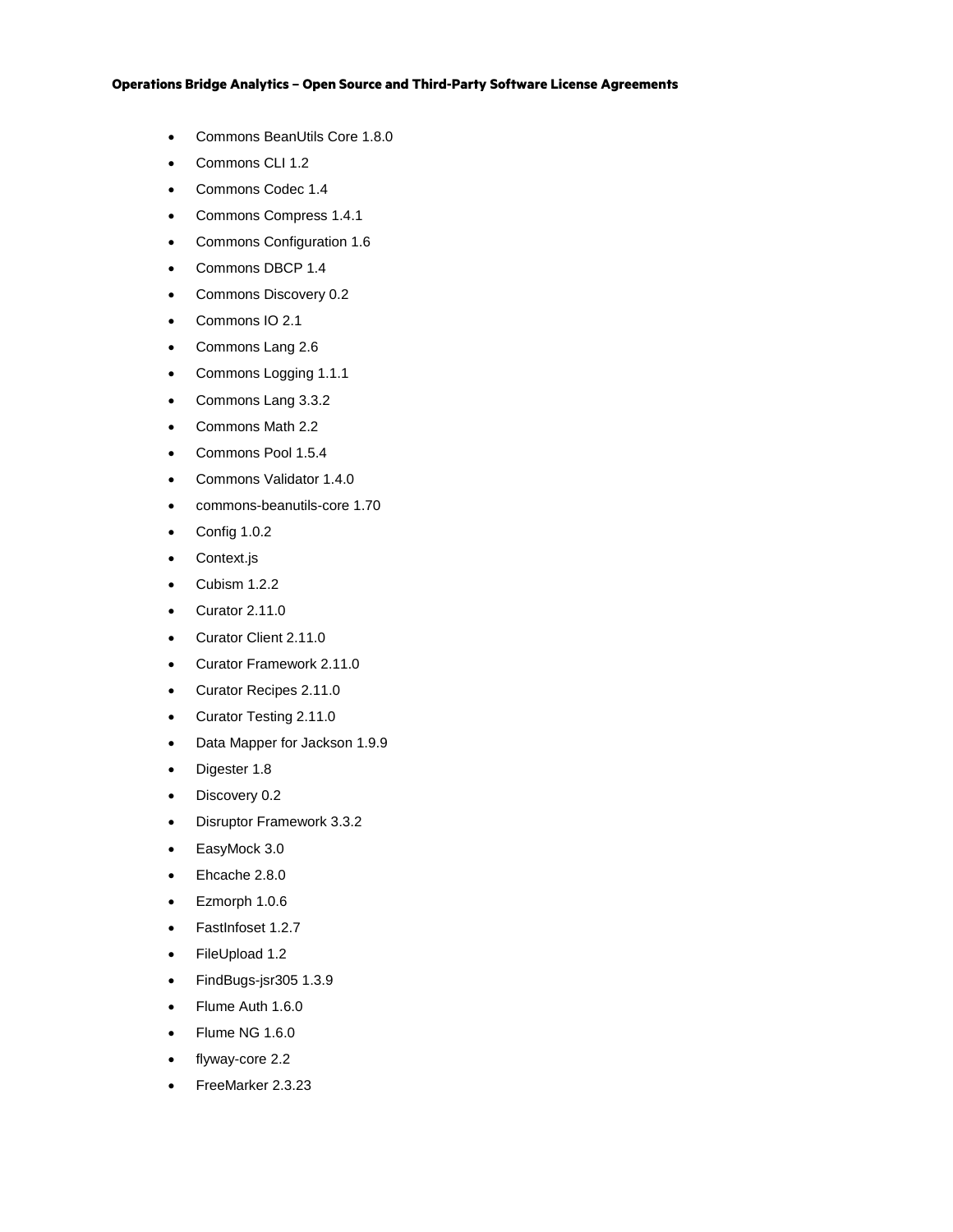- Commons BeanUtils Core 1.8.0
- Commons CLI 1.2
- Commons Codec 1.4
- Commons Compress 1.4.1
- Commons Configuration 1.6
- Commons DBCP 1.4
- Commons Discovery 0.2
- Commons IO 2.1
- Commons Lang 2.6
- Commons Logging 1.1.1
- Commons Lang 3.3.2
- Commons Math 2.2
- Commons Pool 1.5.4
- Commons Validator 1.4.0
- commons-beanutils-core 1.70
- Config 1.0.2
- Context.js
- Cubism 1.2.2
- Curator 2.11.0
- Curator Client 2.11.0
- Curator Framework 2.11.0
- Curator Recipes 2.11.0
- Curator Testing 2.11.0
- Data Mapper for Jackson 1.9.9
- Digester 1.8
- Discovery 0.2
- Disruptor Framework 3.3.2
- EasyMock 3.0
- Ehcache 2.8.0
- Ezmorph 1.0.6
- FastInfoset 1.2.7
- FileUpload 1.2
- FindBugs-jsr305 1.3.9
- Flume Auth 1.6.0
- Flume NG 1.6.0
- flyway-core 2.2
- FreeMarker 2.3.23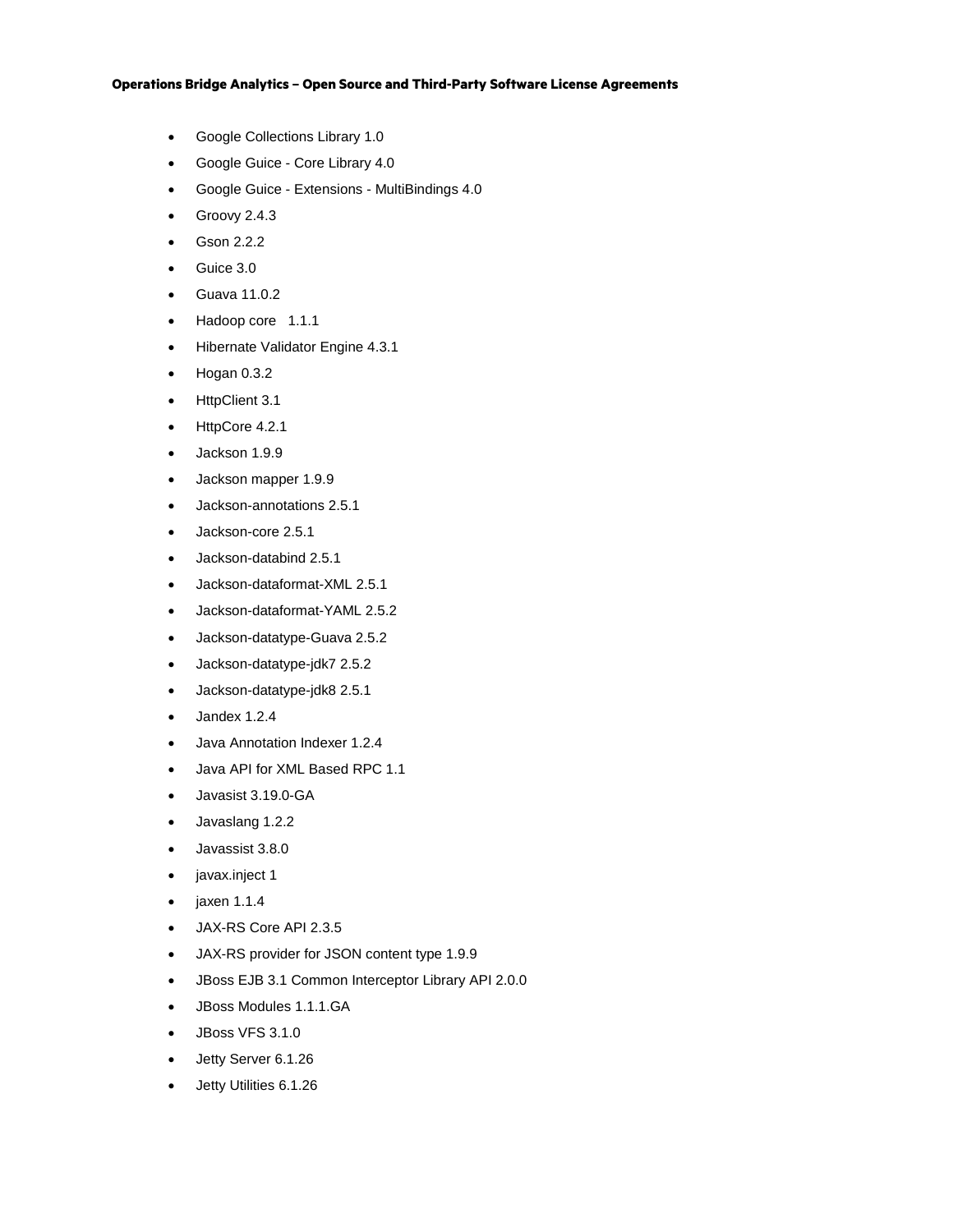- Google Collections Library 1.0
- Google Guice Core Library 4.0
- Google Guice Extensions MultiBindings 4.0
- Groovy 2.4.3
- Gson 2.2.2
- Guice 3.0
- Guava 11.0.2
- Hadoop core 1.1.1
- Hibernate Validator Engine 4.3.1
- Hogan 0.3.2
- HttpClient 3.1
- HttpCore 4.2.1
- Jackson 1.9.9
- Jackson mapper 1.9.9
- Jackson-annotations 2.5.1
- Jackson-core 2.5.1
- Jackson-databind 2.5.1
- Jackson-dataformat-XML 2.5.1
- Jackson-dataformat-YAML 2.5.2
- Jackson-datatype-Guava 2.5.2
- Jackson-datatype-jdk7 2.5.2
- Jackson-datatype-jdk8 2.5.1
- Jandex 1.2.4
- Java Annotation Indexer 1.2.4
- Java API for XML Based RPC 1.1
- Javasist 3.19.0-GA
- Javaslang 1.2.2
- Javassist 3.8.0
- javax.inject 1
- $\bullet$  jaxen 1.1.4
- JAX-RS Core API 2.3.5
- JAX-RS provider for JSON content type 1.9.9
- JBoss EJB 3.1 Common Interceptor Library API 2.0.0
- JBoss Modules 1.1.1.GA
- JBoss VFS 3.1.0
- Jetty Server 6.1.26
- Jetty Utilities 6.1.26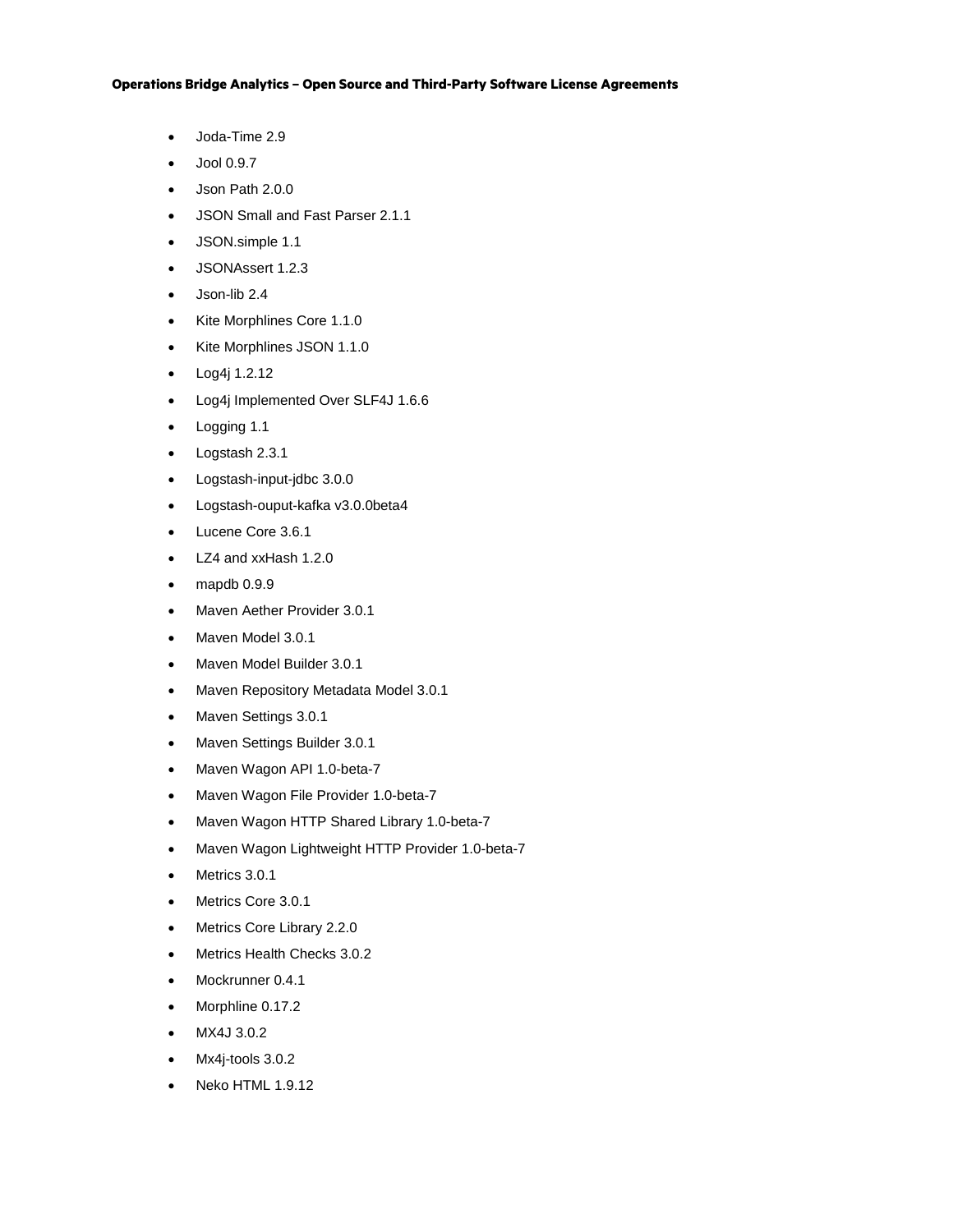- Joda-Time 2.9
- Jool 0.9.7
- Json Path 2.0.0
- JSON Small and Fast Parser 2.1.1
- JSON.simple 1.1
- JSONAssert 1.2.3
- Json-lib 2.4
- Kite Morphlines Core 1.1.0
- Kite Morphlines JSON 1.1.0
- Log4j 1.2.12
- Log4j Implemented Over SLF4J 1.6.6
- Logging 1.1
- Logstash 2.3.1
- Logstash-input-jdbc 3.0.0
- Logstash-ouput-kafka v3.0.0beta4
- Lucene Core 3.6.1
- LZ4 and xxHash 1.2.0
- $\bullet$  mapdb 0.9.9
- Maven Aether Provider 3.0.1
- Maven Model 3.0.1
- Maven Model Builder 3.0.1
- Maven Repository Metadata Model 3.0.1
- Maven Settings 3.0.1
- Maven Settings Builder 3.0.1
- Maven Wagon API 1.0-beta-7
- Maven Wagon File Provider 1.0-beta-7
- Maven Wagon HTTP Shared Library 1.0-beta-7
- Maven Wagon Lightweight HTTP Provider 1.0-beta-7
- Metrics 3.0.1
- Metrics Core 3.0.1
- Metrics Core Library 2.2.0
- Metrics Health Checks 3.0.2
- Mockrunner 0.4.1
- Morphline 0.17.2
- MX4J 3.0.2
- Mx4j-tools 3.0.2
- Neko HTML 1.9.12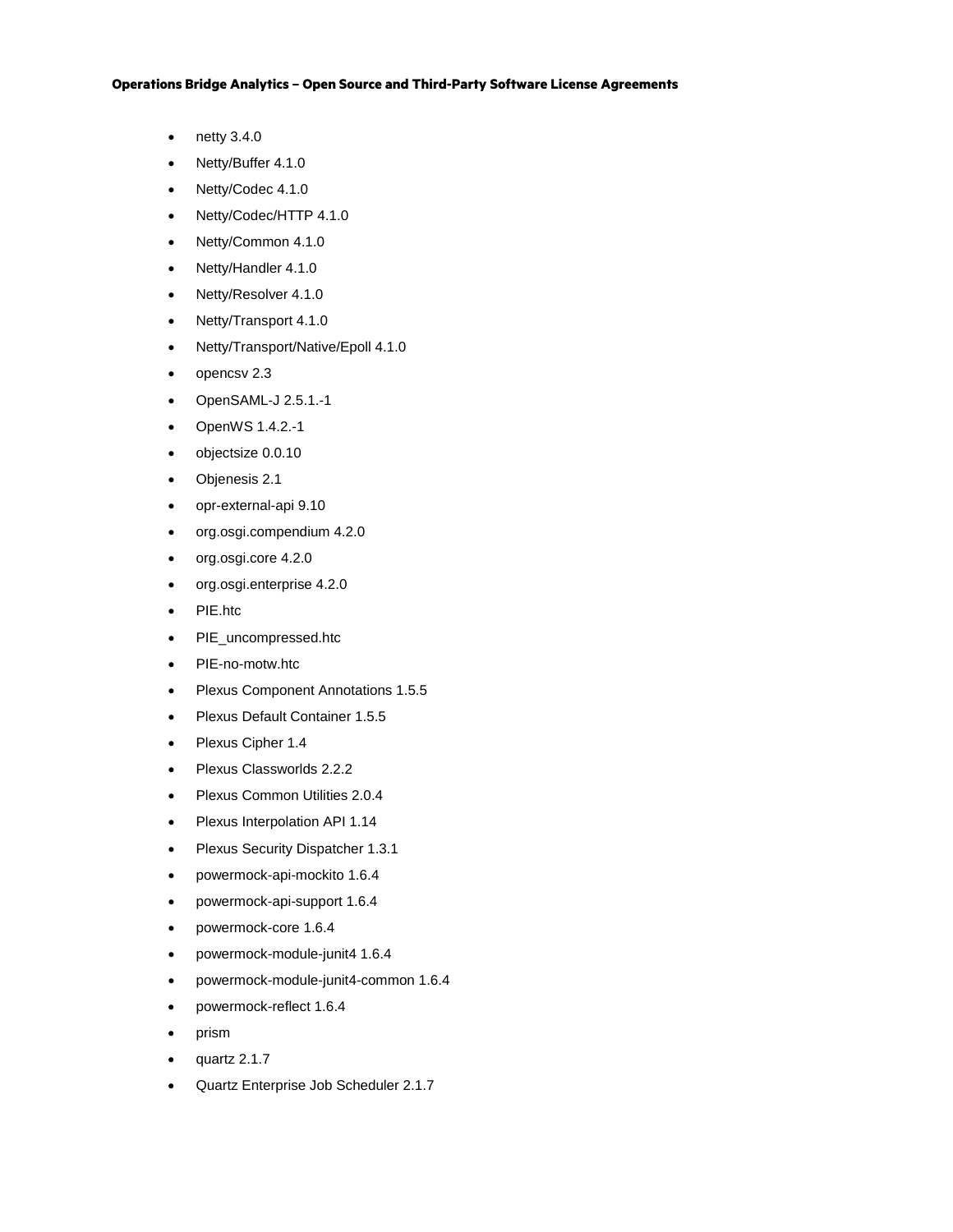- netty 3.4.0
- Netty/Buffer 4.1.0
- Netty/Codec 4.1.0
- Netty/Codec/HTTP 4.1.0
- Netty/Common 4.1.0
- Netty/Handler 4.1.0
- Netty/Resolver 4.1.0
- Netty/Transport 4.1.0
- Netty/Transport/Native/Epoll 4.1.0
- opencsv 2.3
- OpenSAML-J 2.5.1.-1
- OpenWS 1.4.2.-1
- objectsize 0.0.10
- Objenesis 2.1
- opr-external-api 9.10
- org.osgi.compendium 4.2.0
- org.osgi.core 4.2.0
- org.osgi.enterprise 4.2.0
- PIE.htc
- PIE\_uncompressed.htc
- PIE-no-motw.htc
- Plexus Component Annotations 1.5.5
- Plexus Default Container 1.5.5
- Plexus Cipher 1.4
- Plexus Classworlds 2.2.2
- Plexus Common Utilities 2.0.4
- Plexus Interpolation API 1.14
- Plexus Security Dispatcher 1.3.1
- powermock-api-mockito 1.6.4
- powermock-api-support 1.6.4
- powermock-core 1.6.4
- powermock-module-junit4 1.6.4
- powermock-module-junit4-common 1.6.4
- powermock-reflect 1.6.4
- prism
- $\bullet$  quartz 2.1.7
- Quartz Enterprise Job Scheduler 2.1.7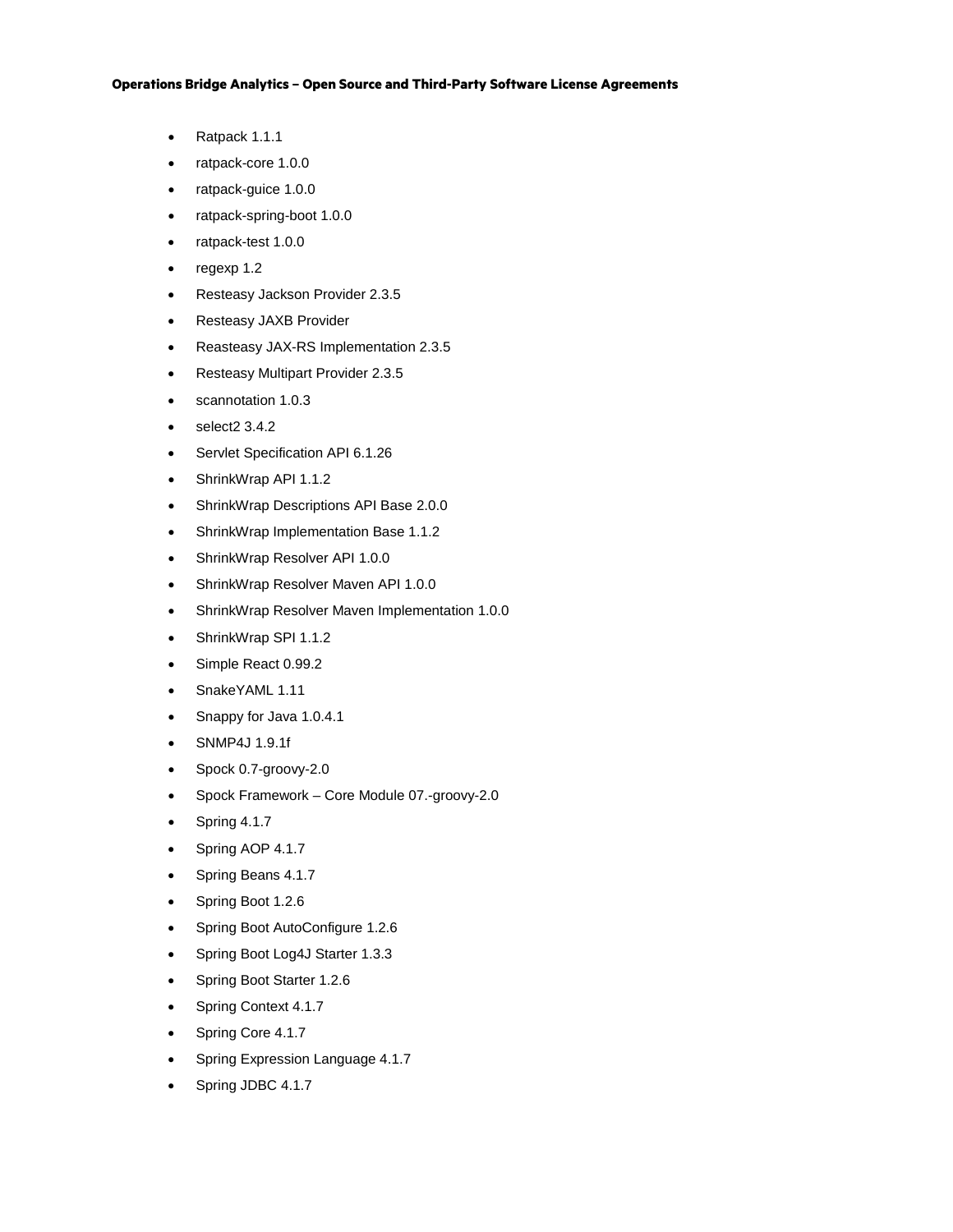- Ratpack 1.1.1
- ratpack-core 1.0.0
- ratpack-guice 1.0.0
- ratpack-spring-boot 1.0.0
- ratpack-test 1.0.0
- regexp 1.2
- Resteasy Jackson Provider 2.3.5
- Resteasy JAXB Provider
- Reasteasy JAX-RS Implementation 2.3.5
- Resteasy Multipart Provider 2.3.5
- scannotation 1.0.3
- $\bullet$  select2 3.4.2
- Servlet Specification API 6.1.26
- ShrinkWrap API 1.1.2
- ShrinkWrap Descriptions API Base 2.0.0
- ShrinkWrap Implementation Base 1.1.2
- ShrinkWrap Resolver API 1.0.0
- ShrinkWrap Resolver Maven API 1.0.0
- ShrinkWrap Resolver Maven Implementation 1.0.0
- ShrinkWrap SPI 1.1.2
- Simple React 0.99.2
- SnakeYAML 1.11
- Snappy for Java 1.0.4.1
- SNMP4J 1.9.1f
- Spock 0.7-groovy-2.0
- Spock Framework Core Module 07.-groovy-2.0
- Spring 4.1.7
- Spring AOP 4.1.7
- Spring Beans 4.1.7
- Spring Boot 1.2.6
- Spring Boot AutoConfigure 1.2.6
- Spring Boot Log4J Starter 1.3.3
- Spring Boot Starter 1.2.6
- Spring Context 4.1.7
- Spring Core 4.1.7
- Spring Expression Language 4.1.7
- Spring JDBC 4.1.7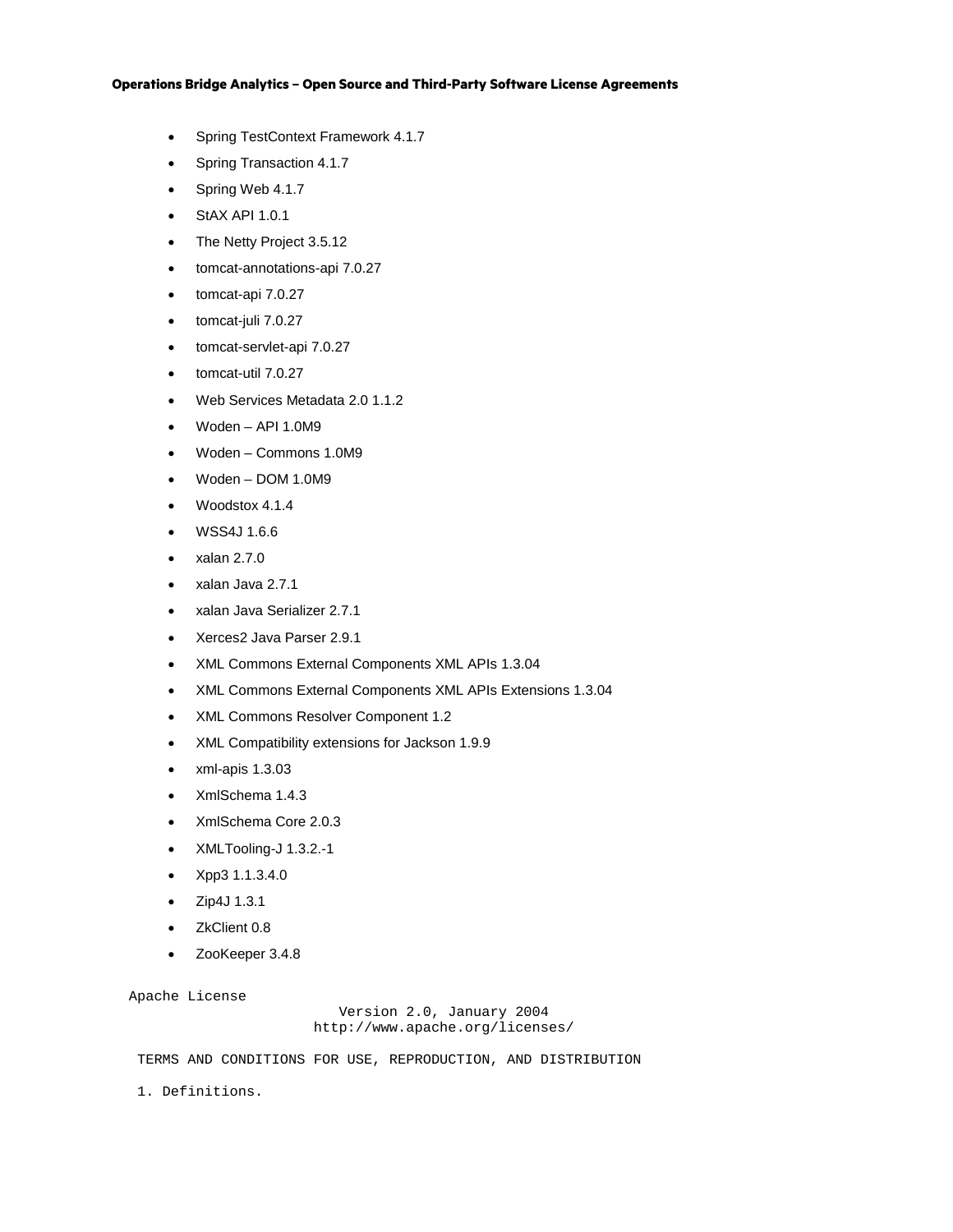- Spring TestContext Framework 4.1.7
- Spring Transaction 4.1.7
- Spring Web 4.1.7
- StAX API 1.0.1
- The Netty Project 3.5.12
- tomcat-annotations-api 7.0.27
- tomcat-api 7.0.27
- tomcat-juli 7.0.27
- tomcat-servlet-api 7.0.27
- tomcat-util 7.0.27
- Web Services Metadata 2.0 1.1.2
- Woden API 1.0M9
- Woden Commons 1.0M9
- Woden DOM 1.0M9
- Woodstox 4.1.4
- WSS4J 1.6.6
- xalan 2.7.0
- xalan Java 2.7.1
- xalan Java Serializer 2.7.1
- Xerces2 Java Parser 2.9.1
- XML Commons External Components XML APIs 1.3.04
- XML Commons External Components XML APIs Extensions 1.3.04
- XML Commons Resolver Component 1.2
- XML Compatibility extensions for Jackson 1.9.9
- xml-apis 1.3.03
- XmlSchema 1.4.3
- XmlSchema Core 2.0.3
- XMLTooling-J 1.3.2.-1
- Xpp3 1.1.3.4.0
- Zip4J 1.3.1
- ZkClient 0.8
- ZooKeeper 3.4.8

Apache License

 Version 2.0, January 2004 http://www.apache.org/licenses/

TERMS AND CONDITIONS FOR USE, REPRODUCTION, AND DISTRIBUTION

1. Definitions.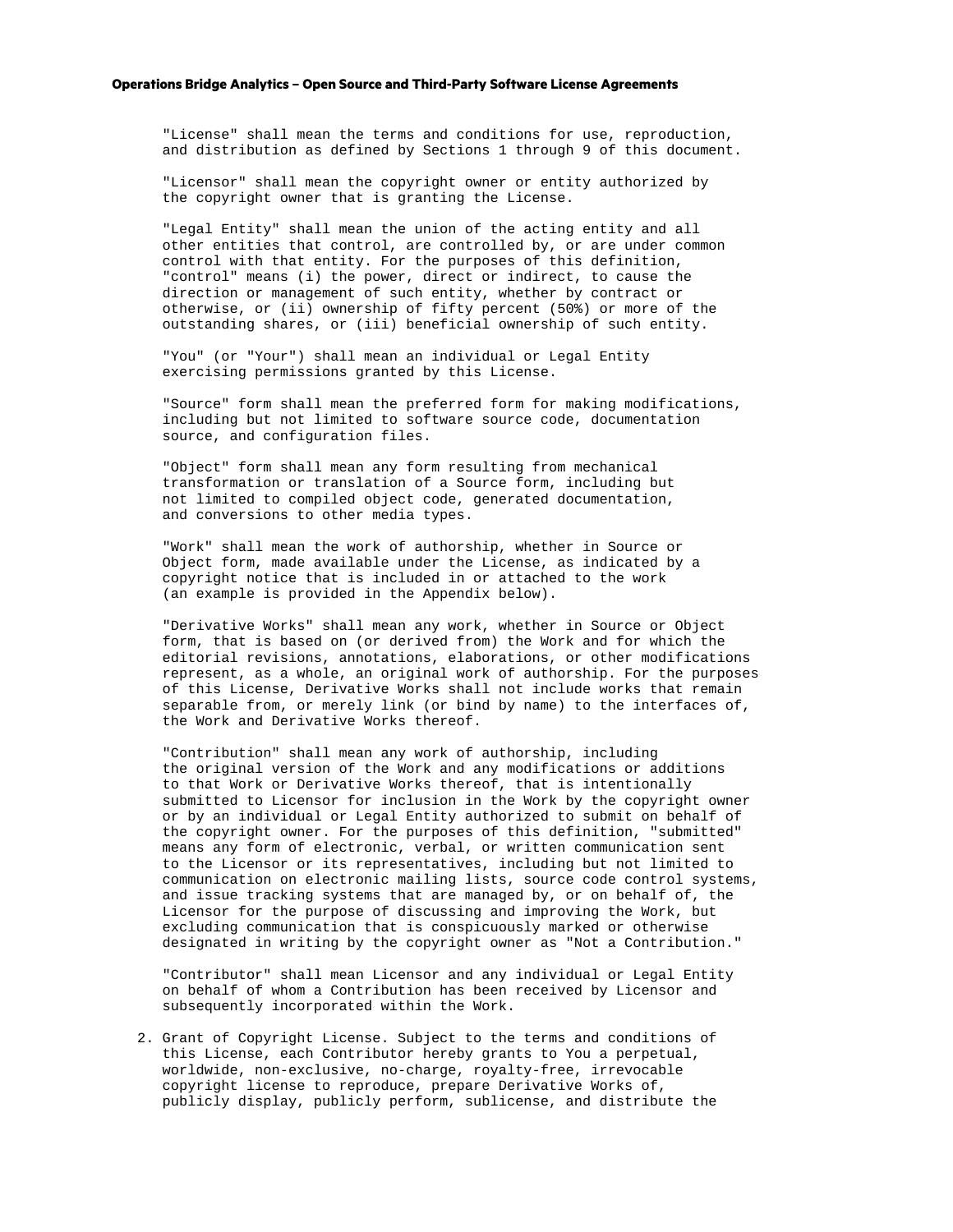"License" shall mean the terms and conditions for use, reproduction, and distribution as defined by Sections 1 through 9 of this document.

 "Licensor" shall mean the copyright owner or entity authorized by the copyright owner that is granting the License.

 "Legal Entity" shall mean the union of the acting entity and all other entities that control, are controlled by, or are under common control with that entity. For the purposes of this definition, "control" means (i) the power, direct or indirect, to cause the direction or management of such entity, whether by contract or otherwise, or (ii) ownership of fifty percent (50%) or more of the outstanding shares, or (iii) beneficial ownership of such entity.

 "You" (or "Your") shall mean an individual or Legal Entity exercising permissions granted by this License.

 "Source" form shall mean the preferred form for making modifications, including but not limited to software source code, documentation source, and configuration files.

 "Object" form shall mean any form resulting from mechanical transformation or translation of a Source form, including but not limited to compiled object code, generated documentation, and conversions to other media types.

 "Work" shall mean the work of authorship, whether in Source or Object form, made available under the License, as indicated by a copyright notice that is included in or attached to the work (an example is provided in the Appendix below).

 "Derivative Works" shall mean any work, whether in Source or Object form, that is based on (or derived from) the Work and for which the editorial revisions, annotations, elaborations, or other modifications represent, as a whole, an original work of authorship. For the purposes of this License, Derivative Works shall not include works that remain separable from, or merely link (or bind by name) to the interfaces of, the Work and Derivative Works thereof.

 "Contribution" shall mean any work of authorship, including the original version of the Work and any modifications or additions to that Work or Derivative Works thereof, that is intentionally submitted to Licensor for inclusion in the Work by the copyright owner or by an individual or Legal Entity authorized to submit on behalf of the copyright owner. For the purposes of this definition, "submitted" means any form of electronic, verbal, or written communication sent to the Licensor or its representatives, including but not limited to communication on electronic mailing lists, source code control systems, and issue tracking systems that are managed by, or on behalf of, the Licensor for the purpose of discussing and improving the Work, but excluding communication that is conspicuously marked or otherwise designated in writing by the copyright owner as "Not a Contribution."

 "Contributor" shall mean Licensor and any individual or Legal Entity on behalf of whom a Contribution has been received by Licensor and subsequently incorporated within the Work.

 2. Grant of Copyright License. Subject to the terms and conditions of this License, each Contributor hereby grants to You a perpetual, worldwide, non-exclusive, no-charge, royalty-free, irrevocable copyright license to reproduce, prepare Derivative Works of, publicly display, publicly perform, sublicense, and distribute the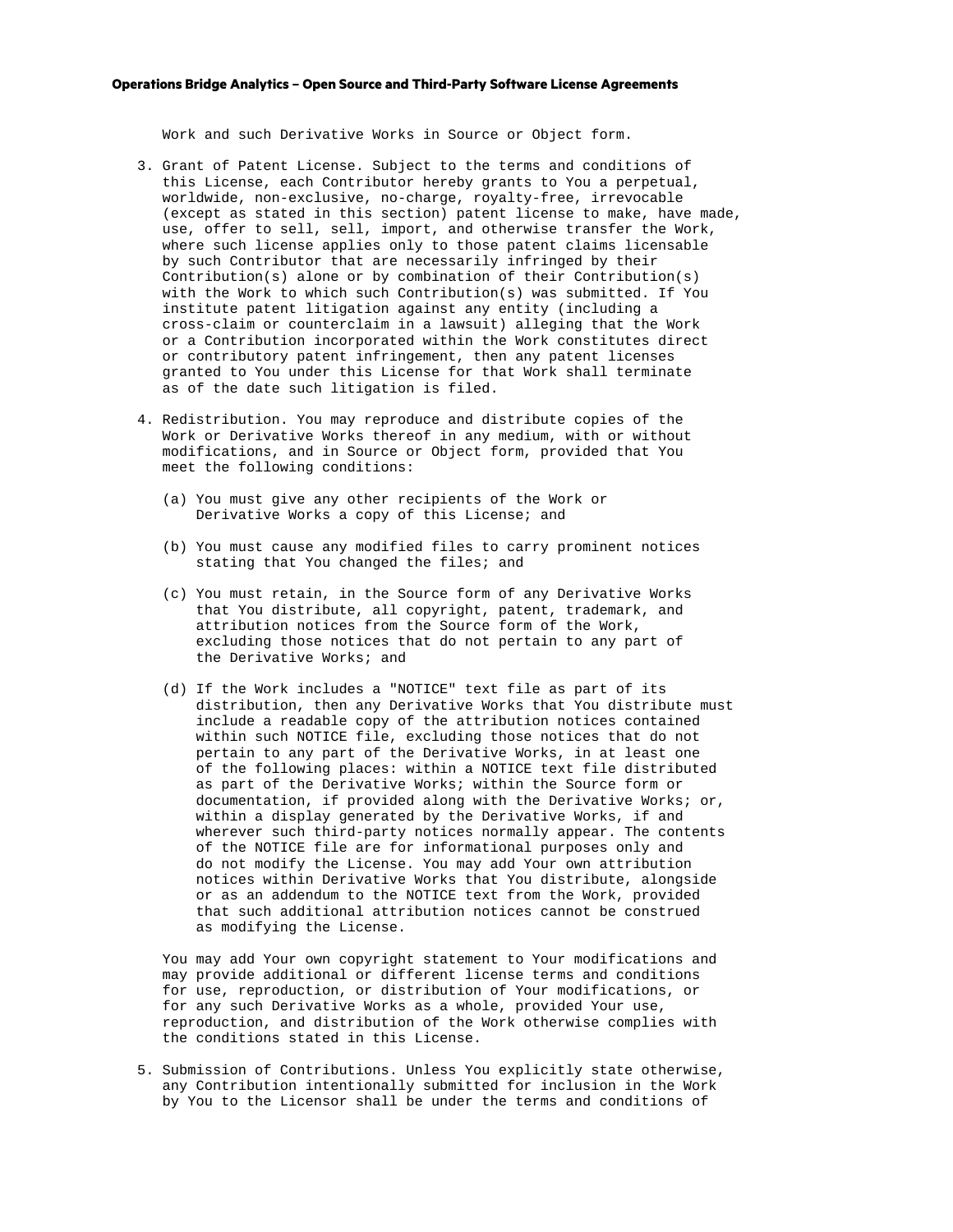Work and such Derivative Works in Source or Object form.

- 3. Grant of Patent License. Subject to the terms and conditions of this License, each Contributor hereby grants to You a perpetual, worldwide, non-exclusive, no-charge, royalty-free, irrevocable (except as stated in this section) patent license to make, have made, use, offer to sell, sell, import, and otherwise transfer the Work, where such license applies only to those patent claims licensable by such Contributor that are necessarily infringed by their Contribution(s) alone or by combination of their Contribution(s) with the Work to which such Contribution(s) was submitted. If You institute patent litigation against any entity (including a cross-claim or counterclaim in a lawsuit) alleging that the Work or a Contribution incorporated within the Work constitutes direct or contributory patent infringement, then any patent licenses granted to You under this License for that Work shall terminate as of the date such litigation is filed.
- 4. Redistribution. You may reproduce and distribute copies of the Work or Derivative Works thereof in any medium, with or without modifications, and in Source or Object form, provided that You meet the following conditions:
	- (a) You must give any other recipients of the Work or Derivative Works a copy of this License; and
	- (b) You must cause any modified files to carry prominent notices stating that You changed the files; and
	- (c) You must retain, in the Source form of any Derivative Works that You distribute, all copyright, patent, trademark, and attribution notices from the Source form of the Work, excluding those notices that do not pertain to any part of the Derivative Works; and
	- (d) If the Work includes a "NOTICE" text file as part of its distribution, then any Derivative Works that You distribute must include a readable copy of the attribution notices contained within such NOTICE file, excluding those notices that do not pertain to any part of the Derivative Works, in at least one of the following places: within a NOTICE text file distributed as part of the Derivative Works; within the Source form or documentation, if provided along with the Derivative Works; or, within a display generated by the Derivative Works, if and wherever such third-party notices normally appear. The contents of the NOTICE file are for informational purposes only and do not modify the License. You may add Your own attribution notices within Derivative Works that You distribute, alongside or as an addendum to the NOTICE text from the Work, provided that such additional attribution notices cannot be construed as modifying the License.

 You may add Your own copyright statement to Your modifications and may provide additional or different license terms and conditions for use, reproduction, or distribution of Your modifications, or for any such Derivative Works as a whole, provided Your use, reproduction, and distribution of the Work otherwise complies with the conditions stated in this License.

 5. Submission of Contributions. Unless You explicitly state otherwise, any Contribution intentionally submitted for inclusion in the Work by You to the Licensor shall be under the terms and conditions of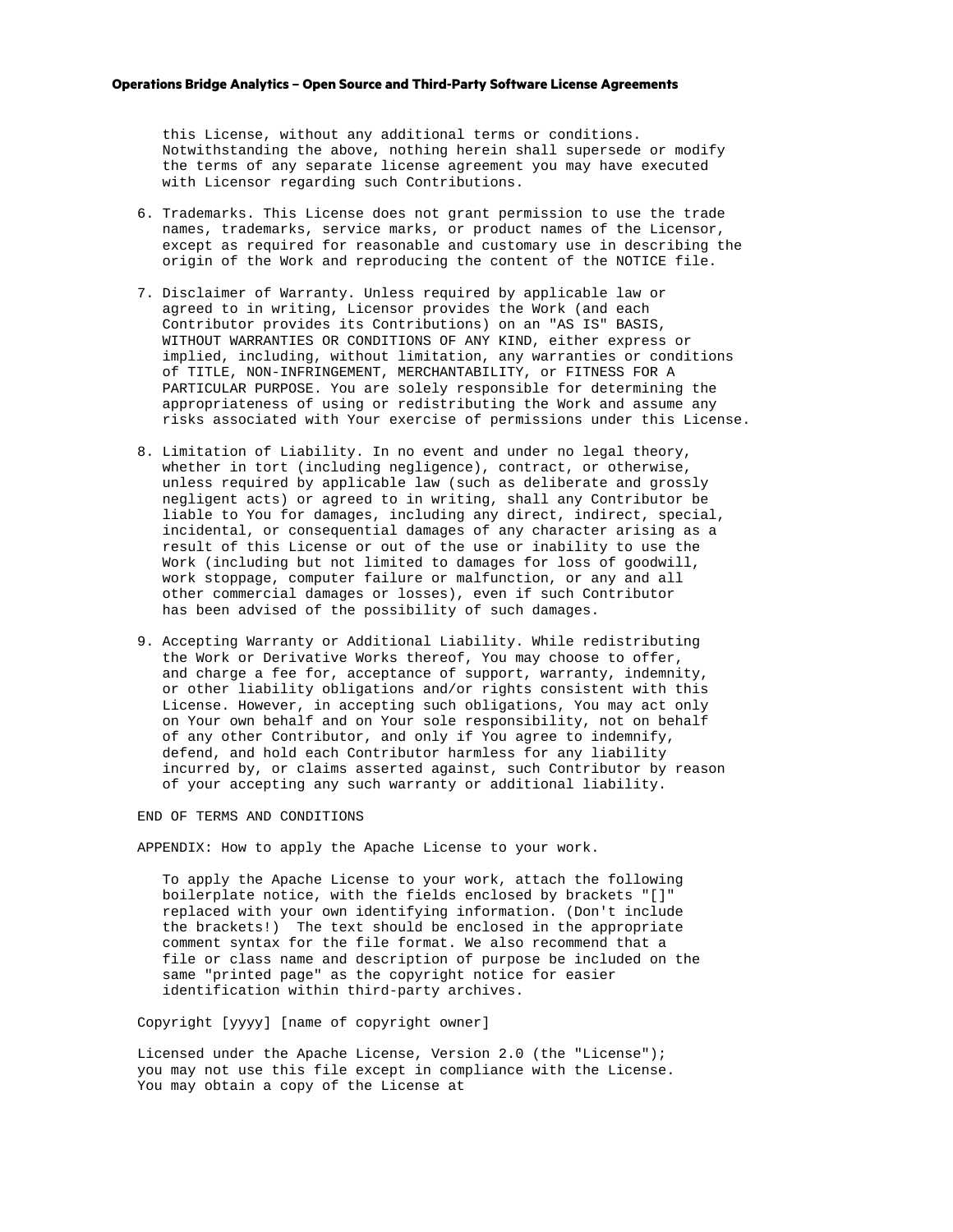this License, without any additional terms or conditions. Notwithstanding the above, nothing herein shall supersede or modify the terms of any separate license agreement you may have executed with Licensor regarding such Contributions.

- 6. Trademarks. This License does not grant permission to use the trade names, trademarks, service marks, or product names of the Licensor, except as required for reasonable and customary use in describing the origin of the Work and reproducing the content of the NOTICE file.
- 7. Disclaimer of Warranty. Unless required by applicable law or agreed to in writing, Licensor provides the Work (and each Contributor provides its Contributions) on an "AS IS" BASIS, WITHOUT WARRANTIES OR CONDITIONS OF ANY KIND, either express or implied, including, without limitation, any warranties or conditions of TITLE, NON-INFRINGEMENT, MERCHANTABILITY, or FITNESS FOR A PARTICULAR PURPOSE. You are solely responsible for determining the appropriateness of using or redistributing the Work and assume any risks associated with Your exercise of permissions under this License.
- 8. Limitation of Liability. In no event and under no legal theory, whether in tort (including negligence), contract, or otherwise, unless required by applicable law (such as deliberate and grossly negligent acts) or agreed to in writing, shall any Contributor be liable to You for damages, including any direct, indirect, special, incidental, or consequential damages of any character arising as a result of this License or out of the use or inability to use the Work (including but not limited to damages for loss of goodwill, work stoppage, computer failure or malfunction, or any and all other commercial damages or losses), even if such Contributor has been advised of the possibility of such damages.
- 9. Accepting Warranty or Additional Liability. While redistributing the Work or Derivative Works thereof, You may choose to offer, and charge a fee for, acceptance of support, warranty, indemnity, or other liability obligations and/or rights consistent with this License. However, in accepting such obligations, You may act only on Your own behalf and on Your sole responsibility, not on behalf of any other Contributor, and only if You agree to indemnify, defend, and hold each Contributor harmless for any liability incurred by, or claims asserted against, such Contributor by reason of your accepting any such warranty or additional liability.

END OF TERMS AND CONDITIONS

APPENDIX: How to apply the Apache License to your work.

 To apply the Apache License to your work, attach the following boilerplate notice, with the fields enclosed by brackets "[]" replaced with your own identifying information. (Don't include the brackets!) The text should be enclosed in the appropriate comment syntax for the file format. We also recommend that a file or class name and description of purpose be included on the same "printed page" as the copyright notice for easier identification within third-party archives.

Copyright [yyyy] [name of copyright owner]

 Licensed under the Apache License, Version 2.0 (the "License"); you may not use this file except in compliance with the License. You may obtain a copy of the License at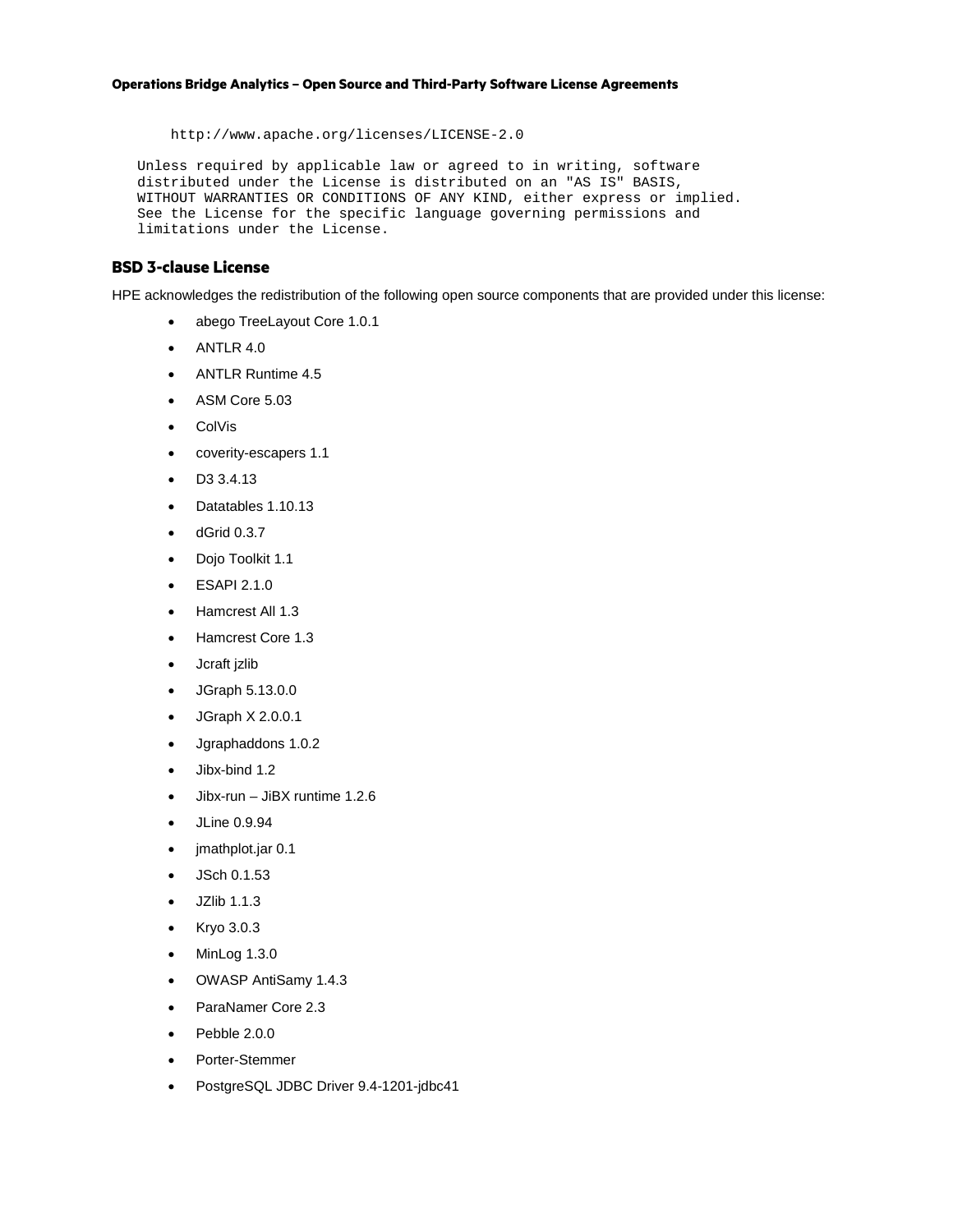http://www.apache.org/licenses/LICENSE-2.0

 Unless required by applicable law or agreed to in writing, software distributed under the License is distributed on an "AS IS" BASIS, WITHOUT WARRANTIES OR CONDITIONS OF ANY KIND, either express or implied. See the License for the specific language governing permissions and limitations under the License.

# **BSD 3-clause License**

<span id="page-17-0"></span>HPE acknowledges the redistribution of the following open source components that are provided under this license:

- abego TreeLayout Core 1.0.1
- ANTLR 4.0
- ANTLR Runtime 4.5
- ASM Core 5.03
- ColVis
- coverity-escapers 1.1
- D3 3.4.13
- Datatables 1.10.13
- dGrid 0.3.7
- Dojo Toolkit 1.1
- ESAPI 2.1.0
- Hamcrest All 1.3
- Hamcrest Core 1.3
- Jcraft jzlib
- JGraph 5.13.0.0
- JGraph X 2.0.0.1
- Jgraphaddons 1.0.2
- Jibx-bind 1.2
- Jibx-run JiBX runtime 1.2.6
- JLine 0.9.94
- jmathplot.jar 0.1
- JSch 0.1.53
- JZlib 1.1.3
- Kryo 3.0.3
- MinLog 1.3.0
- OWASP AntiSamy 1.4.3
- ParaNamer Core 2.3
- Pebble 2.0.0
- Porter-Stemmer
- PostgreSQL JDBC Driver 9.4-1201-jdbc41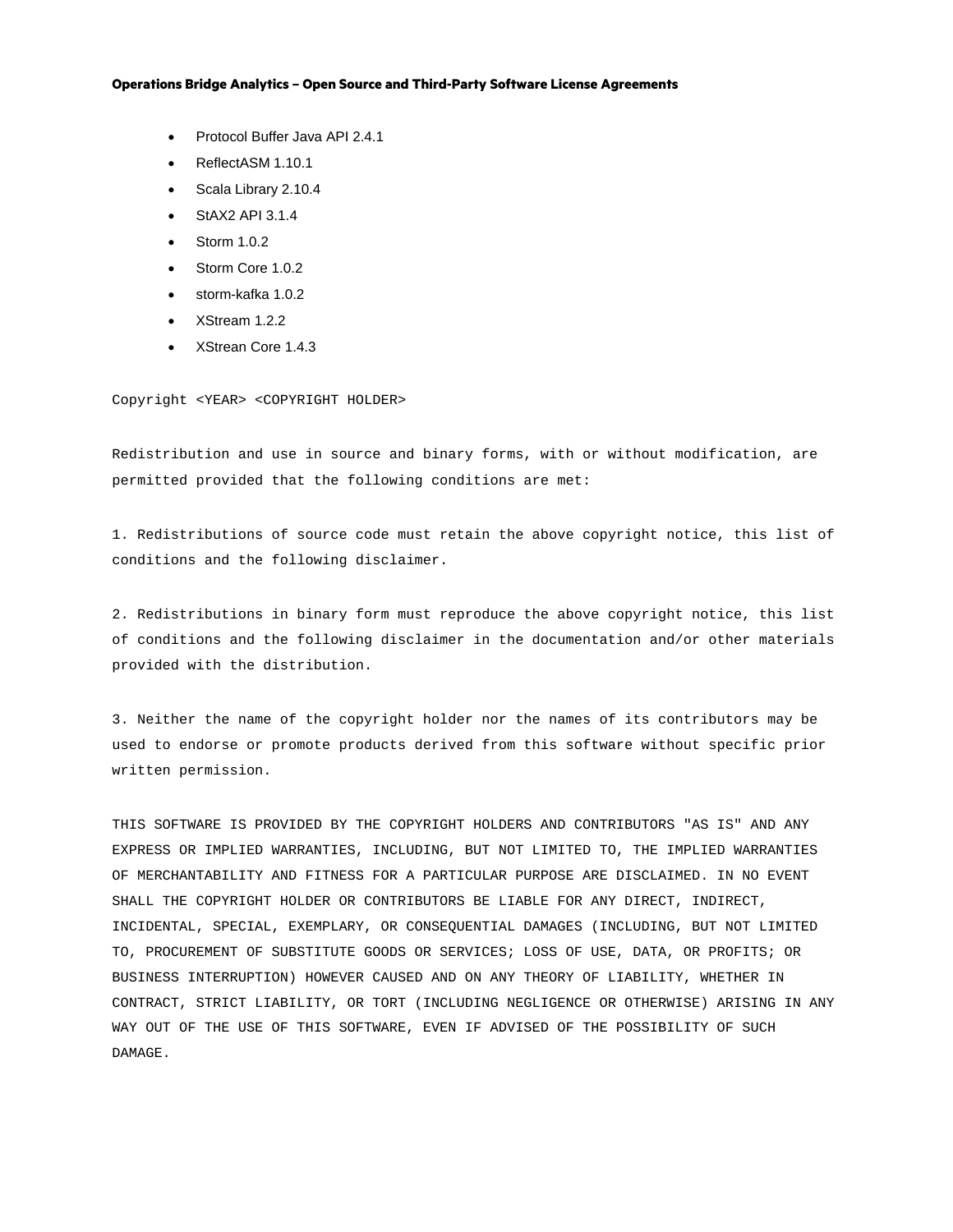- Protocol Buffer Java API 2.4.1
- ReflectASM 1.10.1
- Scala Library 2.10.4
- StAX2 API 3.1.4
- Storm 1.0.2
- Storm Core 1.0.2
- storm-kafka 1.0.2
- XStream 1.2.2
- XStrean Core 1.4.3

Copyright <YEAR> <COPYRIGHT HOLDER>

Redistribution and use in source and binary forms, with or without modification, are permitted provided that the following conditions are met:

1. Redistributions of source code must retain the above copyright notice, this list of conditions and the following disclaimer.

2. Redistributions in binary form must reproduce the above copyright notice, this list of conditions and the following disclaimer in the documentation and/or other materials provided with the distribution.

3. Neither the name of the copyright holder nor the names of its contributors may be used to endorse or promote products derived from this software without specific prior written permission.

THIS SOFTWARE IS PROVIDED BY THE COPYRIGHT HOLDERS AND CONTRIBUTORS "AS IS" AND ANY EXPRESS OR IMPLIED WARRANTIES, INCLUDING, BUT NOT LIMITED TO, THE IMPLIED WARRANTIES OF MERCHANTABILITY AND FITNESS FOR A PARTICULAR PURPOSE ARE DISCLAIMED. IN NO EVENT SHALL THE COPYRIGHT HOLDER OR CONTRIBUTORS BE LIABLE FOR ANY DIRECT, INDIRECT, INCIDENTAL, SPECIAL, EXEMPLARY, OR CONSEQUENTIAL DAMAGES (INCLUDING, BUT NOT LIMITED TO, PROCUREMENT OF SUBSTITUTE GOODS OR SERVICES; LOSS OF USE, DATA, OR PROFITS; OR BUSINESS INTERRUPTION) HOWEVER CAUSED AND ON ANY THEORY OF LIABILITY, WHETHER IN CONTRACT, STRICT LIABILITY, OR TORT (INCLUDING NEGLIGENCE OR OTHERWISE) ARISING IN ANY WAY OUT OF THE USE OF THIS SOFTWARE, EVEN IF ADVISED OF THE POSSIBILITY OF SUCH DAMAGE.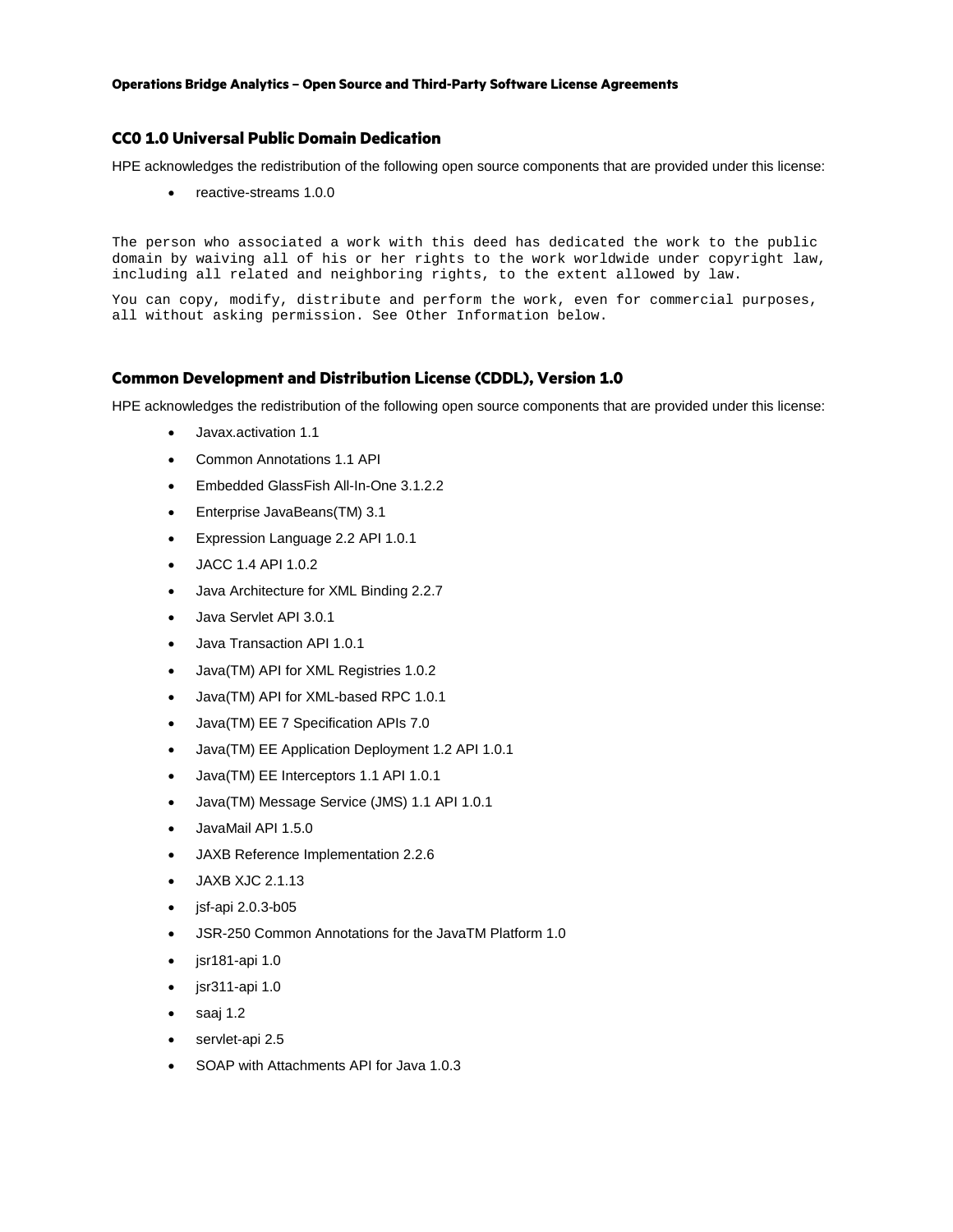# **CC0 1.0 Universal Public Domain Dedication**

HPE acknowledges the redistribution of the following open source components that are provided under this license:

• reactive-streams 1.0.0

<span id="page-19-0"></span>The person who associated a work with this deed has dedicated the work to the public domain by waiving all of his or her rights to the work worldwide under copyright law, including all related and neighboring rights, to the extent allowed by law.

You can copy, modify, distribute and perform the work, even for commercial purposes, all without asking permission. See Other Information below.

# **Common Development and Distribution License (CDDL), Version 1.0**

<span id="page-19-1"></span>HPE acknowledges the redistribution of the following open source components that are provided under this license:

- Javax.activation 1.1
- Common Annotations 1.1 API
- Embedded GlassFish All-In-One 3.1.2.2
- Enterprise JavaBeans(TM) 3.1
- Expression Language 2.2 API 1.0.1
- JACC 1.4 API 1.0.2
- Java Architecture for XML Binding 2.2.7
- Java Servlet API 3.0.1
- Java Transaction API 1.0.1
- Java(TM) API for XML Registries 1.0.2
- Java(TM) API for XML-based RPC 1.0.1
- Java(TM) EE 7 Specification APIs 7.0
- Java(TM) EE Application Deployment 1.2 API 1.0.1
- Java(TM) EE Interceptors 1.1 API 1.0.1
- Java(TM) Message Service (JMS) 1.1 API 1.0.1
- JavaMail API 1.5.0
- JAXB Reference Implementation 2.2.6
- JAXB XJC 2.1.13
- **jsf-api 2.0.3-b05**
- JSR-250 Common Annotations for the JavaTM Platform 1.0
- $\bullet$  jsr181-api 1.0
- $\bullet$  jsr311-api 1.0
- saaj 1.2
- servlet-api 2.5
- SOAP with Attachments API for Java 1.0.3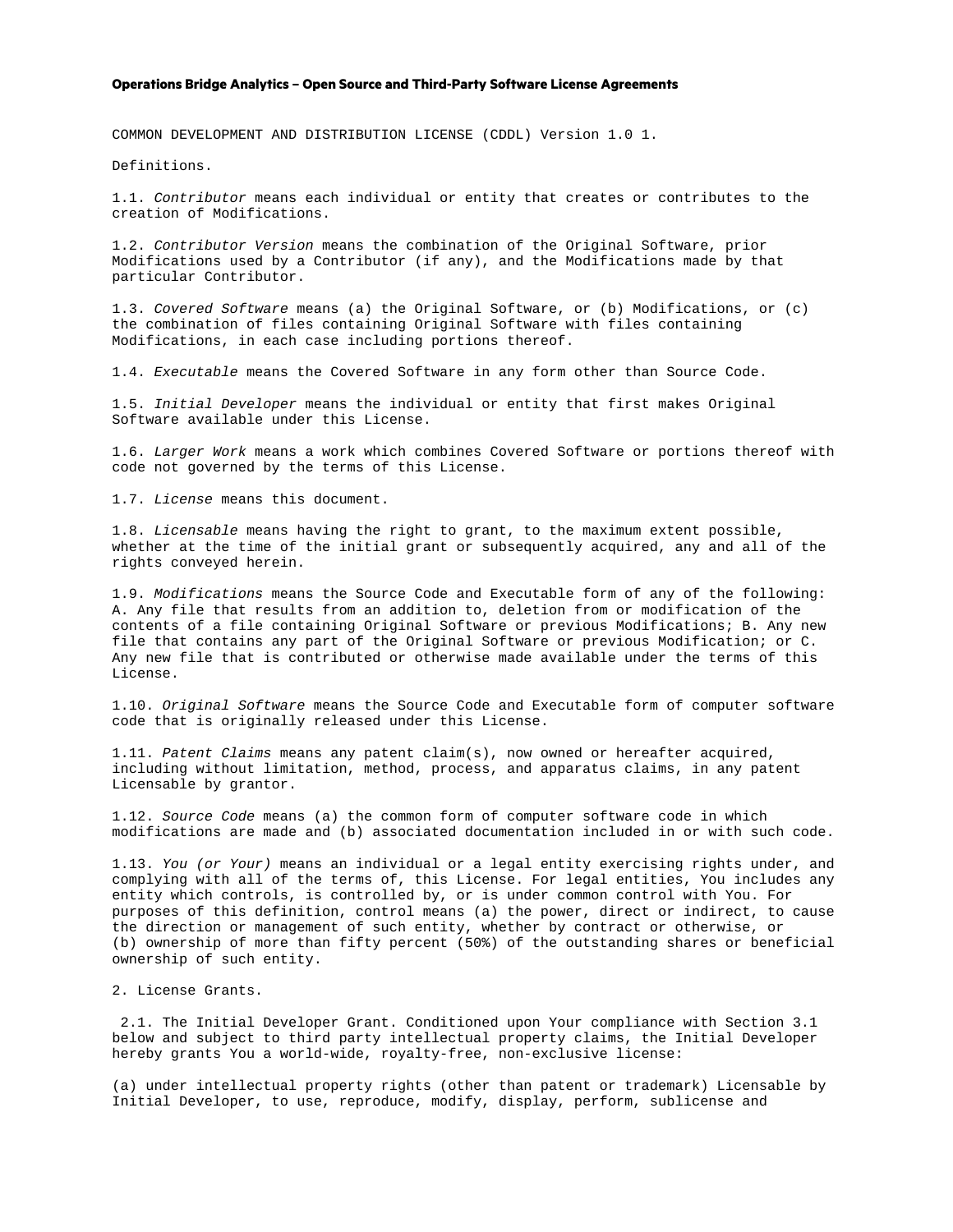COMMON DEVELOPMENT AND DISTRIBUTION LICENSE (CDDL) Version 1.0 1.

Definitions.

1.1. *Contributor* means each individual or entity that creates or contributes to the creation of Modifications.

1.2. *Contributor Version* means the combination of the Original Software, prior Modifications used by a Contributor (if any), and the Modifications made by that particular Contributor.

1.3. *Covered Software* means (a) the Original Software, or (b) Modifications, or (c) the combination of files containing Original Software with files containing Modifications, in each case including portions thereof.

1.4. *Executable* means the Covered Software in any form other than Source Code.

1.5. *Initial Developer* means the individual or entity that first makes Original Software available under this License.

1.6. *Larger Work* means a work which combines Covered Software or portions thereof with code not governed by the terms of this License.

1.7. *License* means this document.

1.8. *Licensable* means having the right to grant, to the maximum extent possible, whether at the time of the initial grant or subsequently acquired, any and all of the rights conveyed herein.

1.9. *Modifications* means the Source Code and Executable form of any of the following: A. Any file that results from an addition to, deletion from or modification of the contents of a file containing Original Software or previous Modifications; B. Any new file that contains any part of the Original Software or previous Modification; or C. Any new file that is contributed or otherwise made available under the terms of this License.

1.10. *Original Software* means the Source Code and Executable form of computer software code that is originally released under this License.

1.11. *Patent Claims* means any patent claim(s), now owned or hereafter acquired, including without limitation, method, process, and apparatus claims, in any patent Licensable by grantor.

1.12. *Source Code* means (a) the common form of computer software code in which modifications are made and (b) associated documentation included in or with such code.

1.13. *You (or Your)* means an individual or a legal entity exercising rights under, and complying with all of the terms of, this License. For legal entities, You includes any entity which controls, is controlled by, or is under common control with You. For purposes of this definition, control means (a) the power, direct or indirect, to cause the direction or management of such entity, whether by contract or otherwise, or (b) ownership of more than fifty percent (50%) of the outstanding shares or beneficial ownership of such entity.

2. License Grants.

2.1. The Initial Developer Grant. Conditioned upon Your compliance with Section 3.1 below and subject to third party intellectual property claims, the Initial Developer hereby grants You a world-wide, royalty-free, non-exclusive license:

(a) under intellectual property rights (other than patent or trademark) Licensable by Initial Developer, to use, reproduce, modify, display, perform, sublicense and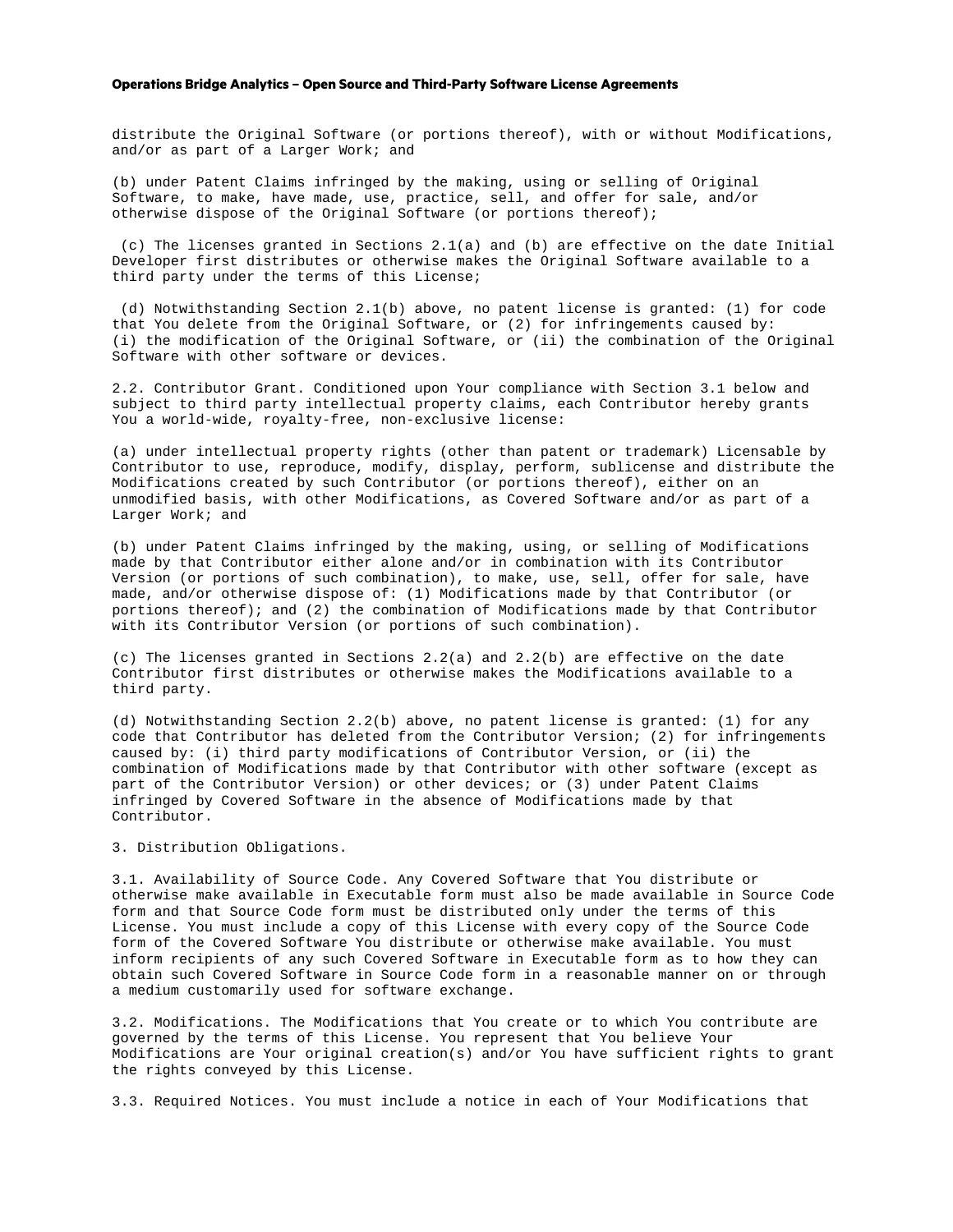distribute the Original Software (or portions thereof), with or without Modifications, and/or as part of a Larger Work; and

(b) under Patent Claims infringed by the making, using or selling of Original Software, to make, have made, use, practice, sell, and offer for sale, and/or otherwise dispose of the Original Software (or portions thereof);

(c) The licenses granted in Sections 2.1(a) and (b) are effective on the date Initial Developer first distributes or otherwise makes the Original Software available to a third party under the terms of this License;

(d) Notwithstanding Section 2.1(b) above, no patent license is granted: (1) for code that You delete from the Original Software, or (2) for infringements caused by: (i) the modification of the Original Software, or (ii) the combination of the Original Software with other software or devices.

2.2. Contributor Grant. Conditioned upon Your compliance with Section 3.1 below and subject to third party intellectual property claims, each Contributor hereby grants You a world-wide, royalty-free, non-exclusive license:

(a) under intellectual property rights (other than patent or trademark) Licensable by Contributor to use, reproduce, modify, display, perform, sublicense and distribute the Modifications created by such Contributor (or portions thereof), either on an unmodified basis, with other Modifications, as Covered Software and/or as part of a Larger Work; and

(b) under Patent Claims infringed by the making, using, or selling of Modifications made by that Contributor either alone and/or in combination with its Contributor Version (or portions of such combination), to make, use, sell, offer for sale, have made, and/or otherwise dispose of: (1) Modifications made by that Contributor (or portions thereof); and (2) the combination of Modifications made by that Contributor with its Contributor Version (or portions of such combination).

(c) The licenses granted in Sections 2.2(a) and 2.2(b) are effective on the date Contributor first distributes or otherwise makes the Modifications available to a third party.

(d) Notwithstanding Section 2.2(b) above, no patent license is granted: (1) for any code that Contributor has deleted from the Contributor Version; (2) for infringements caused by: (i) third party modifications of Contributor Version, or (ii) the combination of Modifications made by that Contributor with other software (except as part of the Contributor Version) or other devices; or (3) under Patent Claims infringed by Covered Software in the absence of Modifications made by that Contributor.

#### 3. Distribution Obligations.

3.1. Availability of Source Code. Any Covered Software that You distribute or otherwise make available in Executable form must also be made available in Source Code form and that Source Code form must be distributed only under the terms of this License. You must include a copy of this License with every copy of the Source Code form of the Covered Software You distribute or otherwise make available. You must inform recipients of any such Covered Software in Executable form as to how they can obtain such Covered Software in Source Code form in a reasonable manner on or through a medium customarily used for software exchange.

3.2. Modifications. The Modifications that You create or to which You contribute are governed by the terms of this License. You represent that You believe Your Modifications are Your original creation(s) and/or You have sufficient rights to grant the rights conveyed by this License.

3.3. Required Notices. You must include a notice in each of Your Modifications that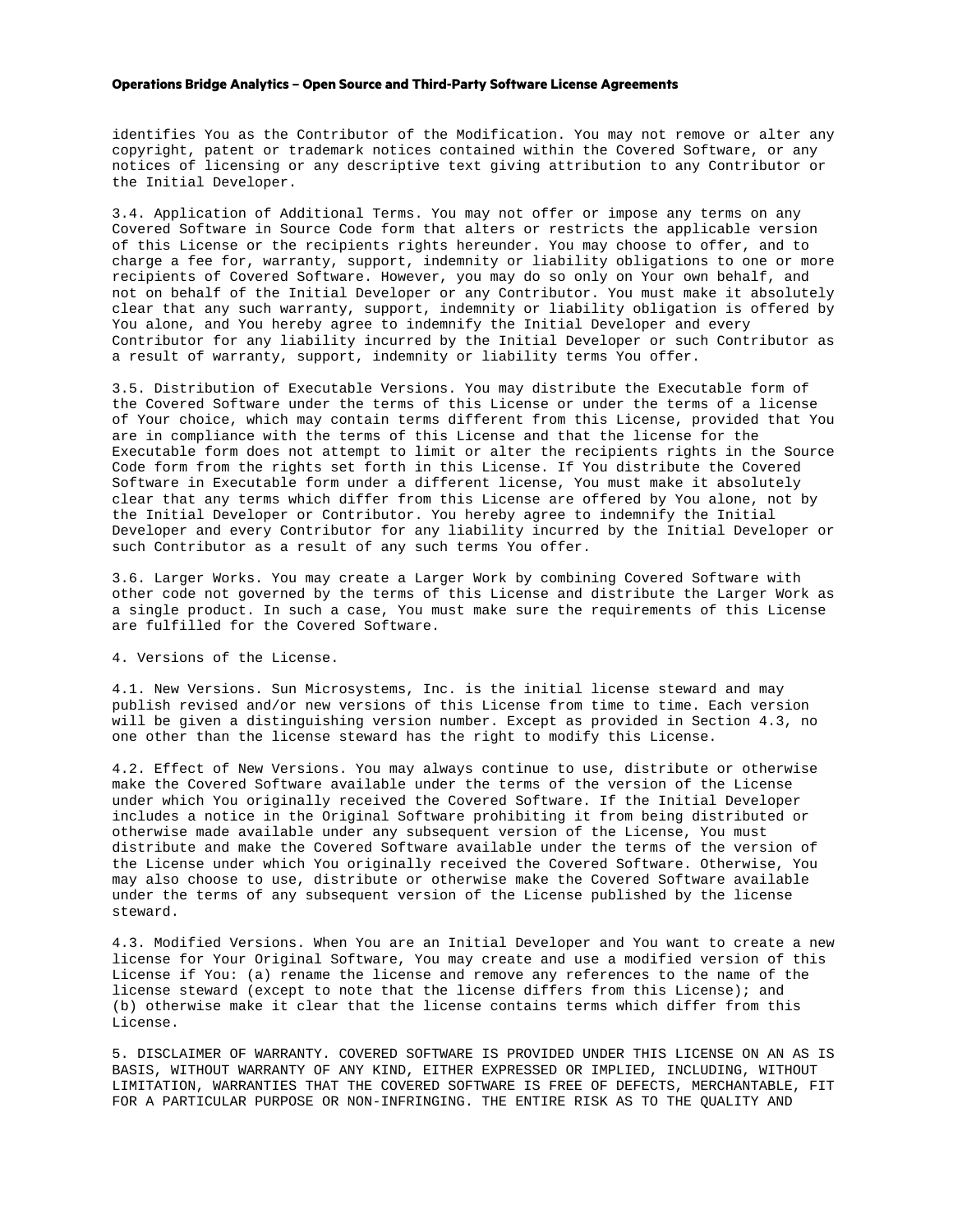identifies You as the Contributor of the Modification. You may not remove or alter any copyright, patent or trademark notices contained within the Covered Software, or any notices of licensing or any descriptive text giving attribution to any Contributor or the Initial Developer.

3.4. Application of Additional Terms. You may not offer or impose any terms on any Covered Software in Source Code form that alters or restricts the applicable version of this License or the recipients rights hereunder. You may choose to offer, and to charge a fee for, warranty, support, indemnity or liability obligations to one or more recipients of Covered Software. However, you may do so only on Your own behalf, and not on behalf of the Initial Developer or any Contributor. You must make it absolutely clear that any such warranty, support, indemnity or liability obligation is offered by You alone, and You hereby agree to indemnify the Initial Developer and every Contributor for any liability incurred by the Initial Developer or such Contributor as a result of warranty, support, indemnity or liability terms You offer.

3.5. Distribution of Executable Versions. You may distribute the Executable form of the Covered Software under the terms of this License or under the terms of a license of Your choice, which may contain terms different from this License, provided that You are in compliance with the terms of this License and that the license for the Executable form does not attempt to limit or alter the recipients rights in the Source Code form from the rights set forth in this License. If You distribute the Covered Software in Executable form under a different license, You must make it absolutely clear that any terms which differ from this License are offered by You alone, not by the Initial Developer or Contributor. You hereby agree to indemnify the Initial Developer and every Contributor for any liability incurred by the Initial Developer or such Contributor as a result of any such terms You offer.

3.6. Larger Works. You may create a Larger Work by combining Covered Software with other code not governed by the terms of this License and distribute the Larger Work as a single product. In such a case, You must make sure the requirements of this License are fulfilled for the Covered Software.

4. Versions of the License.

4.1. New Versions. Sun Microsystems, Inc. is the initial license steward and may publish revised and/or new versions of this License from time to time. Each version will be given a distinguishing version number. Except as provided in Section 4.3, no one other than the license steward has the right to modify this License.

4.2. Effect of New Versions. You may always continue to use, distribute or otherwise make the Covered Software available under the terms of the version of the License under which You originally received the Covered Software. If the Initial Developer includes a notice in the Original Software prohibiting it from being distributed or otherwise made available under any subsequent version of the License, You must distribute and make the Covered Software available under the terms of the version of the License under which You originally received the Covered Software. Otherwise, You may also choose to use, distribute or otherwise make the Covered Software available under the terms of any subsequent version of the License published by the license steward.

4.3. Modified Versions. When You are an Initial Developer and You want to create a new license for Your Original Software, You may create and use a modified version of this License if You: (a) rename the license and remove any references to the name of the license steward (except to note that the license differs from this License); and (b) otherwise make it clear that the license contains terms which differ from this License.

5. DISCLAIMER OF WARRANTY. COVERED SOFTWARE IS PROVIDED UNDER THIS LICENSE ON AN AS IS BASIS, WITHOUT WARRANTY OF ANY KIND, EITHER EXPRESSED OR IMPLIED, INCLUDING, WITHOUT LIMITATION, WARRANTIES THAT THE COVERED SOFTWARE IS FREE OF DEFECTS, MERCHANTABLE, FIT FOR A PARTICULAR PURPOSE OR NON-INFRINGING. THE ENTIRE RISK AS TO THE QUALITY AND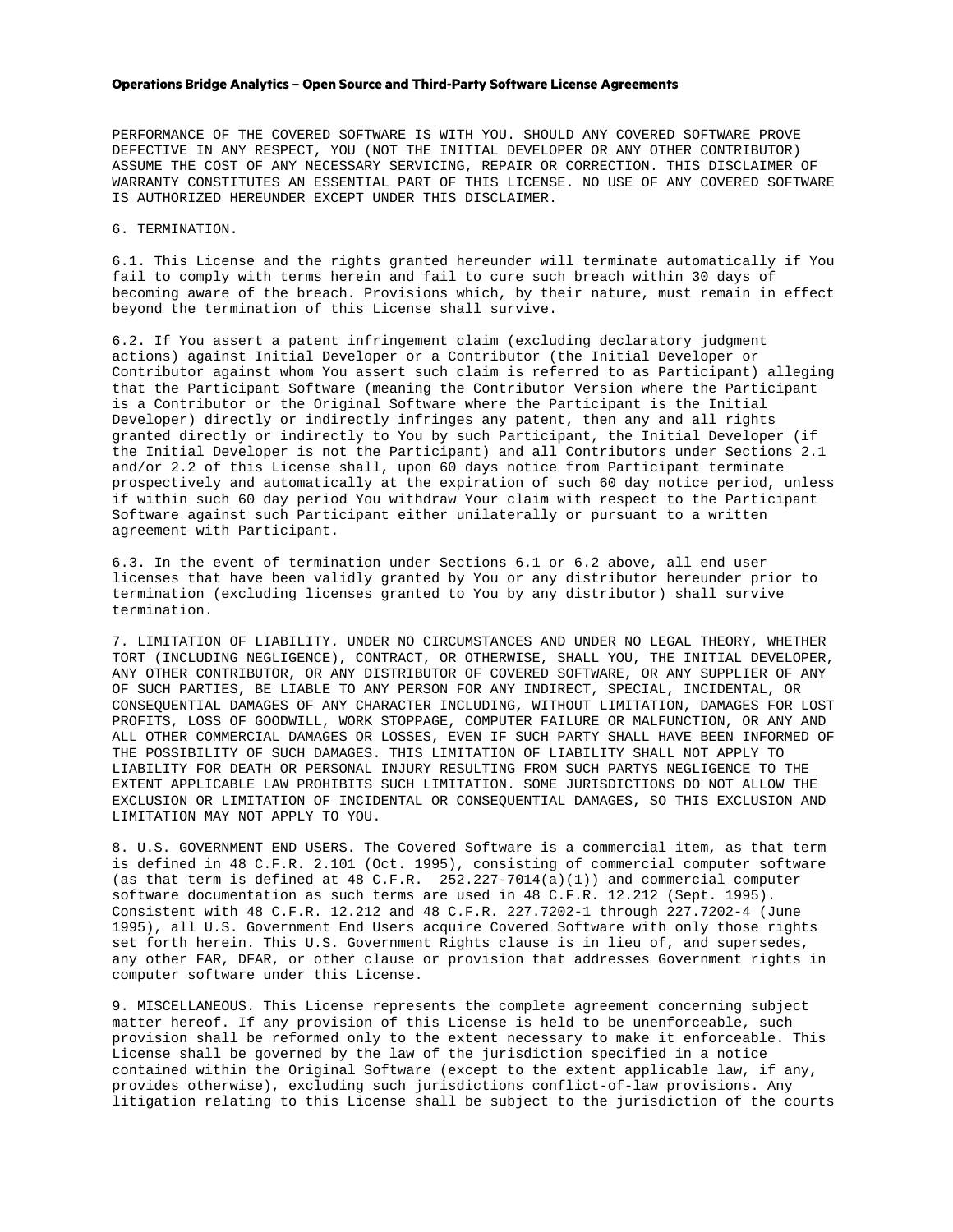PERFORMANCE OF THE COVERED SOFTWARE IS WITH YOU. SHOULD ANY COVERED SOFTWARE PROVE DEFECTIVE IN ANY RESPECT, YOU (NOT THE INITIAL DEVELOPER OR ANY OTHER CONTRIBUTOR) ASSUME THE COST OF ANY NECESSARY SERVICING, REPAIR OR CORRECTION. THIS DISCLAIMER OF WARRANTY CONSTITUTES AN ESSENTIAL PART OF THIS LICENSE. NO USE OF ANY COVERED SOFTWARE IS AUTHORIZED HEREUNDER EXCEPT UNDER THIS DISCLAIMER.

6. TERMINATION.

6.1. This License and the rights granted hereunder will terminate automatically if You fail to comply with terms herein and fail to cure such breach within 30 days of becoming aware of the breach. Provisions which, by their nature, must remain in effect beyond the termination of this License shall survive.

6.2. If You assert a patent infringement claim (excluding declaratory judgment actions) against Initial Developer or a Contributor (the Initial Developer or Contributor against whom You assert such claim is referred to as Participant) alleging that the Participant Software (meaning the Contributor Version where the Participant is a Contributor or the Original Software where the Participant is the Initial Developer) directly or indirectly infringes any patent, then any and all rights granted directly or indirectly to You by such Participant, the Initial Developer (if the Initial Developer is not the Participant) and all Contributors under Sections 2.1 and/or 2.2 of this License shall, upon 60 days notice from Participant terminate prospectively and automatically at the expiration of such 60 day notice period, unless if within such 60 day period You withdraw Your claim with respect to the Participant Software against such Participant either unilaterally or pursuant to a written agreement with Participant.

6.3. In the event of termination under Sections 6.1 or 6.2 above, all end user licenses that have been validly granted by You or any distributor hereunder prior to termination (excluding licenses granted to You by any distributor) shall survive termination.

7. LIMITATION OF LIABILITY. UNDER NO CIRCUMSTANCES AND UNDER NO LEGAL THEORY, WHETHER TORT (INCLUDING NEGLIGENCE), CONTRACT, OR OTHERWISE, SHALL YOU, THE INITIAL DEVELOPER, ANY OTHER CONTRIBUTOR, OR ANY DISTRIBUTOR OF COVERED SOFTWARE, OR ANY SUPPLIER OF ANY OF SUCH PARTIES, BE LIABLE TO ANY PERSON FOR ANY INDIRECT, SPECIAL, INCIDENTAL, OR CONSEQUENTIAL DAMAGES OF ANY CHARACTER INCLUDING, WITHOUT LIMITATION, DAMAGES FOR LOST PROFITS, LOSS OF GOODWILL, WORK STOPPAGE, COMPUTER FAILURE OR MALFUNCTION, OR ANY AND ALL OTHER COMMERCIAL DAMAGES OR LOSSES, EVEN IF SUCH PARTY SHALL HAVE BEEN INFORMED OF THE POSSIBILITY OF SUCH DAMAGES. THIS LIMITATION OF LIABILITY SHALL NOT APPLY TO LIABILITY FOR DEATH OR PERSONAL INJURY RESULTING FROM SUCH PARTYS NEGLIGENCE TO THE EXTENT APPLICABLE LAW PROHIBITS SUCH LIMITATION. SOME JURISDICTIONS DO NOT ALLOW THE EXCLUSION OR LIMITATION OF INCIDENTAL OR CONSEQUENTIAL DAMAGES, SO THIS EXCLUSION AND LIMITATION MAY NOT APPLY TO YOU.

8. U.S. GOVERNMENT END USERS. The Covered Software is a commercial item, as that term is defined in 48 C.F.R. 2.101 (Oct. 1995), consisting of commercial computer software (as that term is defined at 48 C.F.R. 252.227-7014(a)(1)) and commercial computer software documentation as such terms are used in 48 C.F.R. 12.212 (Sept. 1995). Consistent with 48 C.F.R. 12.212 and 48 C.F.R. 227.7202-1 through 227.7202-4 (June 1995), all U.S. Government End Users acquire Covered Software with only those rights set forth herein. This U.S. Government Rights clause is in lieu of, and supersedes, any other FAR, DFAR, or other clause or provision that addresses Government rights in computer software under this License.

9. MISCELLANEOUS. This License represents the complete agreement concerning subject matter hereof. If any provision of this License is held to be unenforceable, such provision shall be reformed only to the extent necessary to make it enforceable. This License shall be governed by the law of the jurisdiction specified in a notice contained within the Original Software (except to the extent applicable law, if any, provides otherwise), excluding such jurisdictions conflict-of-law provisions. Any litigation relating to this License shall be subject to the jurisdiction of the courts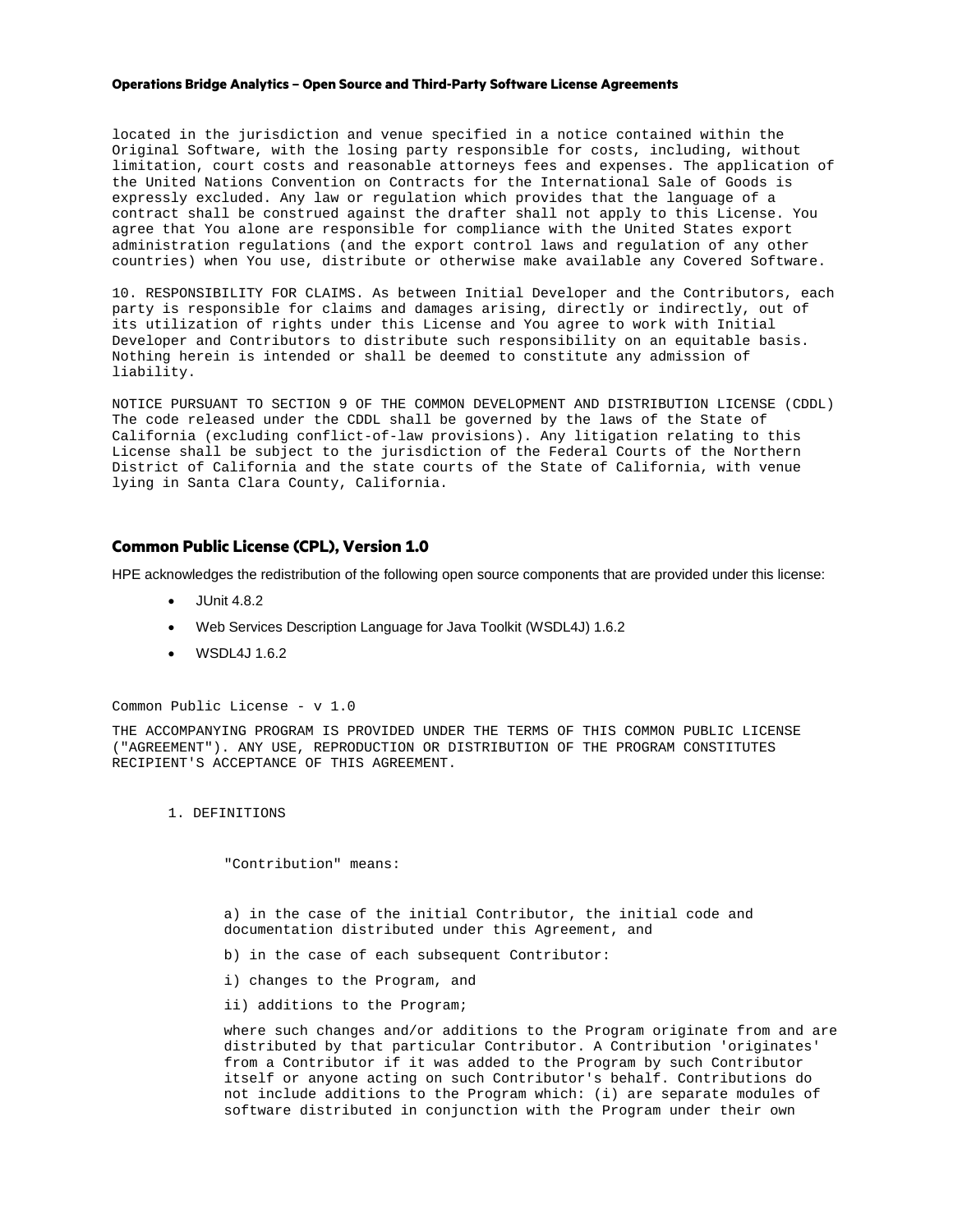located in the jurisdiction and venue specified in a notice contained within the Original Software, with the losing party responsible for costs, including, without limitation, court costs and reasonable attorneys fees and expenses. The application of the United Nations Convention on Contracts for the International Sale of Goods is expressly excluded. Any law or regulation which provides that the language of a contract shall be construed against the drafter shall not apply to this License. You agree that You alone are responsible for compliance with the United States export administration regulations (and the export control laws and regulation of any other countries) when You use, distribute or otherwise make available any Covered Software.

10. RESPONSIBILITY FOR CLAIMS. As between Initial Developer and the Contributors, each party is responsible for claims and damages arising, directly or indirectly, out of its utilization of rights under this License and You agree to work with Initial Developer and Contributors to distribute such responsibility on an equitable basis. Nothing herein is intended or shall be deemed to constitute any admission of liability.

NOTICE PURSUANT TO SECTION 9 OF THE COMMON DEVELOPMENT AND DISTRIBUTION LICENSE (CDDL) The code released under the CDDL shall be governed by the laws of the State of California (excluding conflict-of-law provisions). Any litigation relating to this License shall be subject to the jurisdiction of the Federal Courts of the Northern District of California and the state courts of the State of California, with venue lying in Santa Clara County, California.

# **Common Public License (CPL), Version 1.0**

<span id="page-24-0"></span>HPE acknowledges the redistribution of the following open source components that are provided under this license:

- JUnit 4.8.2
- Web Services Description Language for Java Toolkit (WSDL4J) 1.6.2
- WSDL4J 1.6.2

Common Public License - v 1.0

THE ACCOMPANYING PROGRAM IS PROVIDED UNDER THE TERMS OF THIS COMMON PUBLIC LICENSE ("AGREEMENT"). ANY USE, REPRODUCTION OR DISTRIBUTION OF THE PROGRAM CONSTITUTES RECIPIENT'S ACCEPTANCE OF THIS AGREEMENT.

1. DEFINITIONS

"Contribution" means:

a) in the case of the initial Contributor, the initial code and documentation distributed under this Agreement, and

b) in the case of each subsequent Contributor:

- i) changes to the Program, and
- ii) additions to the Program;

where such changes and/or additions to the Program originate from and are distributed by that particular Contributor. A Contribution 'originates' from a Contributor if it was added to the Program by such Contributor itself or anyone acting on such Contributor's behalf. Contributions do not include additions to the Program which: (i) are separate modules of software distributed in conjunction with the Program under their own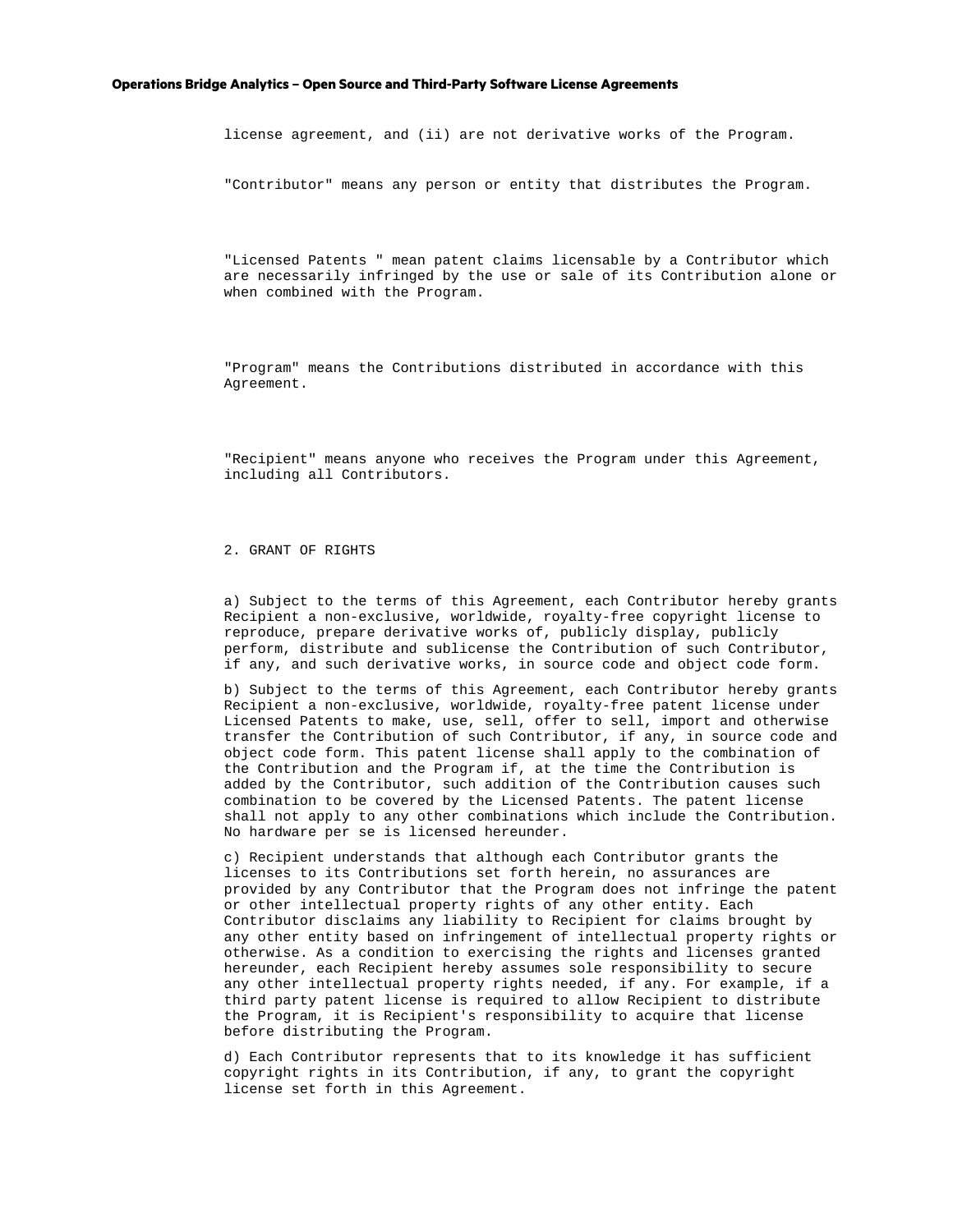license agreement, and (ii) are not derivative works of the Program.

"Contributor" means any person or entity that distributes the Program.

"Licensed Patents " mean patent claims licensable by a Contributor which are necessarily infringed by the use or sale of its Contribution alone or when combined with the Program.

"Program" means the Contributions distributed in accordance with this Agreement.

"Recipient" means anyone who receives the Program under this Agreement, including all Contributors.

#### 2. GRANT OF RIGHTS

a) Subject to the terms of this Agreement, each Contributor hereby grants Recipient a non-exclusive, worldwide, royalty-free copyright license to reproduce, prepare derivative works of, publicly display, publicly perform, distribute and sublicense the Contribution of such Contributor, if any, and such derivative works, in source code and object code form.

b) Subject to the terms of this Agreement, each Contributor hereby grants Recipient a non-exclusive, worldwide, royalty-free patent license under Licensed Patents to make, use, sell, offer to sell, import and otherwise transfer the Contribution of such Contributor, if any, in source code and object code form. This patent license shall apply to the combination of the Contribution and the Program if, at the time the Contribution is added by the Contributor, such addition of the Contribution causes such combination to be covered by the Licensed Patents. The patent license shall not apply to any other combinations which include the Contribution. No hardware per se is licensed hereunder.

c) Recipient understands that although each Contributor grants the licenses to its Contributions set forth herein, no assurances are provided by any Contributor that the Program does not infringe the patent or other intellectual property rights of any other entity. Each Contributor disclaims any liability to Recipient for claims brought by any other entity based on infringement of intellectual property rights or otherwise. As a condition to exercising the rights and licenses granted hereunder, each Recipient hereby assumes sole responsibility to secure any other intellectual property rights needed, if any. For example, if a third party patent license is required to allow Recipient to distribute the Program, it is Recipient's responsibility to acquire that license before distributing the Program.

d) Each Contributor represents that to its knowledge it has sufficient copyright rights in its Contribution, if any, to grant the copyright license set forth in this Agreement.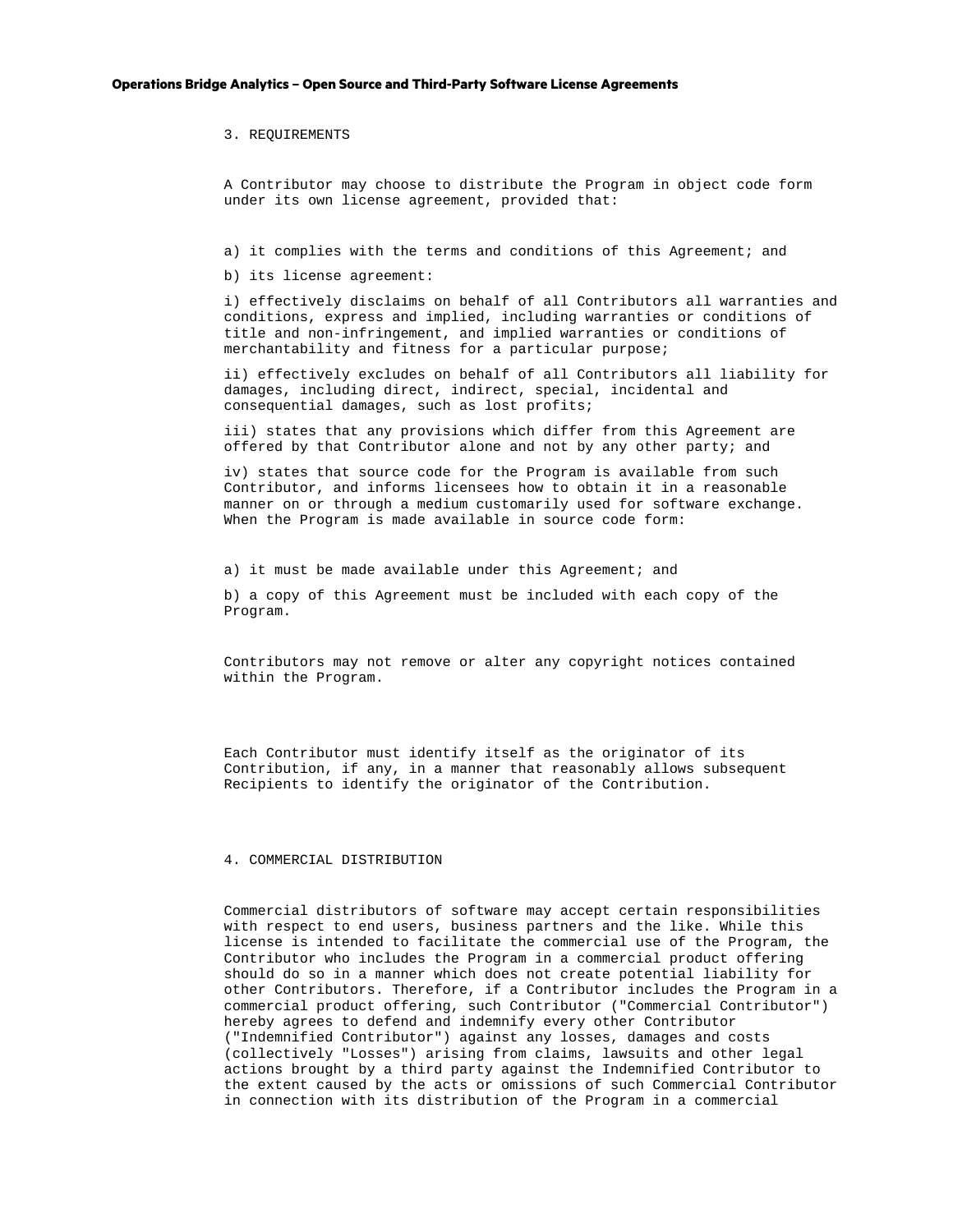3. REQUIREMENTS

A Contributor may choose to distribute the Program in object code form under its own license agreement, provided that:

a) it complies with the terms and conditions of this Agreement; and

b) its license agreement:

i) effectively disclaims on behalf of all Contributors all warranties and conditions, express and implied, including warranties or conditions of title and non-infringement, and implied warranties or conditions of merchantability and fitness for a particular purpose;

ii) effectively excludes on behalf of all Contributors all liability for damages, including direct, indirect, special, incidental and consequential damages, such as lost profits;

iii) states that any provisions which differ from this Agreement are offered by that Contributor alone and not by any other party; and

iv) states that source code for the Program is available from such Contributor, and informs licensees how to obtain it in a reasonable manner on or through a medium customarily used for software exchange. When the Program is made available in source code form:

a) it must be made available under this Agreement; and b) a copy of this Agreement must be included with each copy of the Program.

Contributors may not remove or alter any copyright notices contained within the Program.

Each Contributor must identify itself as the originator of its Contribution, if any, in a manner that reasonably allows subsequent Recipients to identify the originator of the Contribution.

4. COMMERCIAL DISTRIBUTION

Commercial distributors of software may accept certain responsibilities with respect to end users, business partners and the like. While this license is intended to facilitate the commercial use of the Program, the Contributor who includes the Program in a commercial product offering should do so in a manner which does not create potential liability for other Contributors. Therefore, if a Contributor includes the Program in a commercial product offering, such Contributor ("Commercial Contributor") hereby agrees to defend and indemnify every other Contributor ("Indemnified Contributor") against any losses, damages and costs (collectively "Losses") arising from claims, lawsuits and other legal actions brought by a third party against the Indemnified Contributor to the extent caused by the acts or omissions of such Commercial Contributor in connection with its distribution of the Program in a commercial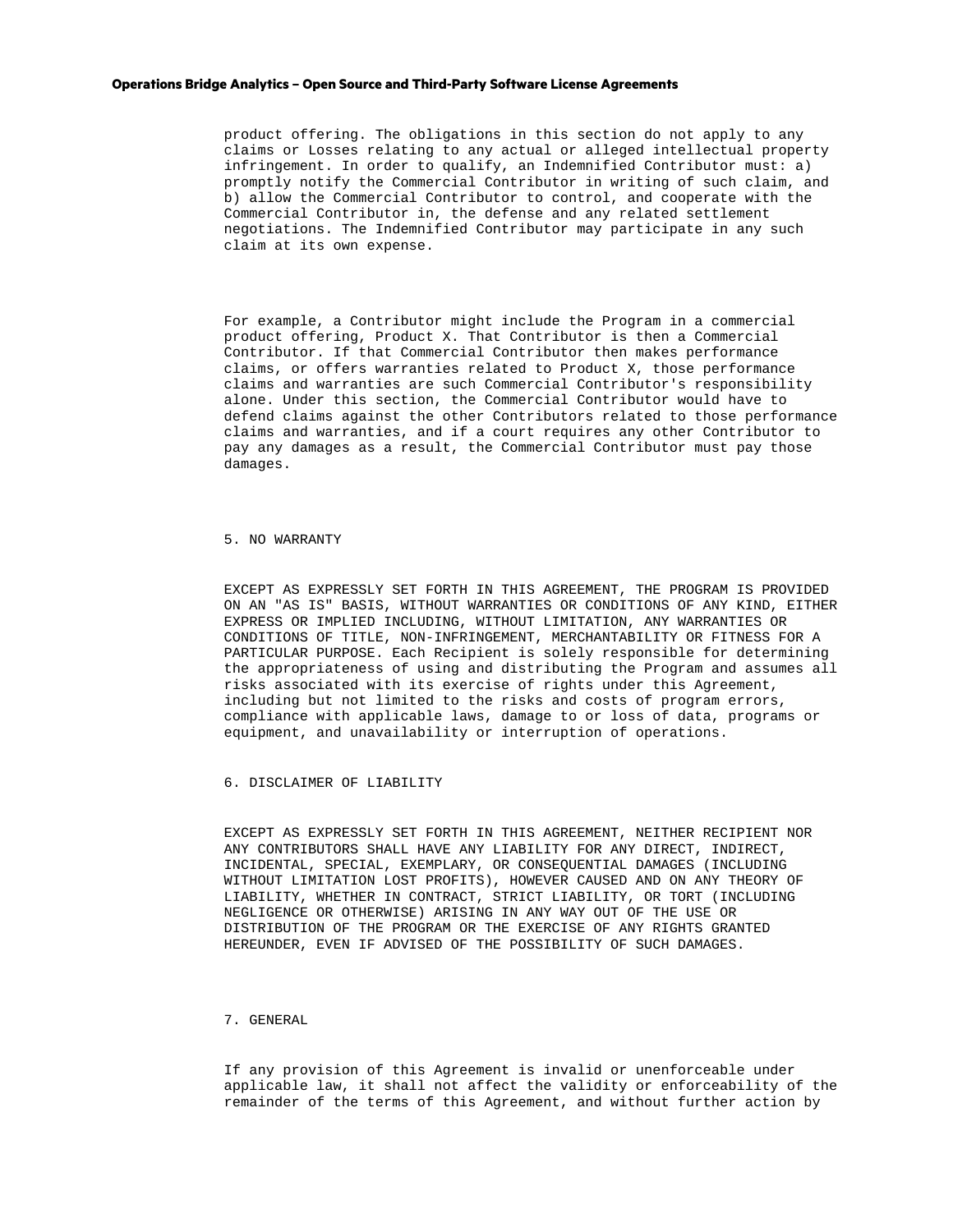product offering. The obligations in this section do not apply to any claims or Losses relating to any actual or alleged intellectual property infringement. In order to qualify, an Indemnified Contributor must: a) promptly notify the Commercial Contributor in writing of such claim, and b) allow the Commercial Contributor to control, and cooperate with the Commercial Contributor in, the defense and any related settlement negotiations. The Indemnified Contributor may participate in any such claim at its own expense.

For example, a Contributor might include the Program in a commercial product offering, Product X. That Contributor is then a Commercial Contributor. If that Commercial Contributor then makes performance claims, or offers warranties related to Product X, those performance claims and warranties are such Commercial Contributor's responsibility alone. Under this section, the Commercial Contributor would have to defend claims against the other Contributors related to those performance claims and warranties, and if a court requires any other Contributor to pay any damages as a result, the Commercial Contributor must pay those damages.

#### 5. NO WARRANTY

EXCEPT AS EXPRESSLY SET FORTH IN THIS AGREEMENT, THE PROGRAM IS PROVIDED ON AN "AS IS" BASIS, WITHOUT WARRANTIES OR CONDITIONS OF ANY KIND, EITHER EXPRESS OR IMPLIED INCLUDING, WITHOUT LIMITATION, ANY WARRANTIES OR CONDITIONS OF TITLE, NON-INFRINGEMENT, MERCHANTABILITY OR FITNESS FOR A PARTICULAR PURPOSE. Each Recipient is solely responsible for determining the appropriateness of using and distributing the Program and assumes all risks associated with its exercise of rights under this Agreement, including but not limited to the risks and costs of program errors, compliance with applicable laws, damage to or loss of data, programs or equipment, and unavailability or interruption of operations.

### 6. DISCLAIMER OF LIABILITY

EXCEPT AS EXPRESSLY SET FORTH IN THIS AGREEMENT, NEITHER RECIPIENT NOR ANY CONTRIBUTORS SHALL HAVE ANY LIABILITY FOR ANY DIRECT, INDIRECT, INCIDENTAL, SPECIAL, EXEMPLARY, OR CONSEQUENTIAL DAMAGES (INCLUDING WITHOUT LIMITATION LOST PROFITS), HOWEVER CAUSED AND ON ANY THEORY OF LIABILITY, WHETHER IN CONTRACT, STRICT LIABILITY, OR TORT (INCLUDING NEGLIGENCE OR OTHERWISE) ARISING IN ANY WAY OUT OF THE USE OR DISTRIBUTION OF THE PROGRAM OR THE EXERCISE OF ANY RIGHTS GRANTED HEREUNDER, EVEN IF ADVISED OF THE POSSIBILITY OF SUCH DAMAGES.

#### 7. GENERAL

If any provision of this Agreement is invalid or unenforceable under applicable law, it shall not affect the validity or enforceability of the remainder of the terms of this Agreement, and without further action by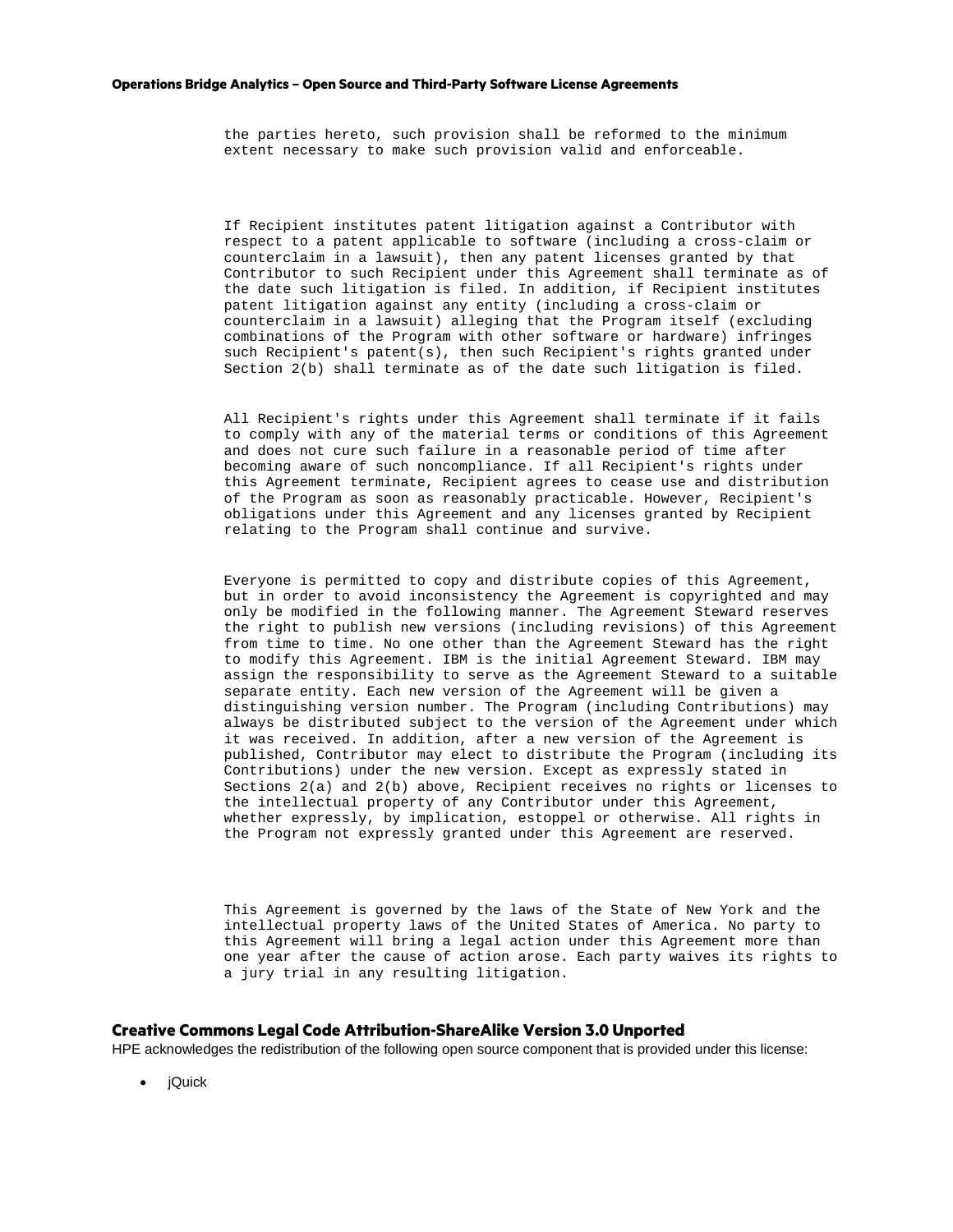the parties hereto, such provision shall be reformed to the minimum extent necessary to make such provision valid and enforceable.

If Recipient institutes patent litigation against a Contributor with respect to a patent applicable to software (including a cross-claim or counterclaim in a lawsuit), then any patent licenses granted by that Contributor to such Recipient under this Agreement shall terminate as of the date such litigation is filed. In addition, if Recipient institutes patent litigation against any entity (including a cross-claim or counterclaim in a lawsuit) alleging that the Program itself (excluding combinations of the Program with other software or hardware) infringes such Recipient's patent(s), then such Recipient's rights granted under Section 2(b) shall terminate as of the date such litigation is filed.

All Recipient's rights under this Agreement shall terminate if it fails to comply with any of the material terms or conditions of this Agreement and does not cure such failure in a reasonable period of time after becoming aware of such noncompliance. If all Recipient's rights under this Agreement terminate, Recipient agrees to cease use and distribution of the Program as soon as reasonably practicable. However, Recipient's obligations under this Agreement and any licenses granted by Recipient relating to the Program shall continue and survive.

Everyone is permitted to copy and distribute copies of this Agreement, but in order to avoid inconsistency the Agreement is copyrighted and may only be modified in the following manner. The Agreement Steward reserves the right to publish new versions (including revisions) of this Agreement from time to time. No one other than the Agreement Steward has the right to modify this Agreement. IBM is the initial Agreement Steward. IBM may assign the responsibility to serve as the Agreement Steward to a suitable separate entity. Each new version of the Agreement will be given a distinguishing version number. The Program (including Contributions) may always be distributed subject to the version of the Agreement under which it was received. In addition, after a new version of the Agreement is published, Contributor may elect to distribute the Program (including its Contributions) under the new version. Except as expressly stated in Sections 2(a) and 2(b) above, Recipient receives no rights or licenses to the intellectual property of any Contributor under this Agreement, whether expressly, by implication, estoppel or otherwise. All rights in the Program not expressly granted under this Agreement are reserved.

This Agreement is governed by the laws of the State of New York and the intellectual property laws of the United States of America. No party to this Agreement will bring a legal action under this Agreement more than one year after the cause of action arose. Each party waives its rights to a jury trial in any resulting litigation.

# **Creative Commons Legal Code Attribution-ShareAlike Version 3.0 Unported**

HPE acknowledges the redistribution of the following open source component that is provided under this license:

<span id="page-28-0"></span>• jQuick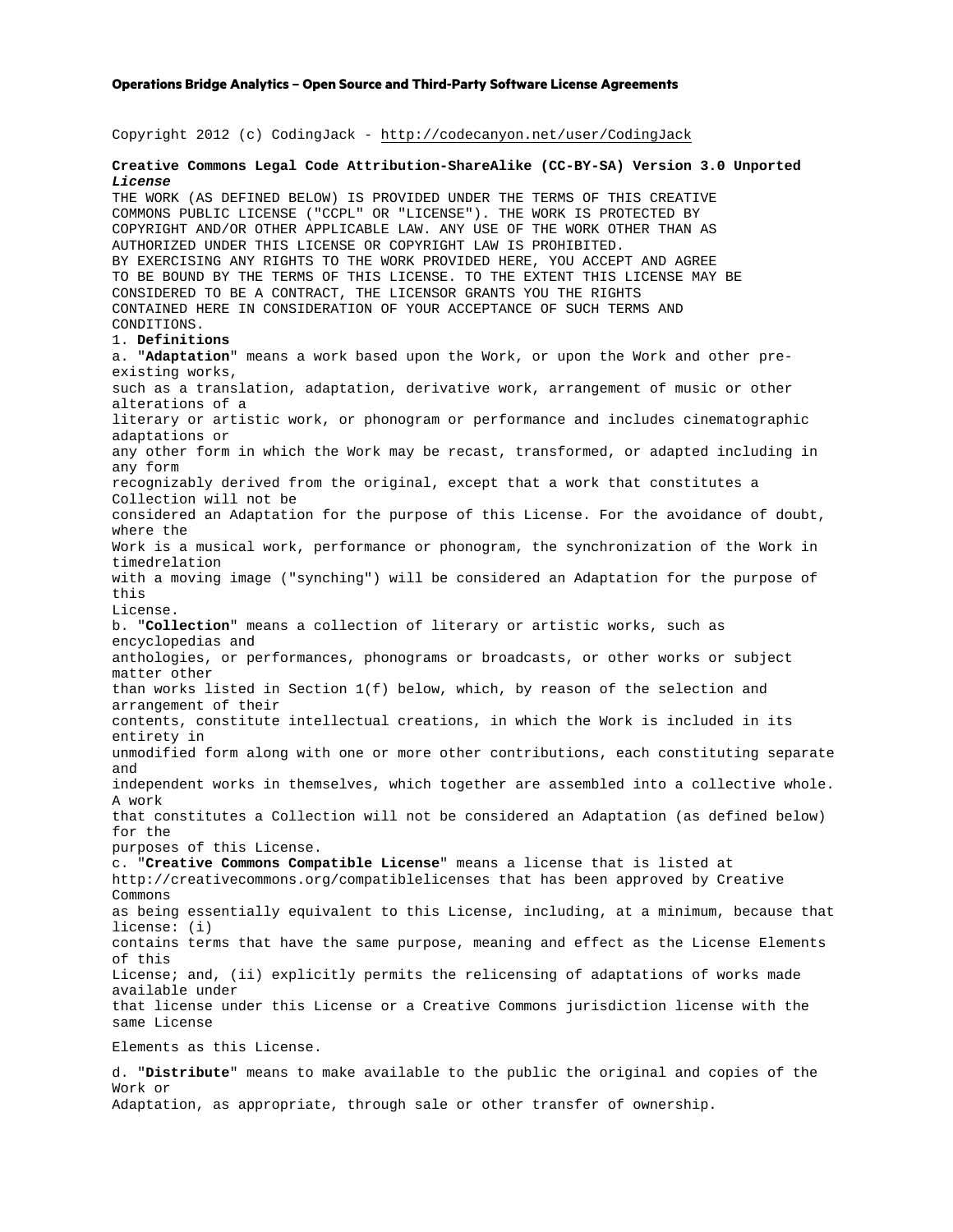Copyright 2012 (c) CodingJack - <http://codecanyon.net/user/CodingJack>

# **Creative Commons Legal Code Attribution-ShareAlike (CC-BY-SA) Version 3.0 Unported** *License* THE WORK (AS DEFINED BELOW) IS PROVIDED UNDER THE TERMS OF THIS CREATIVE COMMONS PUBLIC LICENSE ("CCPL" OR "LICENSE"). THE WORK IS PROTECTED BY COPYRIGHT AND/OR OTHER APPLICABLE LAW. ANY USE OF THE WORK OTHER THAN AS AUTHORIZED UNDER THIS LICENSE OR COPYRIGHT LAW IS PROHIBITED. BY EXERCISING ANY RIGHTS TO THE WORK PROVIDED HERE, YOU ACCEPT AND AGREE TO BE BOUND BY THE TERMS OF THIS LICENSE. TO THE EXTENT THIS LICENSE MAY BE CONSIDERED TO BE A CONTRACT, THE LICENSOR GRANTS YOU THE RIGHTS CONTAINED HERE IN CONSIDERATION OF YOUR ACCEPTANCE OF SUCH TERMS AND CONDITIONS. 1. **Definitions** a. "**Adaptation**" means a work based upon the Work, or upon the Work and other preexisting works, such as a translation, adaptation, derivative work, arrangement of music or other alterations of a literary or artistic work, or phonogram or performance and includes cinematographic adaptations or any other form in which the Work may be recast, transformed, or adapted including in any form recognizably derived from the original, except that a work that constitutes a Collection will not be considered an Adaptation for the purpose of this License. For the avoidance of doubt, where the Work is a musical work, performance or phonogram, the synchronization of the Work in timedrelation with a moving image ("synching") will be considered an Adaptation for the purpose of this License. b. "**Collection**" means a collection of literary or artistic works, such as encyclopedias and anthologies, or performances, phonograms or broadcasts, or other works or subject matter other than works listed in Section 1(f) below, which, by reason of the selection and arrangement of their contents, constitute intellectual creations, in which the Work is included in its entirety in unmodified form along with one or more other contributions, each constituting separate and independent works in themselves, which together are assembled into a collective whole. A work that constitutes a Collection will not be considered an Adaptation (as defined below) for the purposes of this License. c. "**Creative Commons Compatible License**" means a license that is listed at http://creativecommons.org/compatiblelicenses that has been approved by Creative Commons as being essentially equivalent to this License, including, at a minimum, because that license: (i) contains terms that have the same purpose, meaning and effect as the License Elements of this License; and, (ii) explicitly permits the relicensing of adaptations of works made available under that license under this License or a Creative Commons jurisdiction license with the same License

Elements as this License.

d. "**Distribute**" means to make available to the public the original and copies of the Work or Adaptation, as appropriate, through sale or other transfer of ownership.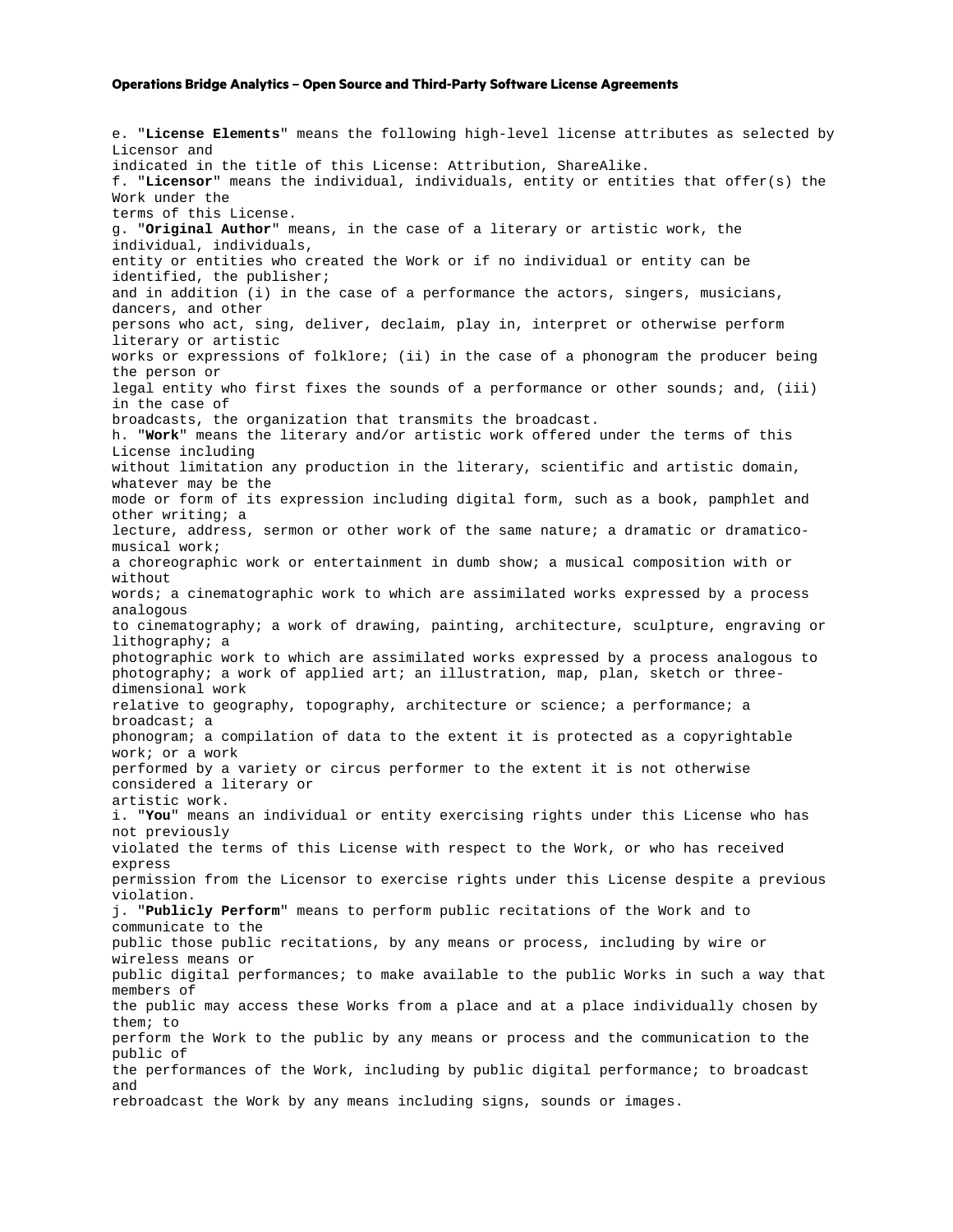e. "**License Elements**" means the following high-level license attributes as selected by Licensor and indicated in the title of this License: Attribution, ShareAlike. f. "**Licensor**" means the individual, individuals, entity or entities that offer(s) the Work under the terms of this License. g. "**Original Author**" means, in the case of a literary or artistic work, the individual, individuals, entity or entities who created the Work or if no individual or entity can be identified, the publisher; and in addition (i) in the case of a performance the actors, singers, musicians, dancers, and other persons who act, sing, deliver, declaim, play in, interpret or otherwise perform literary or artistic works or expressions of folklore; (ii) in the case of a phonogram the producer being the person or legal entity who first fixes the sounds of a performance or other sounds; and, (iii) in the case of broadcasts, the organization that transmits the broadcast. h. "**Work**" means the literary and/or artistic work offered under the terms of this License including without limitation any production in the literary, scientific and artistic domain, whatever may be the mode or form of its expression including digital form, such as a book, pamphlet and other writing; a lecture, address, sermon or other work of the same nature; a dramatic or dramaticomusical work; a choreographic work or entertainment in dumb show; a musical composition with or without words; a cinematographic work to which are assimilated works expressed by a process analogous to cinematography; a work of drawing, painting, architecture, sculpture, engraving or lithography; a photographic work to which are assimilated works expressed by a process analogous to photography; a work of applied art; an illustration, map, plan, sketch or threedimensional work relative to geography, topography, architecture or science; a performance; a broadcast; a phonogram; a compilation of data to the extent it is protected as a copyrightable work; or a work performed by a variety or circus performer to the extent it is not otherwise considered a literary or artistic work. i. "**You**" means an individual or entity exercising rights under this License who has not previously violated the terms of this License with respect to the Work, or who has received express permission from the Licensor to exercise rights under this License despite a previous violation. j. "**Publicly Perform**" means to perform public recitations of the Work and to communicate to the public those public recitations, by any means or process, including by wire or wireless means or public digital performances; to make available to the public Works in such a way that members of the public may access these Works from a place and at a place individually chosen by them; to perform the Work to the public by any means or process and the communication to the public of the performances of the Work, including by public digital performance; to broadcast and rebroadcast the Work by any means including signs, sounds or images.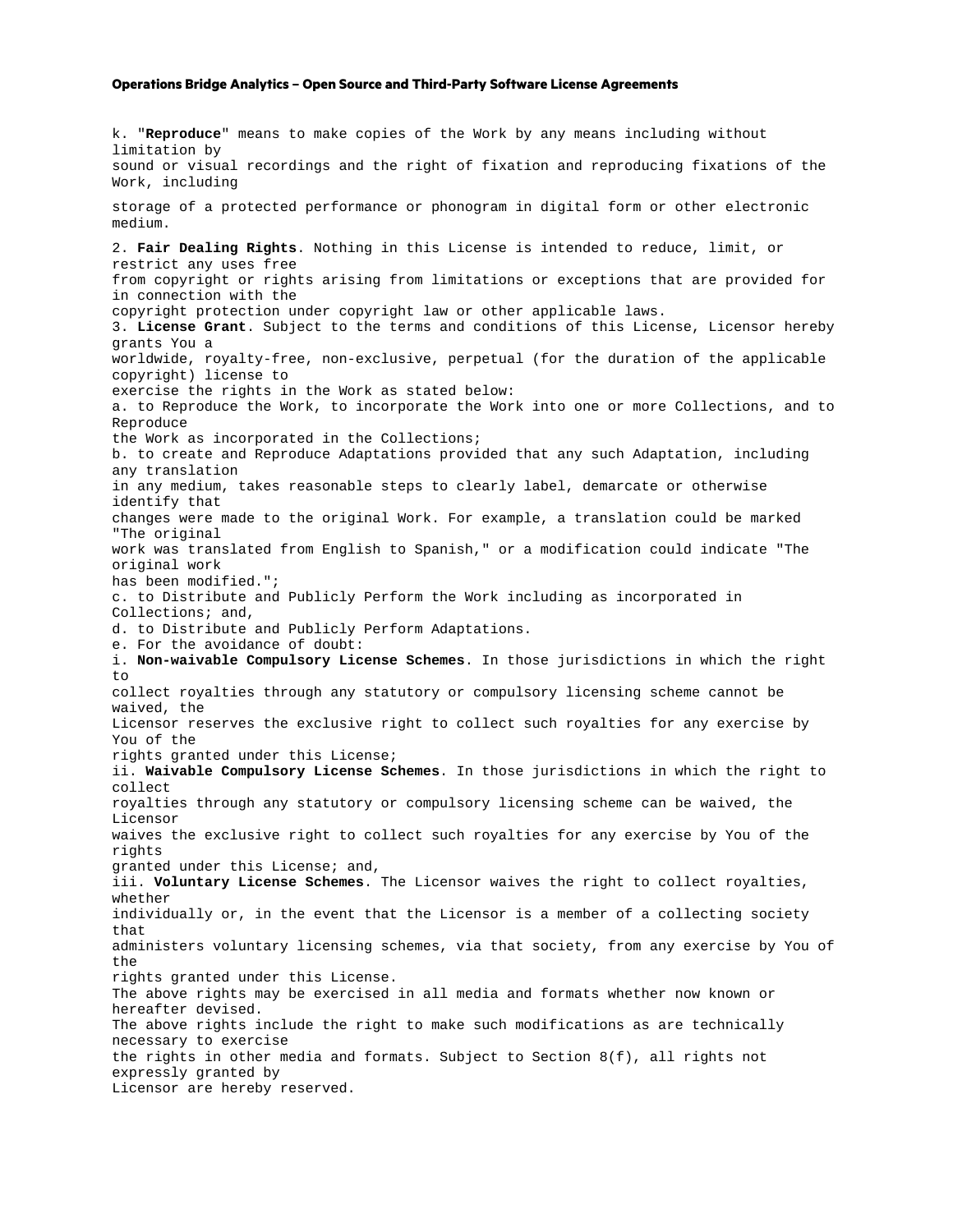k. "**Reproduce**" means to make copies of the Work by any means including without limitation by sound or visual recordings and the right of fixation and reproducing fixations of the Work, including storage of a protected performance or phonogram in digital form or other electronic medium. 2. **Fair Dealing Rights**. Nothing in this License is intended to reduce, limit, or restrict any uses free from copyright or rights arising from limitations or exceptions that are provided for in connection with the copyright protection under copyright law or other applicable laws. 3. **License Grant**. Subject to the terms and conditions of this License, Licensor hereby grants You a worldwide, royalty-free, non-exclusive, perpetual (for the duration of the applicable copyright) license to exercise the rights in the Work as stated below: a. to Reproduce the Work, to incorporate the Work into one or more Collections, and to Reproduce the Work as incorporated in the Collections; b. to create and Reproduce Adaptations provided that any such Adaptation, including any translation in any medium, takes reasonable steps to clearly label, demarcate or otherwise identify that changes were made to the original Work. For example, a translation could be marked "The original work was translated from English to Spanish," or a modification could indicate "The original work has been modified."; c. to Distribute and Publicly Perform the Work including as incorporated in Collections; and, d. to Distribute and Publicly Perform Adaptations. e. For the avoidance of doubt: i. **Non-waivable Compulsory License Schemes**. In those jurisdictions in which the right to collect royalties through any statutory or compulsory licensing scheme cannot be waived, the Licensor reserves the exclusive right to collect such royalties for any exercise by You of the rights granted under this License; ii. **Waivable Compulsory License Schemes**. In those jurisdictions in which the right to collect royalties through any statutory or compulsory licensing scheme can be waived, the Licensor waives the exclusive right to collect such royalties for any exercise by You of the rights granted under this License; and, iii. **Voluntary License Schemes**. The Licensor waives the right to collect royalties, whether individually or, in the event that the Licensor is a member of a collecting society that administers voluntary licensing schemes, via that society, from any exercise by You of the rights granted under this License. The above rights may be exercised in all media and formats whether now known or hereafter devised. The above rights include the right to make such modifications as are technically necessary to exercise the rights in other media and formats. Subject to Section 8(f), all rights not expressly granted by Licensor are hereby reserved.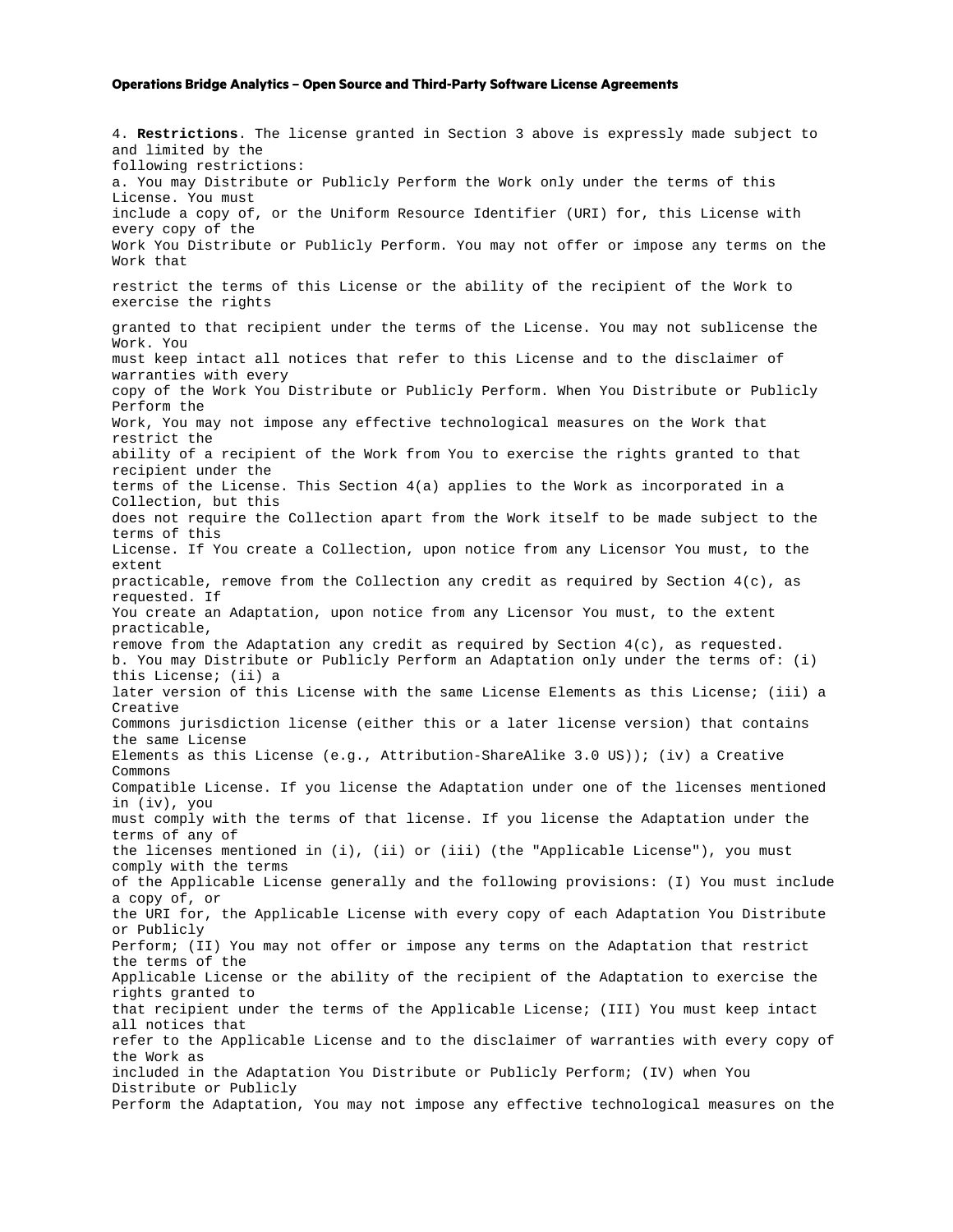4. **Restrictions**. The license granted in Section 3 above is expressly made subject to and limited by the following restrictions: a. You may Distribute or Publicly Perform the Work only under the terms of this License. You must include a copy of, or the Uniform Resource Identifier (URI) for, this License with every copy of the Work You Distribute or Publicly Perform. You may not offer or impose any terms on the Work that restrict the terms of this License or the ability of the recipient of the Work to exercise the rights granted to that recipient under the terms of the License. You may not sublicense the Work. You must keep intact all notices that refer to this License and to the disclaimer of warranties with every copy of the Work You Distribute or Publicly Perform. When You Distribute or Publicly Perform the Work, You may not impose any effective technological measures on the Work that restrict the ability of a recipient of the Work from You to exercise the rights granted to that recipient under the terms of the License. This Section 4(a) applies to the Work as incorporated in a Collection, but this does not require the Collection apart from the Work itself to be made subject to the terms of this License. If You create a Collection, upon notice from any Licensor You must, to the extent practicable, remove from the Collection any credit as required by Section 4(c), as requested. If You create an Adaptation, upon notice from any Licensor You must, to the extent practicable, remove from the Adaptation any credit as required by Section  $4(c)$ , as requested. b. You may Distribute or Publicly Perform an Adaptation only under the terms of: (i) this License; (ii) a later version of this License with the same License Elements as this License; (iii) a Creative Commons jurisdiction license (either this or a later license version) that contains the same License Elements as this License (e.g., Attribution-ShareAlike 3.0 US)); (iv) a Creative Commons Compatible License. If you license the Adaptation under one of the licenses mentioned in (iv), you must comply with the terms of that license. If you license the Adaptation under the terms of any of the licenses mentioned in (i), (ii) or (iii) (the "Applicable License"), you must comply with the terms of the Applicable License generally and the following provisions: (I) You must include a copy of, or the URI for, the Applicable License with every copy of each Adaptation You Distribute or Publicly Perform; (II) You may not offer or impose any terms on the Adaptation that restrict the terms of the Applicable License or the ability of the recipient of the Adaptation to exercise the rights granted to that recipient under the terms of the Applicable License; (III) You must keep intact all notices that refer to the Applicable License and to the disclaimer of warranties with every copy of the Work as included in the Adaptation You Distribute or Publicly Perform; (IV) when You Distribute or Publicly Perform the Adaptation, You may not impose any effective technological measures on the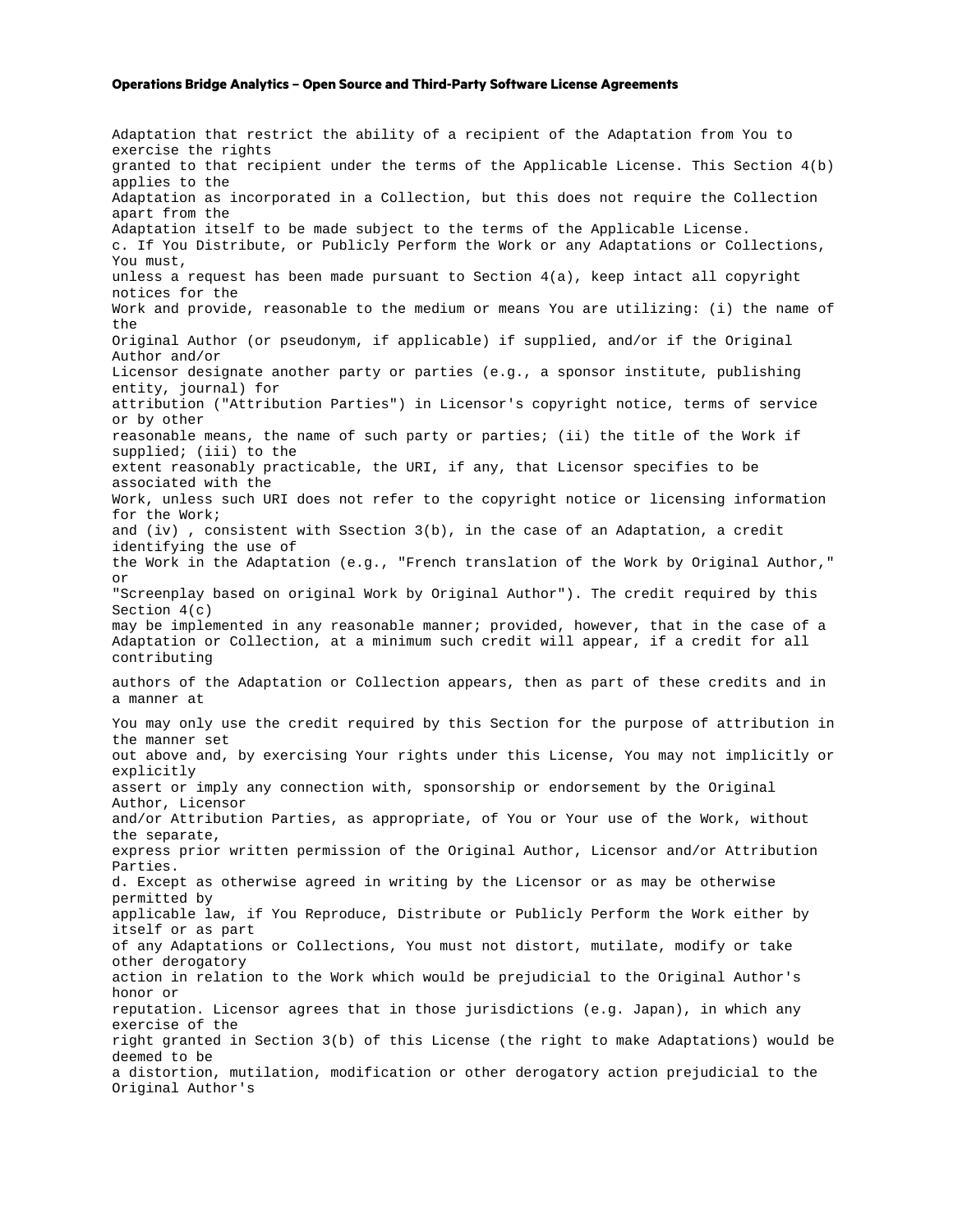Adaptation that restrict the ability of a recipient of the Adaptation from You to exercise the rights granted to that recipient under the terms of the Applicable License. This Section 4(b) applies to the Adaptation as incorporated in a Collection, but this does not require the Collection apart from the Adaptation itself to be made subject to the terms of the Applicable License. c. If You Distribute, or Publicly Perform the Work or any Adaptations or Collections, You must, unless a request has been made pursuant to Section 4(a), keep intact all copyright notices for the Work and provide, reasonable to the medium or means You are utilizing: (i) the name of the Original Author (or pseudonym, if applicable) if supplied, and/or if the Original Author and/or Licensor designate another party or parties (e.g., a sponsor institute, publishing entity, journal) for attribution ("Attribution Parties") in Licensor's copyright notice, terms of service or by other reasonable means, the name of such party or parties; (ii) the title of the Work if supplied; (iii) to the extent reasonably practicable, the URI, if any, that Licensor specifies to be associated with the Work, unless such URI does not refer to the copyright notice or licensing information for the Work; and (iv) , consistent with Ssection 3(b), in the case of an Adaptation, a credit identifying the use of the Work in the Adaptation (e.g., "French translation of the Work by Original Author," or "Screenplay based on original Work by Original Author"). The credit required by this Section 4(c) may be implemented in any reasonable manner; provided, however, that in the case of a Adaptation or Collection, at a minimum such credit will appear, if a credit for all contributing authors of the Adaptation or Collection appears, then as part of these credits and in a manner at You may only use the credit required by this Section for the purpose of attribution in the manner set out above and, by exercising Your rights under this License, You may not implicitly or explicitly assert or imply any connection with, sponsorship or endorsement by the Original Author, Licensor and/or Attribution Parties, as appropriate, of You or Your use of the Work, without the separate, express prior written permission of the Original Author, Licensor and/or Attribution Parties. d. Except as otherwise agreed in writing by the Licensor or as may be otherwise permitted by applicable law, if You Reproduce, Distribute or Publicly Perform the Work either by itself or as part of any Adaptations or Collections, You must not distort, mutilate, modify or take other derogatory action in relation to the Work which would be prejudicial to the Original Author's honor or reputation. Licensor agrees that in those jurisdictions (e.g. Japan), in which any exercise of the right granted in Section 3(b) of this License (the right to make Adaptations) would be deemed to be a distortion, mutilation, modification or other derogatory action prejudicial to the Original Author's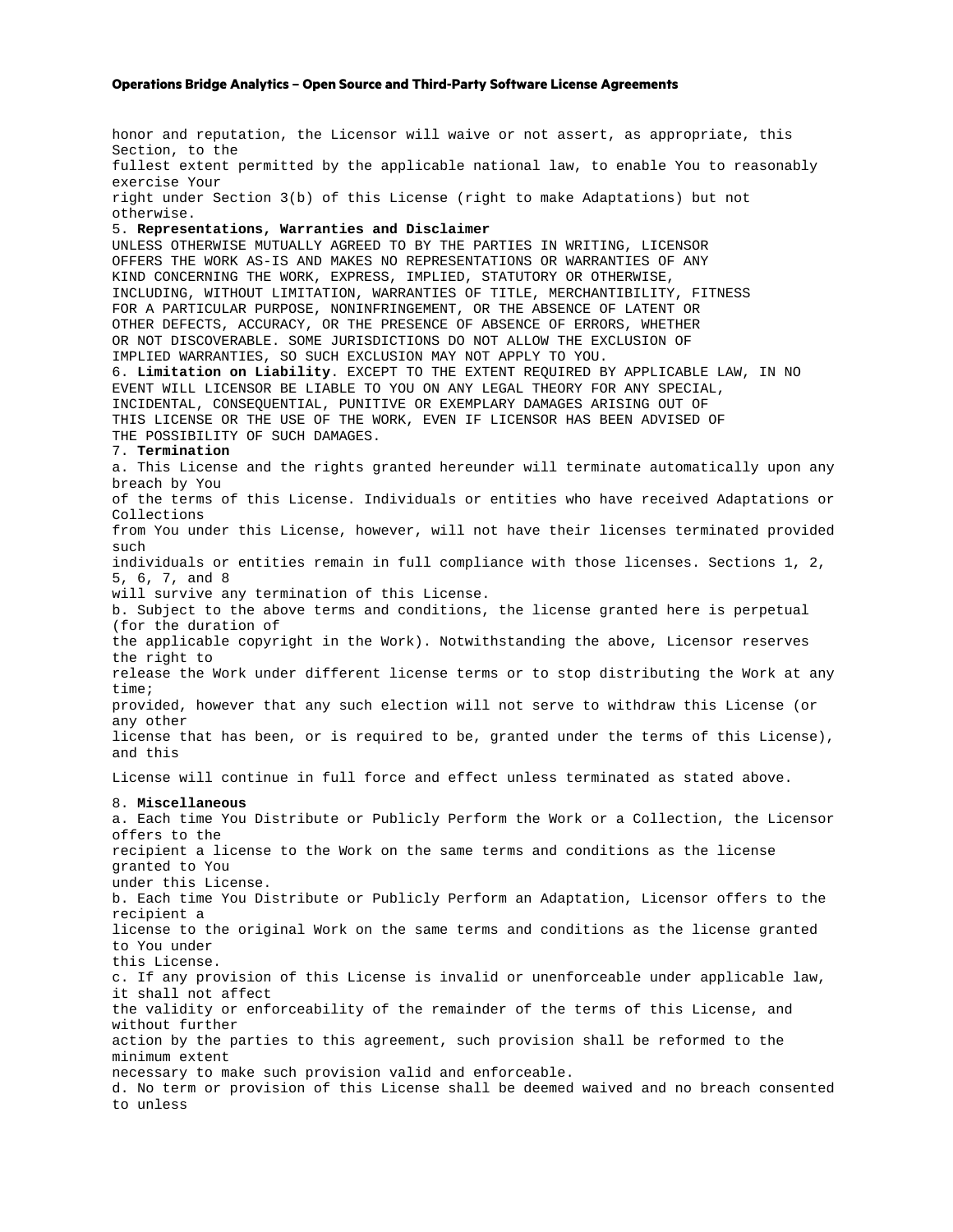honor and reputation, the Licensor will waive or not assert, as appropriate, this Section, to the fullest extent permitted by the applicable national law, to enable You to reasonably exercise Your right under Section 3(b) of this License (right to make Adaptations) but not otherwise. 5. **Representations, Warranties and Disclaimer** UNLESS OTHERWISE MUTUALLY AGREED TO BY THE PARTIES IN WRITING, LICENSOR OFFERS THE WORK AS-IS AND MAKES NO REPRESENTATIONS OR WARRANTIES OF ANY KIND CONCERNING THE WORK, EXPRESS, IMPLIED, STATUTORY OR OTHERWISE, INCLUDING, WITHOUT LIMITATION, WARRANTIES OF TITLE, MERCHANTIBILITY, FITNESS FOR A PARTICULAR PURPOSE, NONINFRINGEMENT, OR THE ABSENCE OF LATENT OR OTHER DEFECTS, ACCURACY, OR THE PRESENCE OF ABSENCE OF ERRORS, WHETHER OR NOT DISCOVERABLE. SOME JURISDICTIONS DO NOT ALLOW THE EXCLUSION OF IMPLIED WARRANTIES, SO SUCH EXCLUSION MAY NOT APPLY TO YOU. 6. **Limitation on Liability**. EXCEPT TO THE EXTENT REQUIRED BY APPLICABLE LAW, IN NO EVENT WILL LICENSOR BE LIABLE TO YOU ON ANY LEGAL THEORY FOR ANY SPECIAL, INCIDENTAL, CONSEQUENTIAL, PUNITIVE OR EXEMPLARY DAMAGES ARISING OUT OF THIS LICENSE OR THE USE OF THE WORK, EVEN IF LICENSOR HAS BEEN ADVISED OF THE POSSIBILITY OF SUCH DAMAGES. 7. **Termination** a. This License and the rights granted hereunder will terminate automatically upon any breach by You of the terms of this License. Individuals or entities who have received Adaptations or Collections from You under this License, however, will not have their licenses terminated provided such individuals or entities remain in full compliance with those licenses. Sections 1, 2, 5, 6, 7, and 8 will survive any termination of this License. b. Subject to the above terms and conditions, the license granted here is perpetual (for the duration of the applicable copyright in the Work). Notwithstanding the above, Licensor reserves the right to release the Work under different license terms or to stop distributing the Work at any time; provided, however that any such election will not serve to withdraw this License (or any other license that has been, or is required to be, granted under the terms of this License), and this License will continue in full force and effect unless terminated as stated above. 8. **Miscellaneous** a. Each time You Distribute or Publicly Perform the Work or a Collection, the Licensor offers to the recipient a license to the Work on the same terms and conditions as the license granted to You under this License. b. Each time You Distribute or Publicly Perform an Adaptation, Licensor offers to the recipient a license to the original Work on the same terms and conditions as the license granted to You under this License. c. If any provision of this License is invalid or unenforceable under applicable law, it shall not affect the validity or enforceability of the remainder of the terms of this License, and without further action by the parties to this agreement, such provision shall be reformed to the minimum extent necessary to make such provision valid and enforceable. d. No term or provision of this License shall be deemed waived and no breach consented to unless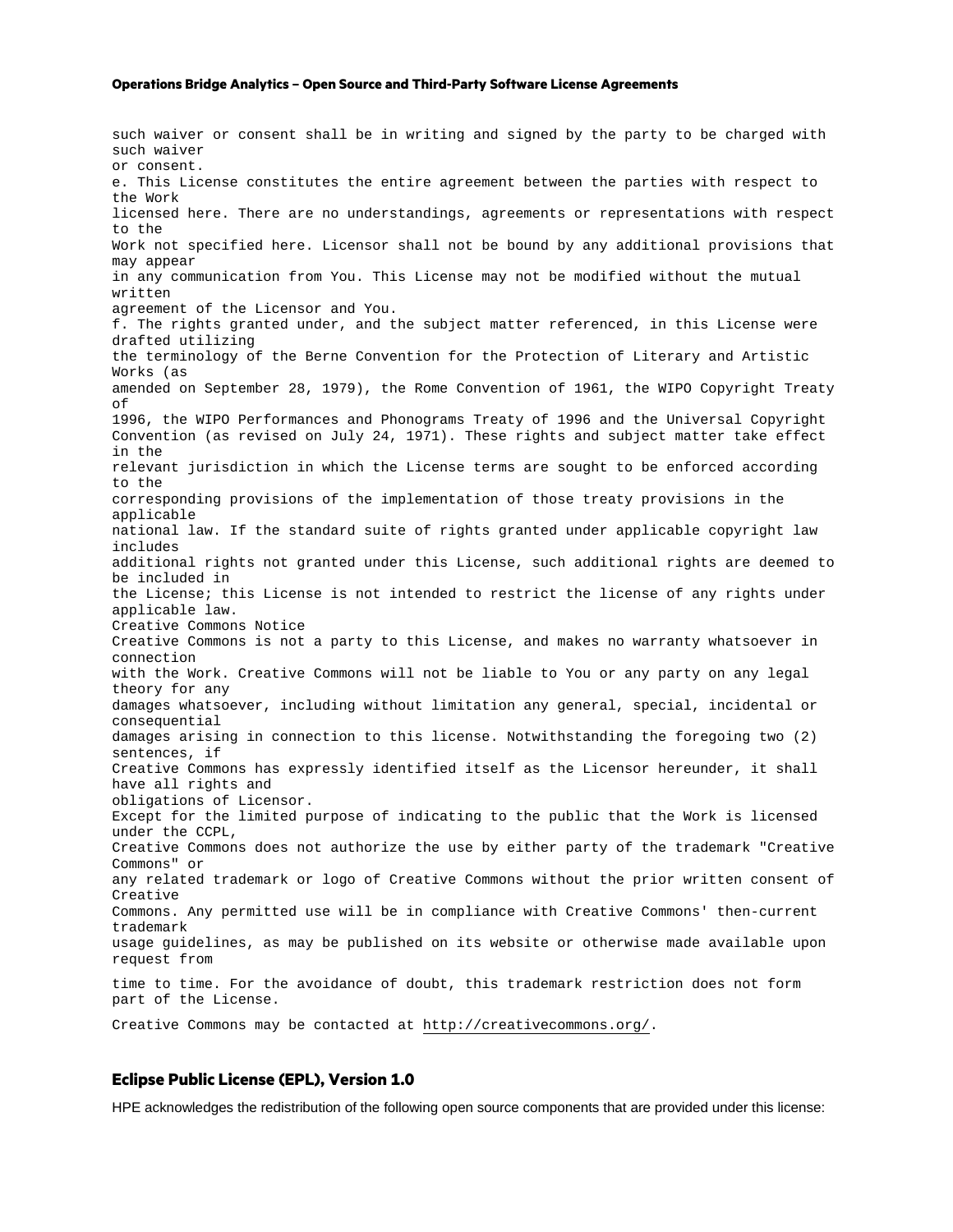such waiver or consent shall be in writing and signed by the party to be charged with such waiver or consent. e. This License constitutes the entire agreement between the parties with respect to the Work licensed here. There are no understandings, agreements or representations with respect to the Work not specified here. Licensor shall not be bound by any additional provisions that may appear in any communication from You. This License may not be modified without the mutual written agreement of the Licensor and You. f. The rights granted under, and the subject matter referenced, in this License were drafted utilizing the terminology of the Berne Convention for the Protection of Literary and Artistic Works (as amended on September 28, 1979), the Rome Convention of 1961, the WIPO Copyright Treaty of 1996, the WIPO Performances and Phonograms Treaty of 1996 and the Universal Copyright Convention (as revised on July 24, 1971). These rights and subject matter take effect in the relevant jurisdiction in which the License terms are sought to be enforced according to the corresponding provisions of the implementation of those treaty provisions in the applicable national law. If the standard suite of rights granted under applicable copyright law includes additional rights not granted under this License, such additional rights are deemed to be included in the License; this License is not intended to restrict the license of any rights under applicable law. Creative Commons Notice Creative Commons is not a party to this License, and makes no warranty whatsoever in connection with the Work. Creative Commons will not be liable to You or any party on any legal theory for any damages whatsoever, including without limitation any general, special, incidental or consequential damages arising in connection to this license. Notwithstanding the foregoing two (2) sentences, if Creative Commons has expressly identified itself as the Licensor hereunder, it shall have all rights and obligations of Licensor. Except for the limited purpose of indicating to the public that the Work is licensed under the CCPL, Creative Commons does not authorize the use by either party of the trademark "Creative Commons" or any related trademark or logo of Creative Commons without the prior written consent of Creative Commons. Any permitted use will be in compliance with Creative Commons' then-current trademark usage guidelines, as may be published on its website or otherwise made available upon request from time to time. For the avoidance of doubt, this trademark restriction does not form part of the License. Creative Commons may be contacted at [http://creativecommons.org/.](http://creativecommons.org/)

# **Eclipse Public License (EPL), Version 1.0**

<span id="page-35-0"></span>HPE acknowledges the redistribution of the following open source components that are provided under this license: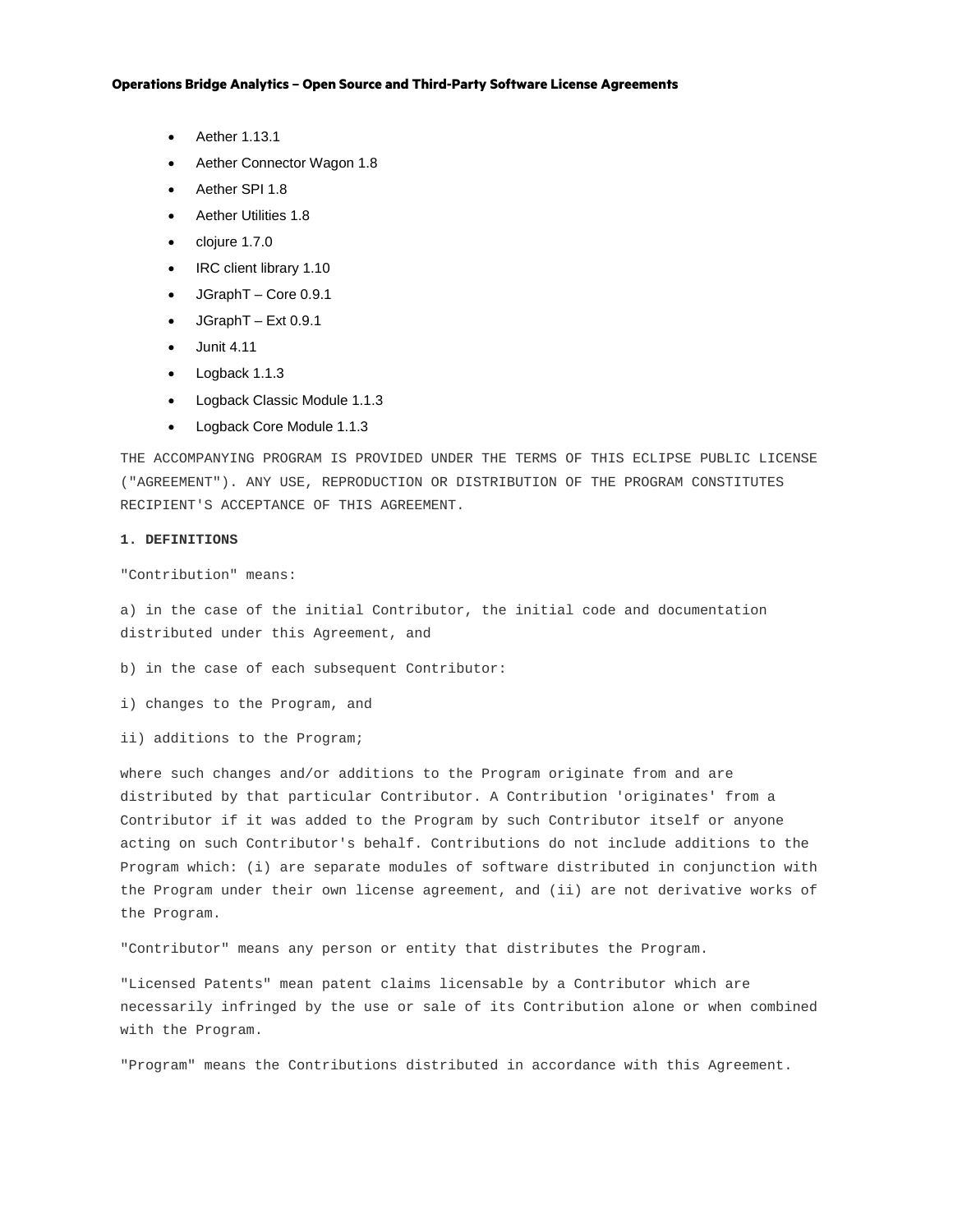- Aether 1.13.1
- Aether Connector Wagon 1.8
- Aether SPI 1.8
- Aether Utilities 1.8
- clojure 1.7.0
- IRC client library 1.10
- JGraphT Core 0.9.1
- JGraphT Ext 0.9.1
- Junit 4.11
- Logback 1.1.3
- Logback Classic Module 1.1.3
- Logback Core Module 1.1.3

THE ACCOMPANYING PROGRAM IS PROVIDED UNDER THE TERMS OF THIS ECLIPSE PUBLIC LICENSE ("AGREEMENT"). ANY USE, REPRODUCTION OR DISTRIBUTION OF THE PROGRAM CONSTITUTES RECIPIENT'S ACCEPTANCE OF THIS AGREEMENT.

## **1. DEFINITIONS**

"Contribution" means:

a) in the case of the initial Contributor, the initial code and documentation distributed under this Agreement, and

- b) in the case of each subsequent Contributor:
- i) changes to the Program, and
- ii) additions to the Program;

where such changes and/or additions to the Program originate from and are distributed by that particular Contributor. A Contribution 'originates' from a Contributor if it was added to the Program by such Contributor itself or anyone acting on such Contributor's behalf. Contributions do not include additions to the Program which: (i) are separate modules of software distributed in conjunction with the Program under their own license agreement, and (ii) are not derivative works of the Program.

"Contributor" means any person or entity that distributes the Program.

"Licensed Patents" mean patent claims licensable by a Contributor which are necessarily infringed by the use or sale of its Contribution alone or when combined with the Program.

"Program" means the Contributions distributed in accordance with this Agreement.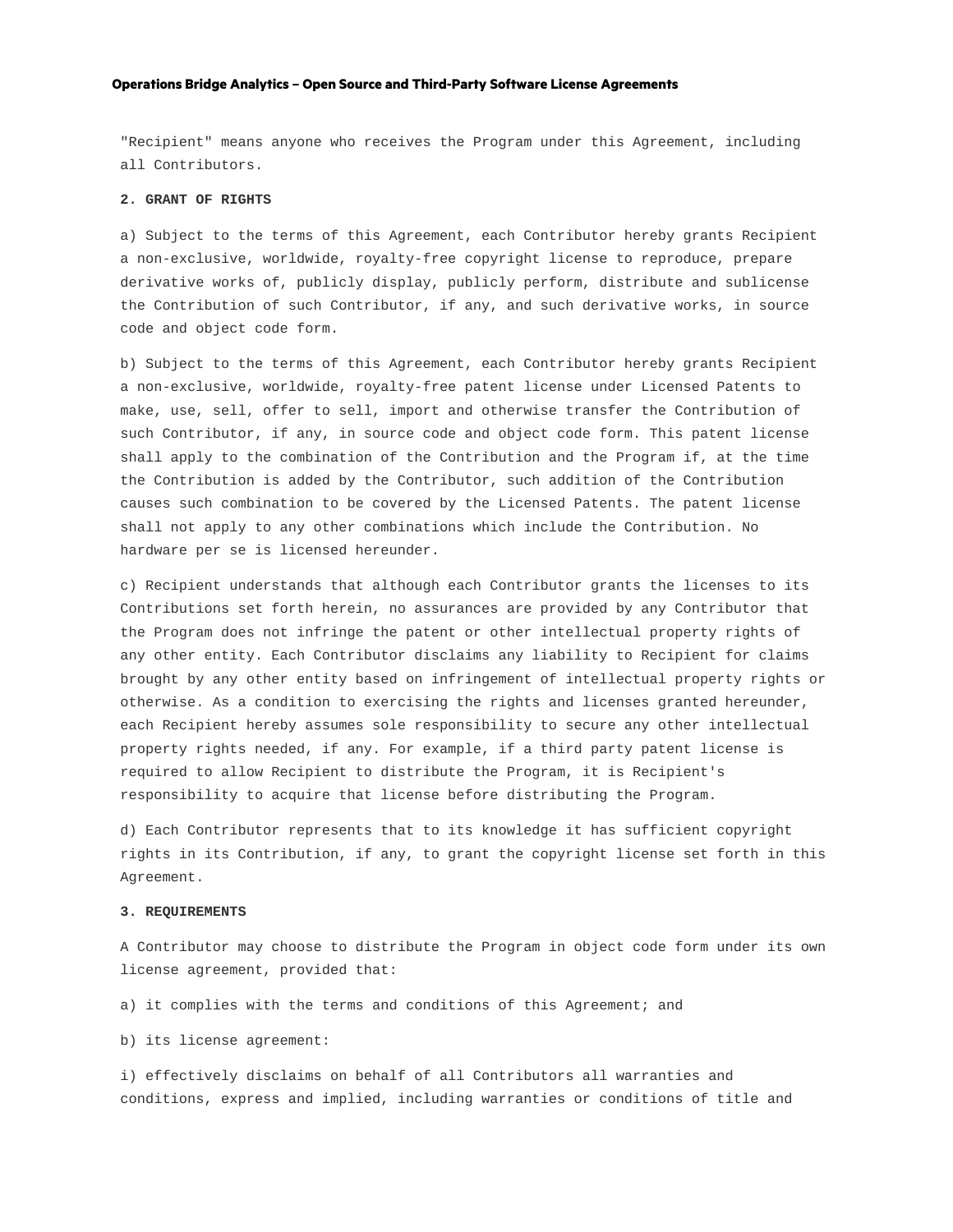"Recipient" means anyone who receives the Program under this Agreement, including all Contributors.

### **2. GRANT OF RIGHTS**

a) Subject to the terms of this Agreement, each Contributor hereby grants Recipient a non-exclusive, worldwide, royalty-free copyright license to reproduce, prepare derivative works of, publicly display, publicly perform, distribute and sublicense the Contribution of such Contributor, if any, and such derivative works, in source code and object code form.

b) Subject to the terms of this Agreement, each Contributor hereby grants Recipient a non-exclusive, worldwide, royalty-free patent license under Licensed Patents to make, use, sell, offer to sell, import and otherwise transfer the Contribution of such Contributor, if any, in source code and object code form. This patent license shall apply to the combination of the Contribution and the Program if, at the time the Contribution is added by the Contributor, such addition of the Contribution causes such combination to be covered by the Licensed Patents. The patent license shall not apply to any other combinations which include the Contribution. No hardware per se is licensed hereunder.

c) Recipient understands that although each Contributor grants the licenses to its Contributions set forth herein, no assurances are provided by any Contributor that the Program does not infringe the patent or other intellectual property rights of any other entity. Each Contributor disclaims any liability to Recipient for claims brought by any other entity based on infringement of intellectual property rights or otherwise. As a condition to exercising the rights and licenses granted hereunder, each Recipient hereby assumes sole responsibility to secure any other intellectual property rights needed, if any. For example, if a third party patent license is required to allow Recipient to distribute the Program, it is Recipient's responsibility to acquire that license before distributing the Program.

d) Each Contributor represents that to its knowledge it has sufficient copyright rights in its Contribution, if any, to grant the copyright license set forth in this Agreement.

### **3. REQUIREMENTS**

A Contributor may choose to distribute the Program in object code form under its own license agreement, provided that:

a) it complies with the terms and conditions of this Agreement; and

b) its license agreement:

i) effectively disclaims on behalf of all Contributors all warranties and conditions, express and implied, including warranties or conditions of title and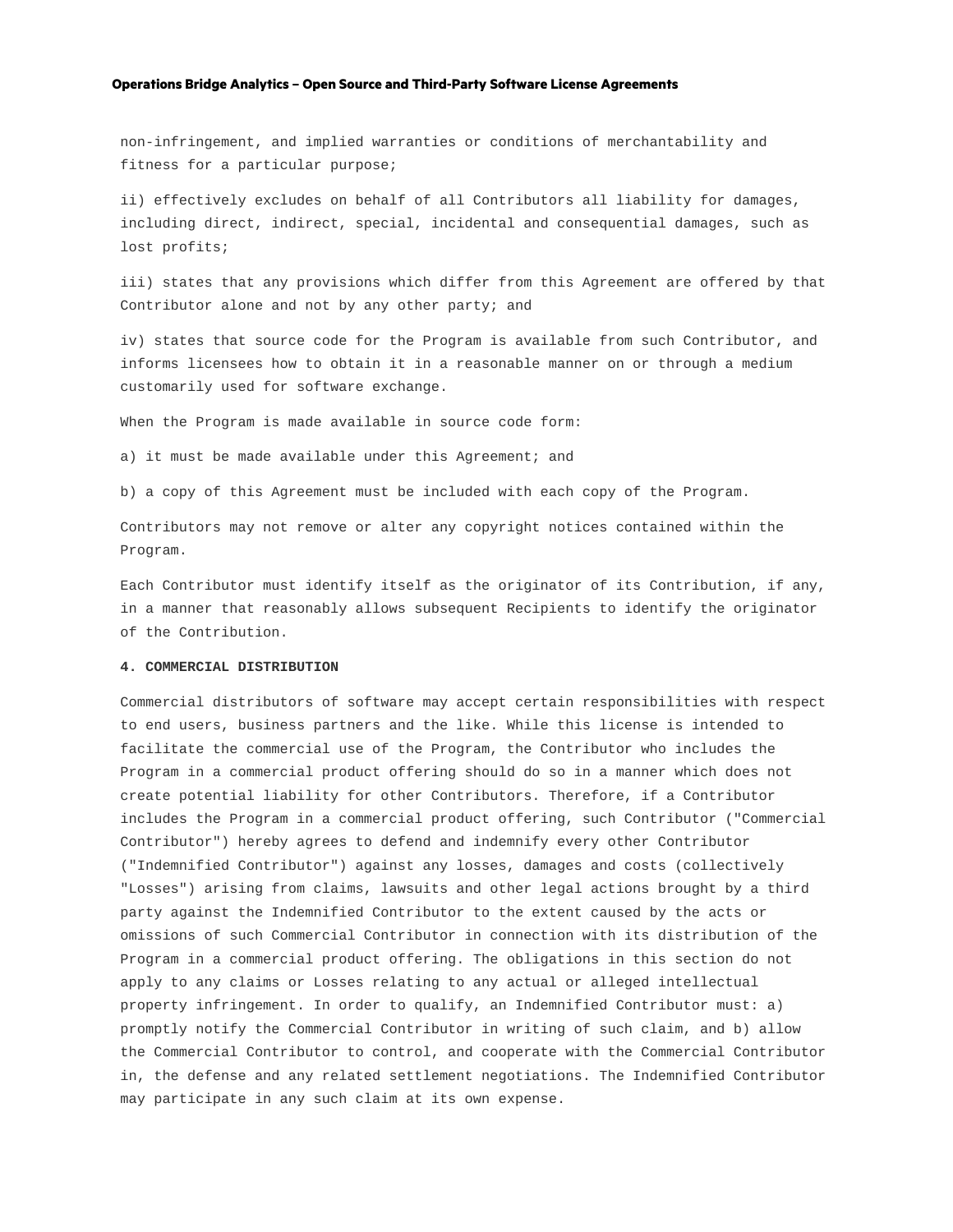non-infringement, and implied warranties or conditions of merchantability and fitness for a particular purpose;

ii) effectively excludes on behalf of all Contributors all liability for damages, including direct, indirect, special, incidental and consequential damages, such as lost profits;

iii) states that any provisions which differ from this Agreement are offered by that Contributor alone and not by any other party; and

iv) states that source code for the Program is available from such Contributor, and informs licensees how to obtain it in a reasonable manner on or through a medium customarily used for software exchange.

When the Program is made available in source code form:

a) it must be made available under this Agreement; and

b) a copy of this Agreement must be included with each copy of the Program.

Contributors may not remove or alter any copyright notices contained within the Program.

Each Contributor must identify itself as the originator of its Contribution, if any, in a manner that reasonably allows subsequent Recipients to identify the originator of the Contribution.

## **4. COMMERCIAL DISTRIBUTION**

Commercial distributors of software may accept certain responsibilities with respect to end users, business partners and the like. While this license is intended to facilitate the commercial use of the Program, the Contributor who includes the Program in a commercial product offering should do so in a manner which does not create potential liability for other Contributors. Therefore, if a Contributor includes the Program in a commercial product offering, such Contributor ("Commercial Contributor") hereby agrees to defend and indemnify every other Contributor ("Indemnified Contributor") against any losses, damages and costs (collectively "Losses") arising from claims, lawsuits and other legal actions brought by a third party against the Indemnified Contributor to the extent caused by the acts or omissions of such Commercial Contributor in connection with its distribution of the Program in a commercial product offering. The obligations in this section do not apply to any claims or Losses relating to any actual or alleged intellectual property infringement. In order to qualify, an Indemnified Contributor must: a) promptly notify the Commercial Contributor in writing of such claim, and b) allow the Commercial Contributor to control, and cooperate with the Commercial Contributor in, the defense and any related settlement negotiations. The Indemnified Contributor may participate in any such claim at its own expense.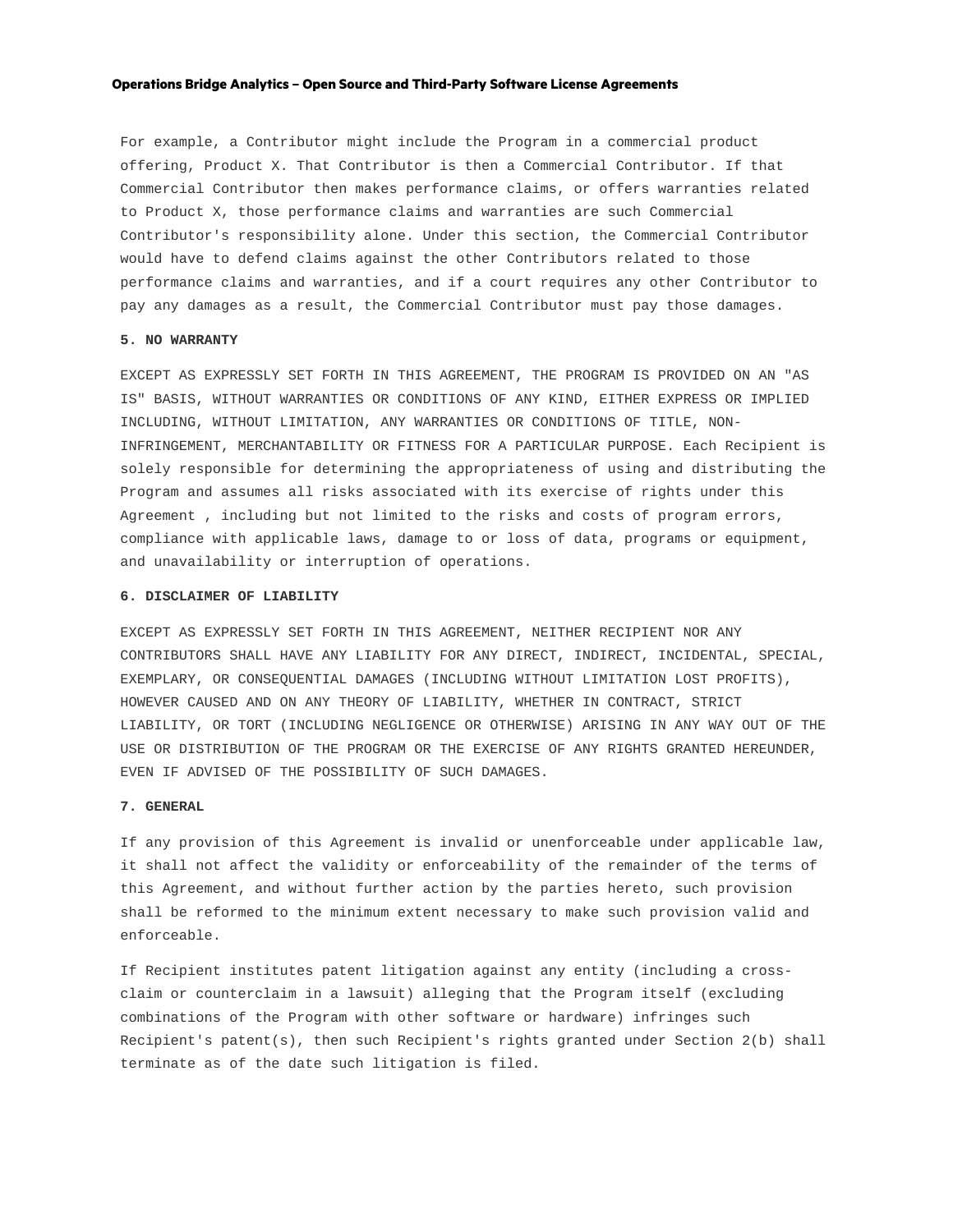For example, a Contributor might include the Program in a commercial product offering, Product X. That Contributor is then a Commercial Contributor. If that Commercial Contributor then makes performance claims, or offers warranties related to Product X, those performance claims and warranties are such Commercial Contributor's responsibility alone. Under this section, the Commercial Contributor would have to defend claims against the other Contributors related to those performance claims and warranties, and if a court requires any other Contributor to pay any damages as a result, the Commercial Contributor must pay those damages.

## **5. NO WARRANTY**

EXCEPT AS EXPRESSLY SET FORTH IN THIS AGREEMENT, THE PROGRAM IS PROVIDED ON AN "AS IS" BASIS, WITHOUT WARRANTIES OR CONDITIONS OF ANY KIND, EITHER EXPRESS OR IMPLIED INCLUDING, WITHOUT LIMITATION, ANY WARRANTIES OR CONDITIONS OF TITLE, NON-INFRINGEMENT, MERCHANTABILITY OR FITNESS FOR A PARTICULAR PURPOSE. Each Recipient is solely responsible for determining the appropriateness of using and distributing the Program and assumes all risks associated with its exercise of rights under this Agreement , including but not limited to the risks and costs of program errors, compliance with applicable laws, damage to or loss of data, programs or equipment, and unavailability or interruption of operations.

## **6. DISCLAIMER OF LIABILITY**

EXCEPT AS EXPRESSLY SET FORTH IN THIS AGREEMENT, NEITHER RECIPIENT NOR ANY CONTRIBUTORS SHALL HAVE ANY LIABILITY FOR ANY DIRECT, INDIRECT, INCIDENTAL, SPECIAL, EXEMPLARY, OR CONSEQUENTIAL DAMAGES (INCLUDING WITHOUT LIMITATION LOST PROFITS), HOWEVER CAUSED AND ON ANY THEORY OF LIABILITY, WHETHER IN CONTRACT, STRICT LIABILITY, OR TORT (INCLUDING NEGLIGENCE OR OTHERWISE) ARISING IN ANY WAY OUT OF THE USE OR DISTRIBUTION OF THE PROGRAM OR THE EXERCISE OF ANY RIGHTS GRANTED HEREUNDER, EVEN IF ADVISED OF THE POSSIBILITY OF SUCH DAMAGES.

## **7. GENERAL**

If any provision of this Agreement is invalid or unenforceable under applicable law, it shall not affect the validity or enforceability of the remainder of the terms of this Agreement, and without further action by the parties hereto, such provision shall be reformed to the minimum extent necessary to make such provision valid and enforceable.

If Recipient institutes patent litigation against any entity (including a crossclaim or counterclaim in a lawsuit) alleging that the Program itself (excluding combinations of the Program with other software or hardware) infringes such Recipient's patent(s), then such Recipient's rights granted under Section 2(b) shall terminate as of the date such litigation is filed.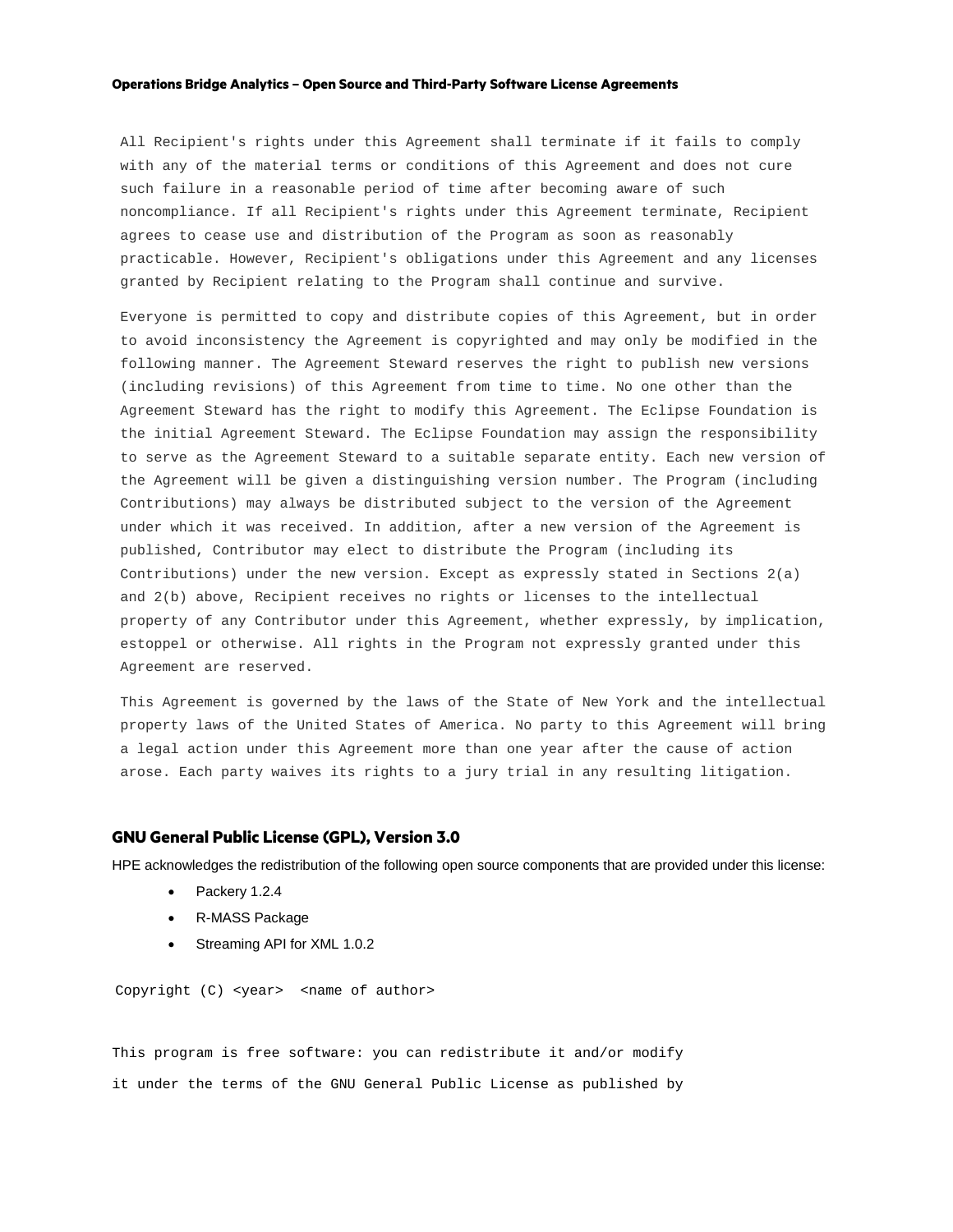All Recipient's rights under this Agreement shall terminate if it fails to comply with any of the material terms or conditions of this Agreement and does not cure such failure in a reasonable period of time after becoming aware of such noncompliance. If all Recipient's rights under this Agreement terminate, Recipient agrees to cease use and distribution of the Program as soon as reasonably practicable. However, Recipient's obligations under this Agreement and any licenses granted by Recipient relating to the Program shall continue and survive.

Everyone is permitted to copy and distribute copies of this Agreement, but in order to avoid inconsistency the Agreement is copyrighted and may only be modified in the following manner. The Agreement Steward reserves the right to publish new versions (including revisions) of this Agreement from time to time. No one other than the Agreement Steward has the right to modify this Agreement. The Eclipse Foundation is the initial Agreement Steward. The Eclipse Foundation may assign the responsibility to serve as the Agreement Steward to a suitable separate entity. Each new version of the Agreement will be given a distinguishing version number. The Program (including Contributions) may always be distributed subject to the version of the Agreement under which it was received. In addition, after a new version of the Agreement is published, Contributor may elect to distribute the Program (including its Contributions) under the new version. Except as expressly stated in Sections 2(a) and 2(b) above, Recipient receives no rights or licenses to the intellectual property of any Contributor under this Agreement, whether expressly, by implication, estoppel or otherwise. All rights in the Program not expressly granted under this Agreement are reserved.

This Agreement is governed by the laws of the State of New York and the intellectual property laws of the United States of America. No party to this Agreement will bring a legal action under this Agreement more than one year after the cause of action arose. Each party waives its rights to a jury trial in any resulting litigation.

# **GNU General Public License (GPL), Version 3.0**

HPE acknowledges the redistribution of the following open source components that are provided under this license:

- Packery 1.2.4
- R-MASS Package
- Streaming API for XML 1.0.2

Copyright (C) <year> <name of author>

This program is free software: you can redistribute it and/or modify it under the terms of the GNU General Public License as published by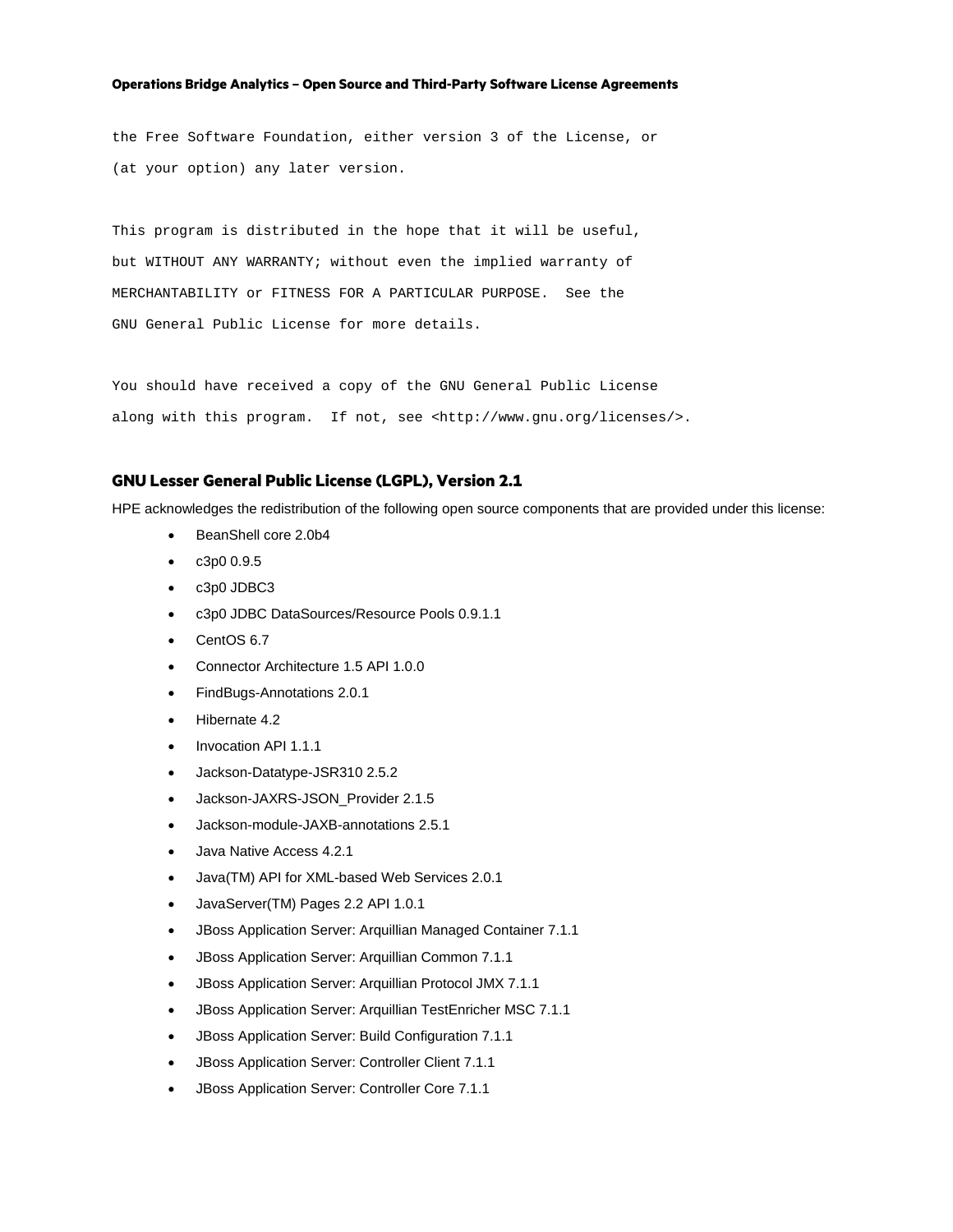the Free Software Foundation, either version 3 of the License, or (at your option) any later version.

This program is distributed in the hope that it will be useful, but WITHOUT ANY WARRANTY; without even the implied warranty of MERCHANTABILITY or FITNESS FOR A PARTICULAR PURPOSE. See the GNU General Public License for more details.

You should have received a copy of the GNU General Public License along with this program. If not, see <http://www.gnu.org/licenses/>.

# **GNU Lesser General Public License (LGPL), Version 2.1**

HPE acknowledges the redistribution of the following open source components that are provided under this license:

- BeanShell core 2.0b4
- c3p0 0.9.5
- c3p0 JDBC3
- c3p0 JDBC DataSources/Resource Pools 0.9.1.1
- CentOS 6.7
- Connector Architecture 1.5 API 1.0.0
- FindBugs-Annotations 2.0.1
- Hibernate 4.2
- Invocation API 1.1.1
- Jackson-Datatype-JSR310 2.5.2
- Jackson-JAXRS-JSON\_Provider 2.1.5
- Jackson-module-JAXB-annotations 2.5.1
- Java Native Access 4.2.1
- Java(TM) API for XML-based Web Services 2.0.1
- JavaServer(TM) Pages 2.2 API 1.0.1
- JBoss Application Server: Arquillian Managed Container 7.1.1
- JBoss Application Server: Arquillian Common 7.1.1
- JBoss Application Server: Arquillian Protocol JMX 7.1.1
- JBoss Application Server: Arquillian TestEnricher MSC 7.1.1
- JBoss Application Server: Build Configuration 7.1.1
- JBoss Application Server: Controller Client 7.1.1
- JBoss Application Server: Controller Core 7.1.1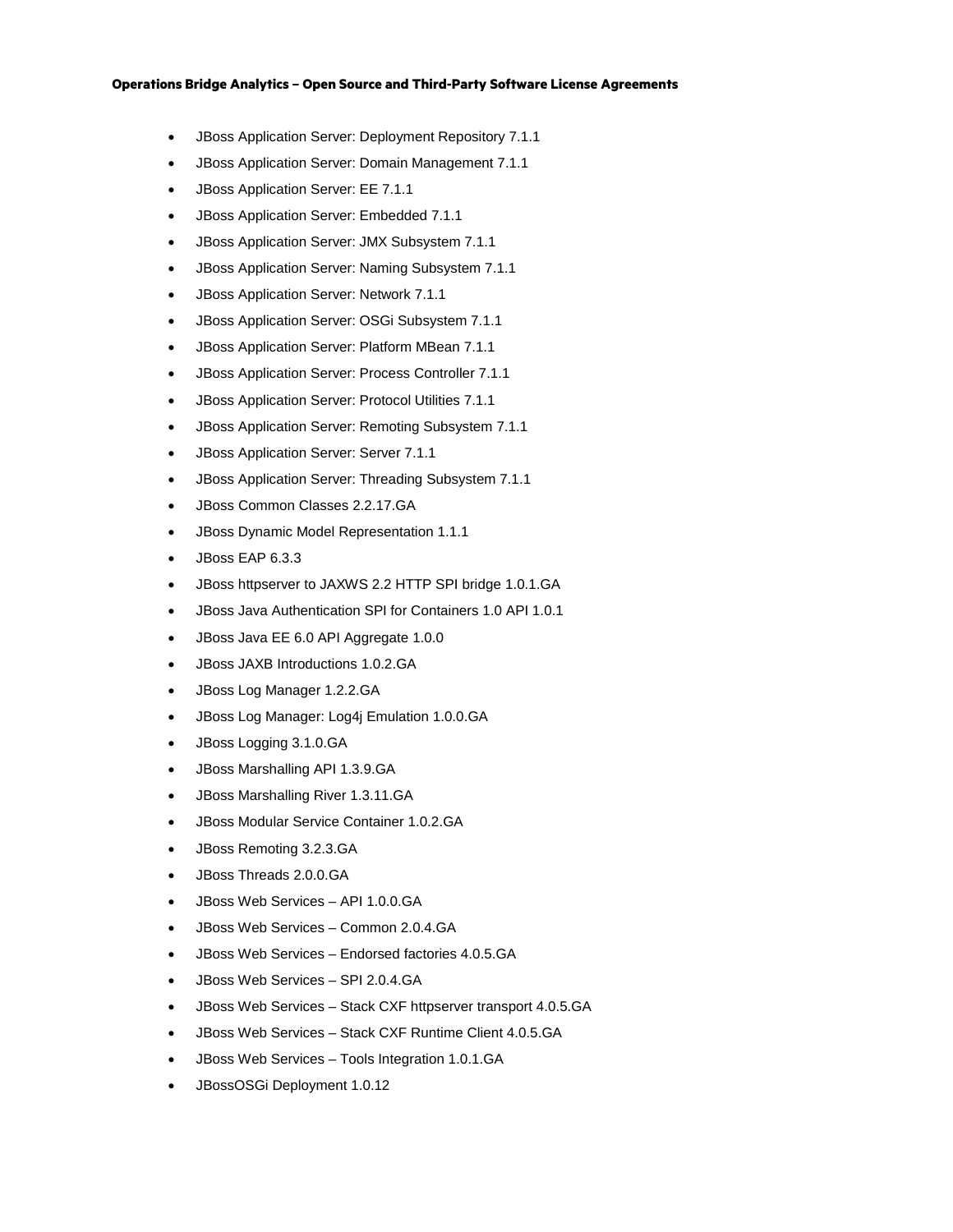- JBoss Application Server: Deployment Repository 7.1.1
- JBoss Application Server: Domain Management 7.1.1
- JBoss Application Server: EE 7.1.1
- JBoss Application Server: Embedded 7.1.1
- JBoss Application Server: JMX Subsystem 7.1.1
- JBoss Application Server: Naming Subsystem 7.1.1
- JBoss Application Server: Network 7.1.1
- JBoss Application Server: OSGi Subsystem 7.1.1
- JBoss Application Server: Platform MBean 7.1.1
- JBoss Application Server: Process Controller 7.1.1
- JBoss Application Server: Protocol Utilities 7.1.1
- JBoss Application Server: Remoting Subsystem 7.1.1
- JBoss Application Server: Server 7.1.1
- JBoss Application Server: Threading Subsystem 7.1.1
- JBoss Common Classes 2.2.17.GA
- JBoss Dynamic Model Representation 1.1.1
- JBoss EAP 6.3.3
- JBoss httpserver to JAXWS 2.2 HTTP SPI bridge 1.0.1.GA
- JBoss Java Authentication SPI for Containers 1.0 API 1.0.1
- JBoss Java EE 6.0 API Aggregate 1.0.0
- JBoss JAXB Introductions 1.0.2.GA
- JBoss Log Manager 1.2.2.GA
- JBoss Log Manager: Log4j Emulation 1.0.0.GA
- JBoss Logging 3.1.0.GA
- JBoss Marshalling API 1.3.9.GA
- JBoss Marshalling River 1.3.11.GA
- JBoss Modular Service Container 1.0.2.GA
- JBoss Remoting 3.2.3.GA
- JBoss Threads 2.0.0.GA
- JBoss Web Services API 1.0.0.GA
- JBoss Web Services Common 2.0.4.GA
- JBoss Web Services Endorsed factories 4.0.5.GA
- JBoss Web Services SPI 2.0.4.GA
- JBoss Web Services Stack CXF httpserver transport 4.0.5.GA
- JBoss Web Services Stack CXF Runtime Client 4.0.5.GA
- JBoss Web Services Tools Integration 1.0.1.GA
- JBossOSGi Deployment 1.0.12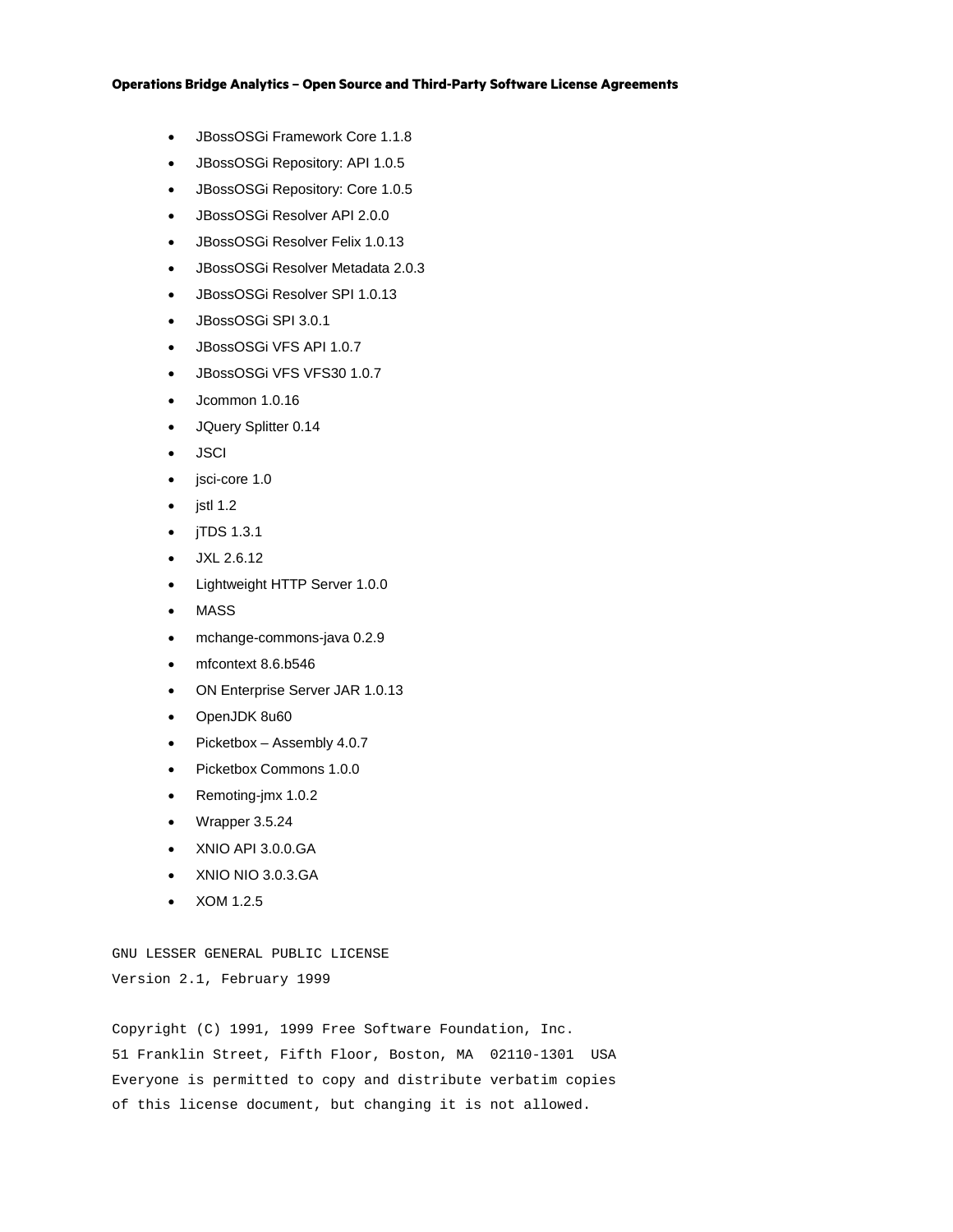- JBossOSGi Framework Core 1.1.8
- JBossOSGi Repository: API 1.0.5
- JBossOSGi Repository: Core 1.0.5
- JBossOSGi Resolver API 2.0.0
- JBossOSGi Resolver Felix 1.0.13
- JBossOSGi Resolver Metadata 2.0.3
- JBossOSGi Resolver SPI 1.0.13
- JBossOSGi SPI 3.0.1
- JBossOSGi VFS API 1.0.7
- JBossOSGi VFS VFS30 1.0.7
- Jcommon 1.0.16
- JQuery Splitter 0.14
- JSCI
- jsci-core 1.0
- $\bullet$  jstl 1.2
- jTDS 1.3.1
- JXL 2.6.12
- Lightweight HTTP Server 1.0.0
- MASS
- mchange-commons-java 0.2.9
- mfcontext 8.6.b546
- ON Enterprise Server JAR 1.0.13
- OpenJDK 8u60
- Picketbox Assembly 4.0.7
- Picketbox Commons 1.0.0
- Remoting-jmx 1.0.2
- Wrapper 3.5.24
- XNIO API 3.0.0.GA
- XNIO NIO 3.0.3.GA
- XOM 1.2.5

GNU LESSER GENERAL PUBLIC LICENSE Version 2.1, February 1999

Copyright (C) 1991, 1999 Free Software Foundation, Inc. 51 Franklin Street, Fifth Floor, Boston, MA 02110-1301 USA Everyone is permitted to copy and distribute verbatim copies of this license document, but changing it is not allowed.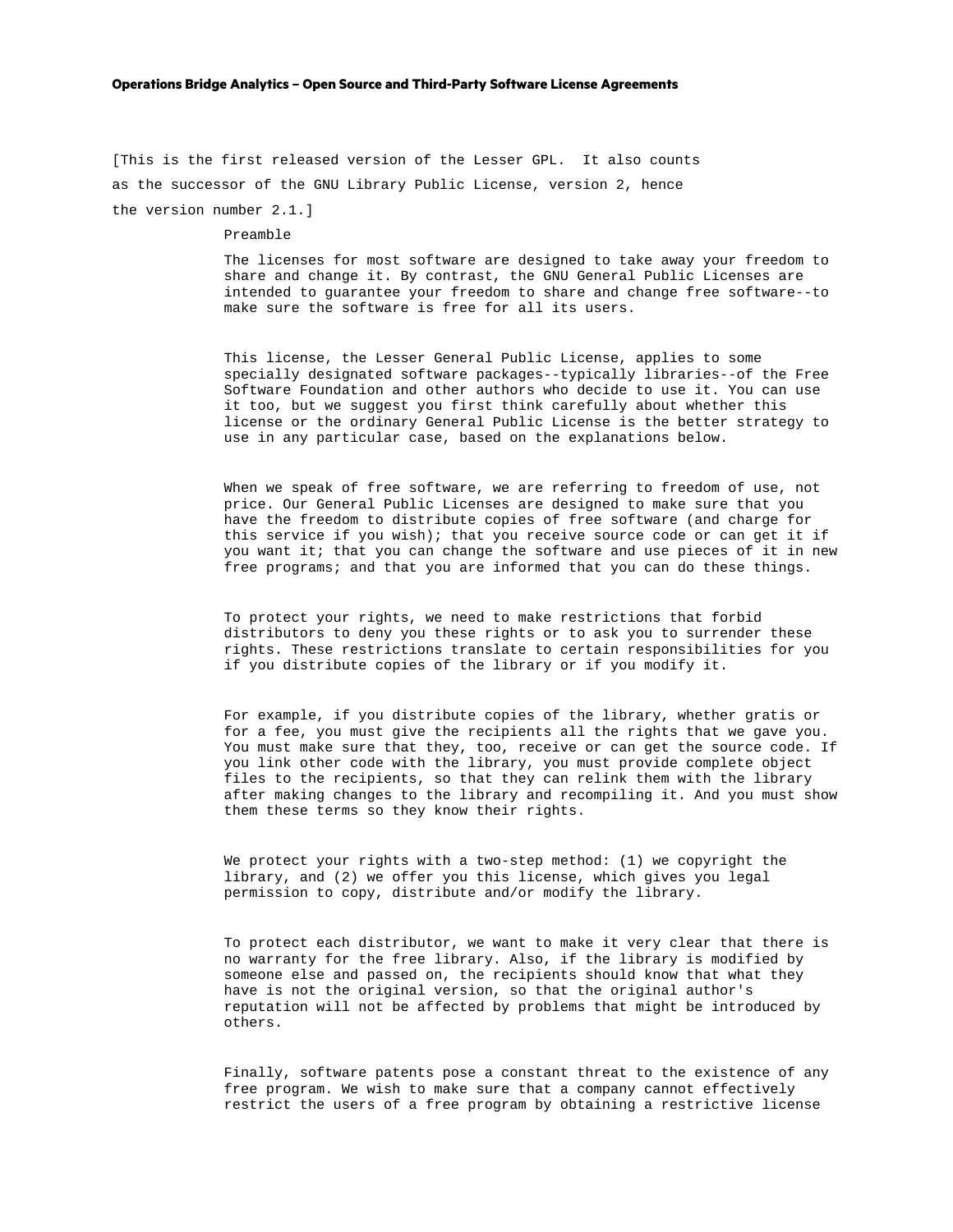[This is the first released version of the Lesser GPL. It also counts as the successor of the GNU Library Public License, version 2, hence the version number 2.1.]

Preamble

The licenses for most software are designed to take away your freedom to share and change it. By contrast, the GNU General Public Licenses are intended to guarantee your freedom to share and change free software--to make sure the software is free for all its users.

This license, the Lesser General Public License, applies to some specially designated software packages--typically libraries--of the Free Software Foundation and other authors who decide to use it. You can use it too, but we suggest you first think carefully about whether this license or the ordinary General Public License is the better strategy to use in any particular case, based on the explanations below.

When we speak of free software, we are referring to freedom of use, not price. Our General Public Licenses are designed to make sure that you have the freedom to distribute copies of free software (and charge for this service if you wish); that you receive source code or can get it if you want it; that you can change the software and use pieces of it in new free programs; and that you are informed that you can do these things.

To protect your rights, we need to make restrictions that forbid distributors to deny you these rights or to ask you to surrender these rights. These restrictions translate to certain responsibilities for you if you distribute copies of the library or if you modify it.

For example, if you distribute copies of the library, whether gratis or for a fee, you must give the recipients all the rights that we gave you. You must make sure that they, too, receive or can get the source code. If you link other code with the library, you must provide complete object files to the recipients, so that they can relink them with the library after making changes to the library and recompiling it. And you must show them these terms so they know their rights.

We protect your rights with a two-step method: (1) we copyright the library, and (2) we offer you this license, which gives you legal permission to copy, distribute and/or modify the library.

To protect each distributor, we want to make it very clear that there is no warranty for the free library. Also, if the library is modified by someone else and passed on, the recipients should know that what they have is not the original version, so that the original author's reputation will not be affected by problems that might be introduced by others.

Finally, software patents pose a constant threat to the existence of any free program. We wish to make sure that a company cannot effectively restrict the users of a free program by obtaining a restrictive license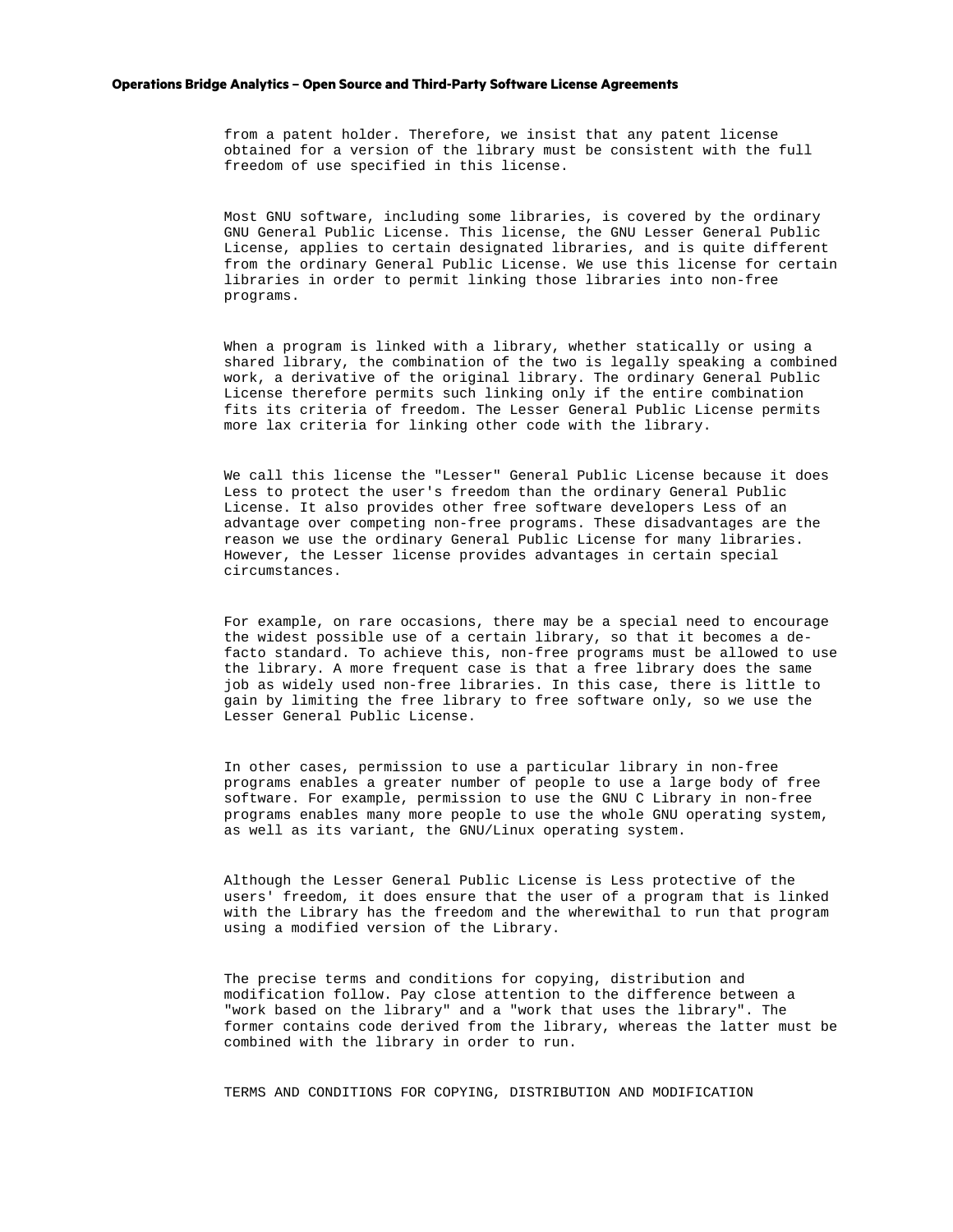from a patent holder. Therefore, we insist that any patent license obtained for a version of the library must be consistent with the full freedom of use specified in this license.

Most GNU software, including some libraries, is covered by the ordinary GNU General Public License. This license, the GNU Lesser General Public License, applies to certain designated libraries, and is quite different from the ordinary General Public License. We use this license for certain libraries in order to permit linking those libraries into non-free programs.

When a program is linked with a library, whether statically or using a shared library, the combination of the two is legally speaking a combined work, a derivative of the original library. The ordinary General Public License therefore permits such linking only if the entire combination fits its criteria of freedom. The Lesser General Public License permits more lax criteria for linking other code with the library.

We call this license the "Lesser" General Public License because it does Less to protect the user's freedom than the ordinary General Public License. It also provides other free software developers Less of an advantage over competing non-free programs. These disadvantages are the reason we use the ordinary General Public License for many libraries. However, the Lesser license provides advantages in certain special circumstances.

For example, on rare occasions, there may be a special need to encourage the widest possible use of a certain library, so that it becomes a defacto standard. To achieve this, non-free programs must be allowed to use the library. A more frequent case is that a free library does the same job as widely used non-free libraries. In this case, there is little to gain by limiting the free library to free software only, so we use the Lesser General Public License.

In other cases, permission to use a particular library in non-free programs enables a greater number of people to use a large body of free software. For example, permission to use the GNU C Library in non-free programs enables many more people to use the whole GNU operating system, as well as its variant, the GNU/Linux operating system.

Although the Lesser General Public License is Less protective of the users' freedom, it does ensure that the user of a program that is linked with the Library has the freedom and the wherewithal to run that program using a modified version of the Library.

The precise terms and conditions for copying, distribution and modification follow. Pay close attention to the difference between a "work based on the library" and a "work that uses the library". The former contains code derived from the library, whereas the latter must be combined with the library in order to run.

TERMS AND CONDITIONS FOR COPYING, DISTRIBUTION AND MODIFICATION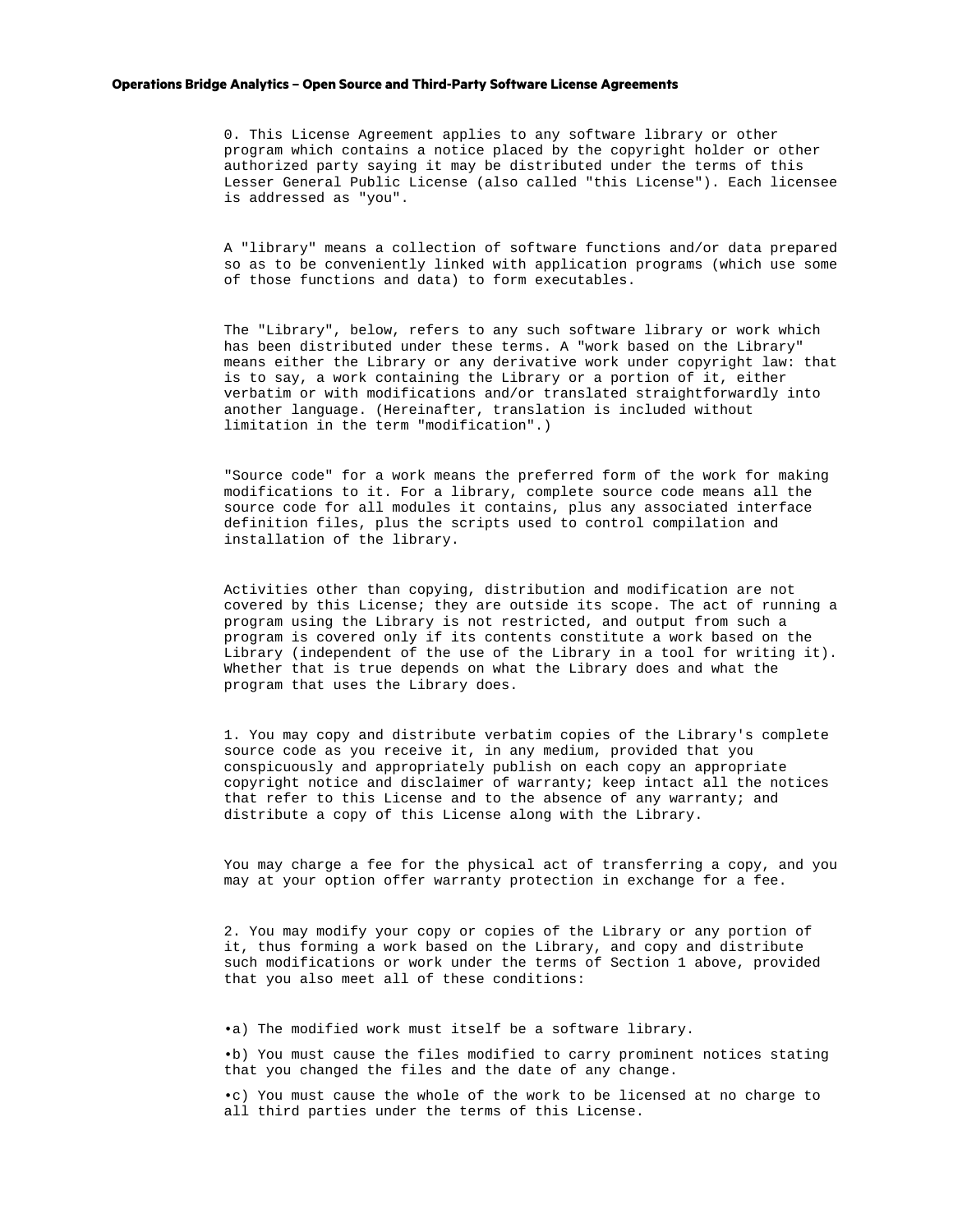0. This License Agreement applies to any software library or other program which contains a notice placed by the copyright holder or other authorized party saying it may be distributed under the terms of this Lesser General Public License (also called "this License"). Each licensee is addressed as "you".

A "library" means a collection of software functions and/or data prepared so as to be conveniently linked with application programs (which use some of those functions and data) to form executables.

The "Library", below, refers to any such software library or work which has been distributed under these terms. A "work based on the Library" means either the Library or any derivative work under copyright law: that is to say, a work containing the Library or a portion of it, either verbatim or with modifications and/or translated straightforwardly into another language. (Hereinafter, translation is included without limitation in the term "modification".)

"Source code" for a work means the preferred form of the work for making modifications to it. For a library, complete source code means all the source code for all modules it contains, plus any associated interface definition files, plus the scripts used to control compilation and installation of the library.

Activities other than copying, distribution and modification are not covered by this License; they are outside its scope. The act of running a program using the Library is not restricted, and output from such a program is covered only if its contents constitute a work based on the Library (independent of the use of the Library in a tool for writing it). Whether that is true depends on what the Library does and what the program that uses the Library does.

1. You may copy and distribute verbatim copies of the Library's complete source code as you receive it, in any medium, provided that you conspicuously and appropriately publish on each copy an appropriate copyright notice and disclaimer of warranty; keep intact all the notices that refer to this License and to the absence of any warranty; and distribute a copy of this License along with the Library.

You may charge a fee for the physical act of transferring a copy, and you may at your option offer warranty protection in exchange for a fee.

2. You may modify your copy or copies of the Library or any portion of it, thus forming a work based on the Library, and copy and distribute such modifications or work under the terms of Section 1 above, provided that you also meet all of these conditions:

•a) The modified work must itself be a software library.

•b) You must cause the files modified to carry prominent notices stating that you changed the files and the date of any change.

•c) You must cause the whole of the work to be licensed at no charge to all third parties under the terms of this License.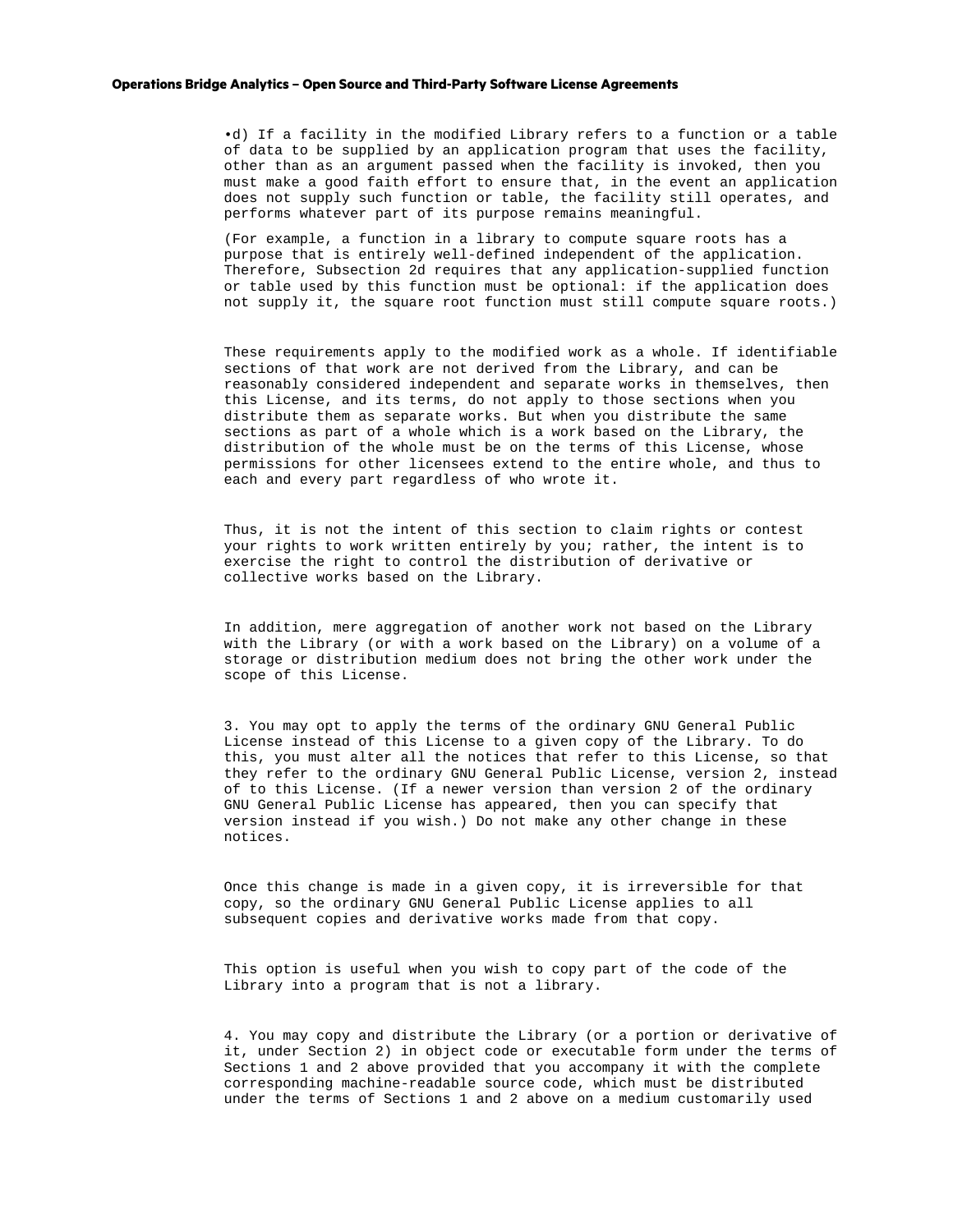•d) If a facility in the modified Library refers to a function or a table of data to be supplied by an application program that uses the facility, other than as an argument passed when the facility is invoked, then you must make a good faith effort to ensure that, in the event an application does not supply such function or table, the facility still operates, and performs whatever part of its purpose remains meaningful.

(For example, a function in a library to compute square roots has a purpose that is entirely well-defined independent of the application. Therefore, Subsection 2d requires that any application-supplied function or table used by this function must be optional: if the application does not supply it, the square root function must still compute square roots.)

These requirements apply to the modified work as a whole. If identifiable sections of that work are not derived from the Library, and can be reasonably considered independent and separate works in themselves, then this License, and its terms, do not apply to those sections when you distribute them as separate works. But when you distribute the same sections as part of a whole which is a work based on the Library, the distribution of the whole must be on the terms of this License, whose permissions for other licensees extend to the entire whole, and thus to each and every part regardless of who wrote it.

Thus, it is not the intent of this section to claim rights or contest your rights to work written entirely by you; rather, the intent is to exercise the right to control the distribution of derivative or collective works based on the Library.

In addition, mere aggregation of another work not based on the Library with the Library (or with a work based on the Library) on a volume of a storage or distribution medium does not bring the other work under the scope of this License.

3. You may opt to apply the terms of the ordinary GNU General Public License instead of this License to a given copy of the Library. To do this, you must alter all the notices that refer to this License, so that they refer to the ordinary GNU General Public License, version 2, instead of to this License. (If a newer version than version 2 of the ordinary GNU General Public License has appeared, then you can specify that version instead if you wish.) Do not make any other change in these notices.

Once this change is made in a given copy, it is irreversible for that copy, so the ordinary GNU General Public License applies to all subsequent copies and derivative works made from that copy.

This option is useful when you wish to copy part of the code of the Library into a program that is not a library.

4. You may copy and distribute the Library (or a portion or derivative of it, under Section 2) in object code or executable form under the terms of Sections 1 and 2 above provided that you accompany it with the complete corresponding machine-readable source code, which must be distributed under the terms of Sections 1 and 2 above on a medium customarily used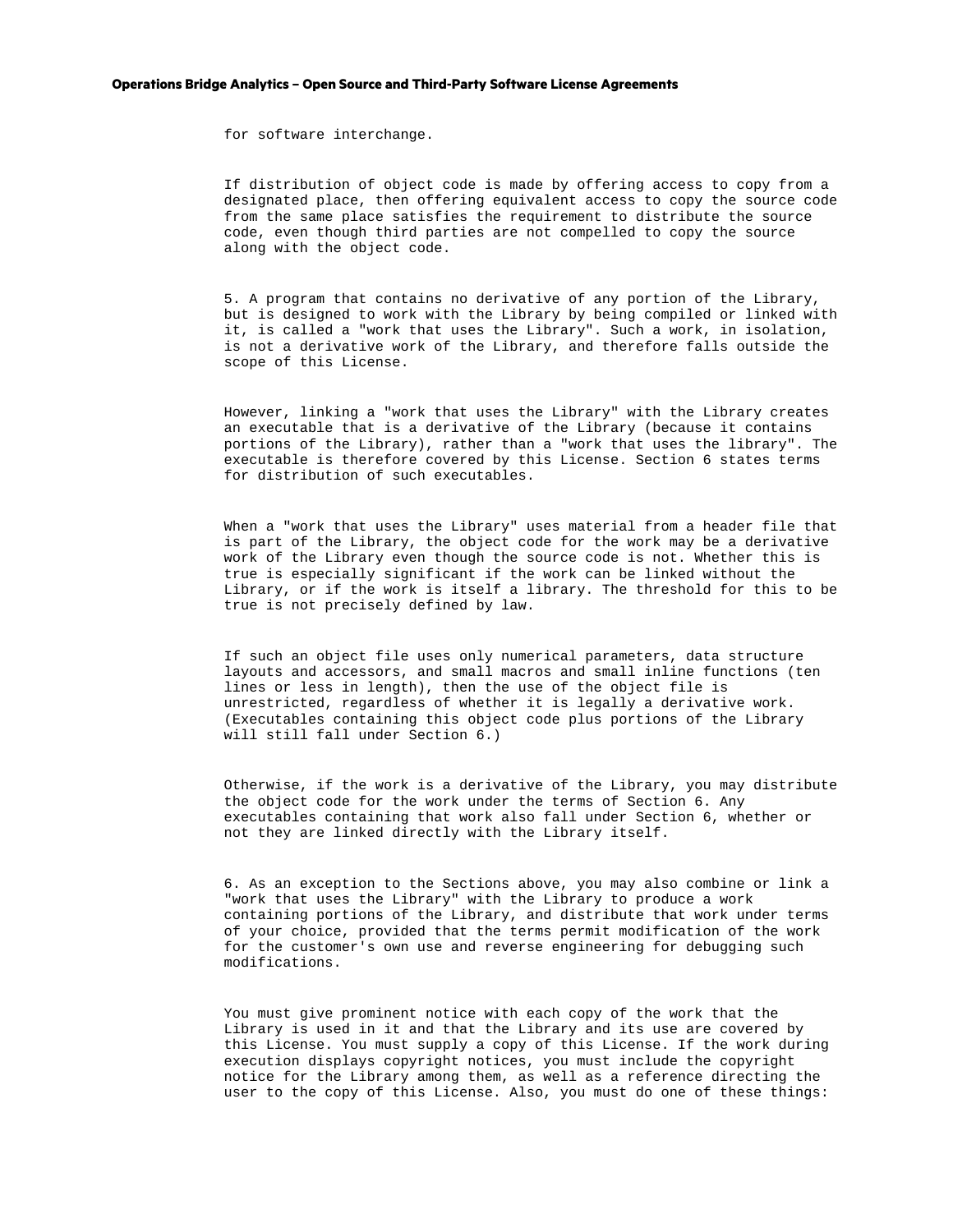for software interchange.

If distribution of object code is made by offering access to copy from a designated place, then offering equivalent access to copy the source code from the same place satisfies the requirement to distribute the source code, even though third parties are not compelled to copy the source along with the object code.

5. A program that contains no derivative of any portion of the Library, but is designed to work with the Library by being compiled or linked with it, is called a "work that uses the Library". Such a work, in isolation, is not a derivative work of the Library, and therefore falls outside the scope of this License.

However, linking a "work that uses the Library" with the Library creates an executable that is a derivative of the Library (because it contains portions of the Library), rather than a "work that uses the library". The executable is therefore covered by this License. Section 6 states terms for distribution of such executables.

When a "work that uses the Library" uses material from a header file that is part of the Library, the object code for the work may be a derivative work of the Library even though the source code is not. Whether this is true is especially significant if the work can be linked without the Library, or if the work is itself a library. The threshold for this to be true is not precisely defined by law.

If such an object file uses only numerical parameters, data structure layouts and accessors, and small macros and small inline functions (ten lines or less in length), then the use of the object file is unrestricted, regardless of whether it is legally a derivative work. (Executables containing this object code plus portions of the Library will still fall under Section 6.)

Otherwise, if the work is a derivative of the Library, you may distribute the object code for the work under the terms of Section 6. Any executables containing that work also fall under Section 6, whether or not they are linked directly with the Library itself.

6. As an exception to the Sections above, you may also combine or link a "work that uses the Library" with the Library to produce a work containing portions of the Library, and distribute that work under terms of your choice, provided that the terms permit modification of the work for the customer's own use and reverse engineering for debugging such modifications.

You must give prominent notice with each copy of the work that the Library is used in it and that the Library and its use are covered by this License. You must supply a copy of this License. If the work during execution displays copyright notices, you must include the copyright notice for the Library among them, as well as a reference directing the user to the copy of this License. Also, you must do one of these things: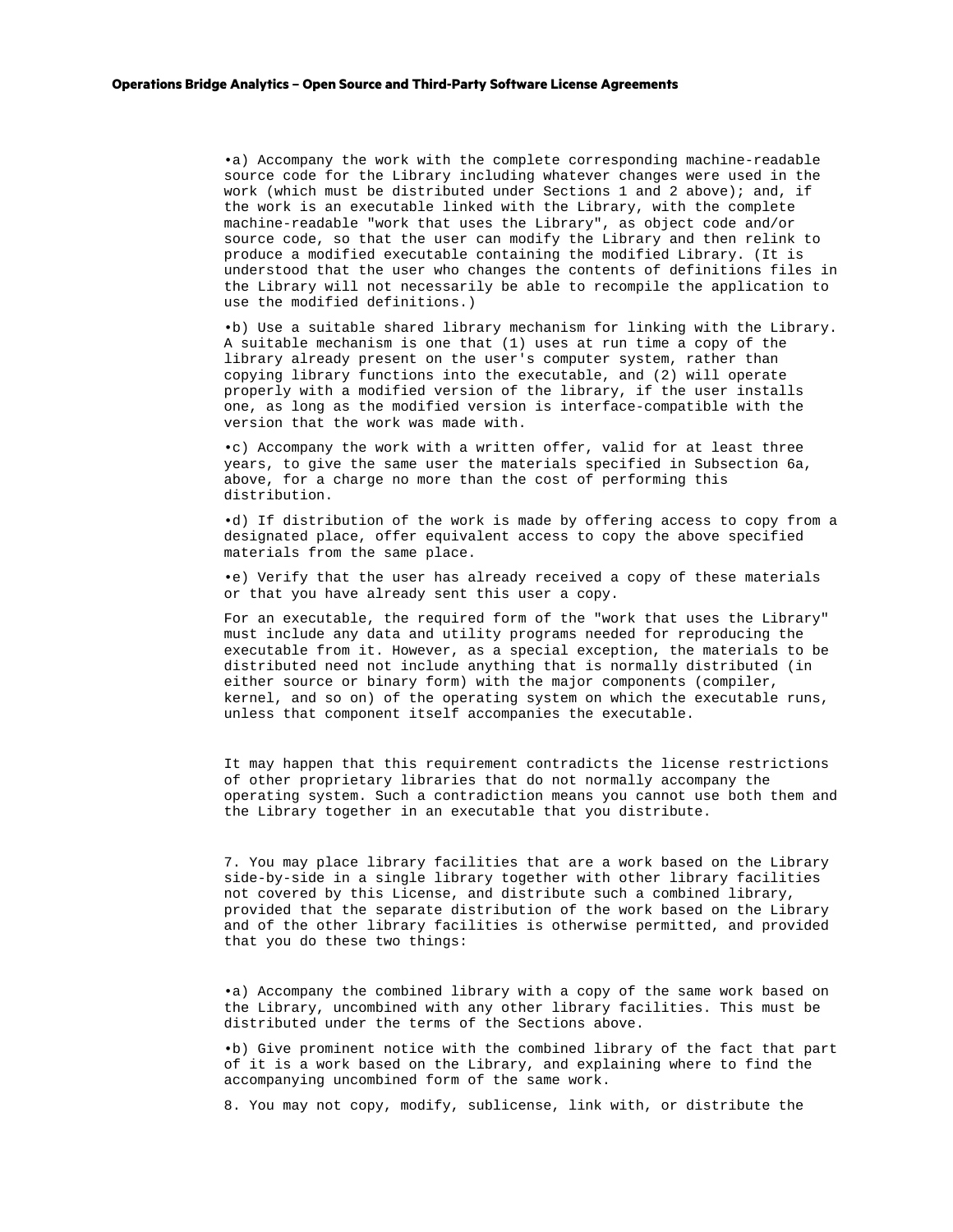•a) Accompany the work with the complete corresponding machine-readable source code for the Library including whatever changes were used in the work (which must be distributed under Sections 1 and 2 above); and, if the work is an executable linked with the Library, with the complete machine-readable "work that uses the Library", as object code and/or source code, so that the user can modify the Library and then relink to produce a modified executable containing the modified Library. (It is understood that the user who changes the contents of definitions files in the Library will not necessarily be able to recompile the application to use the modified definitions.)

•b) Use a suitable shared library mechanism for linking with the Library. A suitable mechanism is one that (1) uses at run time a copy of the library already present on the user's computer system, rather than copying library functions into the executable, and (2) will operate properly with a modified version of the library, if the user installs one, as long as the modified version is interface-compatible with the version that the work was made with.

•c) Accompany the work with a written offer, valid for at least three years, to give the same user the materials specified in Subsection 6a, above, for a charge no more than the cost of performing this distribution.

•d) If distribution of the work is made by offering access to copy from a designated place, offer equivalent access to copy the above specified materials from the same place.

•e) Verify that the user has already received a copy of these materials or that you have already sent this user a copy.

For an executable, the required form of the "work that uses the Library" must include any data and utility programs needed for reproducing the executable from it. However, as a special exception, the materials to be distributed need not include anything that is normally distributed (in either source or binary form) with the major components (compiler, kernel, and so on) of the operating system on which the executable runs, unless that component itself accompanies the executable.

It may happen that this requirement contradicts the license restrictions of other proprietary libraries that do not normally accompany the operating system. Such a contradiction means you cannot use both them and the Library together in an executable that you distribute.

7. You may place library facilities that are a work based on the Library side-by-side in a single library together with other library facilities not covered by this License, and distribute such a combined library, provided that the separate distribution of the work based on the Library and of the other library facilities is otherwise permitted, and provided that you do these two things:

•a) Accompany the combined library with a copy of the same work based on the Library, uncombined with any other library facilities. This must be distributed under the terms of the Sections above.

•b) Give prominent notice with the combined library of the fact that part of it is a work based on the Library, and explaining where to find the accompanying uncombined form of the same work.

8. You may not copy, modify, sublicense, link with, or distribute the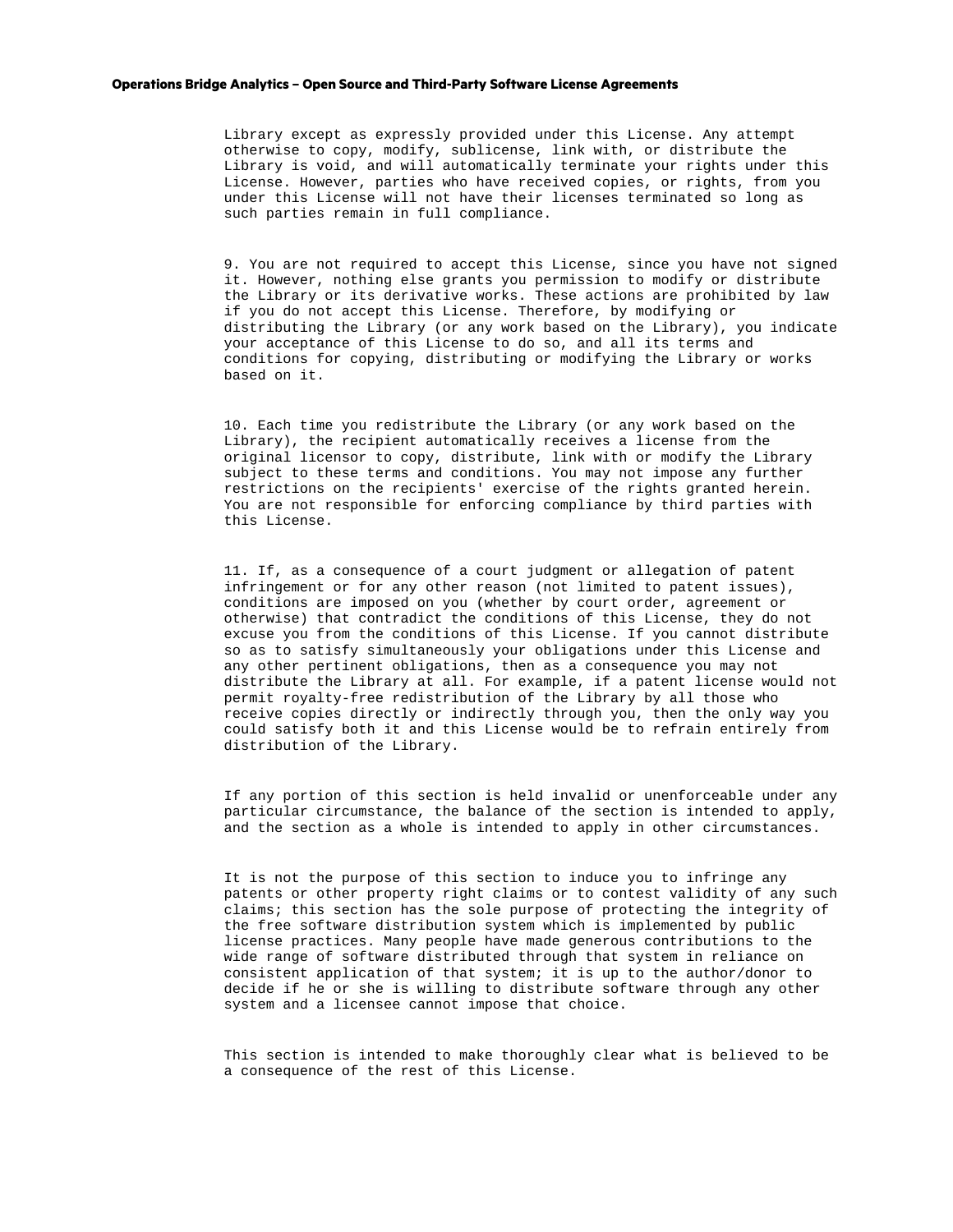Library except as expressly provided under this License. Any attempt otherwise to copy, modify, sublicense, link with, or distribute the Library is void, and will automatically terminate your rights under this License. However, parties who have received copies, or rights, from you under this License will not have their licenses terminated so long as such parties remain in full compliance.

9. You are not required to accept this License, since you have not signed it. However, nothing else grants you permission to modify or distribute the Library or its derivative works. These actions are prohibited by law if you do not accept this License. Therefore, by modifying or distributing the Library (or any work based on the Library), you indicate your acceptance of this License to do so, and all its terms and conditions for copying, distributing or modifying the Library or works based on it.

10. Each time you redistribute the Library (or any work based on the Library), the recipient automatically receives a license from the original licensor to copy, distribute, link with or modify the Library subject to these terms and conditions. You may not impose any further restrictions on the recipients' exercise of the rights granted herein. You are not responsible for enforcing compliance by third parties with this License.

11. If, as a consequence of a court judgment or allegation of patent infringement or for any other reason (not limited to patent issues), conditions are imposed on you (whether by court order, agreement or otherwise) that contradict the conditions of this License, they do not excuse you from the conditions of this License. If you cannot distribute so as to satisfy simultaneously your obligations under this License and any other pertinent obligations, then as a consequence you may not distribute the Library at all. For example, if a patent license would not permit royalty-free redistribution of the Library by all those who receive copies directly or indirectly through you, then the only way you could satisfy both it and this License would be to refrain entirely from distribution of the Library.

If any portion of this section is held invalid or unenforceable under any particular circumstance, the balance of the section is intended to apply, and the section as a whole is intended to apply in other circumstances.

It is not the purpose of this section to induce you to infringe any patents or other property right claims or to contest validity of any such claims; this section has the sole purpose of protecting the integrity of the free software distribution system which is implemented by public license practices. Many people have made generous contributions to the wide range of software distributed through that system in reliance on consistent application of that system; it is up to the author/donor to decide if he or she is willing to distribute software through any other system and a licensee cannot impose that choice.

This section is intended to make thoroughly clear what is believed to be a consequence of the rest of this License.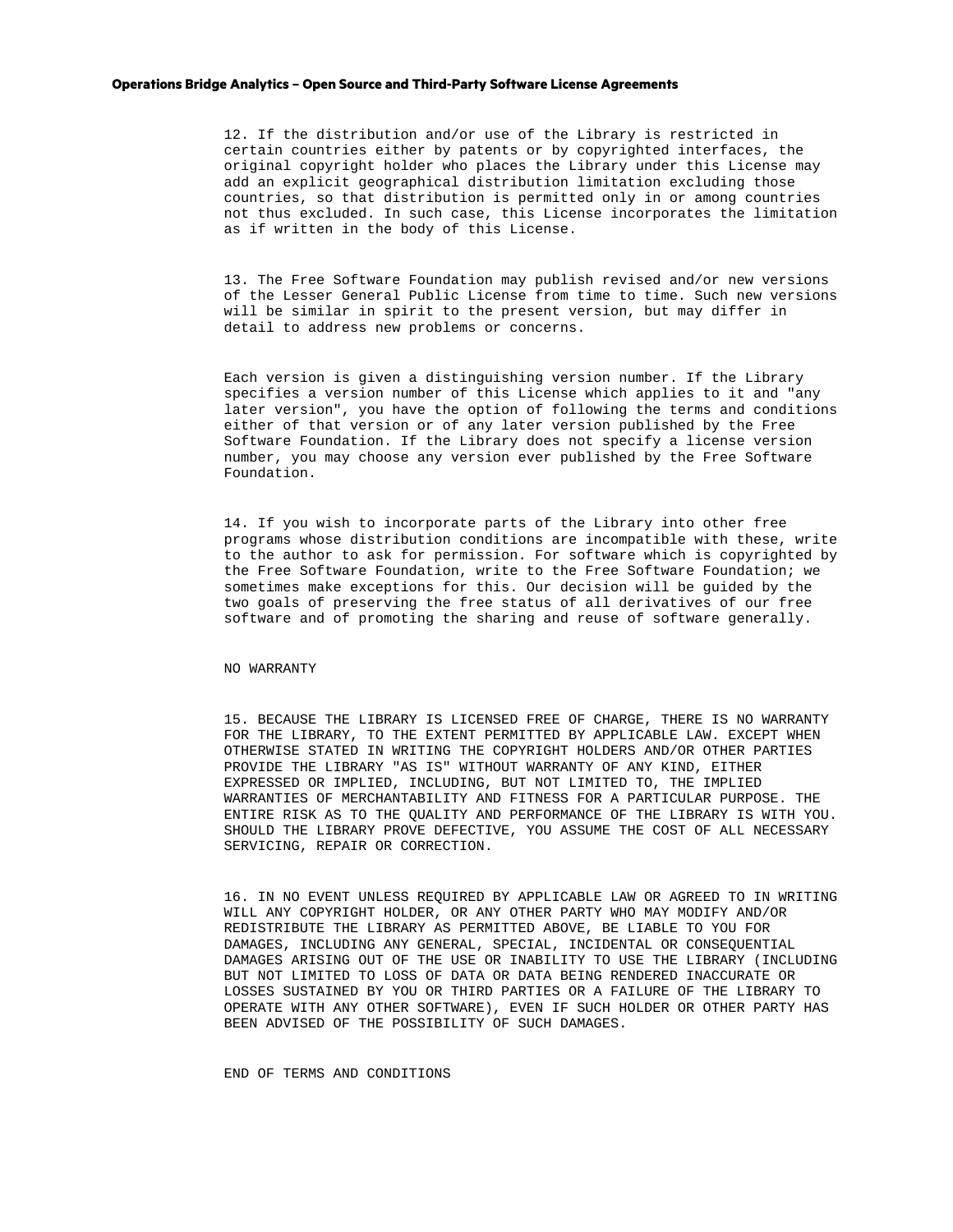12. If the distribution and/or use of the Library is restricted in certain countries either by patents or by copyrighted interfaces, the original copyright holder who places the Library under this License may add an explicit geographical distribution limitation excluding those countries, so that distribution is permitted only in or among countries not thus excluded. In such case, this License incorporates the limitation as if written in the body of this License.

13. The Free Software Foundation may publish revised and/or new versions of the Lesser General Public License from time to time. Such new versions will be similar in spirit to the present version, but may differ in detail to address new problems or concerns.

Each version is given a distinguishing version number. If the Library specifies a version number of this License which applies to it and "any later version", you have the option of following the terms and conditions either of that version or of any later version published by the Free Software Foundation. If the Library does not specify a license version number, you may choose any version ever published by the Free Software Foundation.

14. If you wish to incorporate parts of the Library into other free programs whose distribution conditions are incompatible with these, write to the author to ask for permission. For software which is copyrighted by the Free Software Foundation, write to the Free Software Foundation; we sometimes make exceptions for this. Our decision will be guided by the two goals of preserving the free status of all derivatives of our free software and of promoting the sharing and reuse of software generally.

NO WARRANTY

15. BECAUSE THE LIBRARY IS LICENSED FREE OF CHARGE, THERE IS NO WARRANTY FOR THE LIBRARY, TO THE EXTENT PERMITTED BY APPLICABLE LAW. EXCEPT WHEN OTHERWISE STATED IN WRITING THE COPYRIGHT HOLDERS AND/OR OTHER PARTIES PROVIDE THE LIBRARY "AS IS" WITHOUT WARRANTY OF ANY KIND, EITHER EXPRESSED OR IMPLIED, INCLUDING, BUT NOT LIMITED TO, THE IMPLIED WARRANTIES OF MERCHANTABILITY AND FITNESS FOR A PARTICULAR PURPOSE. THE ENTIRE RISK AS TO THE QUALITY AND PERFORMANCE OF THE LIBRARY IS WITH YOU. SHOULD THE LIBRARY PROVE DEFECTIVE, YOU ASSUME THE COST OF ALL NECESSARY SERVICING, REPAIR OR CORRECTION.

16. IN NO EVENT UNLESS REQUIRED BY APPLICABLE LAW OR AGREED TO IN WRITING WILL ANY COPYRIGHT HOLDER, OR ANY OTHER PARTY WHO MAY MODIFY AND/OR REDISTRIBUTE THE LIBRARY AS PERMITTED ABOVE, BE LIABLE TO YOU FOR DAMAGES, INCLUDING ANY GENERAL, SPECIAL, INCIDENTAL OR CONSEQUENTIAL DAMAGES ARISING OUT OF THE USE OR INABILITY TO USE THE LIBRARY (INCLUDING BUT NOT LIMITED TO LOSS OF DATA OR DATA BEING RENDERED INACCURATE OR LOSSES SUSTAINED BY YOU OR THIRD PARTIES OR A FAILURE OF THE LIBRARY TO OPERATE WITH ANY OTHER SOFTWARE), EVEN IF SUCH HOLDER OR OTHER PARTY HAS BEEN ADVISED OF THE POSSIBILITY OF SUCH DAMAGES.

END OF TERMS AND CONDITIONS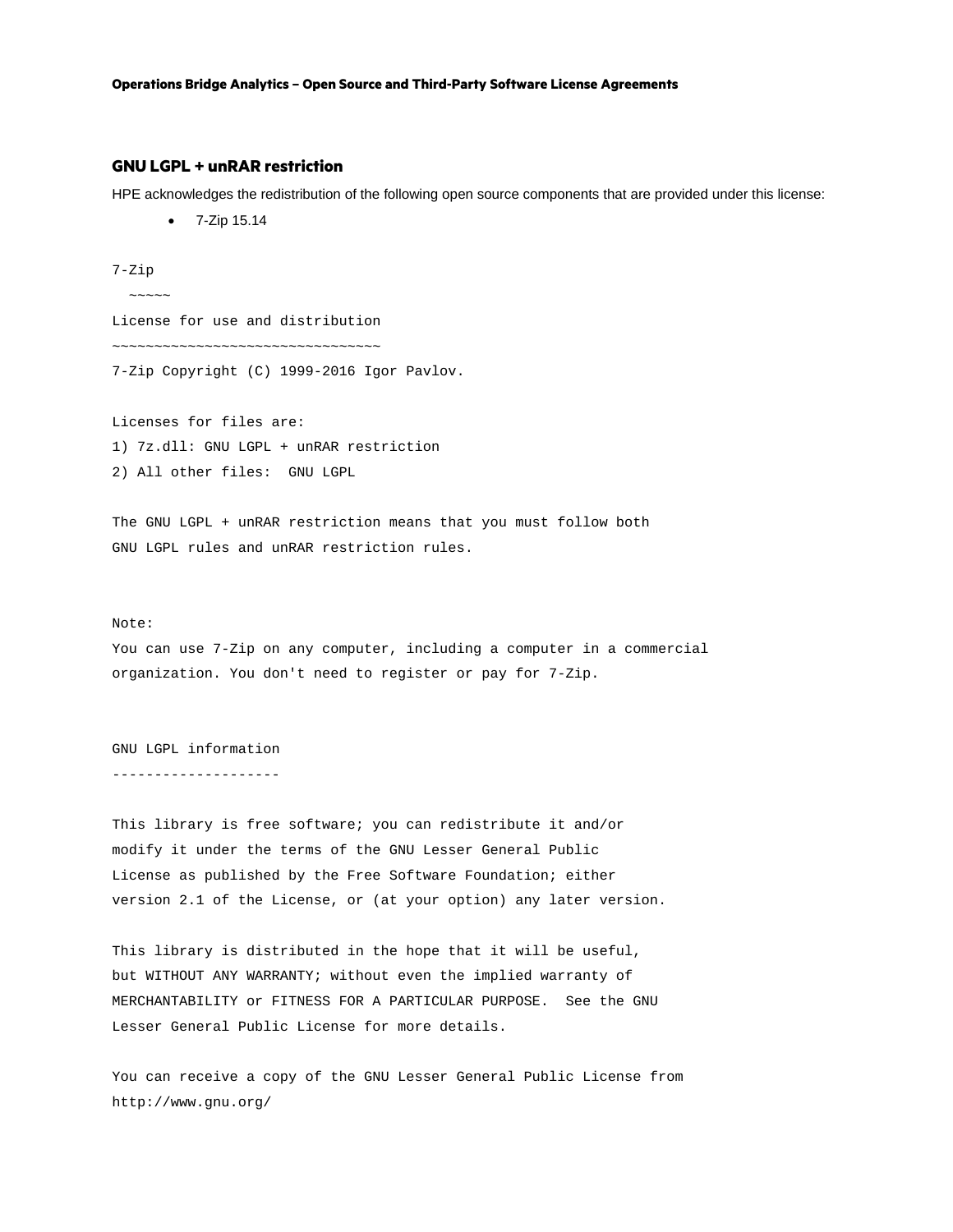# **GNU LGPL + unRAR restriction**

HPE acknowledges the redistribution of the following open source components that are provided under this license:

• 7-Zip 15.14

7-Zip

 $\sim\sim\sim\sim\sim$ 

License for use and distribution ~~~~~~~~~~~~~~~~~~~~~~~~~~~~~~~~ 7-Zip Copyright (C) 1999-2016 Igor Pavlov.

Licenses for files are:

1) 7z.dll: GNU LGPL + unRAR restriction

2) All other files: GNU LGPL

The GNU LGPL + unRAR restriction means that you must follow both GNU LGPL rules and unRAR restriction rules.

#### Note:

You can use 7-Zip on any computer, including a computer in a commercial organization. You don't need to register or pay for 7-Zip.

GNU LGPL information --------------------

This library is free software; you can redistribute it and/or modify it under the terms of the GNU Lesser General Public License as published by the Free Software Foundation; either version 2.1 of the License, or (at your option) any later version.

This library is distributed in the hope that it will be useful, but WITHOUT ANY WARRANTY; without even the implied warranty of MERCHANTABILITY or FITNESS FOR A PARTICULAR PURPOSE. See the GNU Lesser General Public License for more details.

You can receive a copy of the GNU Lesser General Public License from http://www.gnu.org/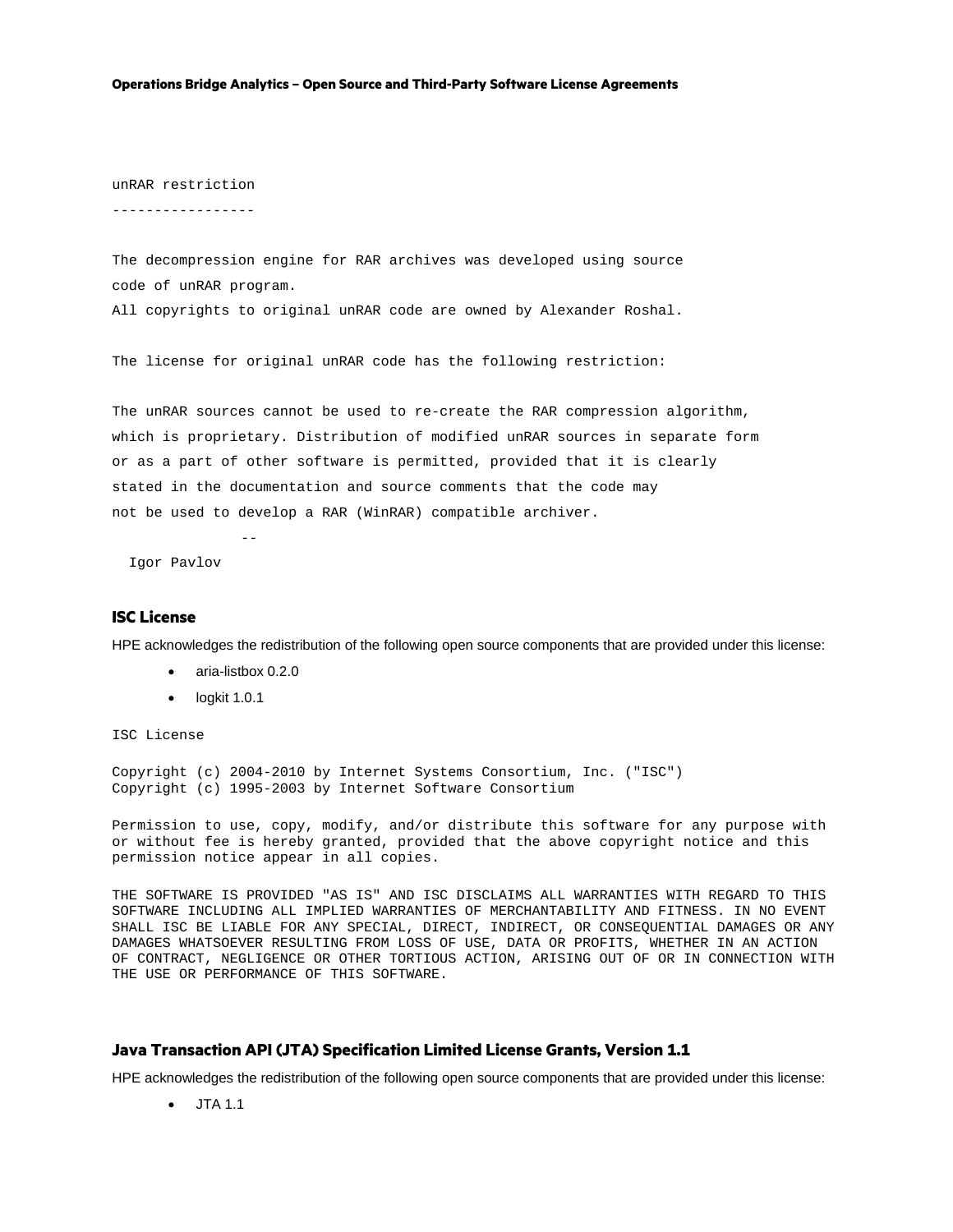unRAR restriction

-----------------

The decompression engine for RAR archives was developed using source code of unRAR program.

All copyrights to original unRAR code are owned by Alexander Roshal.

The license for original unRAR code has the following restriction:

The unRAR sources cannot be used to re-create the RAR compression algorithm, which is proprietary. Distribution of modified unRAR sources in separate form or as a part of other software is permitted, provided that it is clearly stated in the documentation and source comments that the code may not be used to develop a RAR (WinRAR) compatible archiver.

Igor Pavlov

# **ISC License**

HPE acknowledges the redistribution of the following open source components that are provided under this license:

• aria-listbox 0.2.0

 $---$ 

 $\bullet$  logkit 1.0.1

ISC License

Copyright (c) 2004-2010 by Internet Systems Consortium, Inc. ("ISC") Copyright (c) 1995-2003 by Internet Software Consortium

Permission to use, copy, modify, and/or distribute this software for any purpose with or without fee is hereby granted, provided that the above copyright notice and this permission notice appear in all copies.

THE SOFTWARE IS PROVIDED "AS IS" AND ISC DISCLAIMS ALL WARRANTIES WITH REGARD TO THIS SOFTWARE INCLUDING ALL IMPLIED WARRANTIES OF MERCHANTABILITY AND FITNESS. IN NO EVENT SHALL ISC BE LIABLE FOR ANY SPECIAL, DIRECT, INDIRECT, OR CONSEQUENTIAL DAMAGES OR ANY DAMAGES WHATSOEVER RESULTING FROM LOSS OF USE, DATA OR PROFITS, WHETHER IN AN ACTION OF CONTRACT, NEGLIGENCE OR OTHER TORTIOUS ACTION, ARISING OUT OF OR IN CONNECTION WITH THE USE OR PERFORMANCE OF THIS SOFTWARE.

## **Java Transaction API (JTA) Specification Limited License Grants, Version 1.1**

HPE acknowledges the redistribution of the following open source components that are provided under this license:

• JTA 1.1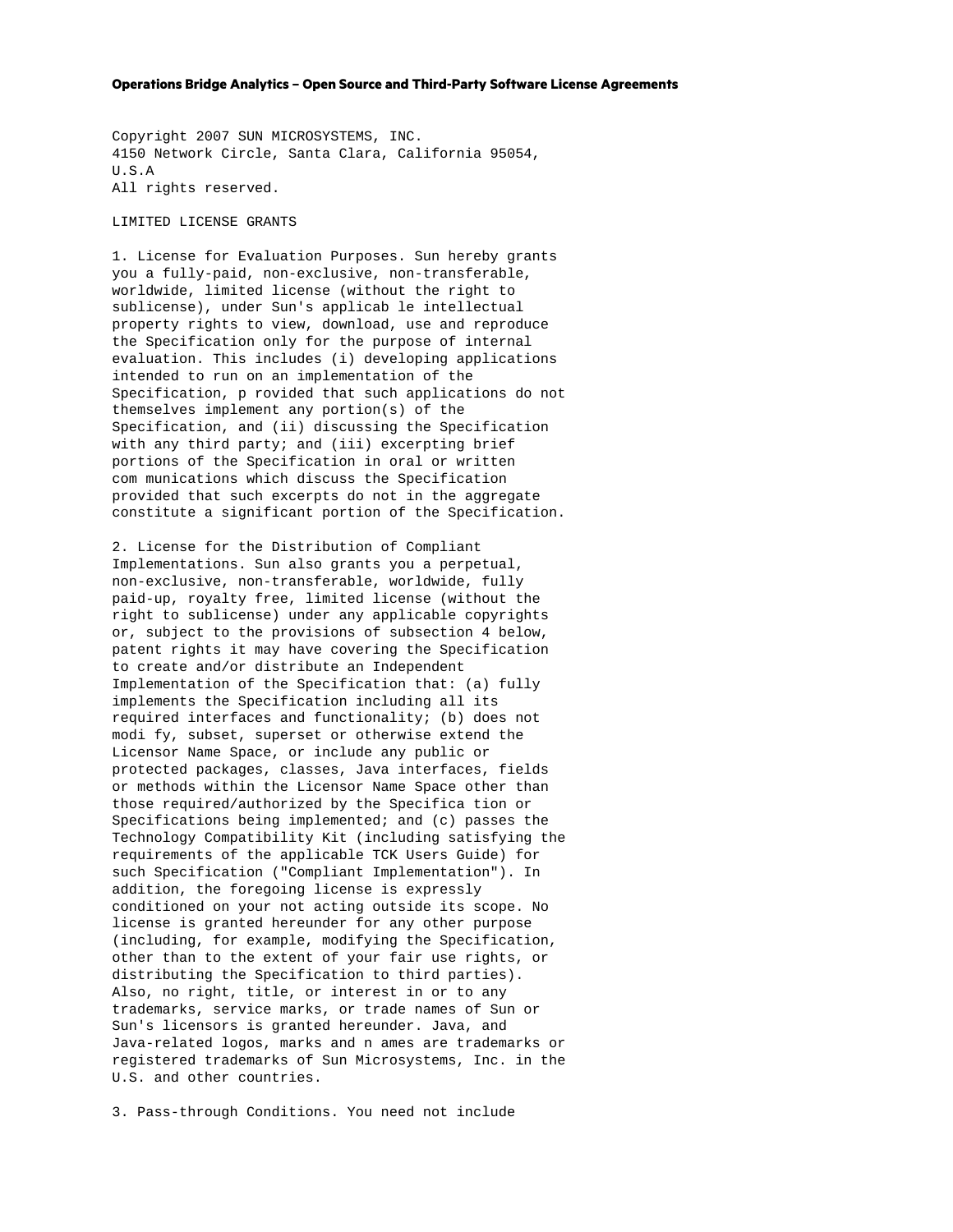Copyright 2007 SUN MICROSYSTEMS, INC. 4150 Network Circle, Santa Clara, California 95054, U.S.A All rights reserved.

LIMITED LICENSE GRANTS

1. License for Evaluation Purposes. Sun hereby grants you a fully-paid, non-exclusive, non-transferable, worldwide, limited license (without the right to sublicense), under Sun's applicab le intellectual property rights to view, download, use and reproduce the Specification only for the purpose of internal evaluation. This includes (i) developing applications intended to run on an implementation of the Specification, p rovided that such applications do not themselves implement any portion(s) of the Specification, and (ii) discussing the Specification with any third party; and (iii) excerpting brief portions of the Specification in oral or written com munications which discuss the Specification provided that such excerpts do not in the aggregate constitute a significant portion of the Specification.

2. License for the Distribution of Compliant Implementations. Sun also grants you a perpetual, non-exclusive, non-transferable, worldwide, fully paid-up, royalty free, limited license (without the right to sublicense) under any applicable copyrights or, subject to the provisions of subsection 4 below, patent rights it may have covering the Specification to create and/or distribute an Independent Implementation of the Specification that: (a) fully implements the Specification including all its required interfaces and functionality; (b) does not modi fy, subset, superset or otherwise extend the Licensor Name Space, or include any public or protected packages, classes, Java interfaces, fields or methods within the Licensor Name Space other than those required/authorized by the Specifica tion or Specifications being implemented; and (c) passes the Technology Compatibility Kit (including satisfying the requirements of the applicable TCK Users Guide) for such Specification ("Compliant Implementation"). In addition, the foregoing license is expressly conditioned on your not acting outside its scope. No license is granted hereunder for any other purpose (including, for example, modifying the Specification, other than to the extent of your fair use rights, or distributing the Specification to third parties). Also, no right, title, or interest in or to any trademarks, service marks, or trade names of Sun or Sun's licensors is granted hereunder. Java, and Java-related logos, marks and n ames are trademarks or registered trademarks of Sun Microsystems, Inc. in the U.S. and other countries.

3. Pass-through Conditions. You need not include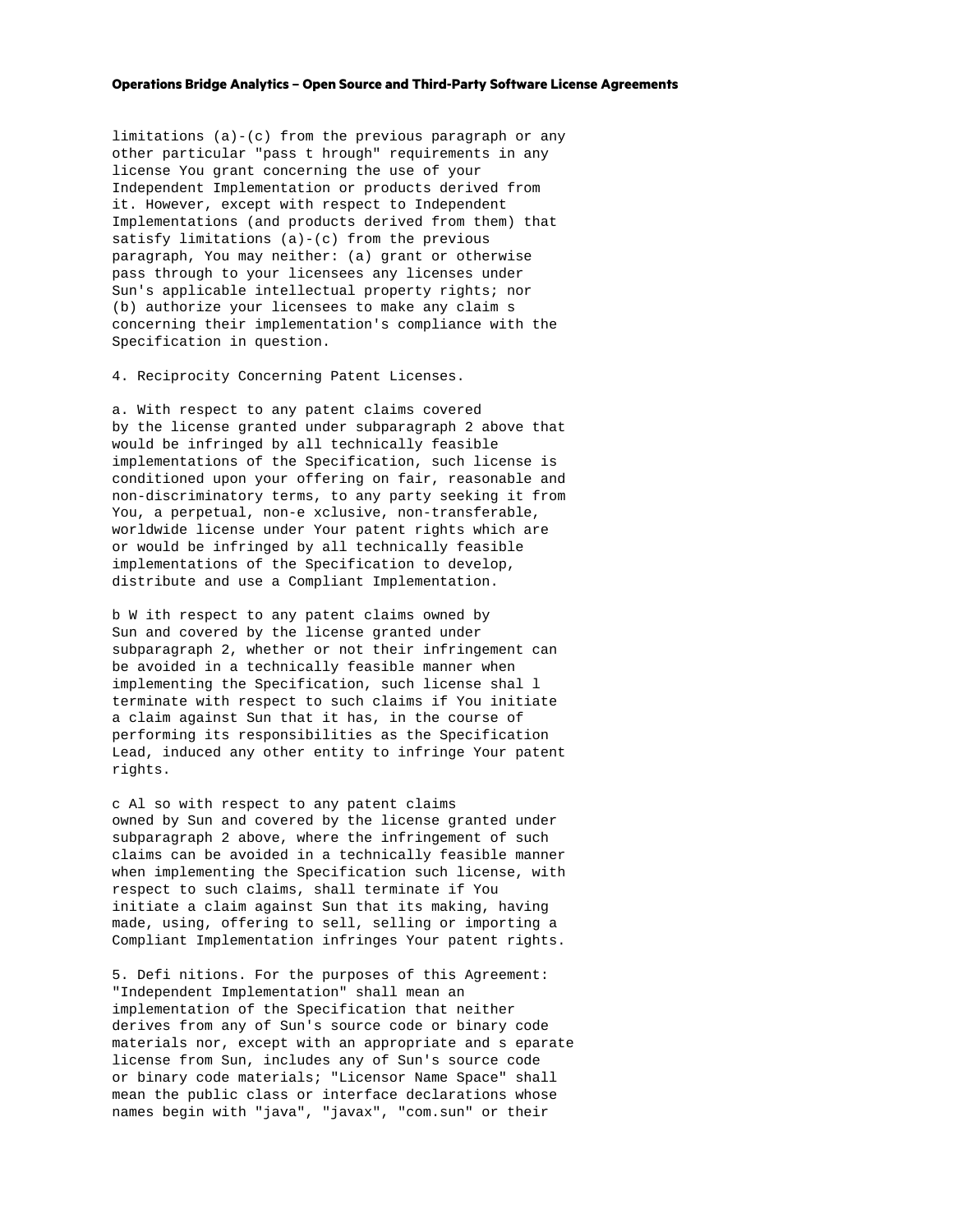limitations (a)-(c) from the previous paragraph or any other particular "pass t hrough" requirements in any license You grant concerning the use of your Independent Implementation or products derived from it. However, except with respect to Independent Implementations (and products derived from them) that satisfy limitations (a)-(c) from the previous paragraph, You may neither: (a) grant or otherwise pass through to your licensees any licenses under Sun's applicable intellectual property rights; nor (b) authorize your licensees to make any claim s concerning their implementation's compliance with the Specification in question.

4. Reciprocity Concerning Patent Licenses.

a. With respect to any patent claims covered by the license granted under subparagraph 2 above that would be infringed by all technically feasible implementations of the Specification, such license is conditioned upon your offering on fair, reasonable and non-discriminatory terms, to any party seeking it from You, a perpetual, non-e xclusive, non-transferable, worldwide license under Your patent rights which are or would be infringed by all technically feasible implementations of the Specification to develop, distribute and use a Compliant Implementation.

b W ith respect to any patent claims owned by Sun and covered by the license granted under subparagraph 2, whether or not their infringement can be avoided in a technically feasible manner when implementing the Specification, such license shal l terminate with respect to such claims if You initiate a claim against Sun that it has, in the course of performing its responsibilities as the Specification Lead, induced any other entity to infringe Your patent rights.

c Al so with respect to any patent claims owned by Sun and covered by the license granted under subparagraph 2 above, where the infringement of such claims can be avoided in a technically feasible manner when implementing the Specification such license, with respect to such claims, shall terminate if You initiate a claim against Sun that its making, having made, using, offering to sell, selling or importing a Compliant Implementation infringes Your patent rights.

5. Defi nitions. For the purposes of this Agreement: "Independent Implementation" shall mean an implementation of the Specification that neither derives from any of Sun's source code or binary code materials nor, except with an appropriate and s eparate license from Sun, includes any of Sun's source code or binary code materials; "Licensor Name Space" shall mean the public class or interface declarations whose names begin with "java", "javax", "com.sun" or their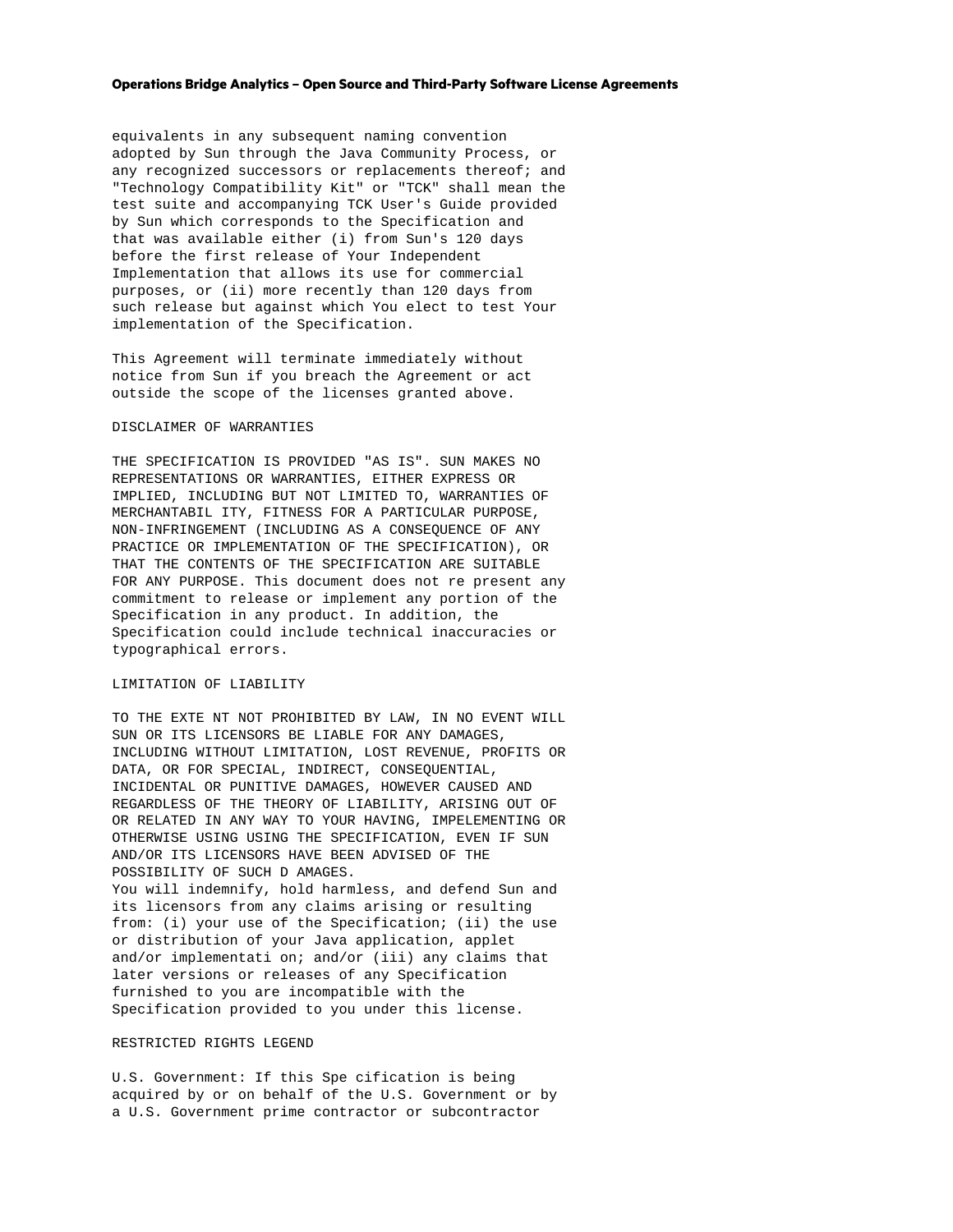equivalents in any subsequent naming convention adopted by Sun through the Java Community Process, or any recognized successors or replacements thereof; and "Technology Compatibility Kit" or "TCK" shall mean the test suite and accompanying TCK User's Guide provided by Sun which corresponds to the Specification and that was available either (i) from Sun's 120 days before the first release of Your Independent Implementation that allows its use for commercial purposes, or (ii) more recently than 120 days from such release but against which You elect to test Your implementation of the Specification.

This Agreement will terminate immediately without notice from Sun if you breach the Agreement or act outside the scope of the licenses granted above.

## DISCLAIMER OF WARRANTIES

THE SPECIFICATION IS PROVIDED "AS IS". SUN MAKES NO REPRESENTATIONS OR WARRANTIES, EITHER EXPRESS OR IMPLIED, INCLUDING BUT NOT LIMITED TO, WARRANTIES OF MERCHANTABIL ITY, FITNESS FOR A PARTICULAR PURPOSE, NON-INFRINGEMENT (INCLUDING AS A CONSEQUENCE OF ANY PRACTICE OR IMPLEMENTATION OF THE SPECIFICATION), OR THAT THE CONTENTS OF THE SPECIFICATION ARE SUITABLE FOR ANY PURPOSE. This document does not re present any commitment to release or implement any portion of the Specification in any product. In addition, the Specification could include technical inaccuracies or typographical errors.

#### LIMITATION OF LIABILITY

TO THE EXTE NT NOT PROHIBITED BY LAW, IN NO EVENT WILL SUN OR ITS LICENSORS BE LIABLE FOR ANY DAMAGES, INCLUDING WITHOUT LIMITATION, LOST REVENUE, PROFITS OR DATA, OR FOR SPECIAL, INDIRECT, CONSEQUENTIAL, INCIDENTAL OR PUNITIVE DAMAGES, HOWEVER CAUSED AND REGARDLESS OF THE THEORY OF LIABILITY, ARISING OUT OF OR RELATED IN ANY WAY TO YOUR HAVING, IMPELEMENTING OR OTHERWISE USING USING THE SPECIFICATION, EVEN IF SUN AND/OR ITS LICENSORS HAVE BEEN ADVISED OF THE POSSIBILITY OF SUCH D AMAGES. You will indemnify, hold harmless, and defend Sun and its licensors from any claims arising or resulting from: (i) your use of the Specification; (ii) the use or distribution of your Java application, applet and/or implementati on; and/or (iii) any claims that later versions or releases of any Specification furnished to you are incompatible with the Specification provided to you under this license.

### RESTRICTED RIGHTS LEGEND

U.S. Government: If this Spe cification is being acquired by or on behalf of the U.S. Government or by a U.S. Government prime contractor or subcontractor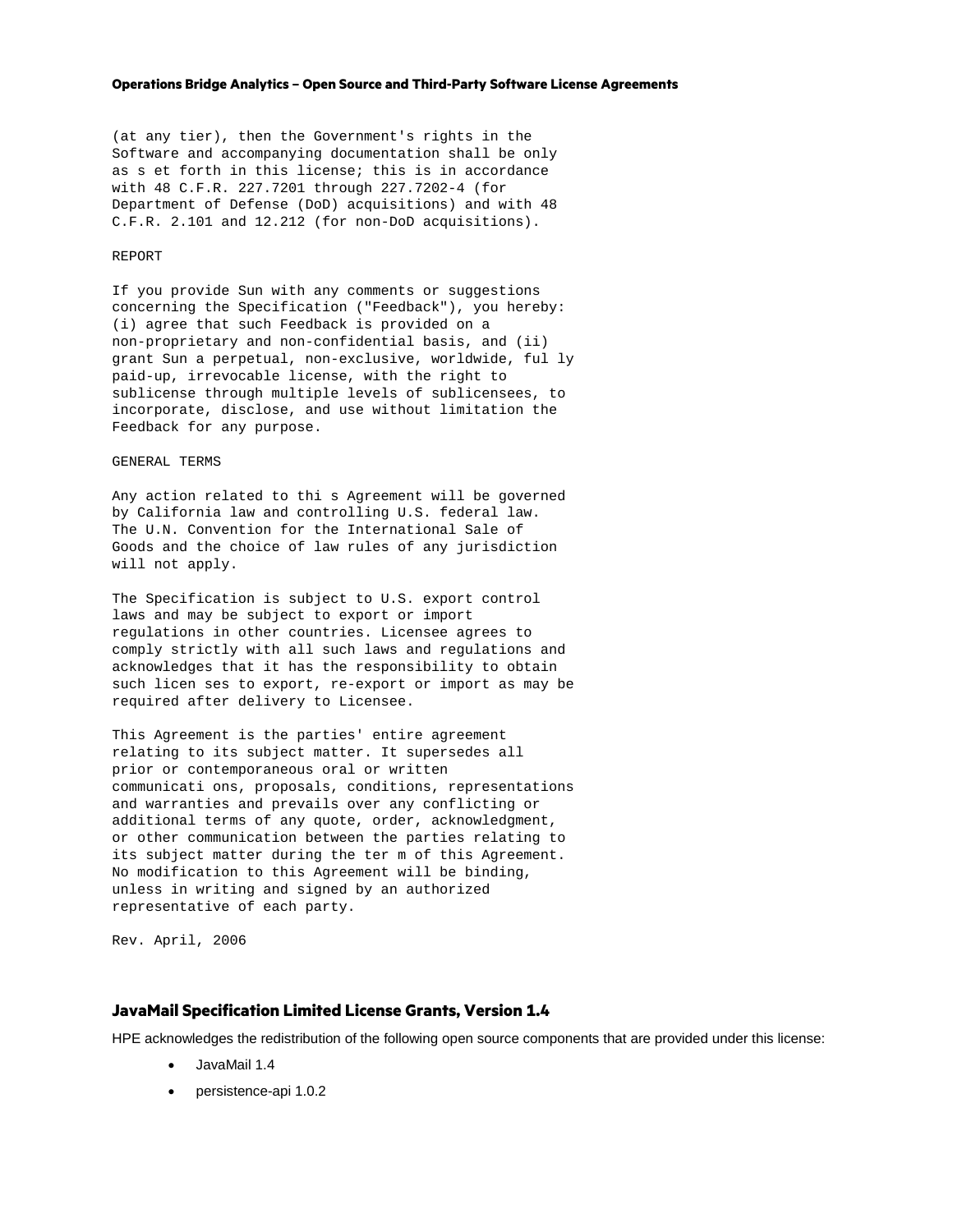(at any tier), then the Government's rights in the Software and accompanying documentation shall be only as s et forth in this license; this is in accordance with 48 C.F.R. 227.7201 through 227.7202-4 (for Department of Defense (DoD) acquisitions) and with 48 C.F.R. 2.101 and 12.212 (for non-DoD acquisitions).

## REPORT

If you provide Sun with any comments or suggestions concerning the Specification ("Feedback"), you hereby: (i) agree that such Feedback is provided on a non-proprietary and non-confidential basis, and (ii) grant Sun a perpetual, non-exclusive, worldwide, ful ly paid-up, irrevocable license, with the right to sublicense through multiple levels of sublicensees, to incorporate, disclose, and use without limitation the Feedback for any purpose.

## GENERAL TERMS

Any action related to thi s Agreement will be governed by California law and controlling U.S. federal law. The U.N. Convention for the International Sale of Goods and the choice of law rules of any jurisdiction will not apply.

The Specification is subject to U.S. export control laws and may be subject to export or import regulations in other countries. Licensee agrees to comply strictly with all such laws and regulations and acknowledges that it has the responsibility to obtain such licen ses to export, re-export or import as may be required after delivery to Licensee.

This Agreement is the parties' entire agreement relating to its subject matter. It supersedes all prior or contemporaneous oral or written communicati ons, proposals, conditions, representations and warranties and prevails over any conflicting or additional terms of any quote, order, acknowledgment, or other communication between the parties relating to its subject matter during the ter m of this Agreement. No modification to this Agreement will be binding, unless in writing and signed by an authorized representative of each party.

Rev. April, 2006

# **JavaMail Specification Limited License Grants, Version 1.4**

HPE acknowledges the redistribution of the following open source components that are provided under this license:

- JavaMail 1.4
- persistence-api 1.0.2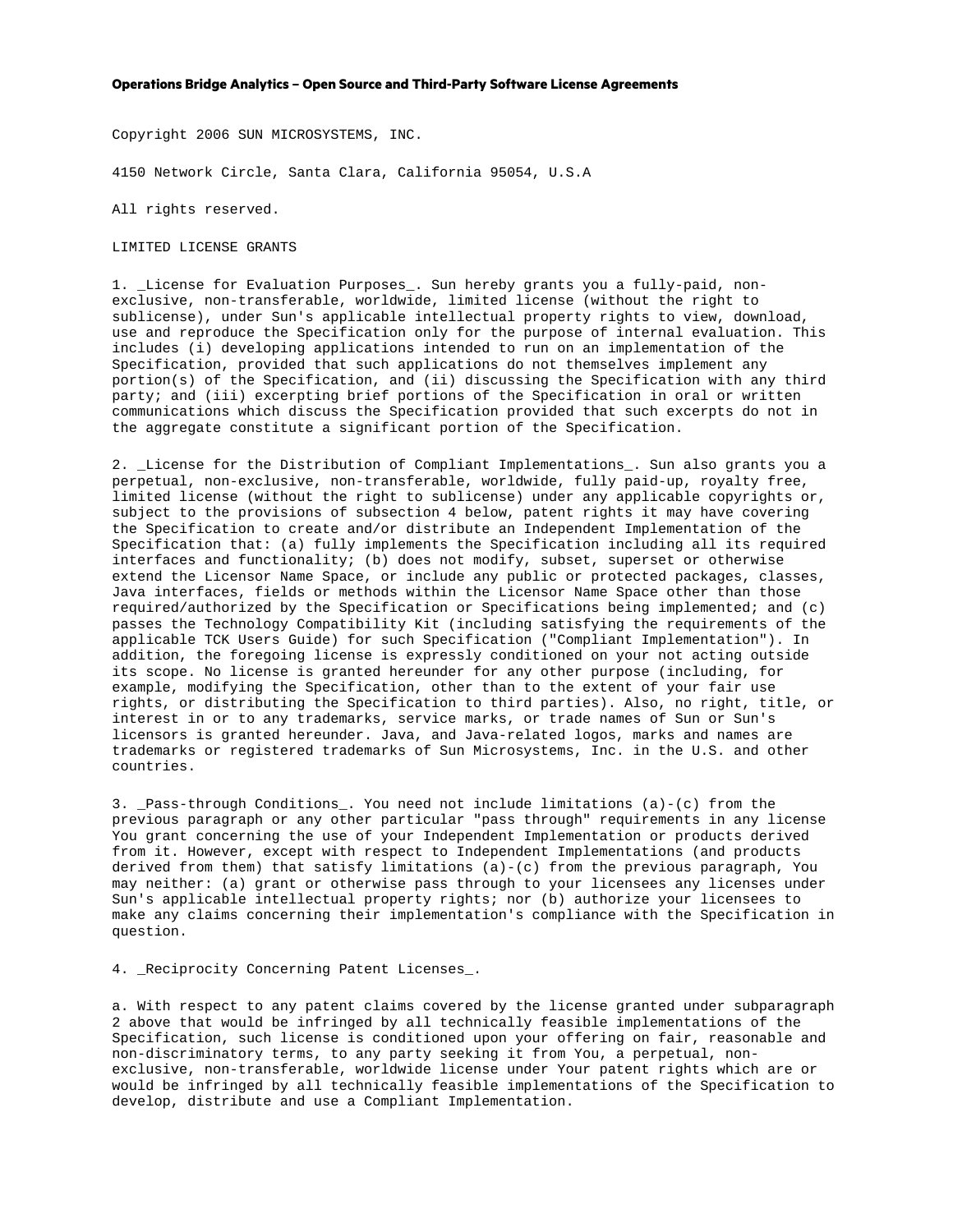Copyright 2006 SUN MICROSYSTEMS, INC.

4150 Network Circle, Santa Clara, California 95054, U.S.A

All rights reserved.

LIMITED LICENSE GRANTS

1. \_License for Evaluation Purposes\_. Sun hereby grants you a fully-paid, nonexclusive, non-transferable, worldwide, limited license (without the right to sublicense), under Sun's applicable intellectual property rights to view, download, use and reproduce the Specification only for the purpose of internal evaluation. This includes (i) developing applications intended to run on an implementation of the Specification, provided that such applications do not themselves implement any portion(s) of the Specification, and (ii) discussing the Specification with any third party; and (iii) excerpting brief portions of the Specification in oral or written communications which discuss the Specification provided that such excerpts do not in the aggregate constitute a significant portion of the Specification.

2. \_License for the Distribution of Compliant Implementations\_. Sun also grants you a perpetual, non-exclusive, non-transferable, worldwide, fully paid-up, royalty free, limited license (without the right to sublicense) under any applicable copyrights or, subject to the provisions of subsection 4 below, patent rights it may have covering the Specification to create and/or distribute an Independent Implementation of the Specification that: (a) fully implements the Specification including all its required interfaces and functionality; (b) does not modify, subset, superset or otherwise extend the Licensor Name Space, or include any public or protected packages, classes, Java interfaces, fields or methods within the Licensor Name Space other than those required/authorized by the Specification or Specifications being implemented; and (c) passes the Technology Compatibility Kit (including satisfying the requirements of the applicable TCK Users Guide) for such Specification ("Compliant Implementation"). In addition, the foregoing license is expressly conditioned on your not acting outside its scope. No license is granted hereunder for any other purpose (including, for example, modifying the Specification, other than to the extent of your fair use rights, or distributing the Specification to third parties). Also, no right, title, or interest in or to any trademarks, service marks, or trade names of Sun or Sun's licensors is granted hereunder. Java, and Java-related logos, marks and names are trademarks or registered trademarks of Sun Microsystems, Inc. in the U.S. and other countries.

3. \_Pass-through Conditions\_. You need not include limitations (a)-(c) from the previous paragraph or any other particular "pass through" requirements in any license You grant concerning the use of your Independent Implementation or products derived from it. However, except with respect to Independent Implementations (and products derived from them) that satisfy limitations (a)-(c) from the previous paragraph, You may neither: (a) grant or otherwise pass through to your licensees any licenses under Sun's applicable intellectual property rights; nor (b) authorize your licensees to make any claims concerning their implementation's compliance with the Specification in question.

4. \_Reciprocity Concerning Patent Licenses\_.

a. With respect to any patent claims covered by the license granted under subparagraph 2 above that would be infringed by all technically feasible implementations of the Specification, such license is conditioned upon your offering on fair, reasonable and non-discriminatory terms, to any party seeking it from You, a perpetual, nonexclusive, non-transferable, worldwide license under Your patent rights which are or would be infringed by all technically feasible implementations of the Specification to develop, distribute and use a Compliant Implementation.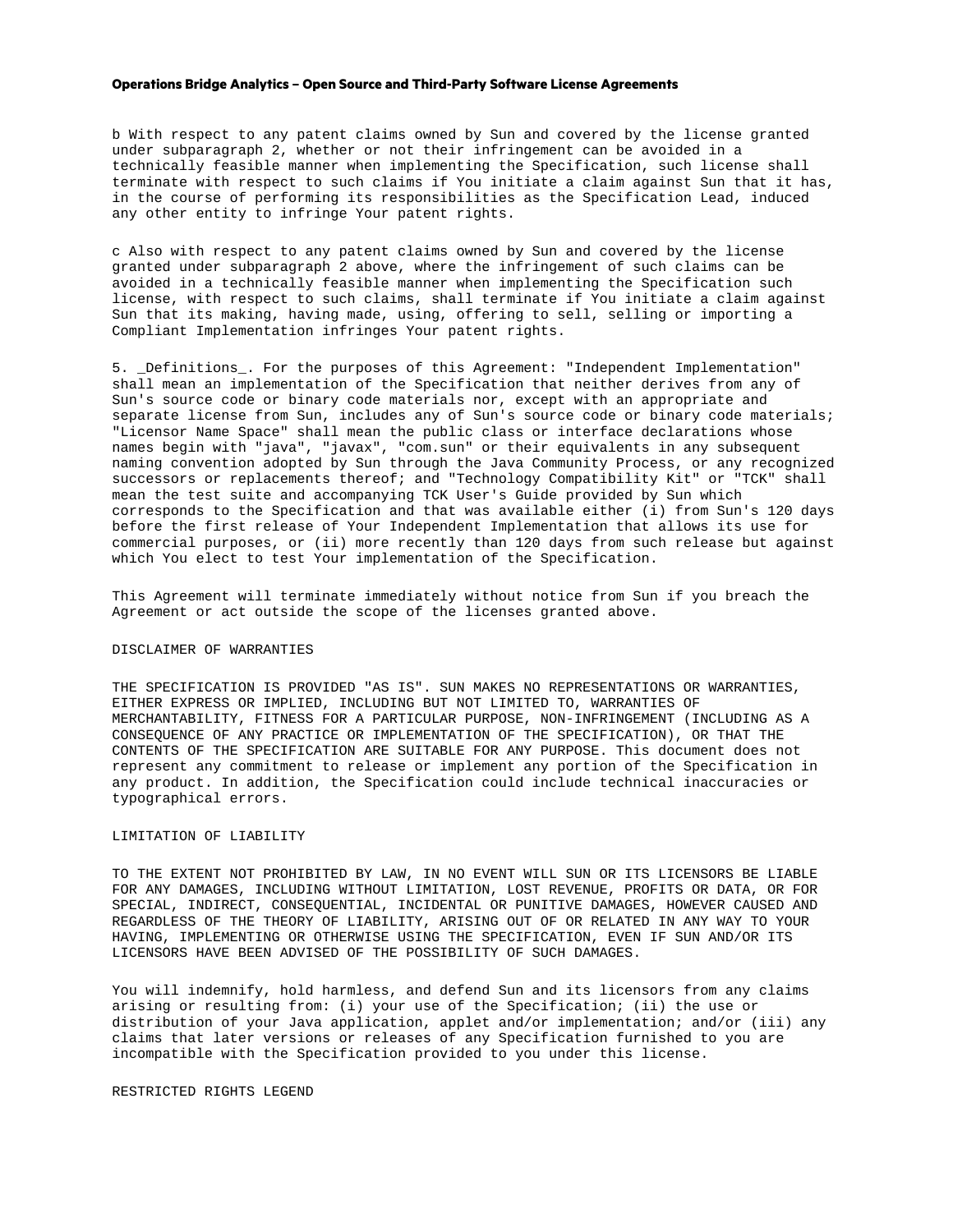b With respect to any patent claims owned by Sun and covered by the license granted under subparagraph 2, whether or not their infringement can be avoided in a technically feasible manner when implementing the Specification, such license shall terminate with respect to such claims if You initiate a claim against Sun that it has, in the course of performing its responsibilities as the Specification Lead, induced any other entity to infringe Your patent rights.

c Also with respect to any patent claims owned by Sun and covered by the license granted under subparagraph 2 above, where the infringement of such claims can be avoided in a technically feasible manner when implementing the Specification such license, with respect to such claims, shall terminate if You initiate a claim against Sun that its making, having made, using, offering to sell, selling or importing a Compliant Implementation infringes Your patent rights.

5. \_Definitions\_. For the purposes of this Agreement: "Independent Implementation" shall mean an implementation of the Specification that neither derives from any of Sun's source code or binary code materials nor, except with an appropriate and separate license from Sun, includes any of Sun's source code or binary code materials; "Licensor Name Space" shall mean the public class or interface declarations whose names begin with "java", "javax", "com.sun" or their equivalents in any subsequent naming convention adopted by Sun through the Java Community Process, or any recognized successors or replacements thereof; and "Technology Compatibility Kit" or "TCK" shall mean the test suite and accompanying TCK User's Guide provided by Sun which corresponds to the Specification and that was available either (i) from Sun's 120 days before the first release of Your Independent Implementation that allows its use for commercial purposes, or (ii) more recently than 120 days from such release but against which You elect to test Your implementation of the Specification.

This Agreement will terminate immediately without notice from Sun if you breach the Agreement or act outside the scope of the licenses granted above.

## DISCLAIMER OF WARRANTIES

THE SPECIFICATION IS PROVIDED "AS IS". SUN MAKES NO REPRESENTATIONS OR WARRANTIES, EITHER EXPRESS OR IMPLIED, INCLUDING BUT NOT LIMITED TO, WARRANTIES OF MERCHANTABILITY, FITNESS FOR A PARTICULAR PURPOSE, NON-INFRINGEMENT (INCLUDING AS A CONSEQUENCE OF ANY PRACTICE OR IMPLEMENTATION OF THE SPECIFICATION), OR THAT THE CONTENTS OF THE SPECIFICATION ARE SUITABLE FOR ANY PURPOSE. This document does not represent any commitment to release or implement any portion of the Specification in any product. In addition, the Specification could include technical inaccuracies or typographical errors.

### LIMITATION OF LIABILITY

TO THE EXTENT NOT PROHIBITED BY LAW, IN NO EVENT WILL SUN OR ITS LICENSORS BE LIABLE FOR ANY DAMAGES, INCLUDING WITHOUT LIMITATION, LOST REVENUE, PROFITS OR DATA, OR FOR SPECIAL, INDIRECT, CONSEQUENTIAL, INCIDENTAL OR PUNITIVE DAMAGES, HOWEVER CAUSED AND REGARDLESS OF THE THEORY OF LIABILITY, ARISING OUT OF OR RELATED IN ANY WAY TO YOUR HAVING, IMPLEMENTING OR OTHERWISE USING THE SPECIFICATION, EVEN IF SUN AND/OR ITS LICENSORS HAVE BEEN ADVISED OF THE POSSIBILITY OF SUCH DAMAGES.

You will indemnify, hold harmless, and defend Sun and its licensors from any claims arising or resulting from: (i) your use of the Specification; (ii) the use or distribution of your Java application, applet and/or implementation; and/or (iii) any claims that later versions or releases of any Specification furnished to you are incompatible with the Specification provided to you under this license.

RESTRICTED RIGHTS LEGEND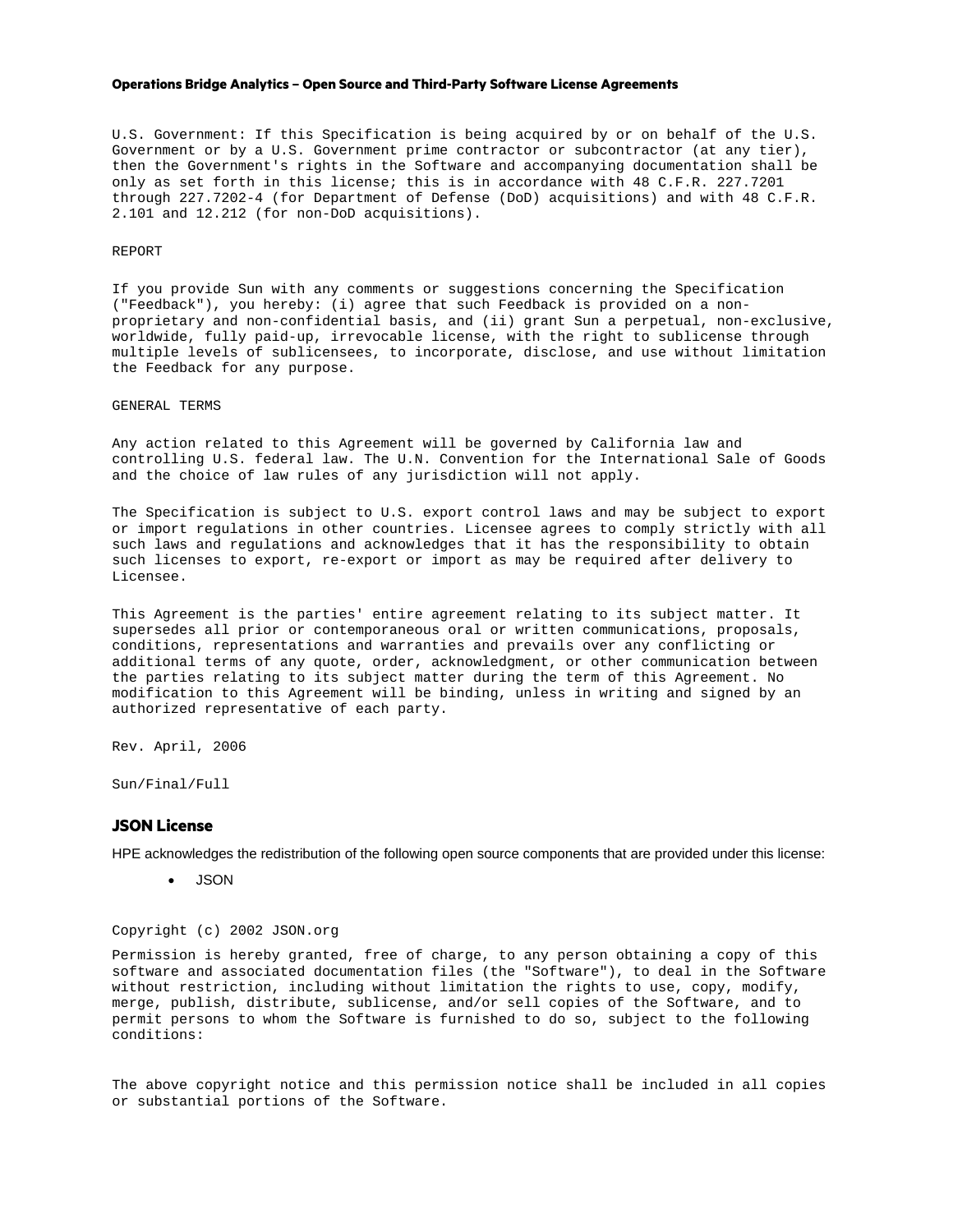U.S. Government: If this Specification is being acquired by or on behalf of the U.S. Government or by a U.S. Government prime contractor or subcontractor (at any tier), then the Government's rights in the Software and accompanying documentation shall be only as set forth in this license; this is in accordance with 48 C.F.R. 227.7201 through 227.7202-4 (for Department of Defense (DoD) acquisitions) and with 48 C.F.R. 2.101 and 12.212 (for non-DoD acquisitions).

#### REPORT

If you provide Sun with any comments or suggestions concerning the Specification ("Feedback"), you hereby: (i) agree that such Feedback is provided on a nonproprietary and non-confidential basis, and (ii) grant Sun a perpetual, non-exclusive, worldwide, fully paid-up, irrevocable license, with the right to sublicense through multiple levels of sublicensees, to incorporate, disclose, and use without limitation the Feedback for any purpose.

#### GENERAL TERMS

Any action related to this Agreement will be governed by California law and controlling U.S. federal law. The U.N. Convention for the International Sale of Goods and the choice of law rules of any jurisdiction will not apply.

The Specification is subject to U.S. export control laws and may be subject to export or import regulations in other countries. Licensee agrees to comply strictly with all such laws and regulations and acknowledges that it has the responsibility to obtain such licenses to export, re-export or import as may be required after delivery to Licensee.

This Agreement is the parties' entire agreement relating to its subject matter. It supersedes all prior or contemporaneous oral or written communications, proposals, conditions, representations and warranties and prevails over any conflicting or additional terms of any quote, order, acknowledgment, or other communication between the parties relating to its subject matter during the term of this Agreement. No modification to this Agreement will be binding, unless in writing and signed by an authorized representative of each party.

Rev. April, 2006

Sun/Final/Full

## **JSON License**

HPE acknowledges the redistribution of the following open source components that are provided under this license:

• JSON

### Copyright (c) 2002 JSON.org

Permission is hereby granted, free of charge, to any person obtaining a copy of this software and associated documentation files (the "Software"), to deal in the Software without restriction, including without limitation the rights to use, copy, modify, merge, publish, distribute, sublicense, and/or sell copies of the Software, and to permit persons to whom the Software is furnished to do so, subject to the following conditions:

The above copyright notice and this permission notice shall be included in all copies or substantial portions of the Software.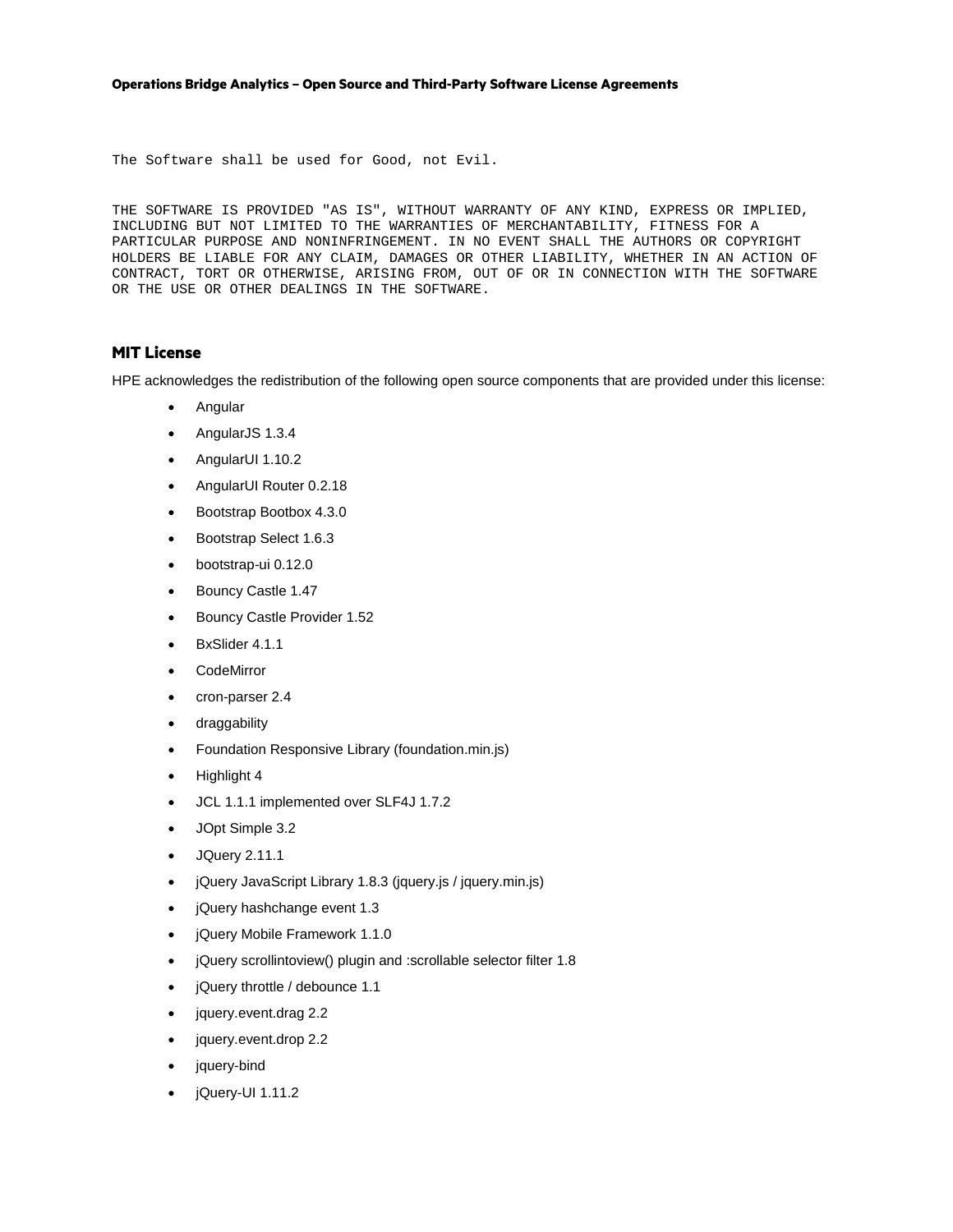The Software shall be used for Good, not Evil.

THE SOFTWARE IS PROVIDED "AS IS", WITHOUT WARRANTY OF ANY KIND, EXPRESS OR IMPLIED, INCLUDING BUT NOT LIMITED TO THE WARRANTIES OF MERCHANTABILITY, FITNESS FOR A PARTICULAR PURPOSE AND NONINFRINGEMENT. IN NO EVENT SHALL THE AUTHORS OR COPYRIGHT HOLDERS BE LIABLE FOR ANY CLAIM, DAMAGES OR OTHER LIABILITY, WHETHER IN AN ACTION OF CONTRACT, TORT OR OTHERWISE, ARISING FROM, OUT OF OR IN CONNECTION WITH THE SOFTWARE OR THE USE OR OTHER DEALINGS IN THE SOFTWARE.

# **MIT License**

HPE acknowledges the redistribution of the following open source components that are provided under this license:

- Angular
- AngularJS 1.3.4
- AngularUI 1.10.2
- AngularUI Router 0.2.18
- Bootstrap Bootbox 4.3.0
- Bootstrap Select 1.6.3
- bootstrap-ui 0.12.0
- Bouncy Castle 1.47
- Bouncy Castle Provider 1.52
- BxSlider 4.1.1
- CodeMirror
- cron-parser 2.4
- draggability
- Foundation Responsive Library (foundation.min.js)
- Highlight 4
- JCL 1.1.1 implemented over SLF4J 1.7.2
- JOpt Simple 3.2
- JQuery 2.11.1
- jQuery JavaScript Library 1.8.3 (jquery.js / jquery.min.js)
- jQuery hashchange event 1.3
- jQuery Mobile Framework 1.1.0
- jQuery scrollintoview() plugin and :scrollable selector filter 1.8
- jQuery throttle / debounce 1.1
- jquery.event.drag 2.2
- jquery.event.drop 2.2
- jquery-bind
- jQuery-UI 1.11.2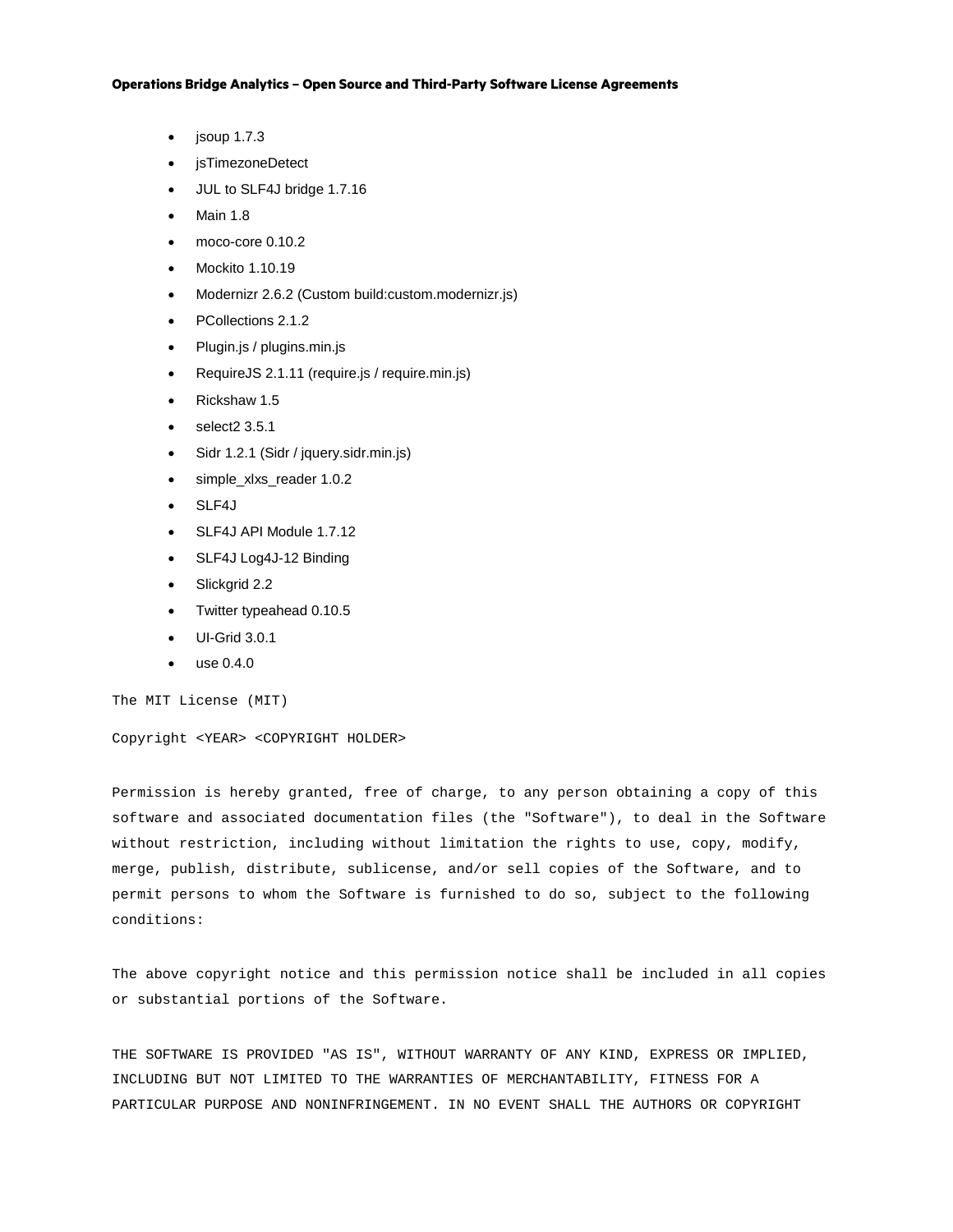- jsoup 1.7.3
- jsTimezoneDetect
- JUL to SLF4J bridge 1.7.16
- Main 1.8
- moco-core 0.10.2
- Mockito 1.10.19
- Modernizr 2.6.2 (Custom build:custom.modernizr.js)
- PCollections 2.1.2
- Plugin.js / plugins.min.js
- RequireJS 2.1.11 (require.js / require.min.js)
- Rickshaw 1.5
- select2 3.5.1
- Sidr 1.2.1 (Sidr / jquery.sidr.min.js)
- simple\_xlxs\_reader 1.0.2
- SLF4J
- SLF4J API Module 1.7.12
- SLF4J Log4J-12 Binding
- Slickgrid 2.2
- Twitter typeahead 0.10.5
- UI-Grid 3.0.1
- use 0.4.0

The MIT License (MIT)

Copyright <YEAR> <COPYRIGHT HOLDER>

Permission is hereby granted, free of charge, to any person obtaining a copy of this software and associated documentation files (the "Software"), to deal in the Software without restriction, including without limitation the rights to use, copy, modify, merge, publish, distribute, sublicense, and/or sell copies of the Software, and to permit persons to whom the Software is furnished to do so, subject to the following conditions:

The above copyright notice and this permission notice shall be included in all copies or substantial portions of the Software.

THE SOFTWARE IS PROVIDED "AS IS", WITHOUT WARRANTY OF ANY KIND, EXPRESS OR IMPLIED, INCLUDING BUT NOT LIMITED TO THE WARRANTIES OF MERCHANTABILITY, FITNESS FOR A PARTICULAR PURPOSE AND NONINFRINGEMENT. IN NO EVENT SHALL THE AUTHORS OR COPYRIGHT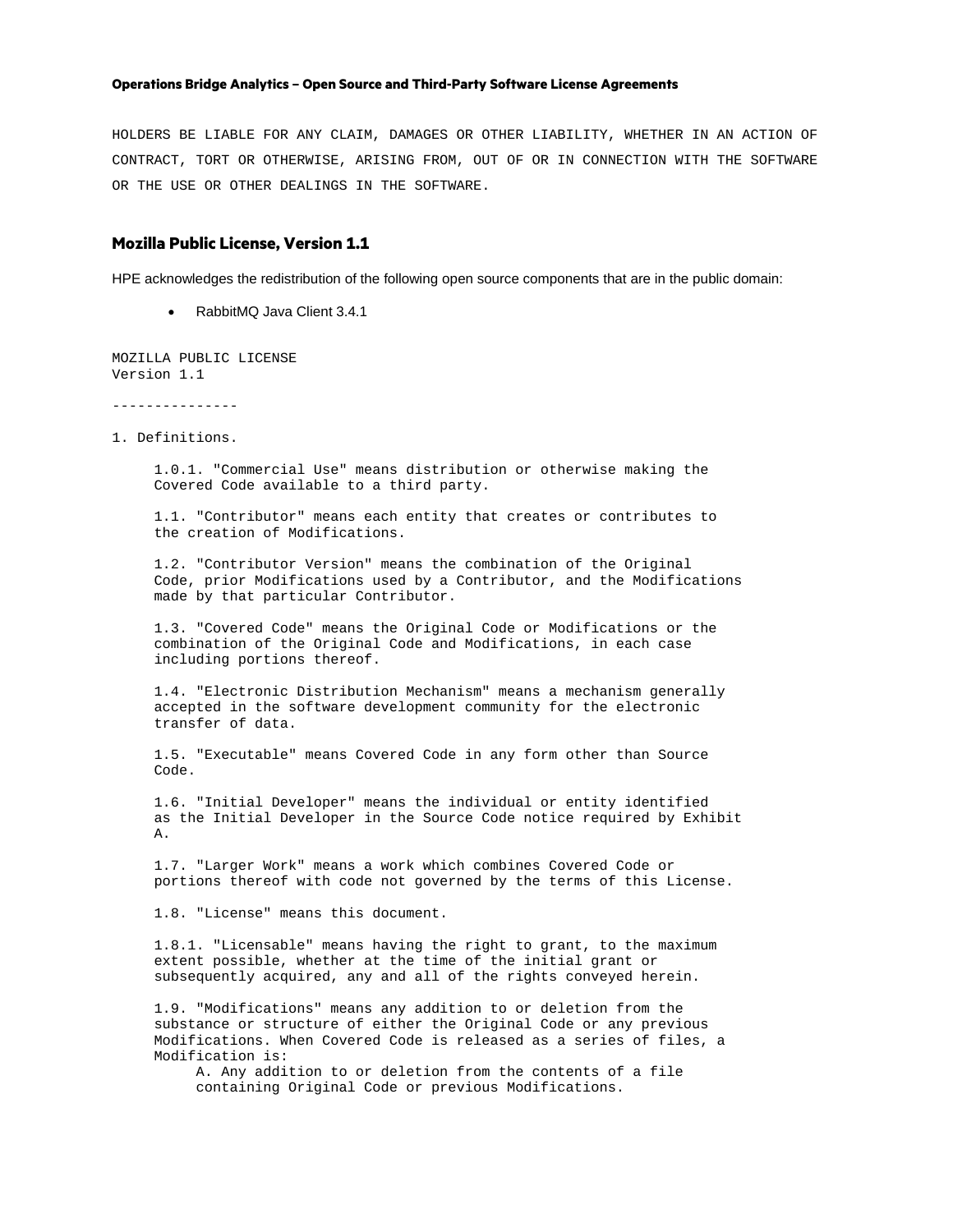HOLDERS BE LIABLE FOR ANY CLAIM, DAMAGES OR OTHER LIABILITY, WHETHER IN AN ACTION OF CONTRACT, TORT OR OTHERWISE, ARISING FROM, OUT OF OR IN CONNECTION WITH THE SOFTWARE OR THE USE OR OTHER DEALINGS IN THE SOFTWARE.

## **Mozilla Public License, Version 1.1**

HPE acknowledges the redistribution of the following open source components that are in the public domain:

• RabbitMQ Java Client 3.4.1

MOZILLA PUBLIC LICENSE Version 1.1

1. Definitions.

---------------

 1.0.1. "Commercial Use" means distribution or otherwise making the Covered Code available to a third party.

 1.1. "Contributor" means each entity that creates or contributes to the creation of Modifications.

 1.2. "Contributor Version" means the combination of the Original Code, prior Modifications used by a Contributor, and the Modifications made by that particular Contributor.

 1.3. "Covered Code" means the Original Code or Modifications or the combination of the Original Code and Modifications, in each case including portions thereof.

 1.4. "Electronic Distribution Mechanism" means a mechanism generally accepted in the software development community for the electronic transfer of data.

 1.5. "Executable" means Covered Code in any form other than Source Code.

 1.6. "Initial Developer" means the individual or entity identified as the Initial Developer in the Source Code notice required by Exhibit A.

 1.7. "Larger Work" means a work which combines Covered Code or portions thereof with code not governed by the terms of this License.

1.8. "License" means this document.

 1.8.1. "Licensable" means having the right to grant, to the maximum extent possible, whether at the time of the initial grant or subsequently acquired, any and all of the rights conveyed herein.

 1.9. "Modifications" means any addition to or deletion from the substance or structure of either the Original Code or any previous Modifications. When Covered Code is released as a series of files, a Modification is:

 A. Any addition to or deletion from the contents of a file containing Original Code or previous Modifications.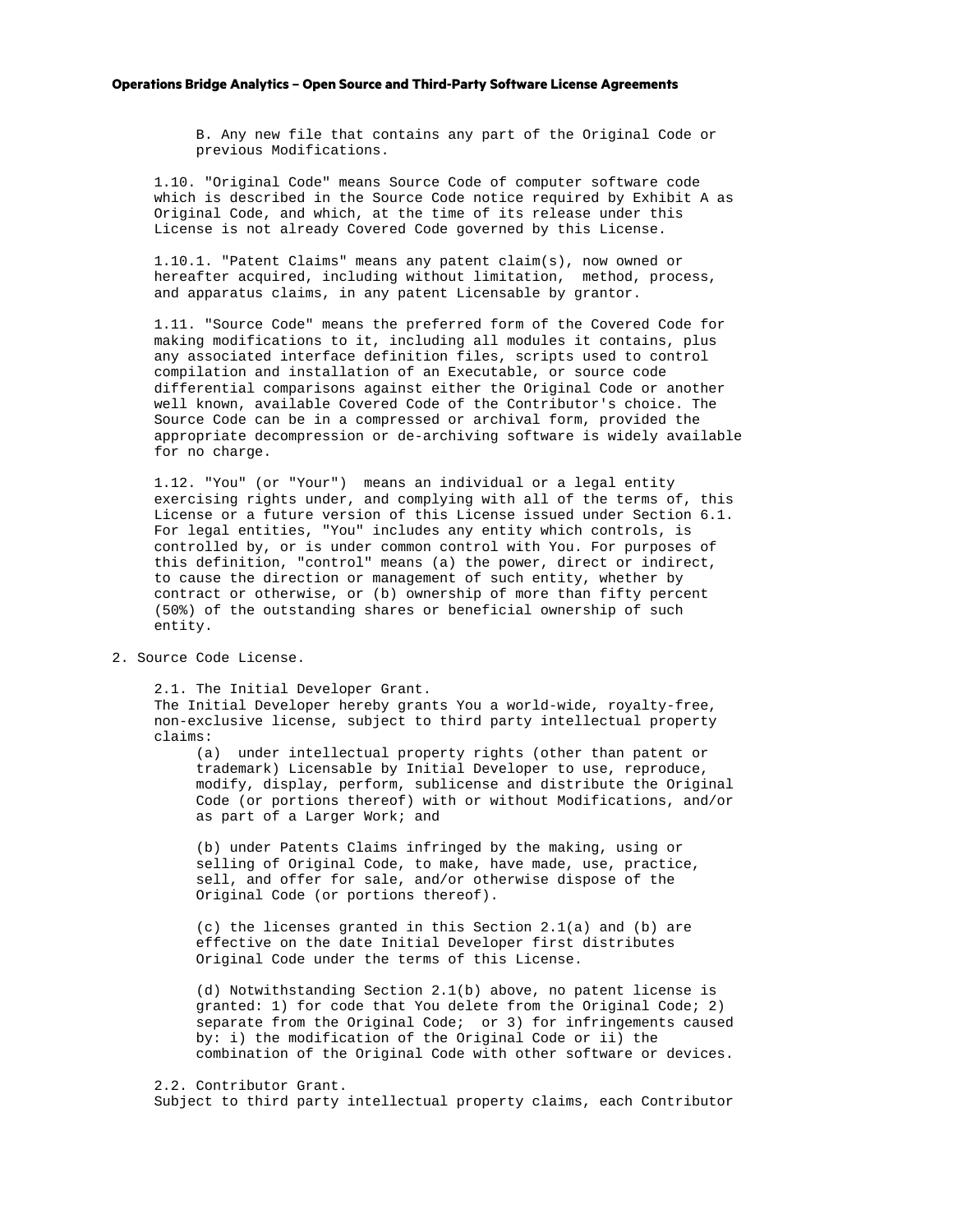B. Any new file that contains any part of the Original Code or previous Modifications.

 1.10. "Original Code" means Source Code of computer software code which is described in the Source Code notice required by Exhibit A as Original Code, and which, at the time of its release under this License is not already Covered Code governed by this License.

 1.10.1. "Patent Claims" means any patent claim(s), now owned or hereafter acquired, including without limitation, method, process, and apparatus claims, in any patent Licensable by grantor.

 1.11. "Source Code" means the preferred form of the Covered Code for making modifications to it, including all modules it contains, plus any associated interface definition files, scripts used to control compilation and installation of an Executable, or source code differential comparisons against either the Original Code or another well known, available Covered Code of the Contributor's choice. The Source Code can be in a compressed or archival form, provided the appropriate decompression or de-archiving software is widely available for no charge.

 1.12. "You" (or "Your") means an individual or a legal entity exercising rights under, and complying with all of the terms of, this License or a future version of this License issued under Section 6.1. For legal entities, "You" includes any entity which controls, is controlled by, or is under common control with You. For purposes of this definition, "control" means (a) the power, direct or indirect, to cause the direction or management of such entity, whether by contract or otherwise, or (b) ownership of more than fifty percent (50%) of the outstanding shares or beneficial ownership of such entity.

2. Source Code License.

 2.1. The Initial Developer Grant. The Initial Developer hereby grants You a world-wide, royalty-free, non-exclusive license, subject to third party intellectual property claims:

 (a) under intellectual property rights (other than patent or trademark) Licensable by Initial Developer to use, reproduce, modify, display, perform, sublicense and distribute the Original Code (or portions thereof) with or without Modifications, and/or as part of a Larger Work; and

 (b) under Patents Claims infringed by the making, using or selling of Original Code, to make, have made, use, practice, sell, and offer for sale, and/or otherwise dispose of the Original Code (or portions thereof).

 (c) the licenses granted in this Section 2.1(a) and (b) are effective on the date Initial Developer first distributes Original Code under the terms of this License.

 (d) Notwithstanding Section 2.1(b) above, no patent license is granted: 1) for code that You delete from the Original Code; 2) separate from the Original Code; or 3) for infringements caused by: i) the modification of the Original Code or ii) the combination of the Original Code with other software or devices.

 2.2. Contributor Grant. Subject to third party intellectual property claims, each Contributor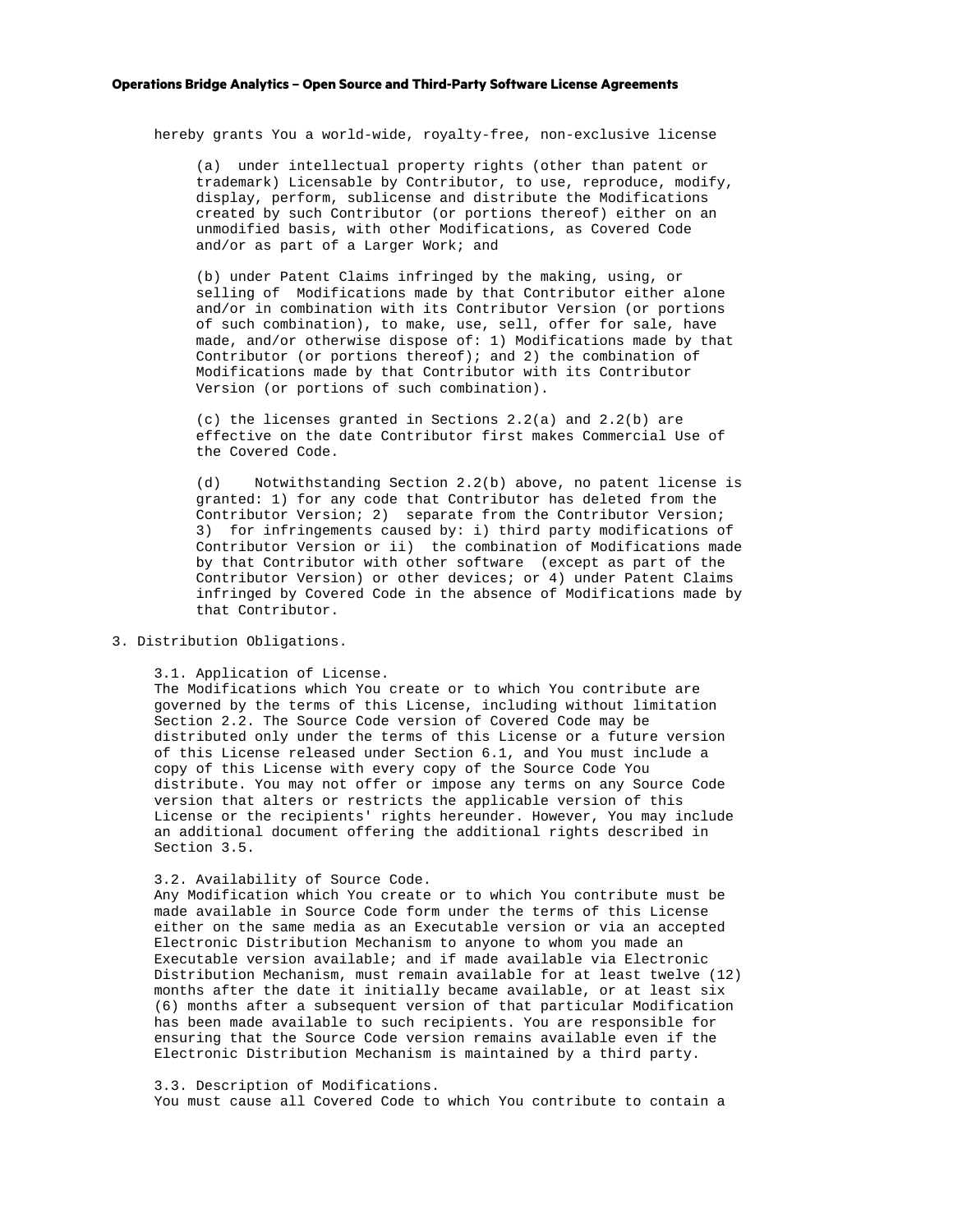hereby grants You a world-wide, royalty-free, non-exclusive license

 (a) under intellectual property rights (other than patent or trademark) Licensable by Contributor, to use, reproduce, modify, display, perform, sublicense and distribute the Modifications created by such Contributor (or portions thereof) either on an unmodified basis, with other Modifications, as Covered Code and/or as part of a Larger Work; and

 (b) under Patent Claims infringed by the making, using, or selling of Modifications made by that Contributor either alone and/or in combination with its Contributor Version (or portions of such combination), to make, use, sell, offer for sale, have made, and/or otherwise dispose of: 1) Modifications made by that Contributor (or portions thereof); and 2) the combination of Modifications made by that Contributor with its Contributor Version (or portions of such combination).

 (c) the licenses granted in Sections 2.2(a) and 2.2(b) are effective on the date Contributor first makes Commercial Use of the Covered Code.

 (d) Notwithstanding Section 2.2(b) above, no patent license is granted: 1) for any code that Contributor has deleted from the Contributor Version; 2) separate from the Contributor Version; 3) for infringements caused by: i) third party modifications of Contributor Version or ii) the combination of Modifications made by that Contributor with other software (except as part of the Contributor Version) or other devices; or 4) under Patent Claims infringed by Covered Code in the absence of Modifications made by that Contributor.

## 3. Distribution Obligations.

## 3.1. Application of License.

 The Modifications which You create or to which You contribute are governed by the terms of this License, including without limitation Section 2.2. The Source Code version of Covered Code may be distributed only under the terms of this License or a future version of this License released under Section 6.1, and You must include a copy of this License with every copy of the Source Code You distribute. You may not offer or impose any terms on any Source Code version that alters or restricts the applicable version of this License or the recipients' rights hereunder. However, You may include an additional document offering the additional rights described in Section 3.5.

## 3.2. Availability of Source Code.

 Any Modification which You create or to which You contribute must be made available in Source Code form under the terms of this License either on the same media as an Executable version or via an accepted Electronic Distribution Mechanism to anyone to whom you made an Executable version available; and if made available via Electronic Distribution Mechanism, must remain available for at least twelve (12) months after the date it initially became available, or at least six (6) months after a subsequent version of that particular Modification has been made available to such recipients. You are responsible for ensuring that the Source Code version remains available even if the Electronic Distribution Mechanism is maintained by a third party.

## 3.3. Description of Modifications.

You must cause all Covered Code to which You contribute to contain a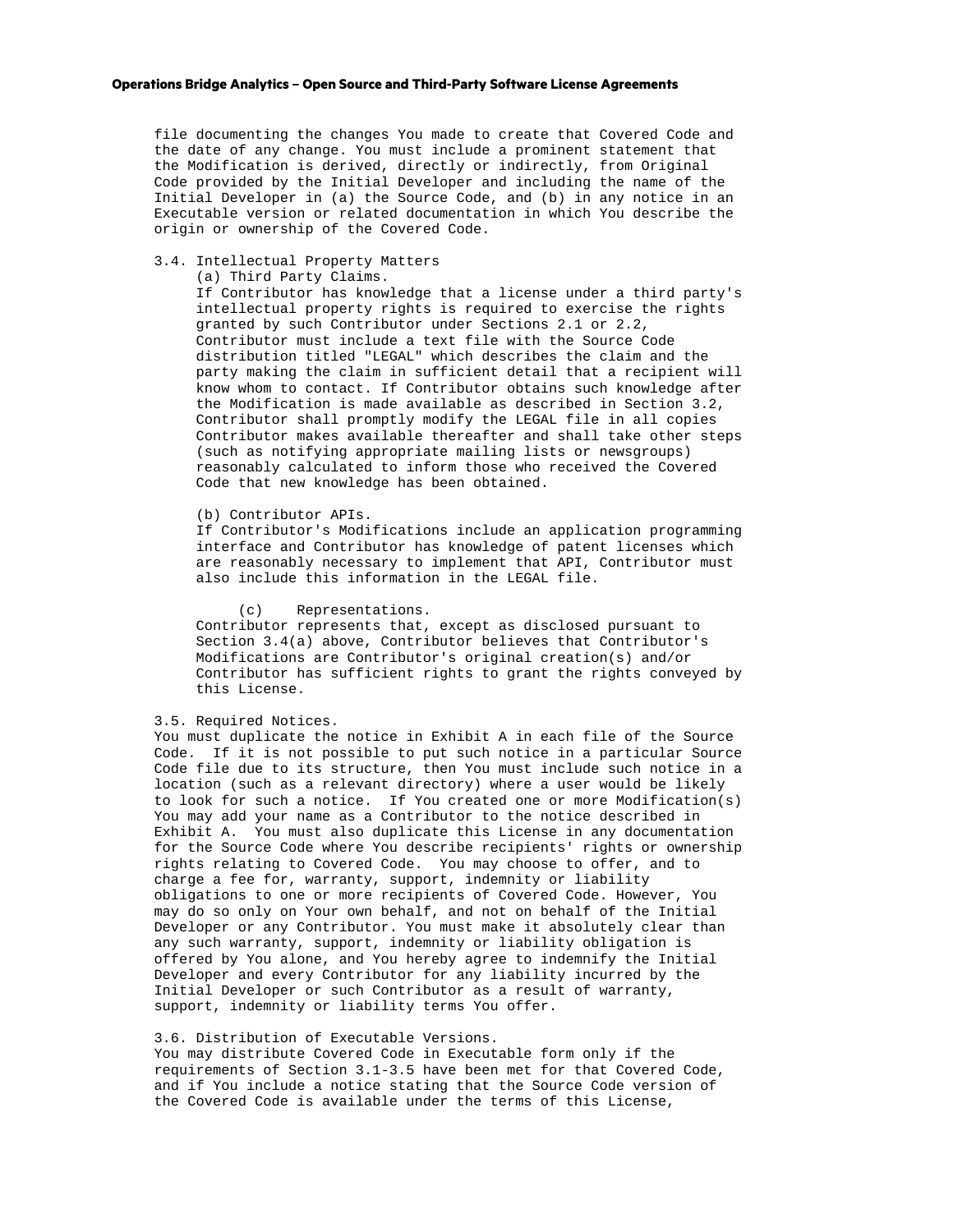file documenting the changes You made to create that Covered Code and the date of any change. You must include a prominent statement that the Modification is derived, directly or indirectly, from Original Code provided by the Initial Developer and including the name of the Initial Developer in (a) the Source Code, and (b) in any notice in an Executable version or related documentation in which You describe the origin or ownership of the Covered Code.

## 3.4. Intellectual Property Matters

(a) Third Party Claims.

 If Contributor has knowledge that a license under a third party's intellectual property rights is required to exercise the rights granted by such Contributor under Sections 2.1 or 2.2, Contributor must include a text file with the Source Code distribution titled "LEGAL" which describes the claim and the party making the claim in sufficient detail that a recipient will know whom to contact. If Contributor obtains such knowledge after the Modification is made available as described in Section 3.2, Contributor shall promptly modify the LEGAL file in all copies Contributor makes available thereafter and shall take other steps (such as notifying appropriate mailing lists or newsgroups) reasonably calculated to inform those who received the Covered Code that new knowledge has been obtained.

### (b) Contributor APIs.

 If Contributor's Modifications include an application programming interface and Contributor has knowledge of patent licenses which are reasonably necessary to implement that API, Contributor must also include this information in the LEGAL file.

 (c) Representations. Contributor represents that, except as disclosed pursuant to Section 3.4(a) above, Contributor believes that Contributor's Modifications are Contributor's original creation(s) and/or Contributor has sufficient rights to grant the rights conveyed by

### 3.5. Required Notices.

this License.

 You must duplicate the notice in Exhibit A in each file of the Source Code. If it is not possible to put such notice in a particular Source Code file due to its structure, then You must include such notice in a location (such as a relevant directory) where a user would be likely to look for such a notice. If You created one or more Modification(s) You may add your name as a Contributor to the notice described in Exhibit A. You must also duplicate this License in any documentation for the Source Code where You describe recipients' rights or ownership rights relating to Covered Code. You may choose to offer, and to charge a fee for, warranty, support, indemnity or liability obligations to one or more recipients of Covered Code. However, You may do so only on Your own behalf, and not on behalf of the Initial Developer or any Contributor. You must make it absolutely clear than any such warranty, support, indemnity or liability obligation is offered by You alone, and You hereby agree to indemnify the Initial Developer and every Contributor for any liability incurred by the Initial Developer or such Contributor as a result of warranty, support, indemnity or liability terms You offer.

## 3.6. Distribution of Executable Versions.

 You may distribute Covered Code in Executable form only if the requirements of Section 3.1-3.5 have been met for that Covered Code, and if You include a notice stating that the Source Code version of the Covered Code is available under the terms of this License,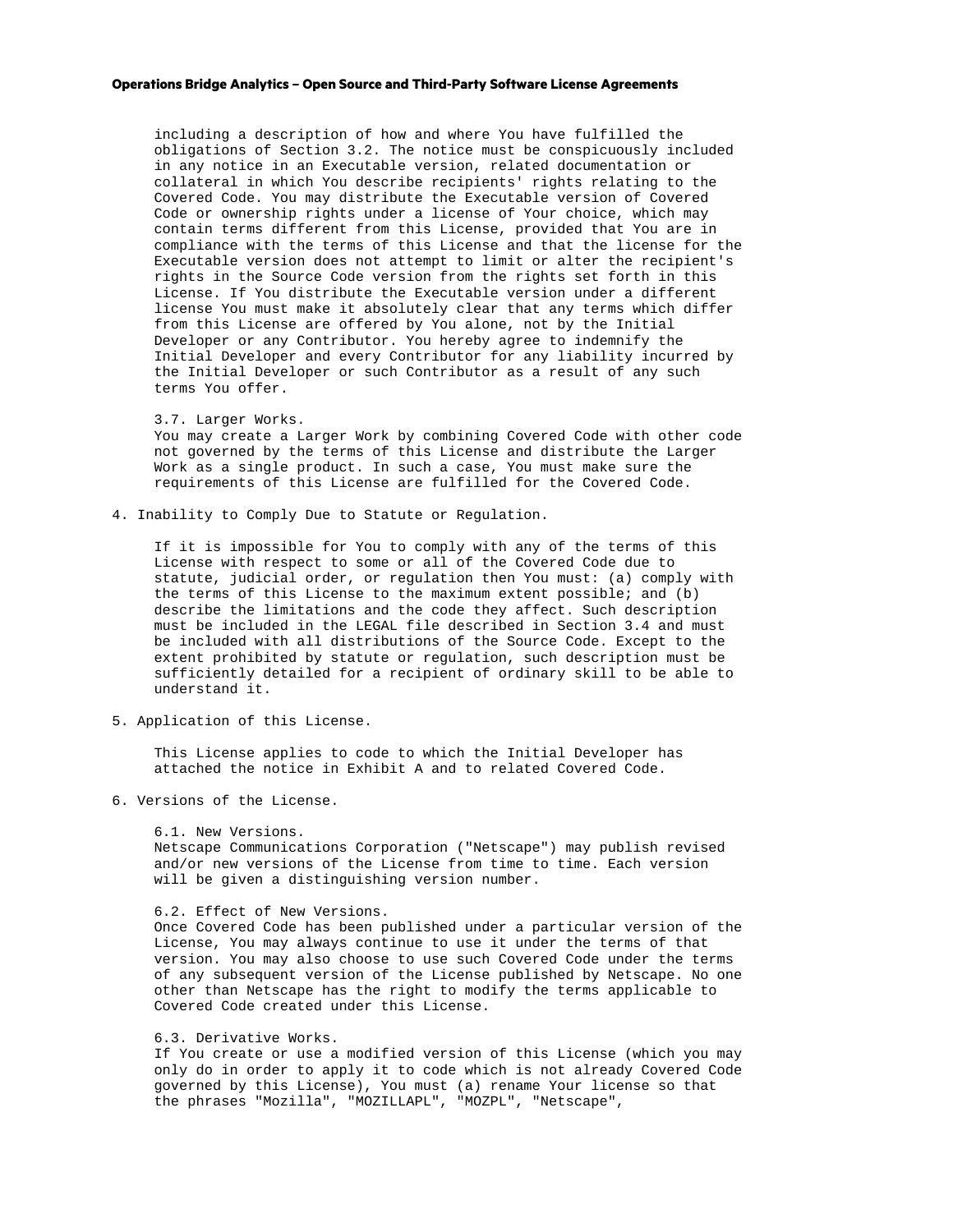including a description of how and where You have fulfilled the obligations of Section 3.2. The notice must be conspicuously included in any notice in an Executable version, related documentation or collateral in which You describe recipients' rights relating to the Covered Code. You may distribute the Executable version of Covered Code or ownership rights under a license of Your choice, which may contain terms different from this License, provided that You are in compliance with the terms of this License and that the license for the Executable version does not attempt to limit or alter the recipient's rights in the Source Code version from the rights set forth in this License. If You distribute the Executable version under a different license You must make it absolutely clear that any terms which differ from this License are offered by You alone, not by the Initial Developer or any Contributor. You hereby agree to indemnify the Initial Developer and every Contributor for any liability incurred by the Initial Developer or such Contributor as a result of any such terms You offer.

#### 3.7. Larger Works.

 You may create a Larger Work by combining Covered Code with other code not governed by the terms of this License and distribute the Larger Work as a single product. In such a case, You must make sure the requirements of this License are fulfilled for the Covered Code.

4. Inability to Comply Due to Statute or Regulation.

 If it is impossible for You to comply with any of the terms of this License with respect to some or all of the Covered Code due to statute, judicial order, or regulation then You must: (a) comply with the terms of this License to the maximum extent possible; and (b) describe the limitations and the code they affect. Such description must be included in the LEGAL file described in Section 3.4 and must be included with all distributions of the Source Code. Except to the extent prohibited by statute or regulation, such description must be sufficiently detailed for a recipient of ordinary skill to be able to understand it.

5. Application of this License.

 This License applies to code to which the Initial Developer has attached the notice in Exhibit A and to related Covered Code.

6. Versions of the License.

#### 6.1. New Versions.

 Netscape Communications Corporation ("Netscape") may publish revised and/or new versions of the License from time to time. Each version will be given a distinguishing version number.

#### 6.2. Effect of New Versions.

 Once Covered Code has been published under a particular version of the License, You may always continue to use it under the terms of that version. You may also choose to use such Covered Code under the terms of any subsequent version of the License published by Netscape. No one other than Netscape has the right to modify the terms applicable to Covered Code created under this License.

#### 6.3. Derivative Works.

 If You create or use a modified version of this License (which you may only do in order to apply it to code which is not already Covered Code governed by this License), You must (a) rename Your license so that the phrases "Mozilla", "MOZILLAPL", "MOZPL", "Netscape",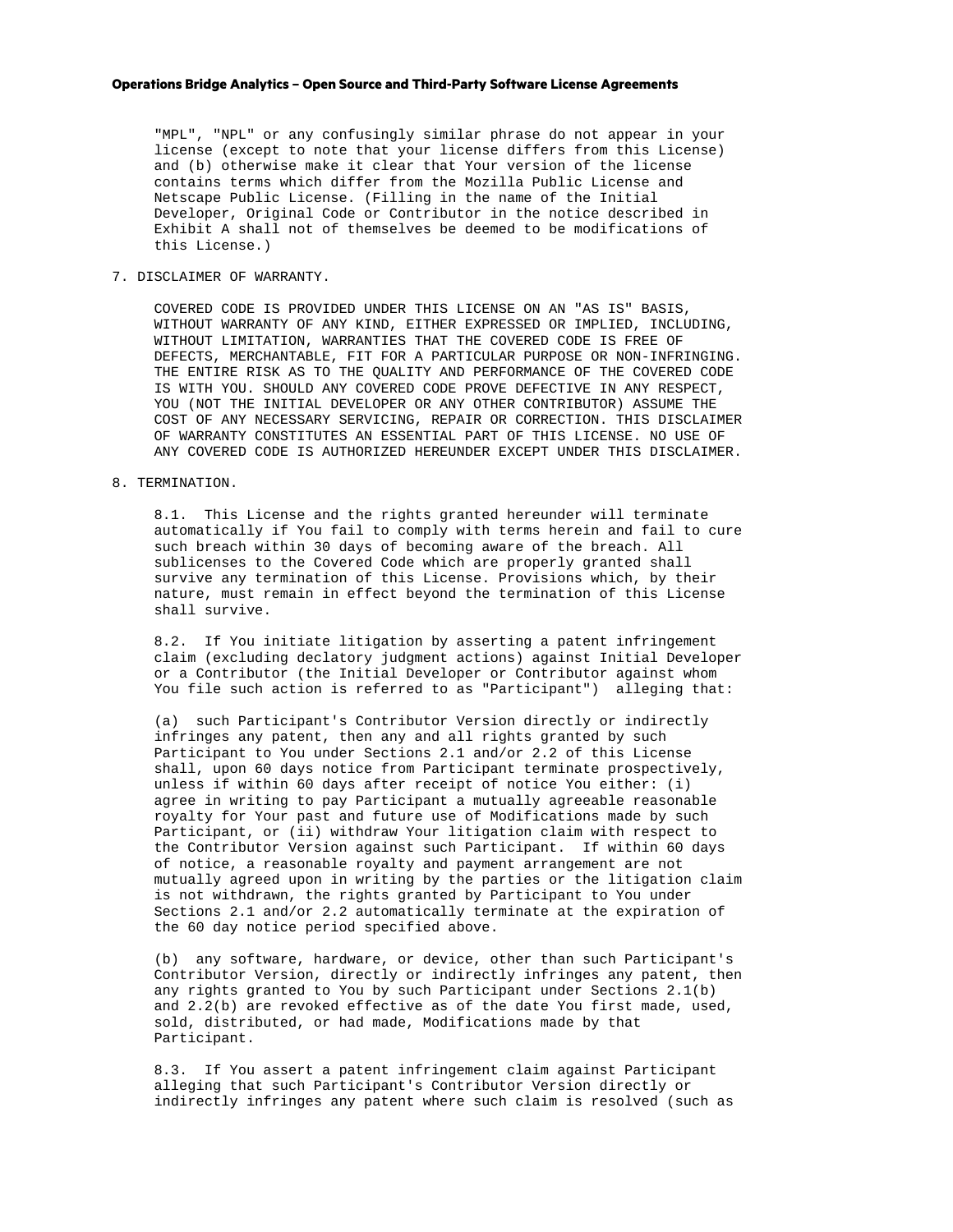"MPL", "NPL" or any confusingly similar phrase do not appear in your license (except to note that your license differs from this License) and (b) otherwise make it clear that Your version of the license contains terms which differ from the Mozilla Public License and Netscape Public License. (Filling in the name of the Initial Developer, Original Code or Contributor in the notice described in Exhibit A shall not of themselves be deemed to be modifications of this License.)

7. DISCLAIMER OF WARRANTY.

 COVERED CODE IS PROVIDED UNDER THIS LICENSE ON AN "AS IS" BASIS, WITHOUT WARRANTY OF ANY KIND, EITHER EXPRESSED OR IMPLIED, INCLUDING, WITHOUT LIMITATION, WARRANTIES THAT THE COVERED CODE IS FREE OF DEFECTS, MERCHANTABLE, FIT FOR A PARTICULAR PURPOSE OR NON-INFRINGING. THE ENTIRE RISK AS TO THE QUALITY AND PERFORMANCE OF THE COVERED CODE IS WITH YOU. SHOULD ANY COVERED CODE PROVE DEFECTIVE IN ANY RESPECT, YOU (NOT THE INITIAL DEVELOPER OR ANY OTHER CONTRIBUTOR) ASSUME THE COST OF ANY NECESSARY SERVICING, REPAIR OR CORRECTION. THIS DISCLAIMER OF WARRANTY CONSTITUTES AN ESSENTIAL PART OF THIS LICENSE. NO USE OF ANY COVERED CODE IS AUTHORIZED HEREUNDER EXCEPT UNDER THIS DISCLAIMER.

#### 8. TERMINATION.

 8.1. This License and the rights granted hereunder will terminate automatically if You fail to comply with terms herein and fail to cure such breach within 30 days of becoming aware of the breach. All sublicenses to the Covered Code which are properly granted shall survive any termination of this License. Provisions which, by their nature, must remain in effect beyond the termination of this License shall survive.

 8.2. If You initiate litigation by asserting a patent infringement claim (excluding declatory judgment actions) against Initial Developer or a Contributor (the Initial Developer or Contributor against whom You file such action is referred to as "Participant") alleging that:

 (a) such Participant's Contributor Version directly or indirectly infringes any patent, then any and all rights granted by such Participant to You under Sections 2.1 and/or 2.2 of this License shall, upon 60 days notice from Participant terminate prospectively, unless if within 60 days after receipt of notice You either: (i) agree in writing to pay Participant a mutually agreeable reasonable royalty for Your past and future use of Modifications made by such Participant, or (ii) withdraw Your litigation claim with respect to the Contributor Version against such Participant. If within 60 days of notice, a reasonable royalty and payment arrangement are not mutually agreed upon in writing by the parties or the litigation claim is not withdrawn, the rights granted by Participant to You under Sections 2.1 and/or 2.2 automatically terminate at the expiration of the 60 day notice period specified above.

 (b) any software, hardware, or device, other than such Participant's Contributor Version, directly or indirectly infringes any patent, then any rights granted to You by such Participant under Sections 2.1(b) and 2.2(b) are revoked effective as of the date You first made, used, sold, distributed, or had made, Modifications made by that Participant.

 8.3. If You assert a patent infringement claim against Participant alleging that such Participant's Contributor Version directly or indirectly infringes any patent where such claim is resolved (such as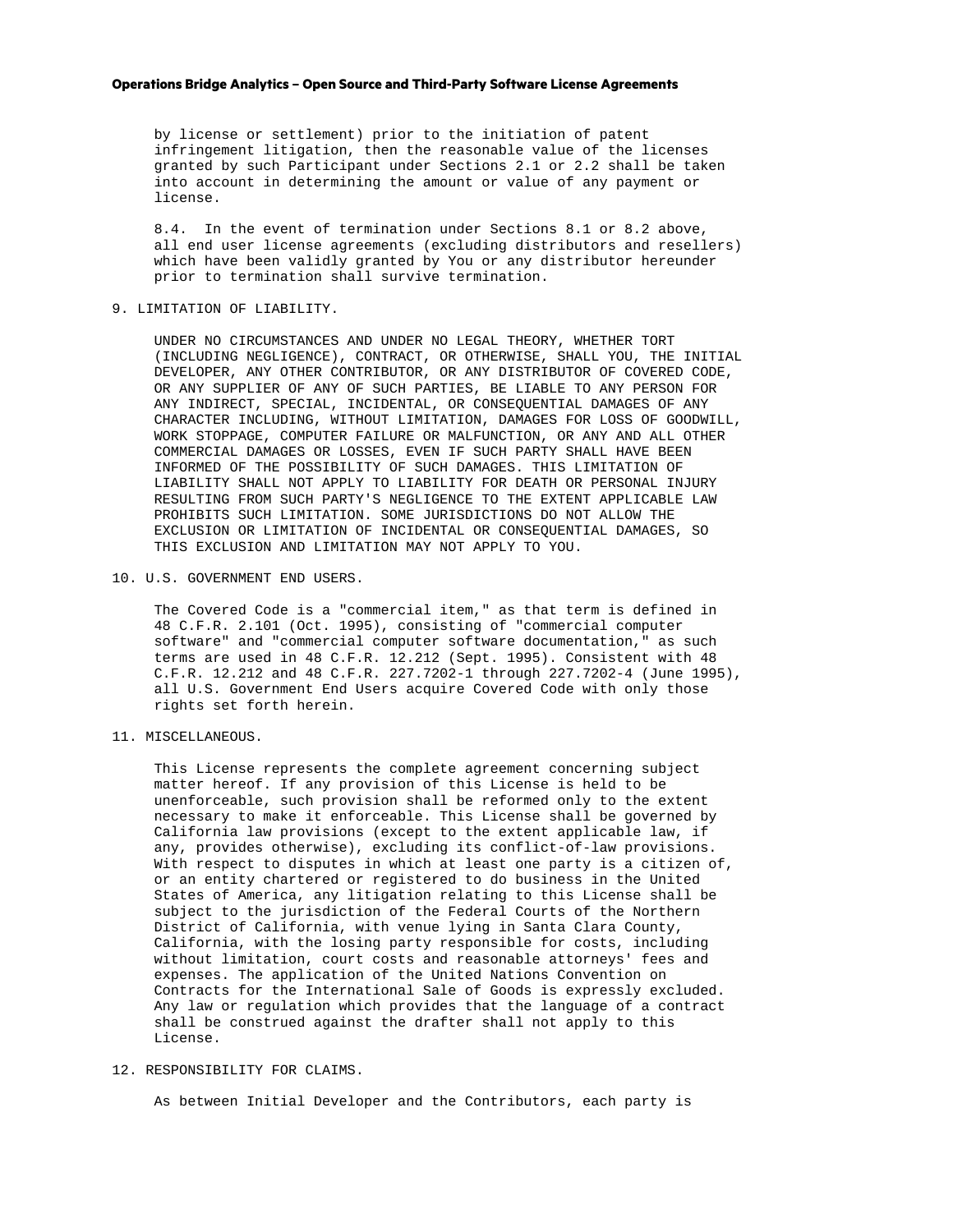by license or settlement) prior to the initiation of patent infringement litigation, then the reasonable value of the licenses granted by such Participant under Sections 2.1 or 2.2 shall be taken into account in determining the amount or value of any payment or license.

 8.4. In the event of termination under Sections 8.1 or 8.2 above, all end user license agreements (excluding distributors and resellers) which have been validly granted by You or any distributor hereunder prior to termination shall survive termination.

## 9. LIMITATION OF LIABILITY.

 UNDER NO CIRCUMSTANCES AND UNDER NO LEGAL THEORY, WHETHER TORT (INCLUDING NEGLIGENCE), CONTRACT, OR OTHERWISE, SHALL YOU, THE INITIAL DEVELOPER, ANY OTHER CONTRIBUTOR, OR ANY DISTRIBUTOR OF COVERED CODE, OR ANY SUPPLIER OF ANY OF SUCH PARTIES, BE LIABLE TO ANY PERSON FOR ANY INDIRECT, SPECIAL, INCIDENTAL, OR CONSEQUENTIAL DAMAGES OF ANY CHARACTER INCLUDING, WITHOUT LIMITATION, DAMAGES FOR LOSS OF GOODWILL, WORK STOPPAGE, COMPUTER FAILURE OR MALFUNCTION, OR ANY AND ALL OTHER COMMERCIAL DAMAGES OR LOSSES, EVEN IF SUCH PARTY SHALL HAVE BEEN INFORMED OF THE POSSIBILITY OF SUCH DAMAGES. THIS LIMITATION OF LIABILITY SHALL NOT APPLY TO LIABILITY FOR DEATH OR PERSONAL INJURY RESULTING FROM SUCH PARTY'S NEGLIGENCE TO THE EXTENT APPLICABLE LAW PROHIBITS SUCH LIMITATION. SOME JURISDICTIONS DO NOT ALLOW THE EXCLUSION OR LIMITATION OF INCIDENTAL OR CONSEQUENTIAL DAMAGES, SO THIS EXCLUSION AND LIMITATION MAY NOT APPLY TO YOU.

#### 10. U.S. GOVERNMENT END USERS.

 The Covered Code is a "commercial item," as that term is defined in 48 C.F.R. 2.101 (Oct. 1995), consisting of "commercial computer software" and "commercial computer software documentation," as such terms are used in 48 C.F.R. 12.212 (Sept. 1995). Consistent with 48 C.F.R. 12.212 and 48 C.F.R. 227.7202-1 through 227.7202-4 (June 1995), all U.S. Government End Users acquire Covered Code with only those rights set forth herein.

11. MISCELLANEOUS.

 This License represents the complete agreement concerning subject matter hereof. If any provision of this License is held to be unenforceable, such provision shall be reformed only to the extent necessary to make it enforceable. This License shall be governed by California law provisions (except to the extent applicable law, if any, provides otherwise), excluding its conflict-of-law provisions. With respect to disputes in which at least one party is a citizen of, or an entity chartered or registered to do business in the United States of America, any litigation relating to this License shall be subject to the jurisdiction of the Federal Courts of the Northern District of California, with venue lying in Santa Clara County, California, with the losing party responsible for costs, including without limitation, court costs and reasonable attorneys' fees and expenses. The application of the United Nations Convention on Contracts for the International Sale of Goods is expressly excluded. Any law or regulation which provides that the language of a contract shall be construed against the drafter shall not apply to this License.

#### 12. RESPONSIBILITY FOR CLAIMS.

As between Initial Developer and the Contributors, each party is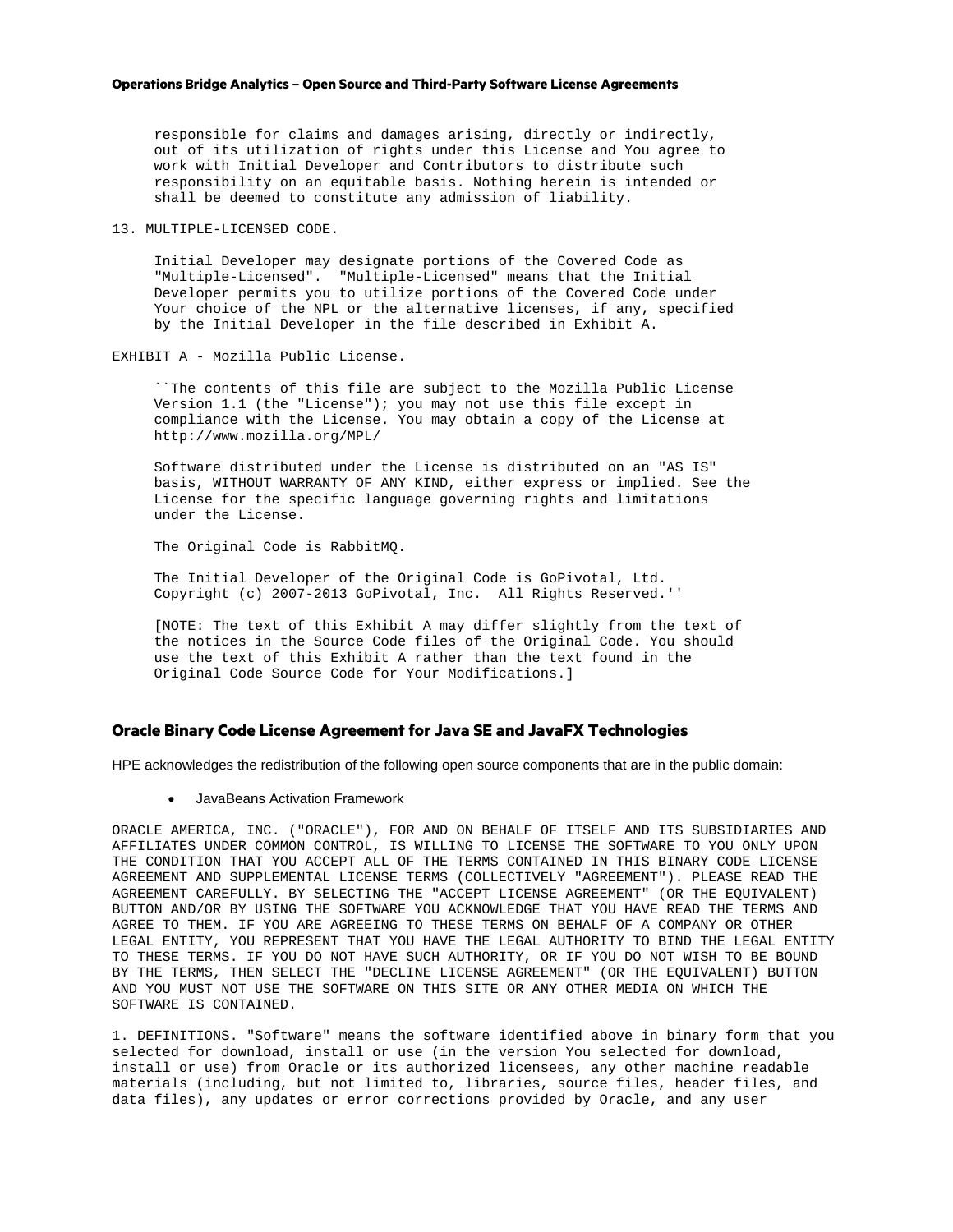responsible for claims and damages arising, directly or indirectly, out of its utilization of rights under this License and You agree to work with Initial Developer and Contributors to distribute such responsibility on an equitable basis. Nothing herein is intended or shall be deemed to constitute any admission of liability.

13. MULTIPLE-LICENSED CODE.

 Initial Developer may designate portions of the Covered Code as "Multiple-Licensed". "Multiple-Licensed" means that the Initial Developer permits you to utilize portions of the Covered Code under Your choice of the NPL or the alternative licenses, if any, specified by the Initial Developer in the file described in Exhibit A.

EXHIBIT A - Mozilla Public License.

 ``The contents of this file are subject to the Mozilla Public License Version 1.1 (the "License"); you may not use this file except in compliance with the License. You may obtain a copy of the License at http://www.mozilla.org/MPL/

 Software distributed under the License is distributed on an "AS IS" basis, WITHOUT WARRANTY OF ANY KIND, either express or implied. See the License for the specific language governing rights and limitations under the License.

The Original Code is RabbitMQ.

 The Initial Developer of the Original Code is GoPivotal, Ltd. Copyright (c) 2007-2013 GoPivotal, Inc. All Rights Reserved.''

 [NOTE: The text of this Exhibit A may differ slightly from the text of the notices in the Source Code files of the Original Code. You should use the text of this Exhibit A rather than the text found in the Original Code Source Code for Your Modifications.]

## **Oracle Binary Code License Agreement for Java SE and JavaFX Technologies**

HPE acknowledges the redistribution of the following open source components that are in the public domain:

• JavaBeans Activation Framework

ORACLE AMERICA, INC. ("ORACLE"), FOR AND ON BEHALF OF ITSELF AND ITS SUBSIDIARIES AND AFFILIATES UNDER COMMON CONTROL, IS WILLING TO LICENSE THE SOFTWARE TO YOU ONLY UPON THE CONDITION THAT YOU ACCEPT ALL OF THE TERMS CONTAINED IN THIS BINARY CODE LICENSE AGREEMENT AND SUPPLEMENTAL LICENSE TERMS (COLLECTIVELY "AGREEMENT"). PLEASE READ THE AGREEMENT CAREFULLY. BY SELECTING THE "ACCEPT LICENSE AGREEMENT" (OR THE EQUIVALENT) BUTTON AND/OR BY USING THE SOFTWARE YOU ACKNOWLEDGE THAT YOU HAVE READ THE TERMS AND AGREE TO THEM. IF YOU ARE AGREEING TO THESE TERMS ON BEHALF OF A COMPANY OR OTHER LEGAL ENTITY, YOU REPRESENT THAT YOU HAVE THE LEGAL AUTHORITY TO BIND THE LEGAL ENTITY TO THESE TERMS. IF YOU DO NOT HAVE SUCH AUTHORITY, OR IF YOU DO NOT WISH TO BE BOUND BY THE TERMS, THEN SELECT THE "DECLINE LICENSE AGREEMENT" (OR THE EQUIVALENT) BUTTON AND YOU MUST NOT USE THE SOFTWARE ON THIS SITE OR ANY OTHER MEDIA ON WHICH THE SOFTWARE IS CONTAINED.

1. DEFINITIONS. "Software" means the software identified above in binary form that you selected for download, install or use (in the version You selected for download, install or use) from Oracle or its authorized licensees, any other machine readable materials (including, but not limited to, libraries, source files, header files, and data files), any updates or error corrections provided by Oracle, and any user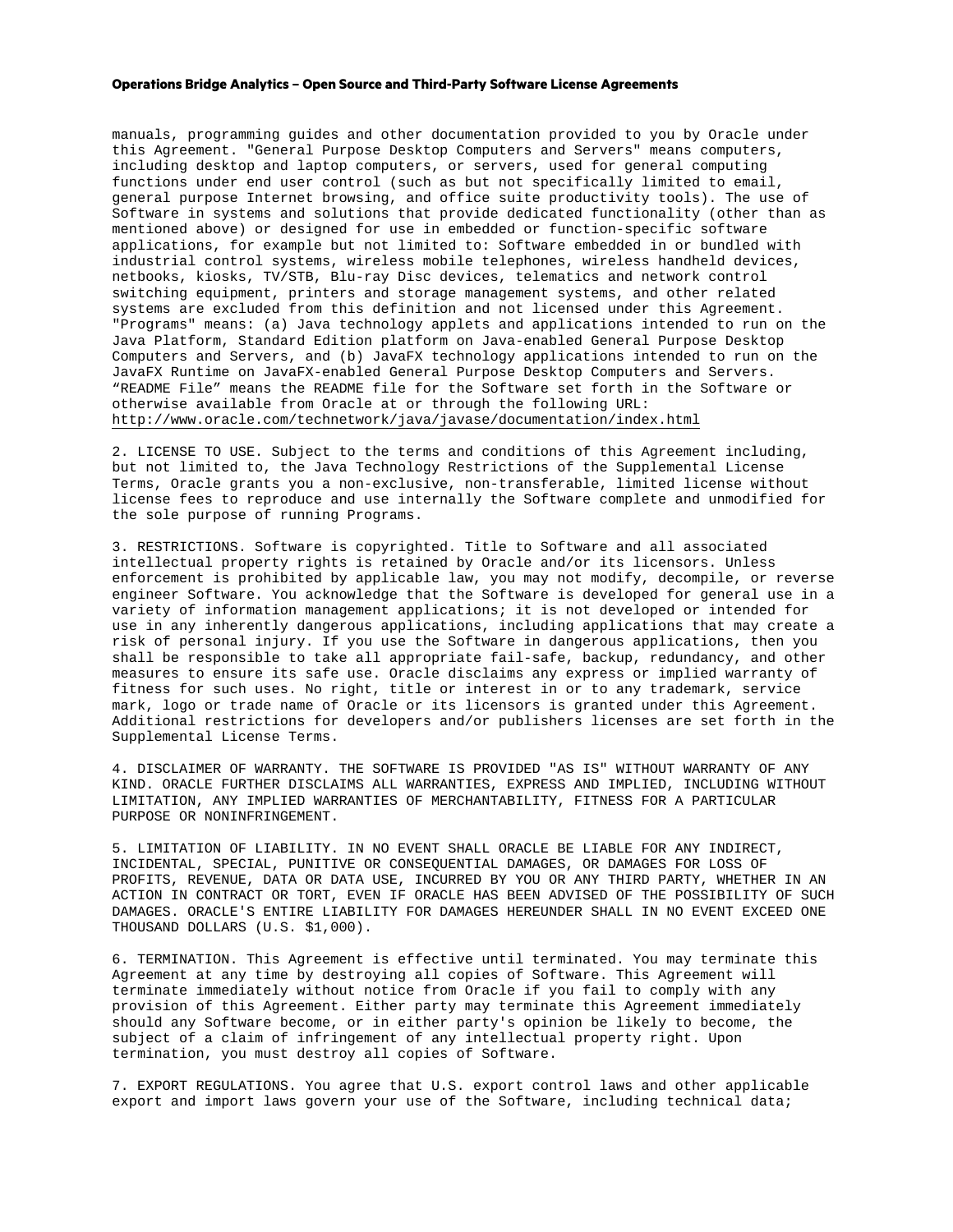manuals, programming guides and other documentation provided to you by Oracle under this Agreement. "General Purpose Desktop Computers and Servers" means computers, including desktop and laptop computers, or servers, used for general computing functions under end user control (such as but not specifically limited to email, general purpose Internet browsing, and office suite productivity tools). The use of Software in systems and solutions that provide dedicated functionality (other than as mentioned above) or designed for use in embedded or function-specific software applications, for example but not limited to: Software embedded in or bundled with industrial control systems, wireless mobile telephones, wireless handheld devices, netbooks, kiosks, TV/STB, Blu-ray Disc devices, telematics and network control switching equipment, printers and storage management systems, and other related systems are excluded from this definition and not licensed under this Agreement. "Programs" means: (a) Java technology applets and applications intended to run on the Java Platform, Standard Edition platform on Java-enabled General Purpose Desktop Computers and Servers, and (b) JavaFX technology applications intended to run on the JavaFX Runtime on JavaFX-enabled General Purpose Desktop Computers and Servers. "README File" means the README file for the Software set forth in the Software or otherwise available from Oracle at or through the following URL: <http://www.oracle.com/technetwork/java/javase/documentation/index.html>

2. LICENSE TO USE. Subject to the terms and conditions of this Agreement including, but not limited to, the Java Technology Restrictions of the Supplemental License Terms, Oracle grants you a non-exclusive, non-transferable, limited license without license fees to reproduce and use internally the Software complete and unmodified for the sole purpose of running Programs.

3. RESTRICTIONS. Software is copyrighted. Title to Software and all associated intellectual property rights is retained by Oracle and/or its licensors. Unless enforcement is prohibited by applicable law, you may not modify, decompile, or reverse engineer Software. You acknowledge that the Software is developed for general use in a variety of information management applications; it is not developed or intended for use in any inherently dangerous applications, including applications that may create a risk of personal injury. If you use the Software in dangerous applications, then you shall be responsible to take all appropriate fail-safe, backup, redundancy, and other measures to ensure its safe use. Oracle disclaims any express or implied warranty of fitness for such uses. No right, title or interest in or to any trademark, service mark, logo or trade name of Oracle or its licensors is granted under this Agreement. Additional restrictions for developers and/or publishers licenses are set forth in the Supplemental License Terms.

4. DISCLAIMER OF WARRANTY. THE SOFTWARE IS PROVIDED "AS IS" WITHOUT WARRANTY OF ANY KIND. ORACLE FURTHER DISCLAIMS ALL WARRANTIES, EXPRESS AND IMPLIED, INCLUDING WITHOUT LIMITATION, ANY IMPLIED WARRANTIES OF MERCHANTABILITY, FITNESS FOR A PARTICULAR PURPOSE OR NONINFRINGEMENT.

5. LIMITATION OF LIABILITY. IN NO EVENT SHALL ORACLE BE LIABLE FOR ANY INDIRECT, INCIDENTAL, SPECIAL, PUNITIVE OR CONSEQUENTIAL DAMAGES, OR DAMAGES FOR LOSS OF PROFITS, REVENUE, DATA OR DATA USE, INCURRED BY YOU OR ANY THIRD PARTY, WHETHER IN AN ACTION IN CONTRACT OR TORT, EVEN IF ORACLE HAS BEEN ADVISED OF THE POSSIBILITY OF SUCH DAMAGES. ORACLE'S ENTIRE LIABILITY FOR DAMAGES HEREUNDER SHALL IN NO EVENT EXCEED ONE THOUSAND DOLLARS (U.S. \$1,000).

6. TERMINATION. This Agreement is effective until terminated. You may terminate this Agreement at any time by destroying all copies of Software. This Agreement will terminate immediately without notice from Oracle if you fail to comply with any provision of this Agreement. Either party may terminate this Agreement immediately should any Software become, or in either party's opinion be likely to become, the subject of a claim of infringement of any intellectual property right. Upon termination, you must destroy all copies of Software.

7. EXPORT REGULATIONS. You agree that U.S. export control laws and other applicable export and import laws govern your use of the Software, including technical data;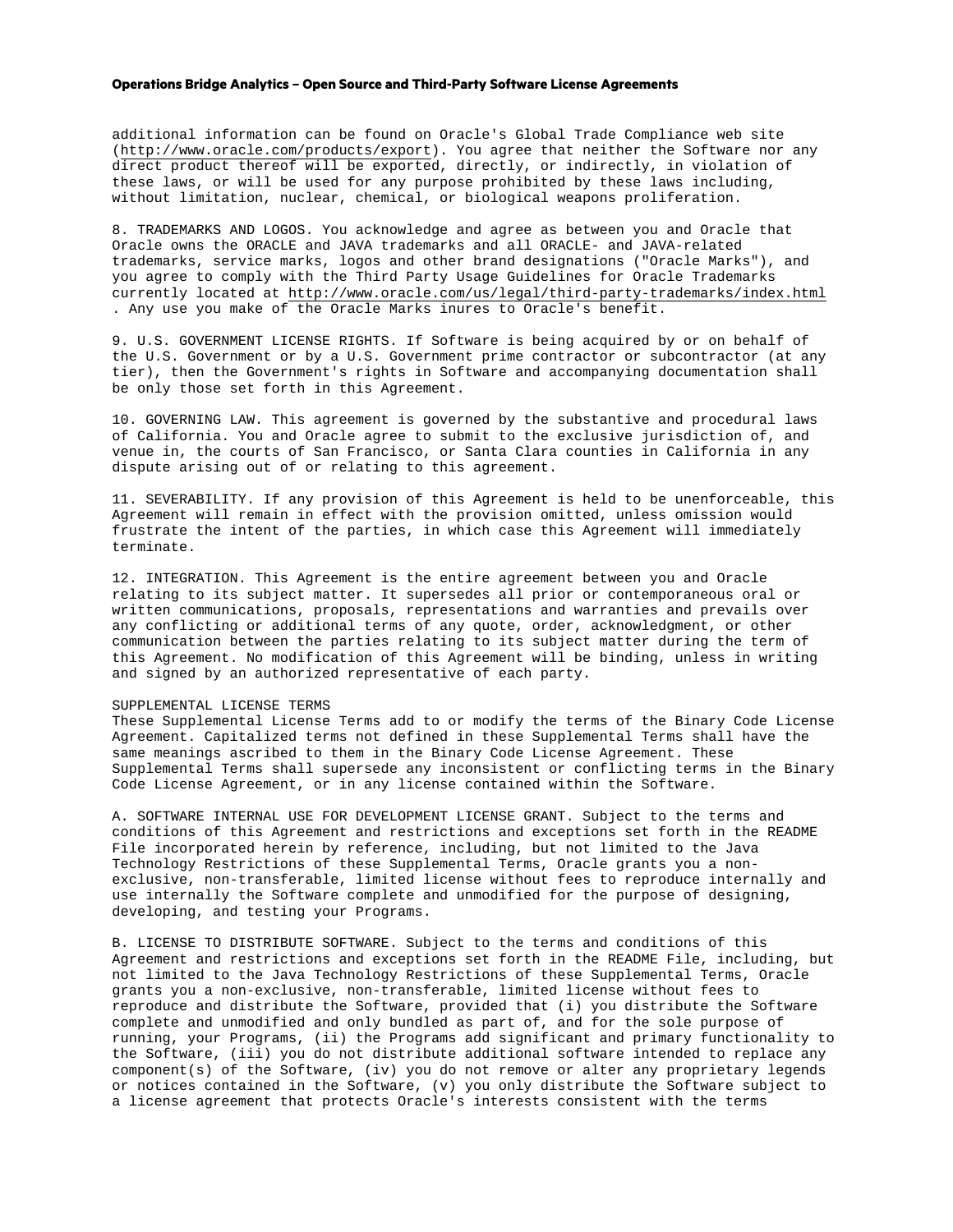additional information can be found on Oracle's Global Trade Compliance web site [\(http://www.oracle.com/products/export\)](http://www.oracle.com/products/export). You agree that neither the Software nor any direct product thereof will be exported, directly, or indirectly, in violation of these laws, or will be used for any purpose prohibited by these laws including, without limitation, nuclear, chemical, or biological weapons proliferation.

8. TRADEMARKS AND LOGOS. You acknowledge and agree as between you and Oracle that Oracle owns the ORACLE and JAVA trademarks and all ORACLE- and JAVA-related trademarks, service marks, logos and other brand designations ("Oracle Marks"), and you agree to comply with the Third Party Usage Guidelines for Oracle Trademarks currently located at<http://www.oracle.com/us/legal/third-party-trademarks/index.html> . Any use you make of the Oracle Marks inures to Oracle's benefit.

9. U.S. GOVERNMENT LICENSE RIGHTS. If Software is being acquired by or on behalf of the U.S. Government or by a U.S. Government prime contractor or subcontractor (at any tier), then the Government's rights in Software and accompanying documentation shall be only those set forth in this Agreement.

10. GOVERNING LAW. This agreement is governed by the substantive and procedural laws of California. You and Oracle agree to submit to the exclusive jurisdiction of, and venue in, the courts of San Francisco, or Santa Clara counties in California in any dispute arising out of or relating to this agreement.

11. SEVERABILITY. If any provision of this Agreement is held to be unenforceable, this Agreement will remain in effect with the provision omitted, unless omission would frustrate the intent of the parties, in which case this Agreement will immediately terminate.

12. INTEGRATION. This Agreement is the entire agreement between you and Oracle relating to its subject matter. It supersedes all prior or contemporaneous oral or written communications, proposals, representations and warranties and prevails over any conflicting or additional terms of any quote, order, acknowledgment, or other communication between the parties relating to its subject matter during the term of this Agreement. No modification of this Agreement will be binding, unless in writing and signed by an authorized representative of each party.

#### SUPPLEMENTAL LICENSE TERMS

These Supplemental License Terms add to or modify the terms of the Binary Code License Agreement. Capitalized terms not defined in these Supplemental Terms shall have the same meanings ascribed to them in the Binary Code License Agreement. These Supplemental Terms shall supersede any inconsistent or conflicting terms in the Binary Code License Agreement, or in any license contained within the Software.

A. SOFTWARE INTERNAL USE FOR DEVELOPMENT LICENSE GRANT. Subject to the terms and conditions of this Agreement and restrictions and exceptions set forth in the README File incorporated herein by reference, including, but not limited to the Java Technology Restrictions of these Supplemental Terms, Oracle grants you a nonexclusive, non-transferable, limited license without fees to reproduce internally and use internally the Software complete and unmodified for the purpose of designing, developing, and testing your Programs.

B. LICENSE TO DISTRIBUTE SOFTWARE. Subject to the terms and conditions of this Agreement and restrictions and exceptions set forth in the README File, including, but not limited to the Java Technology Restrictions of these Supplemental Terms, Oracle grants you a non-exclusive, non-transferable, limited license without fees to reproduce and distribute the Software, provided that (i) you distribute the Software complete and unmodified and only bundled as part of, and for the sole purpose of running, your Programs, (ii) the Programs add significant and primary functionality to the Software, (iii) you do not distribute additional software intended to replace any component(s) of the Software, (iv) you do not remove or alter any proprietary legends or notices contained in the Software, (v) you only distribute the Software subject to a license agreement that protects Oracle's interests consistent with the terms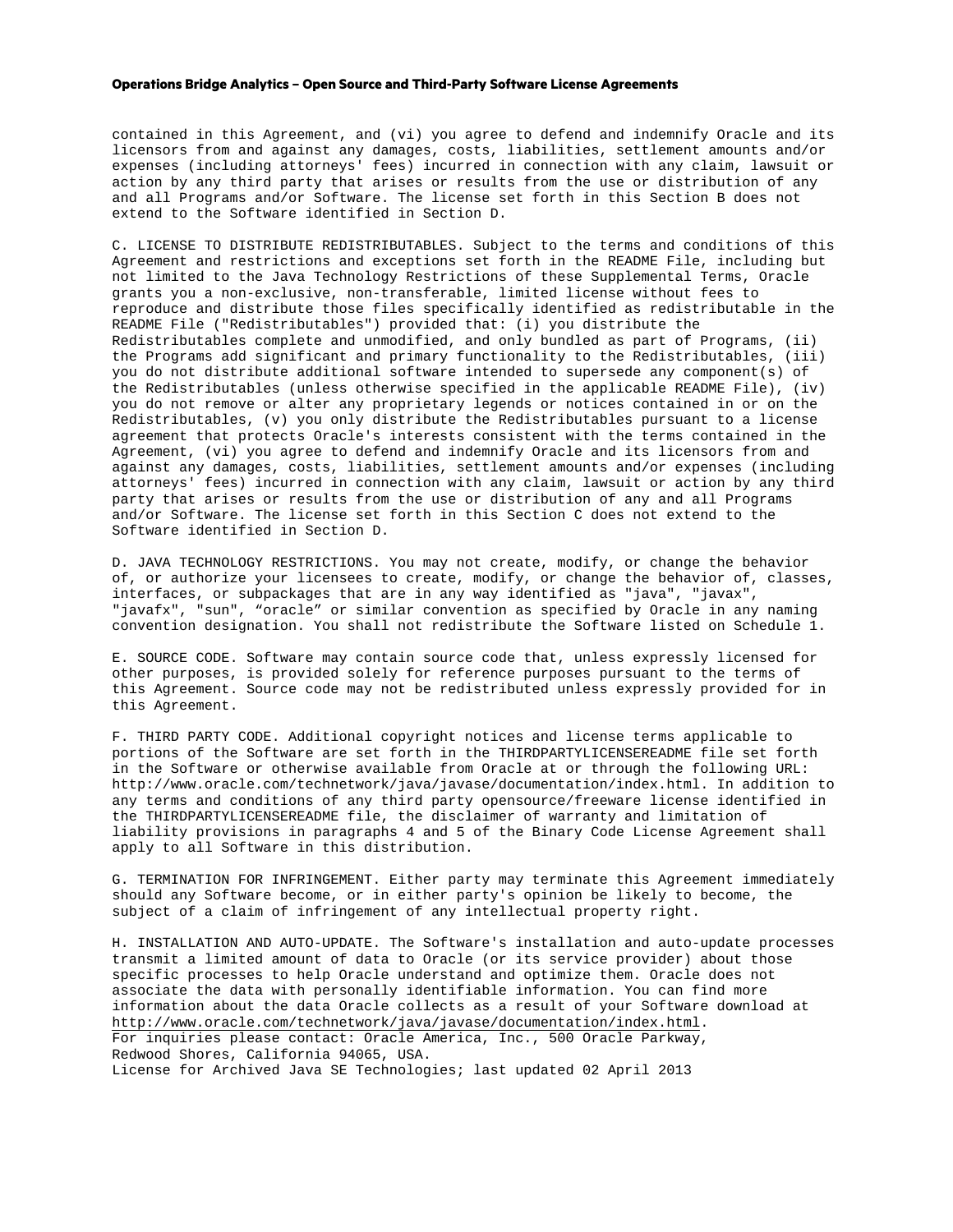contained in this Agreement, and (vi) you agree to defend and indemnify Oracle and its licensors from and against any damages, costs, liabilities, settlement amounts and/or expenses (including attorneys' fees) incurred in connection with any claim, lawsuit or action by any third party that arises or results from the use or distribution of any and all Programs and/or Software. The license set forth in this Section B does not extend to the Software identified in Section D.

C. LICENSE TO DISTRIBUTE REDISTRIBUTABLES. Subject to the terms and conditions of this Agreement and restrictions and exceptions set forth in the README File, including but not limited to the Java Technology Restrictions of these Supplemental Terms, Oracle grants you a non-exclusive, non-transferable, limited license without fees to reproduce and distribute those files specifically identified as redistributable in the README File ("Redistributables") provided that: (i) you distribute the Redistributables complete and unmodified, and only bundled as part of Programs, (ii) the Programs add significant and primary functionality to the Redistributables, (iii) you do not distribute additional software intended to supersede any component(s) of the Redistributables (unless otherwise specified in the applicable README File), (iv) you do not remove or alter any proprietary legends or notices contained in or on the Redistributables, (v) you only distribute the Redistributables pursuant to a license agreement that protects Oracle's interests consistent with the terms contained in the Agreement, (vi) you agree to defend and indemnify Oracle and its licensors from and against any damages, costs, liabilities, settlement amounts and/or expenses (including attorneys' fees) incurred in connection with any claim, lawsuit or action by any third party that arises or results from the use or distribution of any and all Programs and/or Software. The license set forth in this Section C does not extend to the Software identified in Section D.

D. JAVA TECHNOLOGY RESTRICTIONS. You may not create, modify, or change the behavior of, or authorize your licensees to create, modify, or change the behavior of, classes, interfaces, or subpackages that are in any way identified as "java", "javax", "javafx", "sun", "oracle" or similar convention as specified by Oracle in any naming convention designation. You shall not redistribute the Software listed on Schedule 1.

E. SOURCE CODE. Software may contain source code that, unless expressly licensed for other purposes, is provided solely for reference purposes pursuant to the terms of this Agreement. Source code may not be redistributed unless expressly provided for in this Agreement.

F. THIRD PARTY CODE. Additional copyright notices and license terms applicable to portions of the Software are set forth in the THIRDPARTYLICENSEREADME file set forth in the Software or otherwise available from Oracle at or through the following URL: http://www.oracle.com/technetwork/java/javase/documentation/index.html. In addition to any terms and conditions of any third party opensource/freeware license identified in the THIRDPARTYLICENSEREADME file, the disclaimer of warranty and limitation of liability provisions in paragraphs 4 and 5 of the Binary Code License Agreement shall apply to all Software in this distribution.

G. TERMINATION FOR INFRINGEMENT. Either party may terminate this Agreement immediately should any Software become, or in either party's opinion be likely to become, the subject of a claim of infringement of any intellectual property right.

H. INSTALLATION AND AUTO-UPDATE. The Software's installation and auto-update processes transmit a limited amount of data to Oracle (or its service provider) about those specific processes to help Oracle understand and optimize them. Oracle does not associate the data with personally identifiable information. You can find more information about the data Oracle collects as a result of your Software download at [http://www.oracle.com/technetwork/java/javase/documentation/index.html.](http://www.oracle.com/technetwork/java/javase/documentation/index.html)

For inquiries please contact: Oracle America, Inc., 500 Oracle Parkway, Redwood Shores, California 94065, USA.

License for Archived Java SE Technologies; last updated 02 April 2013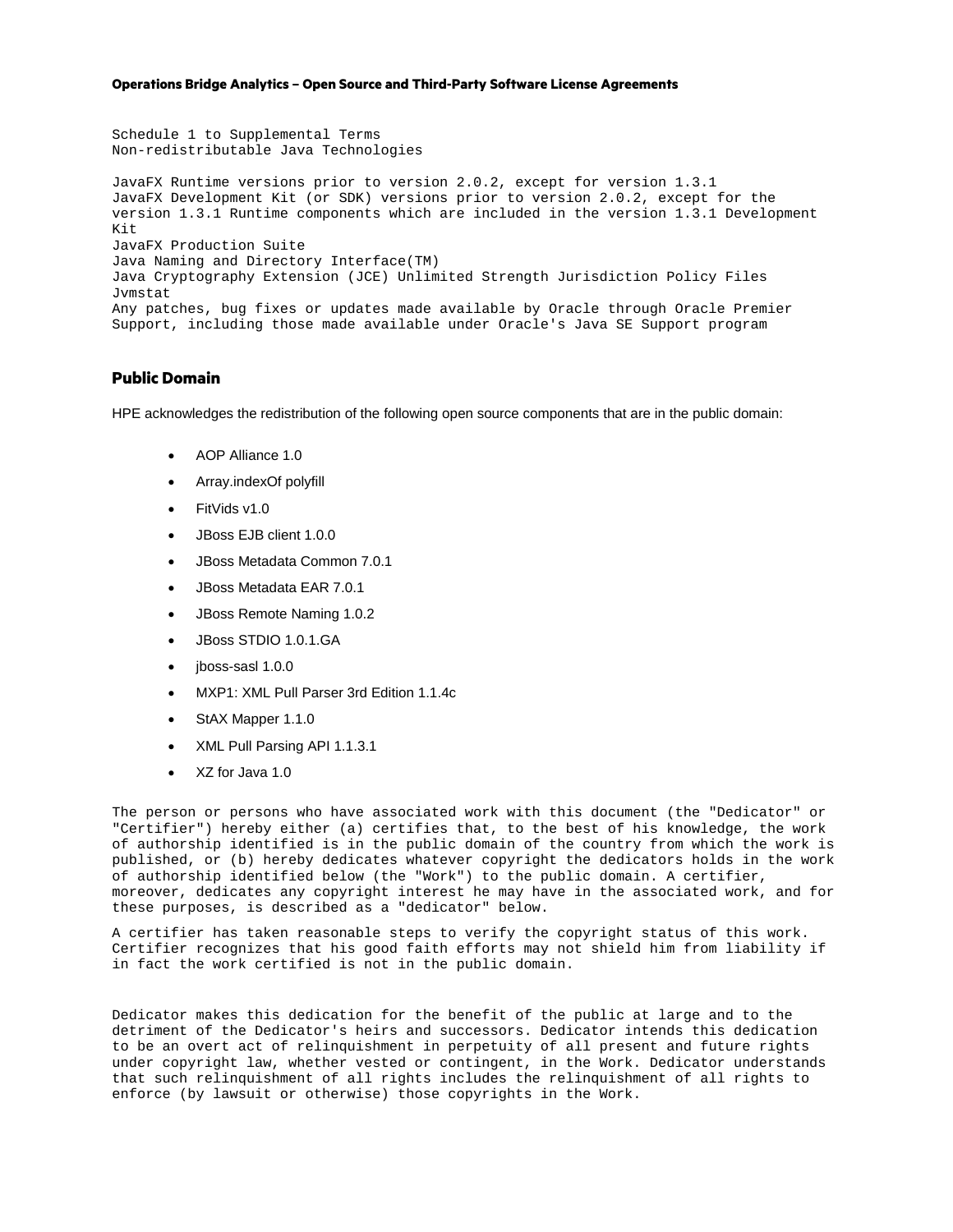Schedule 1 to Supplemental Terms Non-redistributable Java Technologies JavaFX Runtime versions prior to version 2.0.2, except for version 1.3.1 JavaFX Development Kit (or SDK) versions prior to version 2.0.2, except for the version 1.3.1 Runtime components which are included in the version 1.3.1 Development Kit JavaFX Production Suite Java Naming and Directory Interface(TM) Java Cryptography Extension (JCE) Unlimited Strength Jurisdiction Policy Files Jvmstat Any patches, bug fixes or updates made available by Oracle through Oracle Premier Support, including those made available under Oracle's Java SE Support program

## **Public Domain**

HPE acknowledges the redistribution of the following open source components that are in the public domain:

- AOP Alliance 1.0
- Array.indexOf polyfill
- FitVids v1.0
- JBoss EJB client 1.0.0
- JBoss Metadata Common 7.0.1
- JBoss Metadata EAR 7.0.1
- JBoss Remote Naming 1.0.2
- JBoss STDIO 1.0.1.GA
- jboss-sasl 1.0.0
- MXP1: XML Pull Parser 3rd Edition 1.1.4c
- StAX Mapper 1.1.0
- XML Pull Parsing API 1.1.3.1
- XZ for Java 1.0

The person or persons who have associated work with this document (the "Dedicator" or "Certifier") hereby either (a) certifies that, to the best of his knowledge, the work of authorship identified is in the public domain of the country from which the work is published, or (b) hereby dedicates whatever copyright the dedicators holds in the work of authorship identified below (the "Work") to the public domain. A certifier, moreover, dedicates any copyright interest he may have in the associated work, and for these purposes, is described as a "dedicator" below.

A certifier has taken reasonable steps to verify the copyright status of this work. Certifier recognizes that his good faith efforts may not shield him from liability if in fact the work certified is not in the public domain.

Dedicator makes this dedication for the benefit of the public at large and to the detriment of the Dedicator's heirs and successors. Dedicator intends this dedication to be an overt act of relinquishment in perpetuity of all present and future rights under copyright law, whether vested or contingent, in the Work. Dedicator understands that such relinquishment of all rights includes the relinquishment of all rights to enforce (by lawsuit or otherwise) those copyrights in the Work.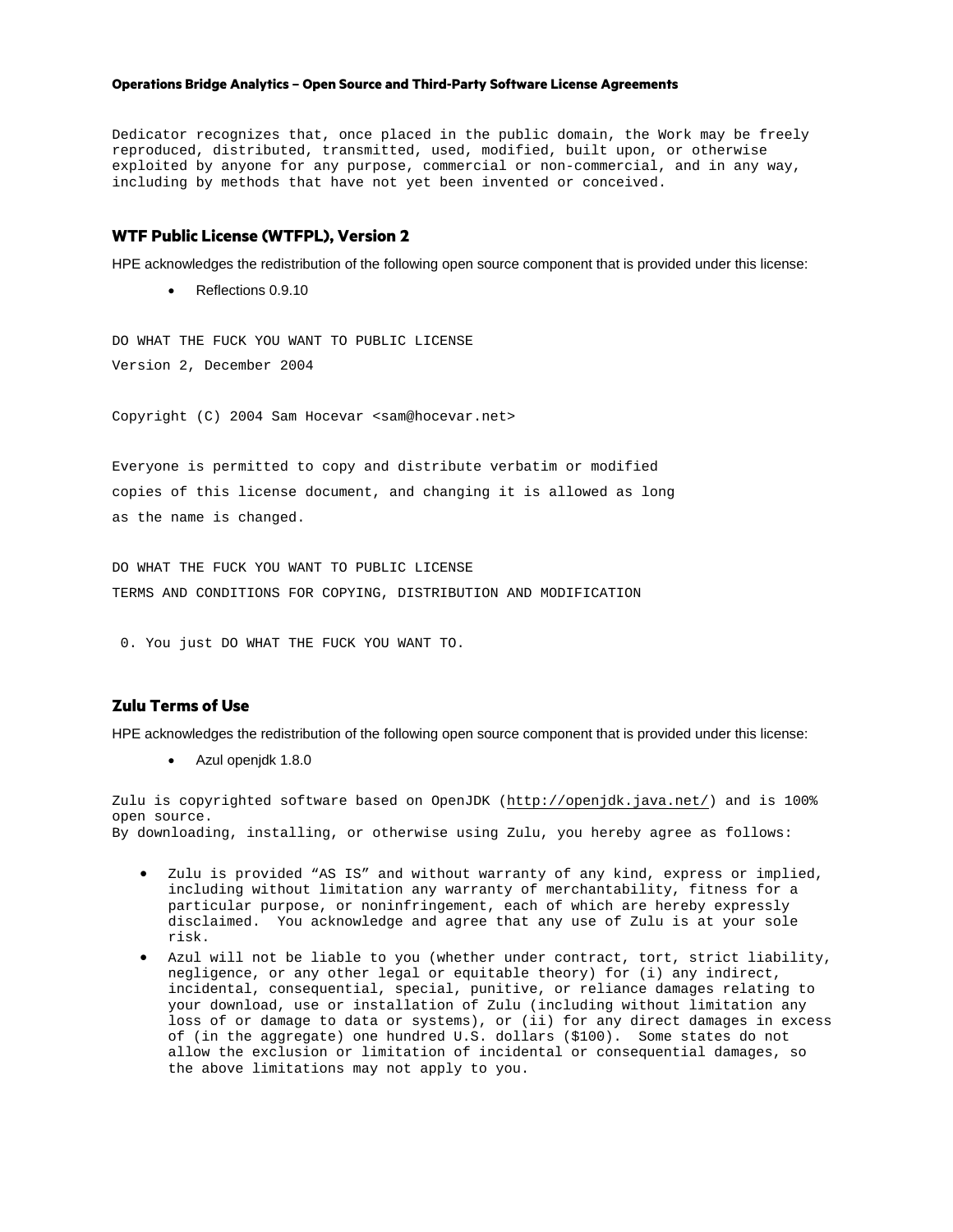Dedicator recognizes that, once placed in the public domain, the Work may be freely reproduced, distributed, transmitted, used, modified, built upon, or otherwise exploited by anyone for any purpose, commercial or non-commercial, and in any way, including by methods that have not yet been invented or conceived.

#### **WTF Public License (WTFPL), Version 2**

HPE acknowledges the redistribution of the following open source component that is provided under this license:

• Reflections 0.9.10

DO WHAT THE FUCK YOU WANT TO PUBLIC LICENSE Version 2, December 2004

Copyright (C) 2004 Sam Hocevar <sam@hocevar.net>

Everyone is permitted to copy and distribute verbatim or modified copies of this license document, and changing it is allowed as long as the name is changed.

DO WHAT THE FUCK YOU WANT TO PUBLIC LICENSE TERMS AND CONDITIONS FOR COPYING, DISTRIBUTION AND MODIFICATION

0. You just DO WHAT THE FUCK YOU WANT TO.

## **Zulu Terms of Use**

HPE acknowledges the redistribution of the following open source component that is provided under this license:

• Azul openjdk 1.8.0

Zulu is copyrighted software based on OpenJDK [\(http://openjdk.java.net/\)](http://openjdk.java.net/) and is 100% open source. By downloading, installing, or otherwise using Zulu, you hereby agree as follows:

- Zulu is provided "AS IS" and without warranty of any kind, express or implied, including without limitation any warranty of merchantability, fitness for a particular purpose, or noninfringement, each of which are hereby expressly disclaimed. You acknowledge and agree that any use of Zulu is at your sole risk.
- Azul will not be liable to you (whether under contract, tort, strict liability, negligence, or any other legal or equitable theory) for (i) any indirect, incidental, consequential, special, punitive, or reliance damages relating to your download, use or installation of Zulu (including without limitation any loss of or damage to data or systems), or (ii) for any direct damages in excess of (in the aggregate) one hundred U.S. dollars (\$100). Some states do not allow the exclusion or limitation of incidental or consequential damages, so the above limitations may not apply to you.